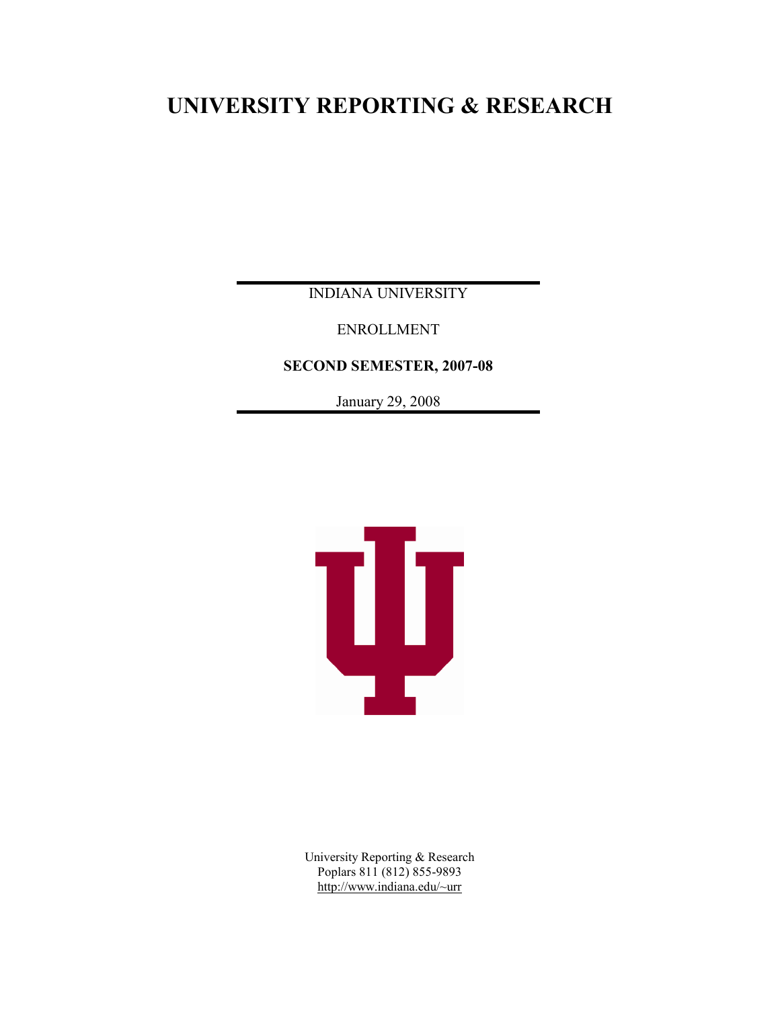# **UNIVERSITY REPORTING & RESEARCH**

INDIANA UNIVERSITY

ENROLLMENT

**SECOND SEMESTER, 2007-08**

January 29, 2008



University Reporting & Research Poplars 811 (812) 855-9893 http://www.indiana.edu/~urr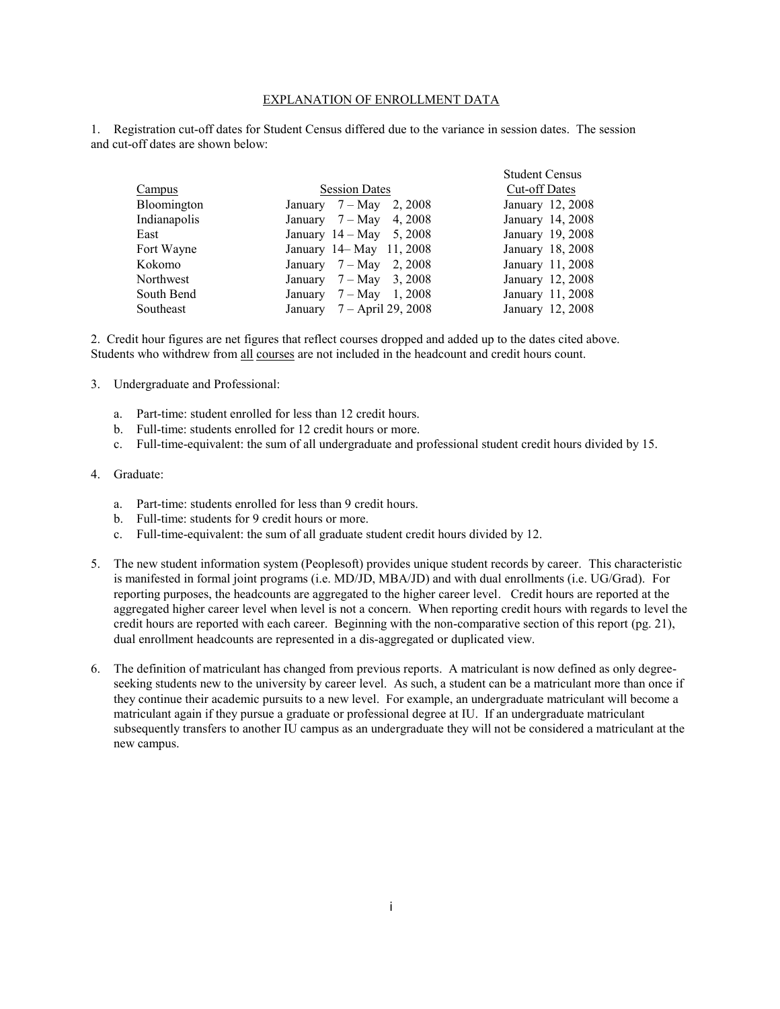#### EXPLANATION OF ENROLLMENT DATA

1. Registration cut-off dates for Student Census differed due to the variance in session dates. The session and cut-off dates are shown below:

|              |                                   | <b>Student Census</b> |
|--------------|-----------------------------------|-----------------------|
| Campus       | <b>Session Dates</b>              | Cut-off Dates         |
| Bloomington  | January $7 - May$ 2, 2008         | January 12, 2008      |
| Indianapolis | January $7 - May$ 4, 2008         | January 14, 2008      |
| East         | January $14 - May \t 5, 2008$     | January 19, 2008      |
| Fort Wayne   | January 14– May 11, 2008          | January 18, 2008      |
| Kokomo       | January $7 - May$ 2, 2008         | January 11, 2008      |
| Northwest    | $7 - May$ 3, 2008<br>January      | January 12, 2008      |
| South Bend   | $7 - May \quad 1,2008$<br>January | January 11, 2008      |
| Southeast    | January 7 - April 29, 2008        | January 12, 2008      |

2. Credit hour figures are net figures that reflect courses dropped and added up to the dates cited above. Students who withdrew from all courses are not included in the headcount and credit hours count.

- 3. Undergraduate and Professional:
	- a. Part-time: student enrolled for less than 12 credit hours.
	- b. Full-time: students enrolled for 12 credit hours or more.
	- c. Full-time-equivalent: the sum of all undergraduate and professional student credit hours divided by 15.

#### 4. Graduate:

- a. Part-time: students enrolled for less than 9 credit hours.
- b. Full-time: students for 9 credit hours or more.
- c. Full-time-equivalent: the sum of all graduate student credit hours divided by 12.
- 5. The new student information system (Peoplesoft) provides unique student records by career. This characteristic is manifested in formal joint programs (i.e. MD/JD, MBA/JD) and with dual enrollments (i.e. UG/Grad). For reporting purposes, the headcounts are aggregated to the higher career level. Credit hours are reported at the aggregated higher career level when level is not a concern. When reporting credit hours with regards to level the credit hours are reported with each career. Beginning with the non-comparative section of this report (pg. 21), dual enrollment headcounts are represented in a dis-aggregated or duplicated view.
- 6. The definition of matriculant has changed from previous reports. A matriculant is now defined as only degreeseeking students new to the university by career level. As such, a student can be a matriculant more than once if they continue their academic pursuits to a new level. For example, an undergraduate matriculant will become a matriculant again if they pursue a graduate or professional degree at IU. If an undergraduate matriculant subsequently transfers to another IU campus as an undergraduate they will not be considered a matriculant at the new campus.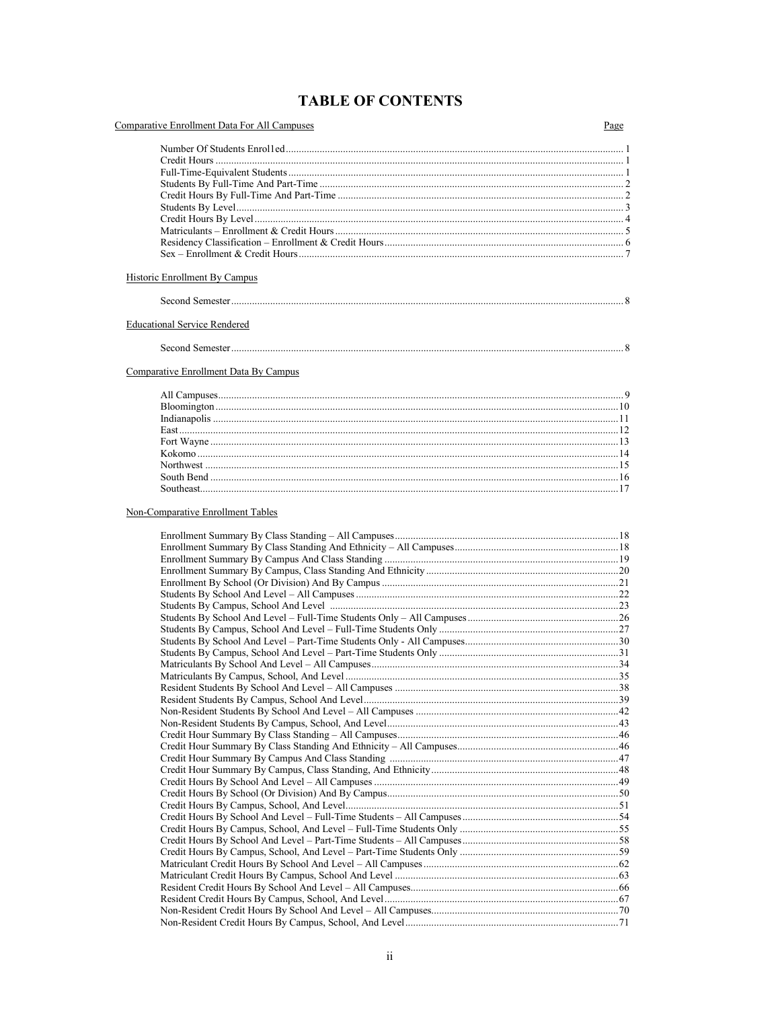## **TABLE OF CONTENTS**

| Comparative Enrollment Data For All Campuses | Page |
|----------------------------------------------|------|
|                                              |      |
|                                              |      |
|                                              |      |
|                                              |      |
|                                              |      |
|                                              |      |
|                                              |      |
|                                              |      |
|                                              |      |
| <b>Historic Enrollment By Campus</b>         |      |
|                                              |      |
| <b>Educational Service Rendered</b>          |      |
|                                              |      |
| Comparative Enrollment Data By Campus        |      |
|                                              |      |
|                                              |      |
|                                              |      |
|                                              |      |
|                                              |      |
|                                              |      |
|                                              |      |
|                                              |      |
| Non-Comparative Enrollment Tables            |      |
|                                              |      |
|                                              |      |
|                                              |      |
|                                              |      |
|                                              |      |
|                                              |      |
|                                              |      |
|                                              |      |
|                                              |      |
|                                              |      |
|                                              |      |
|                                              |      |
|                                              |      |
|                                              |      |
|                                              |      |
|                                              |      |
|                                              |      |
|                                              |      |
|                                              |      |
|                                              |      |
|                                              |      |
|                                              |      |
|                                              |      |
|                                              |      |
|                                              |      |
|                                              |      |
|                                              |      |
|                                              |      |
|                                              |      |
|                                              |      |
|                                              |      |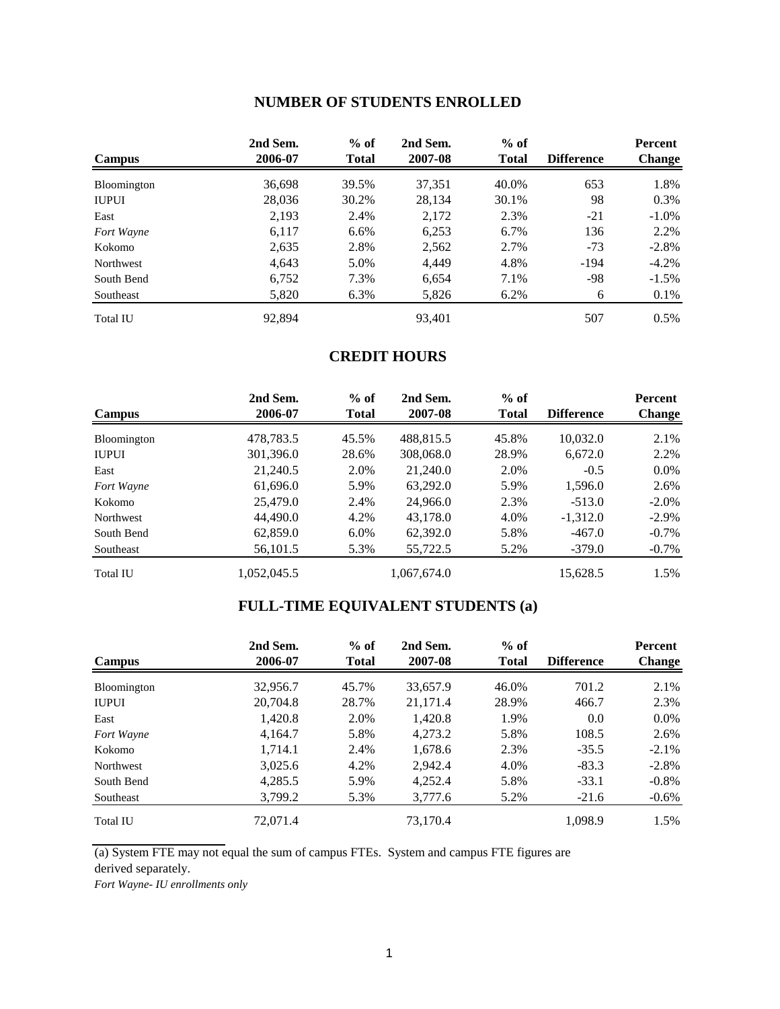### **NUMBER OF STUDENTS ENROLLED**

| <b>Campus</b>      | 2nd Sem.<br>2006-07 | $%$ of<br><b>Total</b> | 2nd Sem.<br>2007-08 | $%$ of<br><b>Total</b> | <b>Difference</b> | <b>Percent</b><br><b>Change</b> |
|--------------------|---------------------|------------------------|---------------------|------------------------|-------------------|---------------------------------|
| <b>Bloomington</b> | 36,698              | 39.5%                  | 37,351              | 40.0%                  | 653               | 1.8%                            |
| <b>IUPUI</b>       | 28,036              | 30.2%                  | 28,134              | 30.1%                  | 98                | $0.3\%$                         |
| East               | 2,193               | 2.4%                   | 2,172               | 2.3%                   | $-21$             | $-1.0\%$                        |
| Fort Wayne         | 6,117               | $6.6\%$                | 6,253               | 6.7%                   | 136               | 2.2%                            |
| Kokomo             | 2,635               | 2.8%                   | 2,562               | 2.7%                   | $-73$             | $-2.8%$                         |
| Northwest          | 4,643               | 5.0%                   | 4,449               | 4.8%                   | $-194$            | $-4.2\%$                        |
| South Bend         | 6,752               | 7.3%                   | 6,654               | 7.1%                   | -98               | $-1.5\%$                        |
| Southeast          | 5,820               | 6.3%                   | 5,826               | 6.2%                   | 6                 | 0.1%                            |
| <b>Total IU</b>    | 92,894              |                        | 93.401              |                        | 507               | 0.5%                            |

### **CREDIT HOURS**

| <b>Campus</b>   | 2nd Sem.<br>2006-07 | $%$ of<br><b>Total</b> | 2nd Sem.<br>2007-08 | $%$ of<br><b>Total</b> | <b>Difference</b> | Percent<br><b>Change</b> |
|-----------------|---------------------|------------------------|---------------------|------------------------|-------------------|--------------------------|
| Bloomington     | 478,783.5           | 45.5%                  | 488,815.5           | 45.8%                  | 10,032.0          | 2.1%                     |
| <b>IUPUI</b>    | 301,396.0           | 28.6%                  | 308,068.0           | 28.9%                  | 6,672.0           | 2.2%                     |
| East            | 21,240.5            | 2.0%                   | 21,240.0            | 2.0%                   | $-0.5$            | $0.0\%$                  |
| Fort Wayne      | 61,696.0            | 5.9%                   | 63,292.0            | 5.9%                   | 1,596.0           | 2.6%                     |
| Kokomo          | 25,479.0            | 2.4%                   | 24,966.0            | 2.3%                   | $-513.0$          | $-2.0\%$                 |
| Northwest       | 44,490.0            | 4.2%                   | 43,178.0            | 4.0%                   | $-1,312.0$        | $-2.9\%$                 |
| South Bend      | 62,859.0            | $6.0\%$                | 62,392.0            | 5.8%                   | $-467.0$          | $-0.7\%$                 |
| Southeast       | 56,101.5            | 5.3%                   | 55,722.5            | 5.2%                   | $-379.0$          | $-0.7\%$                 |
| <b>Total IU</b> | 1.052.045.5         |                        | 1,067,674.0         |                        | 15,628.5          | 1.5%                     |

## **FULL-TIME EQUIVALENT STUDENTS (a)**

| <b>Campus</b>   | 2nd Sem.<br>2006-07 | $%$ of<br><b>Total</b> | 2nd Sem.<br>2007-08 | $%$ of<br><b>Total</b> | <b>Difference</b> | Percent<br><b>Change</b> |
|-----------------|---------------------|------------------------|---------------------|------------------------|-------------------|--------------------------|
| Bloomington     | 32,956.7            | 45.7%                  | 33,657.9            | 46.0%                  | 701.2             | 2.1%                     |
| <b>IUPUI</b>    | 20,704.8            | 28.7%                  | 21.171.4            | 28.9%                  | 466.7             | 2.3%                     |
| East            | 1,420.8             | 2.0%                   | 1.420.8             | 1.9%                   | 0.0               | $0.0\%$                  |
| Fort Wayne      | 4,164.7             | 5.8%                   | 4,273.2             | 5.8%                   | 108.5             | 2.6%                     |
| Kokomo          | 1,714.1             | 2.4%                   | 1.678.6             | 2.3%                   | $-35.5$           | $-2.1\%$                 |
| Northwest       | 3,025.6             | 4.2%                   | 2.942.4             | 4.0%                   | $-83.3$           | $-2.8\%$                 |
| South Bend      | 4,285.5             | 5.9%                   | 4,252.4             | 5.8%                   | $-33.1$           | $-0.8\%$                 |
| Southeast       | 3,799.2             | 5.3%                   | 3,777.6             | 5.2%                   | $-21.6$           | $-0.6\%$                 |
| <b>Total IU</b> | 72,071.4            |                        | 73,170.4            |                        | 1,098.9           | 1.5%                     |

(a) System FTE may not equal the sum of campus FTEs. System and campus FTE figures are derived separately.

*Fort Wayne- IU enrollments only*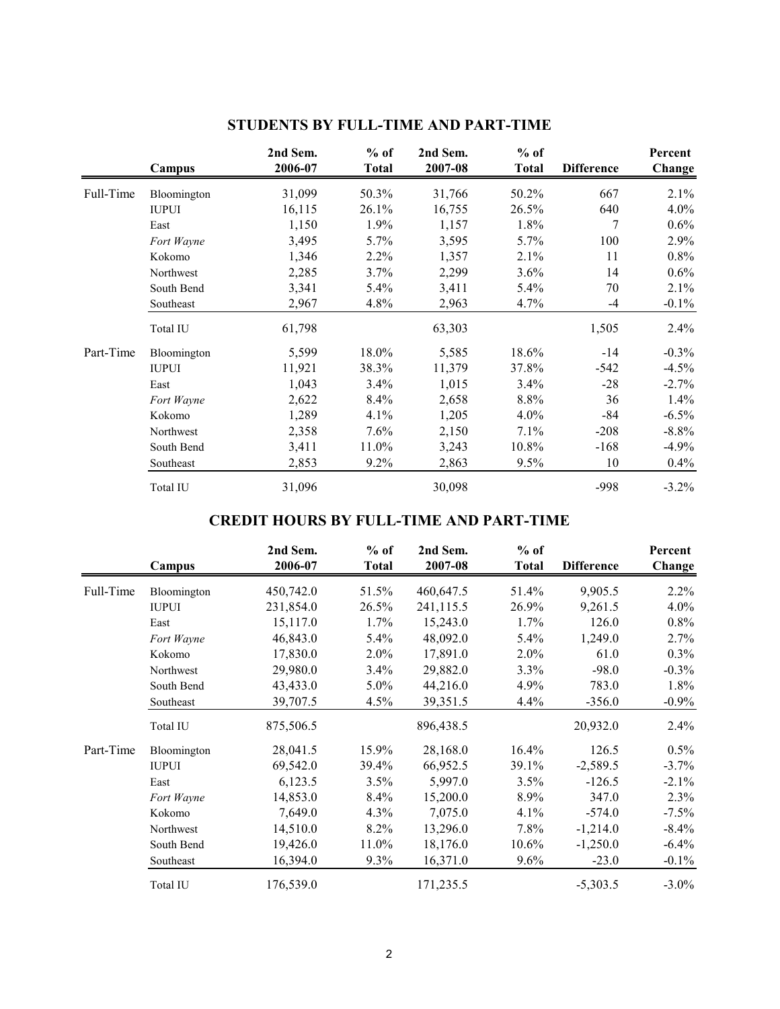|           | Campus       | 2nd Sem.<br>2006-07 | $%$ of<br><b>Total</b> | 2nd Sem.<br>2007-08 | $%$ of<br><b>Total</b> | <b>Difference</b> | Percent<br>Change |
|-----------|--------------|---------------------|------------------------|---------------------|------------------------|-------------------|-------------------|
| Full-Time | Bloomington  | 31,099              | 50.3%                  | 31,766              | 50.2%                  | 667               | $2.1\%$           |
|           | <b>IUPUI</b> | 16,115              | 26.1%                  | 16,755              | 26.5%                  | 640               | $4.0\%$           |
|           | East         | 1,150               | 1.9%                   | 1,157               | 1.8%                   | 7                 | $0.6\%$           |
|           | Fort Wayne   | 3,495               | $5.7\%$                | 3,595               | $5.7\%$                | 100               | $2.9\%$           |
|           | Kokomo       | 1,346               | $2.2\%$                | 1,357               | 2.1%                   | 11                | $0.8\%$           |
|           | Northwest    | 2,285               | 3.7%                   | 2,299               | 3.6%                   | 14                | $0.6\%$           |
|           | South Bend   | 3,341               | 5.4%                   | 3,411               | 5.4%                   | 70                | 2.1%              |
|           | Southeast    | 2,967               | 4.8%                   | 2,963               | 4.7%                   | $-4$              | $-0.1\%$          |
|           | Total IU     | 61,798              |                        | 63,303              |                        | 1,505             | 2.4%              |
| Part-Time | Bloomington  | 5,599               | 18.0%                  | 5,585               | 18.6%                  | $-14$             | $-0.3\%$          |
|           | <b>IUPUI</b> | 11,921              | 38.3%                  | 11,379              | 37.8%                  | $-542$            | $-4.5%$           |
|           | East         | 1,043               | 3.4%                   | 1,015               | 3.4%                   | $-28$             | $-2.7\%$          |
|           | Fort Wayne   | 2,622               | 8.4%                   | 2,658               | 8.8%                   | 36                | 1.4%              |
|           | Kokomo       | 1,289               | 4.1%                   | 1,205               | $4.0\%$                | -84               | $-6.5\%$          |
|           | Northwest    | 2,358               | 7.6%                   | 2,150               | 7.1%                   | $-208$            | $-8.8\%$          |
|           | South Bend   | 3,411               | 11.0%                  | 3,243               | 10.8%                  | $-168$            | $-4.9\%$          |
|           | Southeast    | 2,853               | $9.2\%$                | 2,863               | 9.5%                   | 10                | $0.4\%$           |
|           | Total IU     | 31,096              |                        | 30,098              |                        | -998              | $-3.2\%$          |

## **STUDENTS BY FULL-TIME AND PART-TIME**

## **CREDIT HOURS BY FULL-TIME AND PART-TIME**

|           | Campus       | 2nd Sem.<br>2006-07 | $%$ of<br><b>Total</b> | 2nd Sem.<br>2007-08 | $%$ of<br><b>Total</b> | <b>Difference</b> | Percent<br>Change |
|-----------|--------------|---------------------|------------------------|---------------------|------------------------|-------------------|-------------------|
| Full-Time | Bloomington  | 450,742.0           | 51.5%                  | 460,647.5           | 51.4%                  | 9,905.5           | 2.2%              |
|           | <b>IUPUI</b> | 231,854.0           | 26.5%                  | 241,115.5           | 26.9%                  | 9,261.5           | $4.0\%$           |
|           | East         | 15,117.0            | 1.7%                   | 15,243.0            | 1.7%                   | 126.0             | 0.8%              |
|           | Fort Wayne   | 46,843.0            | 5.4%                   | 48,092.0            | 5.4%                   | 1,249.0           | $2.7\%$           |
|           | Kokomo       | 17,830.0            | 2.0%                   | 17,891.0            | $2.0\%$                | 61.0              | 0.3%              |
|           | Northwest    | 29,980.0            | 3.4%                   | 29,882.0            | $3.3\%$                | $-98.0$           | $-0.3\%$          |
|           | South Bend   | 43,433.0            | $5.0\%$                | 44,216.0            | 4.9%                   | 783.0             | 1.8%              |
|           | Southeast    | 39,707.5            | $4.5\%$                | 39,351.5            | $4.4\%$                | $-356.0$          | $-0.9\%$          |
|           | Total IU     | 875,506.5           |                        | 896,438.5           |                        | 20,932.0          | 2.4%              |
| Part-Time | Bloomington  | 28,041.5            | 15.9%                  | 28,168.0            | 16.4%                  | 126.5             | 0.5%              |
|           | <b>IUPUI</b> | 69,542.0            | 39.4%                  | 66,952.5            | 39.1%                  | $-2,589.5$        | $-3.7%$           |
|           | East         | 6,123.5             | 3.5%                   | 5,997.0             | 3.5%                   | $-126.5$          | $-2.1\%$          |
|           | Fort Wayne   | 14,853.0            | 8.4%                   | 15,200.0            | 8.9%                   | 347.0             | 2.3%              |
|           | Kokomo       | 7,649.0             | $4.3\%$                | 7,075.0             | 4.1%                   | $-574.0$          | $-7.5\%$          |
|           | Northwest    | 14,510.0            | 8.2%                   | 13,296.0            | 7.8%                   | $-1,214.0$        | $-8.4\%$          |
|           | South Bend   | 19,426.0            | 11.0%                  | 18,176.0            | $10.6\%$               | $-1,250.0$        | $-6.4\%$          |
|           | Southeast    | 16,394.0            | 9.3%                   | 16,371.0            | 9.6%                   | $-23.0$           | $-0.1\%$          |
|           | Total IU     | 176,539.0           |                        | 171,235.5           |                        | $-5,303.5$        | $-3.0\%$          |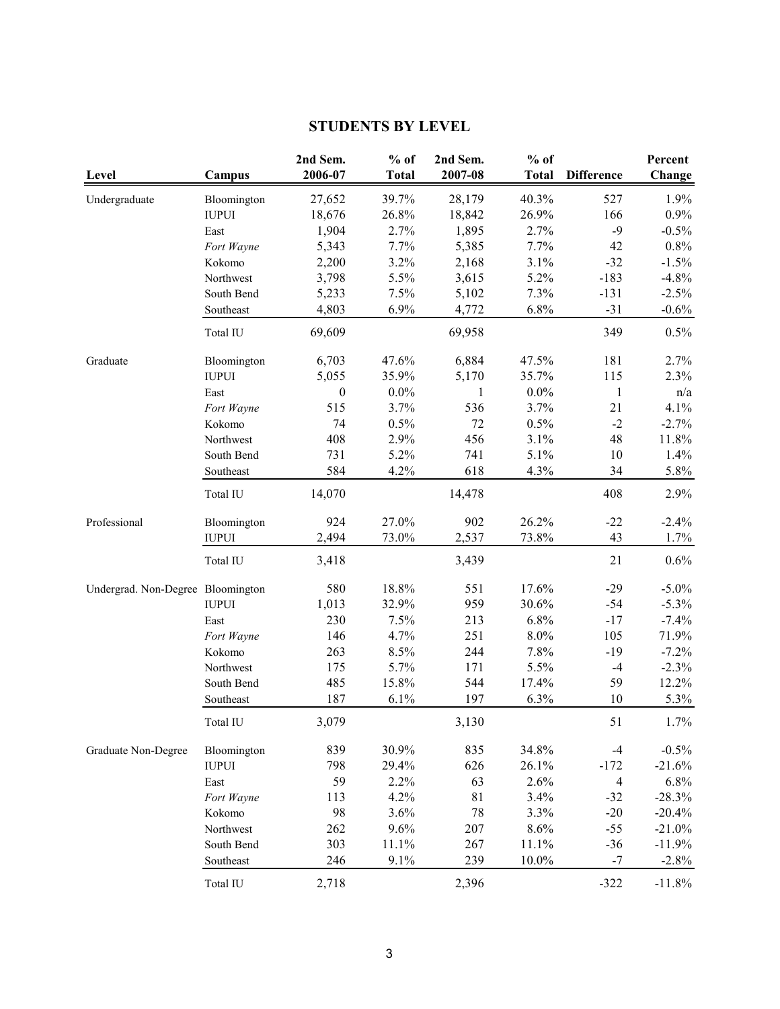## **STUDENTS BY LEVEL**

| Level                             | Campus       | 2nd Sem.<br>2006-07 | $%$ of<br><b>Total</b> | 2nd Sem.<br>2007-08 | $%$ of<br><b>Total</b> | <b>Difference</b> | Percent<br>Change |
|-----------------------------------|--------------|---------------------|------------------------|---------------------|------------------------|-------------------|-------------------|
| Undergraduate                     | Bloomington  | 27,652              | 39.7%                  | 28,179              | 40.3%                  | 527               | 1.9%              |
|                                   | <b>IUPUI</b> | 18,676              | 26.8%                  | 18,842              | 26.9%                  | 166               | $0.9\%$           |
|                                   | East         | 1,904               | 2.7%                   | 1,895               | 2.7%                   | $-9$              | $-0.5%$           |
|                                   | Fort Wayne   | 5,343               | 7.7%                   | 5,385               | 7.7%                   | 42                | 0.8%              |
|                                   | Kokomo       | 2,200               | 3.2%                   | 2,168               | 3.1%                   | $-32$             | $-1.5%$           |
|                                   | Northwest    | 3,798               | 5.5%                   | 3,615               | 5.2%                   | $-183$            | $-4.8%$           |
|                                   | South Bend   | 5,233               | 7.5%                   | 5,102               | 7.3%                   | $-131$            | $-2.5%$           |
|                                   | Southeast    | 4,803               | 6.9%                   | 4,772               | 6.8%                   | $-31$             | $-0.6%$           |
|                                   | Total IU     | 69,609              |                        | 69,958              |                        | 349               | 0.5%              |
| Graduate                          | Bloomington  | 6,703               | 47.6%                  | 6,884               | 47.5%                  | 181               | 2.7%              |
|                                   | <b>IUPUI</b> | 5,055               | 35.9%                  | 5,170               | 35.7%                  | 115               | 2.3%              |
|                                   | East         | $\boldsymbol{0}$    | $0.0\%$                | 1                   | $0.0\%$                | $\mathbf{1}$      | n/a               |
|                                   | Fort Wayne   | 515                 | 3.7%                   | 536                 | 3.7%                   | 21                | 4.1%              |
|                                   | Kokomo       | 74                  | 0.5%                   | 72                  | 0.5%                   | $-2$              | $-2.7%$           |
|                                   | Northwest    | 408                 | 2.9%                   | 456                 | 3.1%                   | 48                | 11.8%             |
|                                   | South Bend   | 731                 | 5.2%                   | 741                 | 5.1%                   | 10                | 1.4%              |
|                                   | Southeast    | 584                 | 4.2%                   | 618                 | 4.3%                   | 34                | 5.8%              |
|                                   | Total IU     | 14,070              |                        | 14,478              |                        | 408               | 2.9%              |
| Professional                      | Bloomington  | 924                 | 27.0%                  | 902                 | 26.2%                  | $-22$             | $-2.4%$           |
|                                   | <b>IUPUI</b> | 2,494               | 73.0%                  | 2,537               | 73.8%                  | 43                | 1.7%              |
|                                   | Total IU     | 3,418               |                        | 3,439               |                        | 21                | 0.6%              |
| Undergrad. Non-Degree Bloomington |              | 580                 | 18.8%                  | 551                 | 17.6%                  | $-29$             | $-5.0\%$          |
|                                   | <b>IUPUI</b> | 1,013               | 32.9%                  | 959                 | 30.6%                  | $-54$             | $-5.3\%$          |
|                                   | East         | 230                 | 7.5%                   | 213                 | 6.8%                   | $-17$             | $-7.4%$           |
|                                   | Fort Wayne   | 146                 | 4.7%                   | 251                 | 8.0%                   | 105               | 71.9%             |
|                                   | Kokomo       | 263                 | 8.5%                   | 244                 | 7.8%                   | $-19$             | $-7.2%$           |
|                                   | Northwest    | 175                 | 5.7%                   | 171                 | 5.5%                   | $-4$              | $-2.3%$           |
|                                   | South Bend   | 485                 | 15.8%                  | 544                 | 17.4%                  | 59                | 12.2%             |
|                                   | Southeast    | 187                 | 6.1%                   | 197                 | 6.3%                   | 10                | 5.3%              |
|                                   | Total IU     | 3,079               |                        | 3,130               |                        | 51                | 1.7%              |
| Graduate Non-Degree               | Bloomington  | 839                 | 30.9%                  | 835                 | 34.8%                  | $-4$              | $-0.5%$           |
|                                   | <b>IUPUI</b> | 798                 | 29.4%                  | 626                 | 26.1%                  | $-172$            | $-21.6%$          |
|                                   | East         | 59                  | 2.2%                   | 63                  | 2.6%                   | $\overline{4}$    | 6.8%              |
|                                   | Fort Wayne   | 113                 | 4.2%                   | 81                  | 3.4%                   | $-32$             | $-28.3%$          |
|                                   | Kokomo       | 98                  | 3.6%                   | 78                  | 3.3%                   | $-20$             | $-20.4%$          |
|                                   | Northwest    | 262                 | 9.6%                   | 207                 | 8.6%                   | $-55$             | $-21.0%$          |
|                                   | South Bend   | 303                 | 11.1%                  | 267                 | 11.1%                  | $-36$             | $-11.9%$          |
|                                   | Southeast    | 246                 | 9.1%                   | 239                 | $10.0\%$               | $-7$              | $-2.8\%$          |
|                                   | Total IU     | 2,718               |                        | 2,396               |                        | $-322$            | $-11.8\%$         |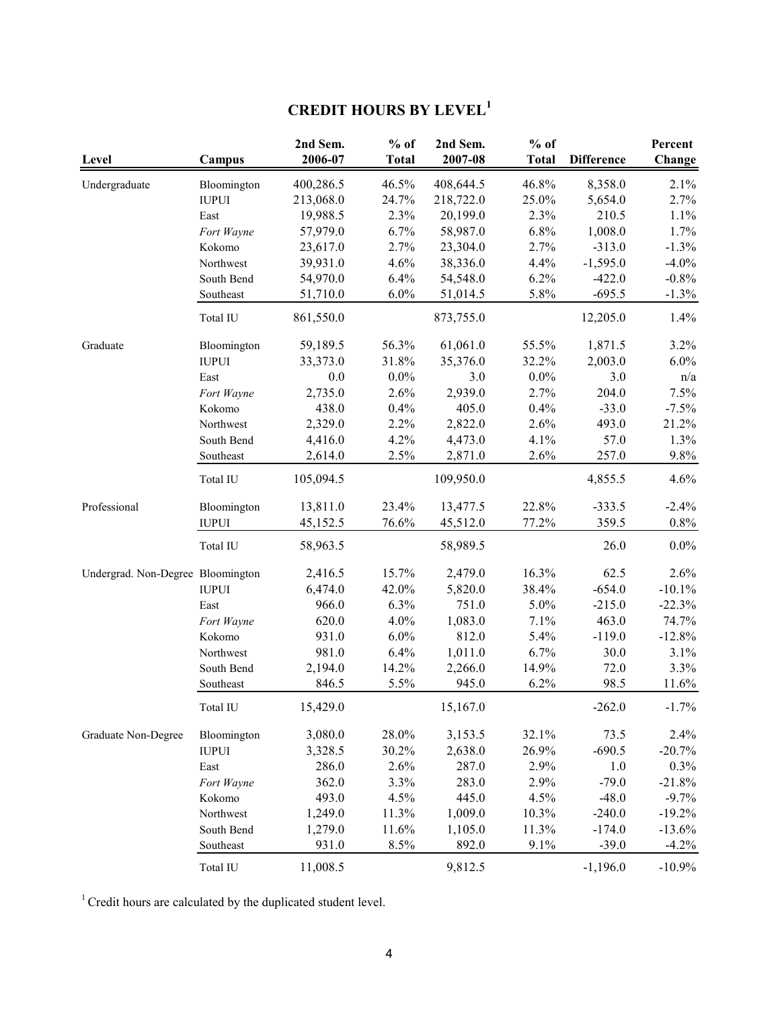# **CREDIT HOURS BY LEVEL<sup>1</sup>**

| Level                             | Campus       | 2nd Sem.<br>2006-07 | $%$ of<br><b>Total</b> | 2nd Sem.<br>2007-08 | $%$ of<br><b>Total</b> | <b>Difference</b> | Percent<br>Change |
|-----------------------------------|--------------|---------------------|------------------------|---------------------|------------------------|-------------------|-------------------|
| Undergraduate                     | Bloomington  | 400,286.5           | 46.5%                  | 408,644.5           | 46.8%                  | 8,358.0           | 2.1%              |
|                                   | <b>IUPUI</b> | 213,068.0           | 24.7%                  | 218,722.0           | 25.0%                  | 5,654.0           | 2.7%              |
|                                   | East         | 19,988.5            | 2.3%                   | 20,199.0            | 2.3%                   | 210.5             | 1.1%              |
|                                   | Fort Wayne   | 57,979.0            | 6.7%                   | 58,987.0            | 6.8%                   | 1,008.0           | 1.7%              |
|                                   | Kokomo       | 23,617.0            | 2.7%                   | 23,304.0            | 2.7%                   | $-313.0$          | $-1.3%$           |
|                                   | Northwest    | 39,931.0            | 4.6%                   | 38,336.0            | 4.4%                   | $-1,595.0$        | $-4.0\%$          |
|                                   | South Bend   | 54,970.0            | 6.4%                   | 54,548.0            | 6.2%                   | $-422.0$          | $-0.8\%$          |
|                                   | Southeast    | 51,710.0            | 6.0%                   | 51,014.5            | 5.8%                   | $-695.5$          | $-1.3%$           |
|                                   | Total IU     | 861,550.0           |                        | 873,755.0           |                        | 12,205.0          | 1.4%              |
| Graduate                          | Bloomington  | 59,189.5            | 56.3%                  | 61,061.0            | 55.5%                  | 1,871.5           | 3.2%              |
|                                   | <b>IUPUI</b> | 33,373.0            | 31.8%                  | 35,376.0            | 32.2%                  | 2,003.0           | $6.0\%$           |
|                                   | East         | 0.0                 | $0.0\%$                | 3.0                 | $0.0\%$                | 3.0               | n/a               |
|                                   | Fort Wayne   | 2,735.0             | 2.6%                   | 2,939.0             | 2.7%                   | 204.0             | 7.5%              |
|                                   | Kokomo       | 438.0               | 0.4%                   | 405.0               | 0.4%                   | $-33.0$           | $-7.5%$           |
|                                   | Northwest    | 2,329.0             | 2.2%                   | 2,822.0             | 2.6%                   | 493.0             | 21.2%             |
|                                   | South Bend   | 4,416.0             | 4.2%                   | 4,473.0             | 4.1%                   | 57.0              | 1.3%              |
|                                   | Southeast    | 2,614.0             | 2.5%                   | 2,871.0             | 2.6%                   | 257.0             | 9.8%              |
|                                   | Total IU     | 105,094.5           |                        | 109,950.0           |                        | 4,855.5           | 4.6%              |
| Professional                      | Bloomington  | 13,811.0            | 23.4%                  | 13,477.5            | 22.8%                  | $-333.5$          | $-2.4%$           |
|                                   | <b>IUPUI</b> | 45,152.5            | 76.6%                  | 45,512.0            | 77.2%                  | 359.5             | $0.8\%$           |
|                                   | Total IU     | 58,963.5            |                        | 58,989.5            |                        | 26.0              | $0.0\%$           |
| Undergrad. Non-Degree Bloomington |              | 2,416.5             | 15.7%                  | 2,479.0             | 16.3%                  | 62.5              | 2.6%              |
|                                   | <b>IUPUI</b> | 6,474.0             | 42.0%                  | 5,820.0             | 38.4%                  | $-654.0$          | $-10.1\%$         |
|                                   | East         | 966.0               | 6.3%                   | 751.0               | 5.0%                   | $-215.0$          | $-22.3%$          |
|                                   | Fort Wayne   | 620.0               | 4.0%                   | 1,083.0             | 7.1%                   | 463.0             | 74.7%             |
|                                   | Kokomo       | 931.0               | 6.0%                   | 812.0               | 5.4%                   | $-119.0$          | $-12.8%$          |
|                                   | Northwest    | 981.0               | 6.4%                   | 1,011.0             | 6.7%                   | 30.0              | 3.1%              |
|                                   | South Bend   | 2,194.0             | 14.2%                  | 2,266.0             | 14.9%                  | 72.0              | 3.3%              |
|                                   | Southeast    | 846.5               | 5.5%                   | 945.0               | 6.2%                   | 98.5              | 11.6%             |
|                                   | Total IU     | 15,429.0            |                        | 15,167.0            |                        | $-262.0$          | $-1.7%$           |
| Graduate Non-Degree               | Bloomington  | 3,080.0             | 28.0%                  | 3,153.5             | 32.1%                  | 73.5              | 2.4%              |
|                                   | <b>IUPUI</b> | 3,328.5             | 30.2%                  | 2,638.0             | 26.9%                  | $-690.5$          | $-20.7%$          |
|                                   | East         | 286.0               | 2.6%                   | 287.0               | 2.9%                   | 1.0               | $0.3\%$           |
|                                   | Fort Wayne   | 362.0               | 3.3%                   | 283.0               | 2.9%                   | $-79.0$           | $-21.8%$          |
|                                   | Kokomo       | 493.0               | 4.5%                   | 445.0               | 4.5%                   | $-48.0$           | $-9.7%$           |
|                                   | Northwest    | 1,249.0             | 11.3%                  | 1,009.0             | 10.3%                  | $-240.0$          | $-19.2%$          |
|                                   | South Bend   | 1,279.0             | 11.6%                  | 1,105.0             | 11.3%                  | $-174.0$          | $-13.6%$          |
|                                   | Southeast    | 931.0               | 8.5%                   | 892.0               | 9.1%                   | $-39.0$           | $-4.2\%$          |
|                                   | Total IU     | 11,008.5            |                        | 9,812.5             |                        | $-1,196.0$        | $-10.9\%$         |

 $1$ <sup>1</sup> Credit hours are calculated by the duplicated student level.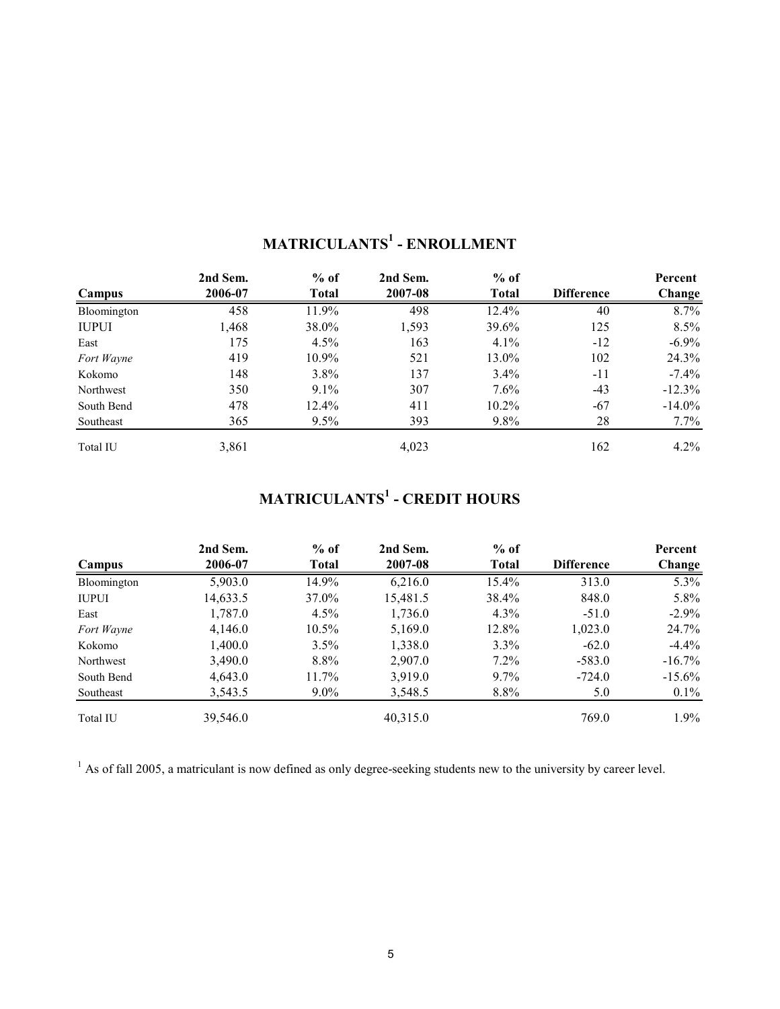|              | 2nd Sem. | $%$ of       | 2nd Sem. | $%$ of       |                   | Percent   |
|--------------|----------|--------------|----------|--------------|-------------------|-----------|
| Campus       | 2006-07  | <b>Total</b> | 2007-08  | <b>Total</b> | <b>Difference</b> | Change    |
| Bloomington  | 458      | 11.9%        | 498      | 12.4%        | 40                | 8.7%      |
| <b>IUPUI</b> | 1,468    | 38.0%        | 1,593    | 39.6%        | 125               | $8.5\%$   |
| East         | 175      | $4.5\%$      | 163      | $4.1\%$      | $-12$             | $-6.9\%$  |
| Fort Wayne   | 419      | $10.9\%$     | 521      | 13.0%        | 102               | 24.3%     |
| Kokomo       | 148      | $3.8\%$      | 137      | 3.4%         | $-11$             | $-7.4\%$  |
| Northwest    | 350      | $9.1\%$      | 307      | $7.6\%$      | $-43$             | $-12.3\%$ |
| South Bend   | 478      | $12.4\%$     | 411      | $10.2\%$     | $-67$             | $-14.0\%$ |
| Southeast    | 365      | $9.5\%$      | 393      | $9.8\%$      | 28                | $7.7\%$   |
| Total IU     | 3,861    |              | 4,023    |              | 162               | $4.2\%$   |

## **MATRICULANTS<sup>1</sup> - ENROLLMENT**

## **MATRICULANTS<sup>1</sup> - CREDIT HOURS**

|              | 2nd Sem. | $%$ of       | 2nd Sem. | $%$ of       |                   | Percent   |
|--------------|----------|--------------|----------|--------------|-------------------|-----------|
| Campus       | 2006-07  | <b>Total</b> | 2007-08  | <b>Total</b> | <b>Difference</b> | Change    |
| Bloomington  | 5,903.0  | 14.9%        | 6,216.0  | 15.4%        | 313.0             | $5.3\%$   |
| <b>IUPUI</b> | 14,633.5 | 37.0%        | 15,481.5 | 38.4%        | 848.0             | 5.8%      |
| East         | 1,787.0  | $4.5\%$      | 1,736.0  | $4.3\%$      | $-51.0$           | $-2.9\%$  |
| Fort Wayne   | 4,146.0  | $10.5\%$     | 5,169.0  | 12.8%        | 1,023.0           | 24.7%     |
| Kokomo       | 1,400.0  | $3.5\%$      | 1,338.0  | $3.3\%$      | $-62.0$           | $-4.4\%$  |
| Northwest    | 3,490.0  | 8.8%         | 2,907.0  | $7.2\%$      | $-583.0$          | $-16.7\%$ |
| South Bend   | 4,643.0  | $11.7\%$     | 3,919.0  | $9.7\%$      | $-724.0$          | $-15.6\%$ |
| Southeast    | 3,543.5  | $9.0\%$      | 3,548.5  | 8.8%         | 5.0               | $0.1\%$   |
| Total IU     | 39,546.0 |              | 40,315.0 |              | 769.0             | $1.9\%$   |

 $<sup>1</sup>$  As of fall 2005, a matriculant is now defined as only degree-seeking students new to the university by career level.</sup>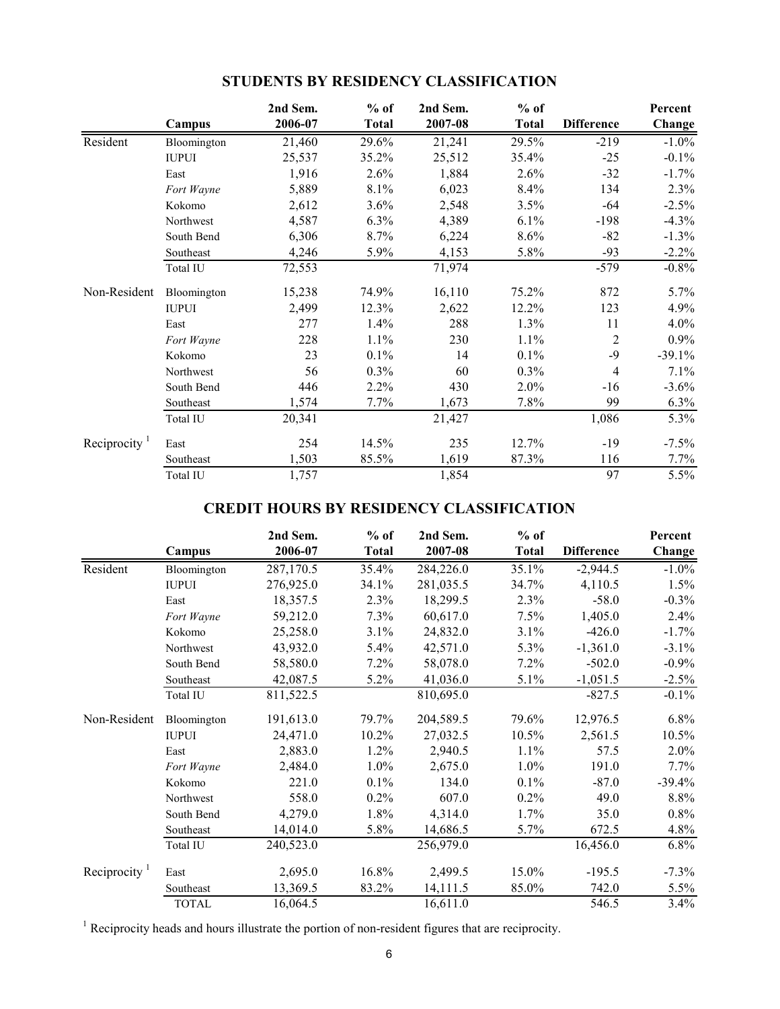|                           |              | 2nd Sem. | $%$ of       | 2nd Sem. | $%$ of       |                   | Percent  |
|---------------------------|--------------|----------|--------------|----------|--------------|-------------------|----------|
|                           | Campus       | 2006-07  | <b>Total</b> | 2007-08  | <b>Total</b> | <b>Difference</b> | Change   |
| Resident                  | Bloomington  | 21,460   | 29.6%        | 21,241   | 29.5%        | $-219$            | $-1.0%$  |
|                           | <b>IUPUI</b> | 25,537   | 35.2%        | 25,512   | 35.4%        | $-25$             | $-0.1%$  |
|                           | East         | 1,916    | 2.6%         | 1,884    | 2.6%         | $-32$             | $-1.7%$  |
|                           | Fort Wayne   | 5,889    | 8.1%         | 6,023    | 8.4%         | 134               | 2.3%     |
|                           | Kokomo       | 2,612    | 3.6%         | 2,548    | 3.5%         | -64               | $-2.5%$  |
|                           | Northwest    | 4,587    | 6.3%         | 4,389    | 6.1%         | $-198$            | $-4.3%$  |
|                           | South Bend   | 6,306    | 8.7%         | 6,224    | 8.6%         | $-82$             | $-1.3\%$ |
|                           | Southeast    | 4,246    | 5.9%         | 4,153    | 5.8%         | $-93$             | $-2.2%$  |
|                           | Total IU     | 72,553   |              | 71,974   |              | $-579$            | $-0.8%$  |
| Non-Resident              | Bloomington  | 15,238   | 74.9%        | 16,110   | 75.2%        | 872               | 5.7%     |
|                           | <b>IUPUI</b> | 2,499    | 12.3%        | 2,622    | 12.2%        | 123               | 4.9%     |
|                           | East         | 277      | 1.4%         | 288      | 1.3%         | 11                | 4.0%     |
|                           | Fort Wayne   | 228      | 1.1%         | 230      | 1.1%         | $\overline{2}$    | 0.9%     |
|                           | Kokomo       | 23       | $0.1\%$      | 14       | $0.1\%$      | $-9$              | $-39.1%$ |
|                           | Northwest    | 56       | 0.3%         | 60       | 0.3%         | $\overline{4}$    | 7.1%     |
|                           | South Bend   | 446      | 2.2%         | 430      | 2.0%         | $-16$             | $-3.6%$  |
|                           | Southeast    | 1,574    | 7.7%         | 1,673    | 7.8%         | 99                | 6.3%     |
|                           | Total IU     | 20,341   |              | 21,427   |              | 1,086             | 5.3%     |
| Reciprocity $\frac{1}{1}$ | East         | 254      | 14.5%        | 235      | 12.7%        | $-19$             | $-7.5%$  |
|                           | Southeast    | 1,503    | 85.5%        | 1,619    | 87.3%        | 116               | 7.7%     |
|                           | Total IU     | 1,757    |              | 1,854    |              | 97                | 5.5%     |

## **STUDENTS BY RESIDENCY CLASSIFICATION**

## **CREDIT HOURS BY RESIDENCY CLASSIFICATION**

|                          | Campus       | 2nd Sem.<br>2006-07 | $%$ of<br><b>Total</b> | 2nd Sem.<br>2007-08 | $%$ of<br><b>Total</b> | <b>Difference</b> | Percent<br>Change |
|--------------------------|--------------|---------------------|------------------------|---------------------|------------------------|-------------------|-------------------|
| Resident                 | Bloomington  | 287,170.5           | 35.4%                  | 284,226.0           | 35.1%                  | $-2,944.5$        | $-1.0\%$          |
|                          | <b>IUPUI</b> | 276,925.0           | 34.1%                  | 281,035.5           | 34.7%                  | 4,110.5           | 1.5%              |
|                          | East         | 18,357.5            | 2.3%                   | 18,299.5            | 2.3%                   | $-58.0$           | $-0.3%$           |
|                          | Fort Wayne   | 59,212.0            | 7.3%                   | 60,617.0            | 7.5%                   | 1,405.0           | 2.4%              |
|                          | Kokomo       | 25,258.0            | 3.1%                   | 24,832.0            | 3.1%                   | $-426.0$          | $-1.7\%$          |
|                          | Northwest    | 43,932.0            | 5.4%                   | 42,571.0            | 5.3%                   | $-1,361.0$        | $-3.1\%$          |
|                          | South Bend   | 58,580.0            | 7.2%                   | 58,078.0            | 7.2%                   | $-502.0$          | $-0.9\%$          |
|                          | Southeast    | 42,087.5            | 5.2%                   | 41,036.0            | 5.1%                   | $-1,051.5$        | $-2.5%$           |
|                          | Total IU     | 811,522.5           |                        | 810,695.0           |                        | $-827.5$          | $-0.1\%$          |
| Non-Resident             | Bloomington  | 191,613.0           | 79.7%                  | 204,589.5           | 79.6%                  | 12,976.5          | 6.8%              |
|                          | <b>IUPUI</b> | 24,471.0            | $10.2\%$               | 27,032.5            | $10.5\%$               | 2,561.5           | 10.5%             |
|                          | East         | 2,883.0             | 1.2%                   | 2,940.5             | 1.1%                   | 57.5              | 2.0%              |
|                          | Fort Wayne   | 2,484.0             | 1.0%                   | 2,675.0             | 1.0%                   | 191.0             | $7.7\%$           |
|                          | Kokomo       | 221.0               | 0.1%                   | 134.0               | 0.1%                   | $-87.0$           | $-39.4%$          |
|                          | Northwest    | 558.0               | 0.2%                   | 607.0               | 0.2%                   | 49.0              | 8.8%              |
|                          | South Bend   | 4,279.0             | 1.8%                   | 4,314.0             | 1.7%                   | 35.0              | 0.8%              |
|                          | Southeast    | 14,014.0            | 5.8%                   | 14,686.5            | 5.7%                   | 672.5             | 4.8%              |
|                          | Total IU     | 240,523.0           |                        | 256,979.0           |                        | 16,456.0          | 6.8%              |
| Reciprocity <sup>1</sup> | East         | 2,695.0             | 16.8%                  | 2,499.5             | 15.0%                  | $-195.5$          | $-7.3\%$          |
|                          | Southeast    | 13,369.5            | 83.2%                  | 14,111.5            | 85.0%                  | 742.0             | 5.5%              |
|                          | <b>TOTAL</b> | 16,064.5            |                        | 16,611.0            |                        | 546.5             | 3.4%              |

<sup>1</sup> Reciprocity heads and hours illustrate the portion of non-resident figures that are reciprocity.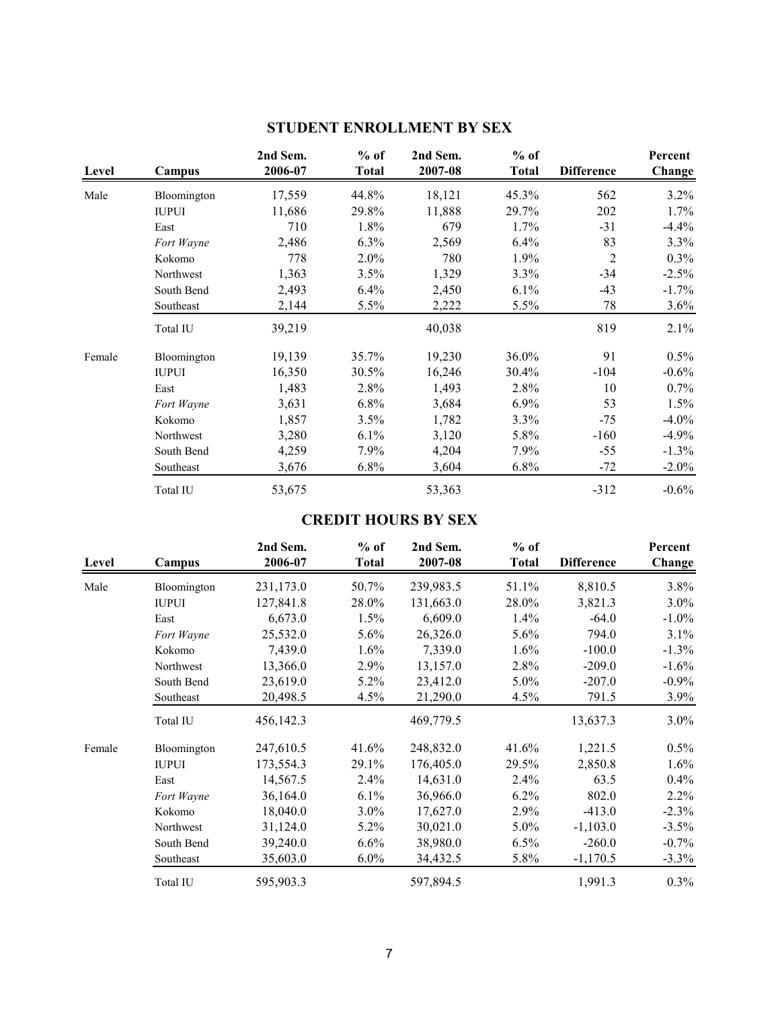| Level  | Campus       | 2nd Sem.<br>2006-07 | $%$ of<br><b>Total</b> | 2nd Sem.<br>2007-08 | $%$ of<br><b>Total</b> | <b>Difference</b> | Percent<br>Change |
|--------|--------------|---------------------|------------------------|---------------------|------------------------|-------------------|-------------------|
| Male   | Bloomington  | 17,559              | 44.8%                  | 18,121              | 45.3%                  | 562               | 3.2%              |
|        | <b>IUPUI</b> | 11,686              | 29.8%                  | 11,888              | 29.7%                  | 202               | 1.7%              |
|        | East         | 710                 | 1.8%                   | 679                 | 1.7%                   | $-31$             | $-4.4%$           |
|        | Fort Wayne   | 2,486               | 6.3%                   | 2,569               | 6.4%                   | 83                | 3.3%              |
|        | Kokomo       | 778                 | 2.0%                   | 780                 | 1.9%                   | $\overline{c}$    | 0.3%              |
|        | Northwest    | 1,363               | 3.5%                   | 1,329               | 3.3%                   | $-34$             | $-2.5%$           |
|        | South Bend   | 2,493               | 6.4%                   | 2,450               | 6.1%                   | $-43$             | $-1.7\%$          |
|        | Southeast    | 2,144               | 5.5%                   | 2,222               | 5.5%                   | 78                | 3.6%              |
|        | Total IU     | 39,219              |                        | 40,038              |                        | 819               | 2.1%              |
| Female | Bloomington  | 19,139              | 35.7%                  | 19,230              | 36.0%                  | 91                | $0.5\%$           |
|        | <b>IUPUI</b> | 16,350              | 30.5%                  | 16,246              | 30.4%                  | $-104$            | $-0.6\%$          |
|        | East         | 1,483               | 2.8%                   | 1,493               | 2.8%                   | 10                | $0.7\%$           |
|        | Fort Wayne   | 3,631               | 6.8%                   | 3,684               | 6.9%                   | 53                | $1.5\%$           |
|        | Kokomo       | 1,857               | 3.5%                   | 1,782               | 3.3%                   | $-75$             | $-4.0\%$          |
|        | Northwest    | 3,280               | 6.1%                   | 3,120               | 5.8%                   | $-160$            | $-4.9\%$          |
|        | South Bend   | 4,259               | 7.9%                   | 4,204               | 7.9%                   | $-55$             | $-1.3\%$          |
|        | Southeast    | 3,676               | 6.8%                   | 3,604               | $6.8\%$                | $-72$             | $-2.0\%$          |
|        | Total IU     | 53,675              |                        | 53,363              |                        | $-312$            | $-0.6%$           |

## **STUDENT ENROLLMENT BY SEX**

## **CREDIT HOURS BY SEX**

| Level  | Campus       | 2nd Sem.<br>2006-07 | $%$ of<br><b>Total</b> | 2nd Sem.<br>2007-08 | $%$ of<br><b>Total</b> | <b>Difference</b> | Percent<br>Change |
|--------|--------------|---------------------|------------------------|---------------------|------------------------|-------------------|-------------------|
| Male   | Bloomington  | 231,173.0           | 50.7%                  | 239,983.5           | 51.1%                  | 8,810.5           | 3.8%              |
|        | <b>IUPUI</b> | 127,841.8           | 28.0%                  | 131,663.0           | 28.0%                  | 3,821.3           | $3.0\%$           |
|        | East         | 6,673.0             | 1.5%                   | 6,609.0             | $1.4\%$                | $-64.0$           | $-1.0\%$          |
|        | Fort Wayne   | 25,532.0            | $5.6\%$                | 26,326.0            | 5.6%                   | 794.0             | 3.1%              |
|        | Kokomo       | 7,439.0             | 1.6%                   | 7,339.0             | 1.6%                   | $-100.0$          | $-1.3\%$          |
|        | Northwest    | 13,366.0            | 2.9%                   | 13,157.0            | 2.8%                   | $-209.0$          | $-1.6\%$          |
|        | South Bend   | 23,619.0            | 5.2%                   | 23,412.0            | $5.0\%$                | $-207.0$          | $-0.9\%$          |
|        | Southeast    | 20,498.5            | 4.5%                   | 21,290.0            | 4.5%                   | 791.5             | $3.9\%$           |
|        | Total IU     | 456,142.3           |                        | 469,779.5           |                        | 13,637.3          | $3.0\%$           |
| Female | Bloomington  | 247,610.5           | 41.6%                  | 248,832.0           | 41.6%                  | 1,221.5           | $0.5\%$           |
|        | <b>IUPUI</b> | 173,554.3           | 29.1%                  | 176,405.0           | 29.5%                  | 2,850.8           | $1.6\%$           |
|        | East         | 14,567.5            | 2.4%                   | 14,631.0            | 2.4%                   | 63.5              | 0.4%              |
|        | Fort Wayne   | 36,164.0            | $6.1\%$                | 36,966.0            | $6.2\%$                | 802.0             | 2.2%              |
|        | Kokomo       | 18,040.0            | 3.0%                   | 17,627.0            | 2.9%                   | $-413.0$          | $-2.3%$           |
|        | Northwest    | 31,124.0            | $5.2\%$                | 30,021.0            | $5.0\%$                | $-1,103.0$        | $-3.5\%$          |
|        | South Bend   | 39,240.0            | 6.6%                   | 38,980.0            | 6.5%                   | $-260.0$          | $-0.7\%$          |
|        | Southeast    | 35,603.0            | $6.0\%$                | 34,432.5            | 5.8%                   | $-1,170.5$        | $-3.3\%$          |
|        | Total IU     | 595,903.3           |                        | 597,894.5           |                        | 1,991.3           | $0.3\%$           |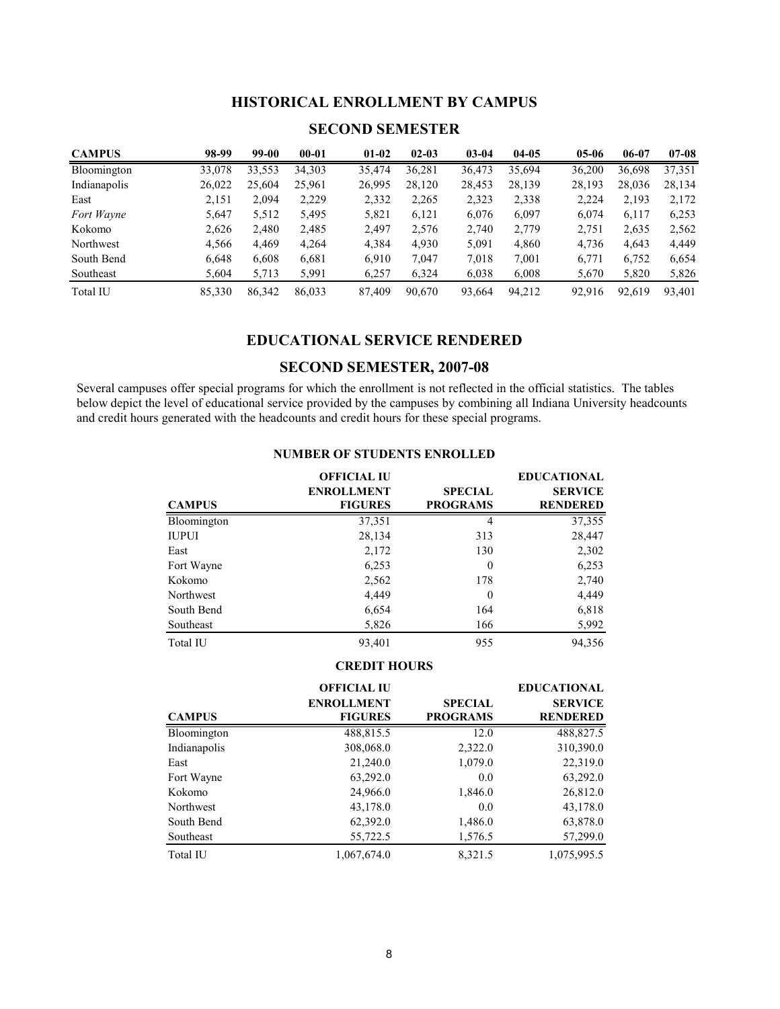### **HISTORICAL ENROLLMENT BY CAMPUS**

### **SECOND SEMESTER**

| <b>CAMPUS</b> | 98-99  | 99-00  | $00 - 01$ | $01-02$ | $02 - 03$ | $03 - 04$ | $04 - 05$ | $05-06$ | 06-07  | $07 - 08$ |
|---------------|--------|--------|-----------|---------|-----------|-----------|-----------|---------|--------|-----------|
| Bloomington   | 33,078 | 33,553 | 34,303    | 35,474  | 36,281    | 36,473    | 35,694    | 36,200  | 36,698 | 37,351    |
| Indianapolis  | 26,022 | 25,604 | 25,961    | 26,995  | 28,120    | 28,453    | 28,139    | 28,193  | 28,036 | 28,134    |
| East          | 2,151  | 2,094  | 2,229     | 2,332   | 2,265     | 2,323     | 2,338     | 2,224   | 2,193  | 2,172     |
| Fort Wayne    | 5,647  | 5,512  | 5,495     | 5,821   | 6,121     | 6,076     | 6,097     | 6,074   | 6,117  | 6,253     |
| Kokomo        | 2,626  | 2,480  | 2,485     | 2.497   | 2,576     | 2,740     | 2,779     | 2,751   | 2,635  | 2,562     |
| Northwest     | 4,566  | 4,469  | 4,264     | 4,384   | 4,930     | 5,091     | 4,860     | 4,736   | 4,643  | 4,449     |
| South Bend    | 6,648  | 6,608  | 6,681     | 6.910   | 7,047     | 7,018     | 7,001     | 6,771   | 6,752  | 6,654     |
| Southeast     | 5,604  | 5,713  | 5,991     | 6.257   | 6,324     | 6,038     | 6,008     | 5,670   | 5,820  | 5,826     |
| Total IU      | 85,330 | 86,342 | 86,033    | 87,409  | 90,670    | 93,664    | 94,212    | 92.916  | 92,619 | 93,401    |

#### **EDUCATIONAL SERVICE RENDERED**

#### **SECOND SEMESTER, 2007-08**

Several campuses offer special programs for which the enrollment is not reflected in the official statistics. The tables below depict the level of educational service provided by the campuses by combining all Indiana University headcounts and credit hours generated with the headcounts and credit hours for these special programs.

|               | <b>OFFICIAL IU</b> | <b>EDUCATIONAL</b> |                 |  |
|---------------|--------------------|--------------------|-----------------|--|
|               | <b>ENROLLMENT</b>  | <b>SPECIAL</b>     | <b>SERVICE</b>  |  |
| <b>CAMPUS</b> | <b>FIGURES</b>     | <b>PROGRAMS</b>    | <b>RENDERED</b> |  |
| Bloomington   | 37,351             | 4                  | 37,355          |  |
| <b>IUPUI</b>  | 28,134             | 313                | 28,447          |  |
| East          | 2,172              | 130                | 2,302           |  |
| Fort Wayne    | 6,253              | $\Omega$           | 6,253           |  |
| Kokomo        | 2,562              | 178                | 2,740           |  |
| Northwest     | 4,449              | $\theta$           | 4,449           |  |
| South Bend    | 6,654              | 164                | 6,818           |  |
| Southeast     | 5,826              | 166                | 5,992           |  |
| Total IU      | 93,401             | 955                | 94,356          |  |

#### **NUMBER OF STUDENTS ENROLLED**

#### **CREDIT HOURS**

|               | <b>OFFICIAL IU</b> |                 | <b>EDUCATIONAL</b> |
|---------------|--------------------|-----------------|--------------------|
|               | <b>ENROLLMENT</b>  | <b>SPECIAL</b>  | <b>SERVICE</b>     |
| <b>CAMPUS</b> | <b>FIGURES</b>     | <b>PROGRAMS</b> | <b>RENDERED</b>    |
| Bloomington   | 488,815.5          | 12.0            | 488,827.5          |
| Indianapolis  | 308,068.0          | 2,322.0         | 310,390.0          |
| East          | 21,240.0           | 1,079.0         | 22,319.0           |
| Fort Wayne    | 63,292.0           | 0.0             | 63,292.0           |
| Kokomo        | 24,966.0           | 1,846.0         | 26,812.0           |
| Northwest     | 43,178.0           | 0.0             | 43,178.0           |
| South Bend    | 62,392.0           | 1,486.0         | 63,878.0           |
| Southeast     | 55,722.5           | 1,576.5         | 57,299.0           |
| Total IU      | 1,067,674.0        | 8,321.5         | 1,075,995.5        |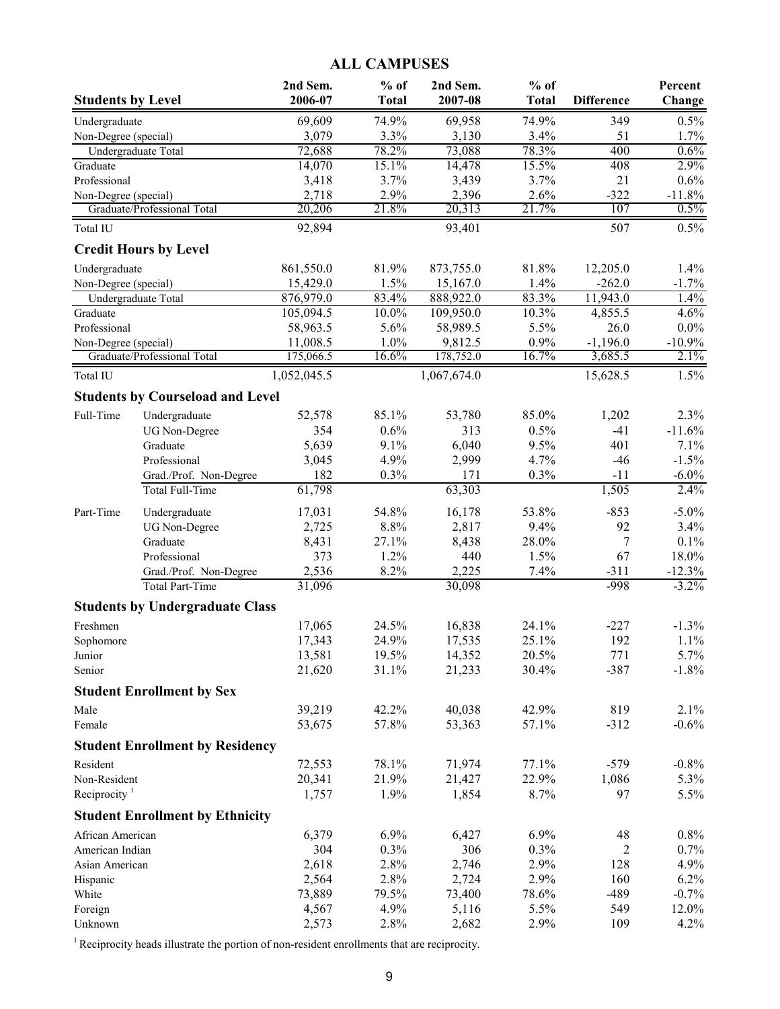## **ALL CAMPUSES**

| <b>Students by Level</b>                    |                                         | 2nd Sem.<br>2006-07   | $%$ of<br><b>Total</b> | 2nd Sem.<br>2007-08   | $%$ of<br><b>Total</b> | <b>Difference</b>    | Percent<br>Change |
|---------------------------------------------|-----------------------------------------|-----------------------|------------------------|-----------------------|------------------------|----------------------|-------------------|
| Undergraduate                               |                                         | 69,609                | 74.9%                  | 69,958                | 74.9%                  | 349                  | 0.5%              |
| Non-Degree (special)                        |                                         | 3,079                 | 3.3%                   | 3,130                 | 3.4%                   | 51                   | 1.7%              |
| Undergraduate Total                         |                                         | 72,688                | 78.2%                  | 73,088                | 78.3%                  | 400                  | 0.6%              |
| Graduate                                    |                                         | 14,070                | 15.1%                  | 14,478                | 15.5%                  | 408                  | 2.9%              |
| Professional                                |                                         | 3,418                 | 3.7%                   | 3,439                 | 3.7%                   | 21                   | 0.6%              |
| Non-Degree (special)                        |                                         | 2,718                 | 2.9%                   | 2,396                 | 2.6%                   | $-322$               | $-11.8%$          |
|                                             | Graduate/Professional Total             | 20,206                | 21.8%                  | 20,313                | 21.7%                  | 107                  | 0.5%              |
| Total IU                                    | <b>Credit Hours by Level</b>            | 92,894                |                        | 93,401                |                        | 507                  | 0.5%              |
|                                             |                                         |                       |                        |                       |                        |                      |                   |
| Undergraduate                               |                                         | 861,550.0<br>15,429.0 | 81.9%<br>1.5%          | 873,755.0<br>15,167.0 | 81.8%<br>1.4%          | 12,205.0<br>$-262.0$ | 1.4%<br>$-1.7%$   |
| Non-Degree (special)<br>Undergraduate Total |                                         | 876,979.0             | 83.4%                  | 888,922.0             | 83.3%                  | 11,943.0             | 1.4%              |
| Graduate                                    |                                         | 105,094.5             | 10.0%                  | 109,950.0             | 10.3%                  | 4,855.5              | 4.6%              |
| Professional                                |                                         | 58,963.5              | 5.6%                   | 58,989.5              | 5.5%                   | 26.0                 | $0.0\%$           |
| Non-Degree (special)                        |                                         | 11,008.5              | 1.0%                   | 9,812.5               | 0.9%                   | $-1,196.0$           | $-10.9%$          |
|                                             | Graduate/Professional Total             | 175,066.5             | 16.6%                  | 178,752.0             | 16.7%                  | 3,685.5              | 2.1%              |
| Total IU                                    |                                         | 1,052,045.5           |                        | 1,067,674.0           |                        | 15,628.5             | 1.5%              |
|                                             | <b>Students by Courseload and Level</b> |                       |                        |                       |                        |                      |                   |
| Full-Time                                   | Undergraduate                           | 52,578                | 85.1%                  | 53,780                | 85.0%                  | 1,202                | 2.3%              |
|                                             | <b>UG</b> Non-Degree                    | 354                   | 0.6%                   | 313                   | 0.5%                   | $-41$                | $-11.6%$          |
|                                             | Graduate                                | 5,639                 | 9.1%                   | 6,040                 | 9.5%                   | 401                  | 7.1%              |
|                                             | Professional                            | 3,045                 | 4.9%                   | 2,999                 | 4.7%                   | $-46$                | $-1.5%$           |
|                                             | Grad./Prof. Non-Degree                  | 182                   | 0.3%                   | 171                   | 0.3%                   | $-11$                | $-6.0\%$          |
|                                             | <b>Total Full-Time</b>                  | 61,798                |                        | 63,303                |                        | 1,505                | 2.4%              |
| Part-Time                                   | Undergraduate                           | 17,031                | 54.8%                  | 16,178                | 53.8%                  | $-853$               | $-5.0\%$          |
|                                             | <b>UG</b> Non-Degree                    | 2,725                 | 8.8%                   | 2,817                 | 9.4%                   | 92                   | 3.4%              |
|                                             | Graduate                                | 8,431                 | 27.1%                  | 8,438                 | 28.0%                  | 7                    | 0.1%              |
|                                             | Professional                            | 373                   | 1.2%                   | 440                   | 1.5%                   | 67                   | 18.0%             |
|                                             | Grad./Prof. Non-Degree                  | 2,536                 | 8.2%                   | 2,225                 | 7.4%                   | $-311$               | $-12.3%$          |
|                                             | Total Part-Time                         | 31,096                |                        | 30,098                |                        | $-998$               | $-3.2\%$          |
|                                             | <b>Students by Undergraduate Class</b>  |                       |                        |                       |                        |                      |                   |
| Freshmen                                    |                                         | 17,065                | 24.5%                  | 16,838                | 24.1%                  | $-227$               | $-1.3%$           |
| Sophomore                                   |                                         | 17,343                | 24.9%                  | 17,535                | 25.1%                  | 192                  | 1.1%              |
| Junior                                      |                                         | 13,581                | 19.5%                  | 14,352                | 20.5%                  | 771                  | 5.7%              |
| Senior                                      |                                         | 21,620                | 31.1%                  | 21,233                | 30.4%                  | $-387$               | $-1.8%$           |
|                                             | <b>Student Enrollment by Sex</b>        |                       |                        |                       |                        |                      |                   |
| Male                                        |                                         | 39,219                | 42.2%                  | 40,038                | 42.9%                  | 819                  | 2.1%              |
| Female                                      |                                         | 53,675                | 57.8%                  | 53,363                | 57.1%                  | $-312$               | $-0.6%$           |
|                                             | <b>Student Enrollment by Residency</b>  |                       |                        |                       |                        |                      |                   |
| Resident                                    |                                         | 72,553                | 78.1%                  | 71,974                | 77.1%                  | $-579$               | $-0.8%$           |
| Non-Resident                                |                                         | 20,341                | 21.9%                  | 21,427                | 22.9%                  | 1,086                | 5.3%              |
| Reciprocity $1$                             |                                         | 1,757                 | 1.9%                   | 1,854                 | 8.7%                   | 97                   | 5.5%              |
|                                             | <b>Student Enrollment by Ethnicity</b>  |                       |                        |                       |                        |                      |                   |
| African American                            |                                         | 6,379                 | 6.9%                   | 6,427                 | 6.9%                   | 48                   | 0.8%              |
| American Indian                             |                                         | 304                   | 0.3%                   | 306                   | 0.3%                   | 2                    | 0.7%              |
| Asian American                              |                                         | 2,618                 | 2.8%                   | 2,746                 | 2.9%                   | 128                  | 4.9%              |
| Hispanic                                    |                                         | 2,564                 | 2.8%                   | 2,724                 | 2.9%                   | 160                  | 6.2%              |
| White                                       |                                         | 73,889                | 79.5%                  | 73,400                | 78.6%                  | $-489$               | $-0.7%$           |
| Foreign                                     |                                         | 4,567                 | 4.9%                   | 5,116                 | 5.5%                   | 549                  | 12.0%             |
| Unknown                                     |                                         | 2,573                 | 2.8%                   | 2,682                 | 2.9%                   | 109                  | 4.2%              |

 $1$  Reciprocity heads illustrate the portion of non-resident enrollments that are reciprocity.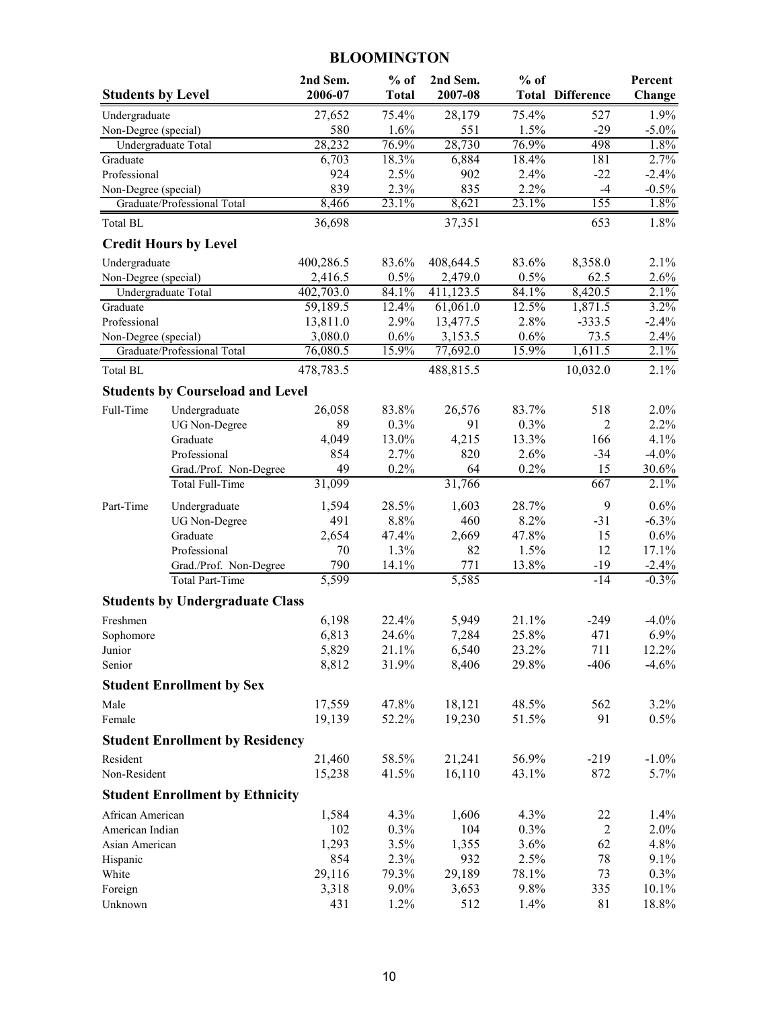## **BLOOMINGTON**

| <b>Students by Level</b> |                                         | 2nd Sem.<br>2006-07  | $%$ of<br><b>Total</b> | 2nd Sem.<br>2007-08  | $%$ of        | <b>Total Difference</b> | Percent<br>Change |
|--------------------------|-----------------------------------------|----------------------|------------------------|----------------------|---------------|-------------------------|-------------------|
| Undergraduate            |                                         | 27,652               | 75.4%                  | 28,179               | 75.4%         | 527                     | 1.9%              |
| Non-Degree (special)     |                                         | 580                  | 1.6%                   | 551                  | 1.5%          | $-29$                   | $-5.0\%$          |
|                          | Undergraduate Total                     | 28,232               | 76.9%                  | 28,730               | 76.9%         | 498                     | 1.8%              |
| Graduate                 |                                         | 6,703                | 18.3%                  | 6,884                | 18.4%         | 181                     | 2.7%              |
| Professional             |                                         | 924                  | 2.5%                   | 902                  | 2.4%          | $-22$                   | $-2.4%$           |
| Non-Degree (special)     |                                         | 839                  | 2.3%                   | 835                  | 2.2%          | $-4$                    | $-0.5%$           |
|                          | Graduate/Professional Total             | 8,466                | 23.1%                  | 8,621                | 23.1%         | 155                     | 1.8%              |
| Total BL                 | <b>Credit Hours by Level</b>            | 36,698               |                        | 37,351               |               | 653                     | 1.8%              |
|                          |                                         |                      |                        |                      |               |                         |                   |
| Undergraduate            |                                         | 400,286.5<br>2,416.5 | 83.6%<br>0.5%          | 408,644.5<br>2,479.0 | 83.6%<br>0.5% | 8,358.0<br>62.5         | 2.1%<br>2.6%      |
| Non-Degree (special)     | Undergraduate Total                     | 402,703.0            | 84.1%                  | 411,123.5            | 84.1%         | 8,420.5                 | 2.1%              |
| Graduate                 |                                         | 59,189.5             | 12.4%                  | 61,061.0             | 12.5%         | 1,871.5                 | 3.2%              |
| Professional             |                                         | 13,811.0             | 2.9%                   | 13,477.5             | 2.8%          | $-333.5$                | $-2.4%$           |
| Non-Degree (special)     |                                         | 3,080.0              | 0.6%                   | 3,153.5              | 0.6%          | 73.5                    | 2.4%              |
|                          | Graduate/Professional Total             | 76,080.5             | 15.9%                  | 77,692.0             | 15.9%         | 1,611.5                 | 2.1%              |
| Total BL                 |                                         | 478,783.5            |                        | 488,815.5            |               | 10,032.0                | 2.1%              |
|                          | <b>Students by Courseload and Level</b> |                      |                        |                      |               |                         |                   |
| Full-Time                | Undergraduate                           | 26,058               | 83.8%                  | 26,576               | 83.7%         | 518                     | 2.0%              |
|                          | <b>UG</b> Non-Degree                    | 89                   | 0.3%                   | 91                   | 0.3%          | 2                       | 2.2%              |
|                          | Graduate                                | 4,049                | 13.0%                  | 4,215                | 13.3%         | 166                     | 4.1%              |
|                          | Professional                            | 854                  | 2.7%                   | 820                  | 2.6%          | $-34$                   | $-4.0%$           |
|                          | Grad./Prof. Non-Degree                  | 49                   | 0.2%                   | 64                   | 0.2%          | 15                      | 30.6%             |
|                          | Total Full-Time                         | 31,099               |                        | 31,766               |               | 667                     | 2.1%              |
| Part-Time                | Undergraduate                           | 1,594                | 28.5%                  | 1,603                | 28.7%         | 9                       | 0.6%              |
|                          | <b>UG</b> Non-Degree                    | 491                  | 8.8%                   | 460                  | 8.2%          | $-31$                   | $-6.3%$           |
|                          | Graduate                                | 2,654                | 47.4%                  | 2,669                | 47.8%         | 15                      | 0.6%              |
|                          | Professional                            | 70                   | 1.3%                   | 82                   | 1.5%          | 12                      | 17.1%             |
|                          | Grad./Prof. Non-Degree                  | 790                  | 14.1%                  | 771                  | 13.8%         | $-19$                   | $-2.4%$           |
|                          | <b>Total Part-Time</b>                  | 5,599                |                        | 5,585                |               | $-14$                   | $-0.3%$           |
|                          | <b>Students by Undergraduate Class</b>  |                      |                        |                      |               |                         |                   |
| Freshmen                 |                                         | 6,198                | 22.4%                  | 5,949                | 21.1%         | $-249$                  | $-4.0\%$          |
| Sophomore                |                                         | 6,813                | 24.6%                  | 7,284                | 25.8%         | 471                     | 6.9%              |
| Junior                   |                                         | 5,829                | 21.1%                  | 6,540                | 23.2%         | 711                     | 12.2%             |
| Senior                   |                                         | 8,812                | 31.9%                  | 8,406                | 29.8%         | $-406$                  | $-4.6%$           |
|                          | <b>Student Enrollment by Sex</b>        |                      |                        |                      |               |                         |                   |
| Male                     |                                         | 17,559               | 47.8%                  | 18,121               | 48.5%         | 562                     | 3.2%              |
| Female                   |                                         | 19,139               | 52.2%                  | 19,230               | 51.5%         | 91                      | 0.5%              |
|                          | <b>Student Enrollment by Residency</b>  |                      |                        |                      |               |                         |                   |
| Resident                 |                                         | 21,460               | 58.5%                  | 21,241               | 56.9%         | $-219$                  | $-1.0\%$          |
| Non-Resident             |                                         | 15,238               | 41.5%                  | 16,110               | 43.1%         | 872                     | 5.7%              |
|                          | <b>Student Enrollment by Ethnicity</b>  |                      |                        |                      |               |                         |                   |
| African American         |                                         | 1,584                | 4.3%                   | 1,606                | 4.3%          | 22                      | 1.4%              |
| American Indian          |                                         | 102                  | 0.3%                   | 104                  | 0.3%          | $\overline{2}$          | 2.0%              |
| Asian American           |                                         | 1,293                | 3.5%                   | 1,355                | 3.6%          | 62                      | 4.8%              |
| Hispanic                 |                                         | 854                  | 2.3%                   | 932                  | 2.5%          | 78                      | 9.1%              |
| White                    |                                         | 29,116               | 79.3%<br>$9.0\%$       | 29,189               | 78.1%<br>9.8% | 73<br>335               | 0.3%              |
| Foreign<br>Unknown       |                                         | 3,318<br>431         | 1.2%                   | 3,653<br>512         | 1.4%          | 81                      | 10.1%<br>18.8%    |
|                          |                                         |                      |                        |                      |               |                         |                   |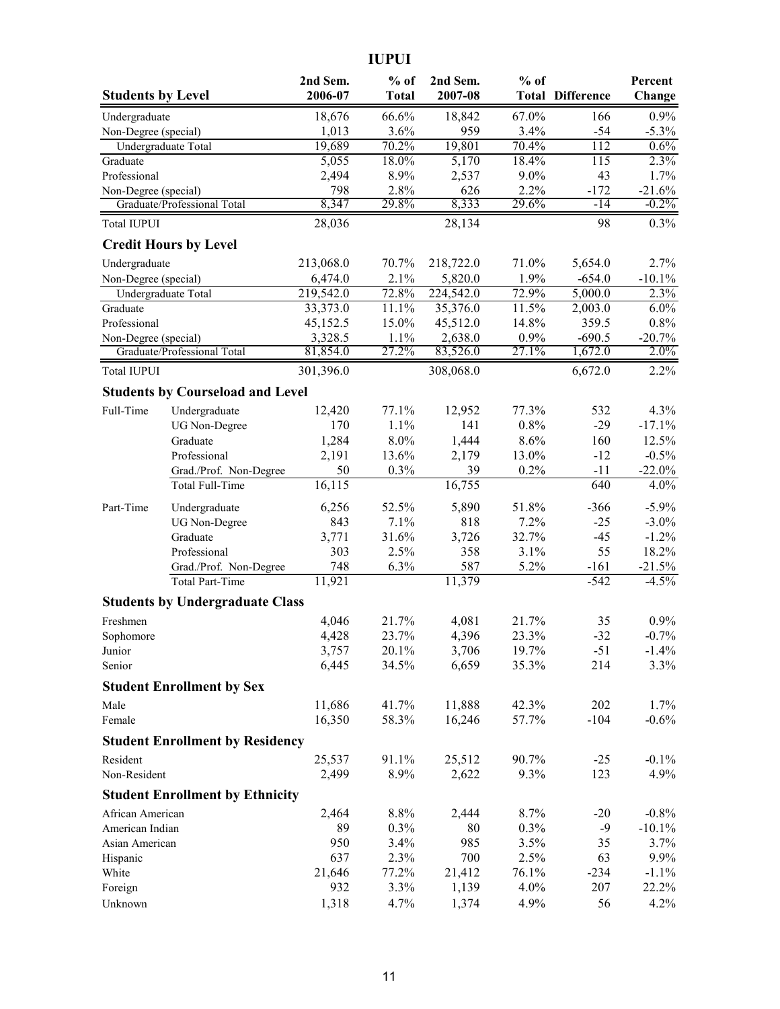**IUPUI**

| <b>Students by Level</b> |                                         | 2nd Sem.<br>2006-07 | $%$ of<br><b>Total</b> | 2nd Sem.<br>2007-08 | $%$ of        | <b>Total Difference</b> | Percent<br>Change |
|--------------------------|-----------------------------------------|---------------------|------------------------|---------------------|---------------|-------------------------|-------------------|
| Undergraduate            |                                         | 18,676              | 66.6%                  | 18,842              | 67.0%         | 166                     | 0.9%              |
| Non-Degree (special)     |                                         | 1,013               | 3.6%                   | 959                 | 3.4%          | $-54$                   | $-5.3\%$          |
|                          | Undergraduate Total                     | 19,689              | 70.2%                  | 19,801              | 70.4%         | 112                     | 0.6%              |
| Graduate                 |                                         | 5,055               | 18.0%                  | 5,170               | 18.4%         | 115                     | 2.3%              |
| Professional             |                                         | 2,494               | 8.9%                   | 2,537               | 9.0%          | 43                      | 1.7%              |
| Non-Degree (special)     |                                         | 798                 | 2.8%                   | 626                 | 2.2%          | $-172$                  | $-21.6%$          |
|                          | Graduate/Professional Total             | 8,347               | 29.8%                  | 8,333               | 29.6%         | $-14$                   | $-0.2%$           |
| <b>Total IUPUI</b>       |                                         | 28,036              |                        | 28,134              |               | 98                      | 0.3%              |
|                          | <b>Credit Hours by Level</b>            |                     |                        |                     |               |                         |                   |
| Undergraduate            |                                         | 213,068.0           | 70.7%                  | 218,722.0           | 71.0%         | 5,654.0                 | 2.7%              |
| Non-Degree (special)     |                                         | 6,474.0             | 2.1%                   | 5,820.0             | 1.9%          | $-654.0$                | $-10.1%$          |
|                          | Undergraduate Total                     | 219,542.0           | 72.8%                  | 224,542.0           | 72.9%         | 5,000.0                 | 2.3%              |
| Graduate                 |                                         | 33,373.0            | 11.1%                  | 35,376.0            | 11.5%         | 2,003.0                 | $6.0\%$           |
| Professional             |                                         | 45,152.5<br>3,328.5 | 15.0%                  | 45,512.0            | 14.8%<br>0.9% | 359.5                   | 0.8%              |
| Non-Degree (special)     | Graduate/Professional Total             | 81,854.0            | 1.1%<br>27.2%          | 2,638.0<br>83,526.0 | 27.1%         | $-690.5$<br>1,672.0     | $-20.7%$<br>2.0%  |
| <b>Total IUPUI</b>       |                                         | 301,396.0           |                        | 308,068.0           |               | 6,672.0                 | 2.2%              |
|                          | <b>Students by Courseload and Level</b> |                     |                        |                     |               |                         |                   |
| Full-Time                | Undergraduate                           | 12,420              | 77.1%                  | 12,952              | 77.3%         | 532                     | 4.3%              |
|                          | <b>UG Non-Degree</b>                    | 170                 | 1.1%                   | 141                 | 0.8%          | $-29$                   | $-17.1%$          |
|                          | Graduate                                | 1,284               | 8.0%                   | 1,444               | 8.6%          | 160                     | 12.5%             |
|                          | Professional                            | 2,191               | 13.6%                  | 2,179               | 13.0%         | $-12$                   | $-0.5%$           |
|                          | Grad./Prof. Non-Degree                  | 50                  | 0.3%                   | 39                  | 0.2%          | $-11$                   | $-22.0%$          |
|                          | Total Full-Time                         | 16,115              |                        | 16,755              |               | 640                     | 4.0%              |
| Part-Time                | Undergraduate                           | 6,256               | 52.5%                  | 5,890               | 51.8%         | $-366$                  | $-5.9%$           |
|                          | <b>UG</b> Non-Degree                    | 843                 | 7.1%                   | 818                 | 7.2%          | $-25$                   | $-3.0\%$          |
|                          | Graduate                                | 3,771               | 31.6%                  | 3,726               | 32.7%         | $-45$                   | $-1.2%$           |
|                          | Professional                            | 303                 | 2.5%                   | 358                 | 3.1%          | 55                      | 18.2%             |
|                          | Grad./Prof. Non-Degree                  | 748                 | 6.3%                   | 587                 | 5.2%          | $-161$                  | $-21.5%$          |
|                          | <b>Total Part-Time</b>                  | 11,921              |                        | 11,379              |               | $-542$                  | $-4.5%$           |
|                          | <b>Students by Undergraduate Class</b>  |                     |                        |                     |               |                         |                   |
| Freshmen                 |                                         | 4,046               | 21.7%                  | 4,081               | 21.7%         | 35                      | 0.9%              |
| Sophomore                |                                         | 4,428               | 23.7%                  | 4,396               | 23.3%         | $-32$                   | $-0.7%$           |
| Junior                   |                                         | 3,757               | 20.1%                  | 3,706               | 19.7%         | $-51$                   | $-1.4%$           |
| Senior                   |                                         | 6,445               | 34.5%                  | 6,659               | 35.3%         | 214                     | 3.3%              |
|                          | <b>Student Enrollment by Sex</b>        |                     |                        |                     |               |                         |                   |
| Male                     |                                         | 11,686              | 41.7%                  | 11,888              | 42.3%         | 202                     | 1.7%              |
| Female                   |                                         | 16,350              | 58.3%                  | 16,246              | 57.7%         | $-104$                  | $-0.6%$           |
|                          | <b>Student Enrollment by Residency</b>  |                     |                        |                     |               |                         |                   |
| Resident                 |                                         | 25,537              | 91.1%                  | 25,512              | 90.7%         | $-25$                   | $-0.1%$           |
| Non-Resident             |                                         | 2,499               | 8.9%                   | 2,622               | 9.3%          | 123                     | 4.9%              |
|                          | <b>Student Enrollment by Ethnicity</b>  |                     |                        |                     |               |                         |                   |
| African American         |                                         | 2,464               | 8.8%                   | 2,444               | 8.7%          | $-20$                   | $-0.8%$           |
| American Indian          |                                         | 89                  | 0.3%                   | 80                  | 0.3%          | $-9$                    | $-10.1\%$         |
| Asian American           |                                         | 950                 | 3.4%                   | 985                 | 3.5%          | 35                      | 3.7%              |
| Hispanic                 |                                         | 637                 | 2.3%                   | 700                 | 2.5%          | 63                      | 9.9%              |
| White                    |                                         | 21,646              | 77.2%                  | 21,412              | 76.1%         | $-234$                  | $-1.1\%$          |
| Foreign                  |                                         | 932                 | 3.3%                   | 1,139               | 4.0%          | 207                     | 22.2%             |
| Unknown                  |                                         | 1,318               | 4.7%                   | 1,374               | 4.9%          | 56                      | 4.2%              |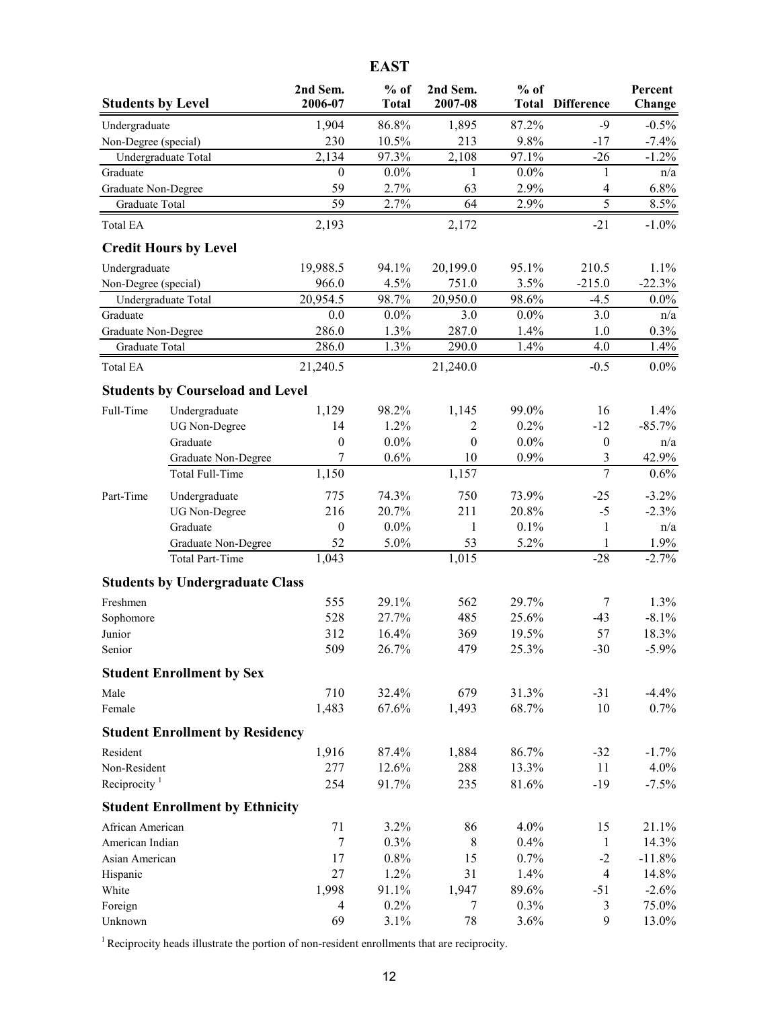|--|

| <b>Students by Level</b>                 |                                               | 2nd Sem.<br>2006-07 | $%$ of<br><b>Total</b> | 2nd Sem.<br>2007-08 | $%$ of         | <b>Total Difference</b> | Percent<br>Change |
|------------------------------------------|-----------------------------------------------|---------------------|------------------------|---------------------|----------------|-------------------------|-------------------|
| Undergraduate                            |                                               | 1,904               | 86.8%                  | 1,895               | 87.2%          | $-9$                    | $-0.5%$           |
| Non-Degree (special)                     |                                               | 230                 | 10.5%                  | 213                 | 9.8%           | $-17$                   | $-7.4%$           |
|                                          | Undergraduate Total                           | 2,134               | 97.3%                  | 2,108               | 97.1%          | $-26$                   | $-1.2%$           |
| Graduate                                 |                                               | $\boldsymbol{0}$    | $0.0\%$                | 1                   | $0.0\%$        | 1                       | n/a               |
| Graduate Non-Degree                      |                                               | 59                  | 2.7%                   | 63                  | 2.9%           | $\overline{\mathbf{4}}$ | 6.8%              |
| Graduate Total                           |                                               | $\overline{59}$     | 2.7%                   | 64                  | 2.9%           | 5                       | 8.5%              |
| <b>Total EA</b>                          |                                               | 2,193               |                        | 2,172               |                | $-21$                   | $-1.0\%$          |
|                                          | <b>Credit Hours by Level</b>                  |                     |                        |                     |                |                         |                   |
| Undergraduate                            |                                               | 19,988.5            | 94.1%                  | 20,199.0            | 95.1%          | 210.5                   | 1.1%              |
| Non-Degree (special)                     |                                               | 966.0               | 4.5%                   | 751.0               | 3.5%           | $-215.0$                | $-22.3%$          |
|                                          | Undergraduate Total                           | 20,954.5            | 98.7%                  | 20,950.0            | 98.6%          | $-4.5$                  | $0.0\%$           |
| Graduate                                 |                                               | 0.0                 | $0.0\%$                | 3.0                 | $0.0\%$        | 3.0                     | n/a               |
| Graduate Non-Degree                      |                                               | 286.0<br>286.0      | 1.3%<br>1.3%           | 287.0               | 1.4%<br>1.4%   | 1.0<br>4.0              | 0.3%              |
| Graduate Total<br>Total EA               |                                               | 21,240.5            |                        | 290.0<br>21,240.0   |                | $-0.5$                  | 1.4%<br>$0.0\%$   |
|                                          |                                               |                     |                        |                     |                |                         |                   |
|                                          | <b>Students by Courseload and Level</b>       |                     |                        |                     |                |                         |                   |
| Full-Time                                | Undergraduate                                 | 1,129               | 98.2%                  | 1,145               | 99.0%          | 16                      | 1.4%              |
|                                          | <b>UG Non-Degree</b>                          | 14                  | 1.2%                   | 2                   | 0.2%           | $-12$                   | $-85.7%$          |
|                                          | Graduate                                      | $\boldsymbol{0}$    | $0.0\%$                | $\boldsymbol{0}$    | $0.0\%$        | $\boldsymbol{0}$        | n/a               |
|                                          | Graduate Non-Degree                           | 7                   | 0.6%                   | 10                  | 0.9%           | 3<br>$\overline{7}$     | 42.9%             |
|                                          | Total Full-Time                               | 1,150               |                        | 1,157               |                |                         | 0.6%              |
| Part-Time                                | Undergraduate                                 | 775                 | 74.3%                  | 750                 | 73.9%          | $-25$                   | $-3.2%$           |
|                                          | <b>UG Non-Degree</b>                          | 216                 | 20.7%                  | 211                 | 20.8%          | $-5$                    | $-2.3%$           |
|                                          | Graduate                                      | $\boldsymbol{0}$    | $0.0\%$                | 1                   | 0.1%           | 1                       | n/a               |
|                                          | Graduate Non-Degree<br><b>Total Part-Time</b> | 52<br>1,043         | 5.0%                   | 53<br>1,015         | 5.2%           | 1<br>$-28$              | 1.9%<br>$-2.7%$   |
|                                          |                                               |                     |                        |                     |                |                         |                   |
|                                          | <b>Students by Undergraduate Class</b>        |                     |                        |                     |                |                         |                   |
| Freshmen                                 |                                               | 555                 | 29.1%                  | 562                 | 29.7%          | 7                       | 1.3%              |
| Sophomore                                |                                               | 528                 | 27.7%                  | 485                 | 25.6%          | $-43$                   | $-8.1\%$          |
| Junior<br>Senior                         |                                               | 312<br>509          | 16.4%<br>26.7%         | 369<br>479          | 19.5%<br>25.3% | 57<br>$-30$             | 18.3%<br>$-5.9\%$ |
|                                          | <b>Student Enrollment by Sex</b>              |                     |                        |                     |                |                         |                   |
|                                          |                                               | 710                 |                        |                     |                |                         |                   |
| Male<br>Female                           |                                               | 1,483               | 32.4%<br>67.6%         | 679<br>1,493        | 31.3%<br>68.7% | $-31$<br>10             | $-4.4%$<br>0.7%   |
|                                          |                                               |                     |                        |                     |                |                         |                   |
|                                          | <b>Student Enrollment by Residency</b>        |                     |                        |                     |                |                         |                   |
| Resident                                 |                                               | 1,916               | 87.4%                  | 1,884               | 86.7%          | $-32$                   | $-1.7\%$          |
| Non-Resident<br>Reciprocity <sup>1</sup> |                                               | 277<br>254          | 12.6%<br>91.7%         | 288<br>235          | 13.3%<br>81.6% | 11<br>$-19$             | 4.0%<br>$-7.5%$   |
|                                          |                                               |                     |                        |                     |                |                         |                   |
|                                          | <b>Student Enrollment by Ethnicity</b>        |                     |                        |                     |                |                         |                   |
| African American                         |                                               | 71                  | 3.2%                   | 86                  | 4.0%           | 15                      | 21.1%             |
| American Indian                          |                                               | $\tau$<br>17        | 0.3%<br>0.8%           | 8<br>15             | 0.4%<br>0.7%   | $\mathbf{1}$<br>$-2$    | 14.3%<br>$-11.8%$ |
| Asian American                           |                                               | 27                  | 1.2%                   | 31                  | 1.4%           | $\overline{4}$          | 14.8%             |
| Hispanic<br>White                        |                                               | 1,998               | 91.1%                  | 1,947               | 89.6%          | $-51$                   | $-2.6%$           |
| Foreign                                  |                                               | 4                   | 0.2%                   | 7                   | 0.3%           | 3                       | 75.0%             |
| Unknown                                  |                                               | 69                  | 3.1%                   | 78                  | 3.6%           | 9                       | 13.0%             |

 $1$  Reciprocity heads illustrate the portion of non-resident enrollments that are reciprocity.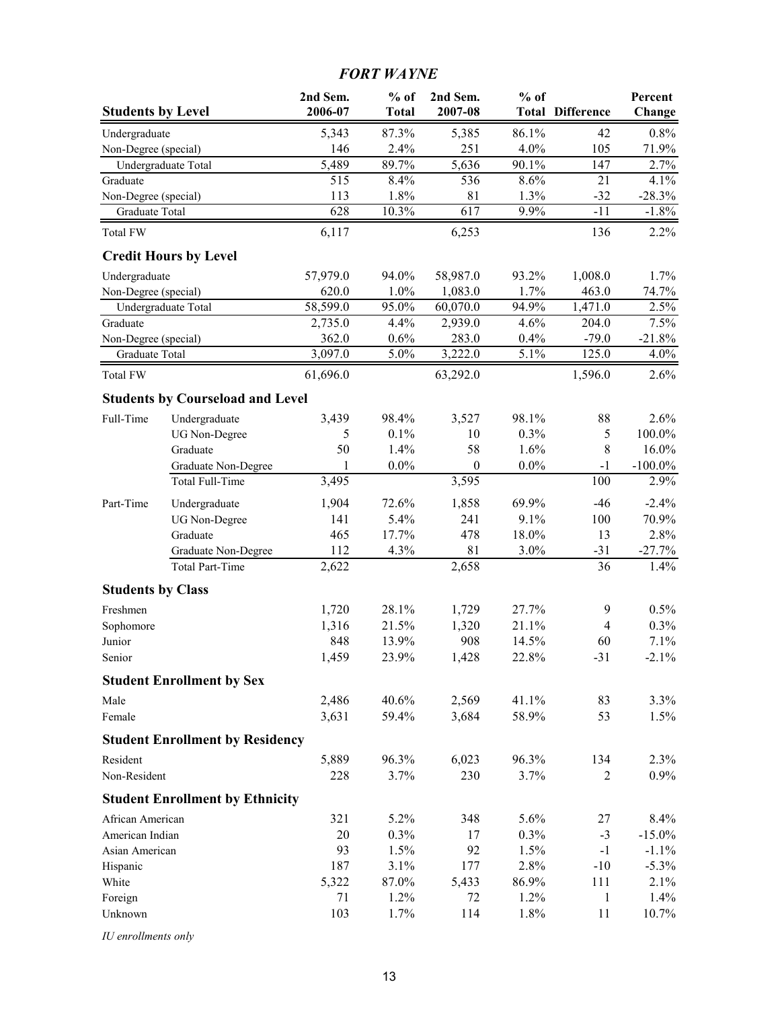## *FORT WAYNE*

| <b>Students by Level</b> |                                         | 2nd Sem.<br>2006-07 | $%$ of<br><b>Total</b> | 2nd Sem.<br>2007-08 | $%$ of  | <b>Total Difference</b> | Percent<br>Change |
|--------------------------|-----------------------------------------|---------------------|------------------------|---------------------|---------|-------------------------|-------------------|
| Undergraduate            |                                         | 5,343               | 87.3%                  | 5,385               | 86.1%   | 42                      | 0.8%              |
| Non-Degree (special)     |                                         | 146                 | 2.4%                   | 251                 | 4.0%    | 105                     | 71.9%             |
| Undergraduate Total      |                                         | $\frac{1}{5,489}$   | 89.7%                  | $\overline{5,636}$  | 90.1%   | 147                     | 2.7%              |
| Graduate                 |                                         | 515                 | 8.4%                   | 536                 | 8.6%    | 21                      | 4.1%              |
| Non-Degree (special)     |                                         | 113                 | 1.8%                   | 81                  | 1.3%    | $-32$                   | $-28.3%$          |
| Graduate Total           |                                         | 628                 | 10.3%                  | 617                 | 9.9%    | $-11$                   | $-1.8%$           |
| Total FW                 |                                         | 6,117               |                        | 6,253               |         | 136                     | 2.2%              |
|                          | <b>Credit Hours by Level</b>            |                     |                        |                     |         |                         |                   |
| Undergraduate            |                                         | 57,979.0            | 94.0%                  | 58,987.0            | 93.2%   | 1,008.0                 | 1.7%              |
| Non-Degree (special)     |                                         | 620.0               | 1.0%                   | 1,083.0             | 1.7%    | 463.0                   | 74.7%             |
| Undergraduate Total      |                                         | 58,599.0            | 95.0%                  | 60,070.0            | 94.9%   | 1,471.0                 | 2.5%              |
| Graduate                 |                                         | 2,735.0             | 4.4%                   | 2,939.0             | 4.6%    | 204.0                   | 7.5%              |
| Non-Degree (special)     |                                         | 362.0               | 0.6%                   | 283.0               | 0.4%    | $-79.0$                 | $-21.8%$          |
| Graduate Total           |                                         | 3,097.0             | 5.0%                   | 3,222.0             | 5.1%    | 125.0                   | 4.0%              |
| <b>Total FW</b>          |                                         | 61,696.0            |                        | 63,292.0            |         | 1,596.0                 | 2.6%              |
|                          | <b>Students by Courseload and Level</b> |                     |                        |                     |         |                         |                   |
| Full-Time                | Undergraduate                           | 3,439               | 98.4%                  | 3,527               | 98.1%   | 88                      | 2.6%              |
|                          | <b>UG</b> Non-Degree                    | 5                   | 0.1%                   | 10                  | 0.3%    | 5                       | 100.0%            |
|                          | Graduate                                | 50                  | 1.4%                   | 58                  | 1.6%    | 8                       | 16.0%             |
|                          | Graduate Non-Degree                     | 1                   | $0.0\%$                | $\boldsymbol{0}$    | $0.0\%$ | $-1$                    | $-100.0\%$        |
|                          | Total Full-Time                         | 3,495               |                        | 3,595               |         | 100                     | 2.9%              |
| Part-Time                | Undergraduate                           | 1,904               | 72.6%                  | 1,858               | 69.9%   | $-46$                   | $-2.4%$           |
|                          | <b>UG</b> Non-Degree                    | 141                 | 5.4%                   | 241                 | 9.1%    | 100                     | 70.9%             |
|                          | Graduate                                | 465                 | 17.7%                  | 478                 | 18.0%   | 13                      | 2.8%              |
|                          | Graduate Non-Degree                     | 112                 | 4.3%                   | 81                  | 3.0%    | $-31$                   | $-27.7%$          |
|                          | <b>Total Part-Time</b>                  | 2,622               |                        | 2,658               |         | 36                      | 1.4%              |
| <b>Students by Class</b> |                                         |                     |                        |                     |         |                         |                   |
| Freshmen                 |                                         | 1,720               | 28.1%                  | 1,729               | 27.7%   | 9                       | 0.5%              |
| Sophomore                |                                         | 1,316               | 21.5%                  | 1,320               | 21.1%   | $\overline{4}$          | 0.3%              |
| Junior                   |                                         | 848                 | 13.9%                  | 908                 | 14.5%   | 60                      | 7.1%              |
| Senior                   |                                         | 1,459               | 23.9%                  | 1,428               | 22.8%   | $-31$                   | $-2.1\%$          |
|                          | <b>Student Enrollment by Sex</b>        |                     |                        |                     |         |                         |                   |
| Male                     |                                         | 2,486               | 40.6%                  | 2,569               | 41.1%   | 83                      | 3.3%              |
| Female                   |                                         | 3,631               | 59.4%                  | 3,684               | 58.9%   | 53                      | 1.5%              |
|                          | <b>Student Enrollment by Residency</b>  |                     |                        |                     |         |                         |                   |
| Resident                 |                                         | 5,889               | 96.3%                  | 6,023               | 96.3%   | 134                     | 2.3%              |
| Non-Resident             |                                         | 228                 | 3.7%                   | 230                 | 3.7%    | $\overline{2}$          | 0.9%              |
|                          | <b>Student Enrollment by Ethnicity</b>  |                     |                        |                     |         |                         |                   |
| African American         |                                         | 321                 | 5.2%                   | 348                 | 5.6%    | 27                      | 8.4%              |
| American Indian          |                                         | 20                  | 0.3%                   | 17                  | 0.3%    | $-3$                    | $-15.0\%$         |
| Asian American           |                                         | 93                  | 1.5%                   | 92                  | 1.5%    | $-1$                    | $-1.1\%$          |
| Hispanic                 |                                         | 187                 | 3.1%                   | 177                 | 2.8%    | $-10$                   | $-5.3\%$          |
| White                    |                                         | 5,322               | $87.0\%$               | 5,433               | 86.9%   | 111                     | 2.1%              |
| Foreign                  |                                         | 71                  | 1.2%                   | 72                  | 1.2%    | 1                       | 1.4%              |
| Unknown                  |                                         | 103                 | 1.7%                   | 114                 | 1.8%    | 11                      | 10.7%             |

*IU enrollments only*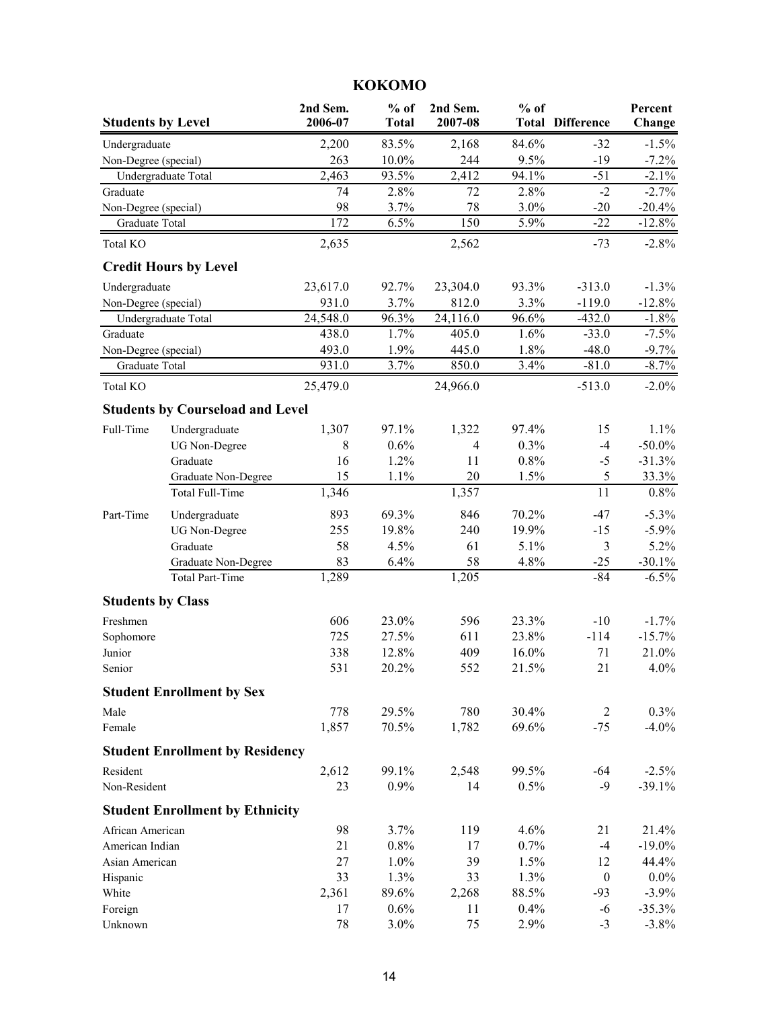### **2nd Sem. % of 2nd Sem. % of Percent Students by Level 2006-07 Total 2007-08 Total Difference Change** Undergraduate 2,200 83.5% 2,168 84.6% -32 -1.5% Non-Degree (special) 263 10.0% 244 9.5% -19 -7.2% Undergraduate Total 2,463 93.5% 2,412 94.1% -51 -2.1% Graduate 2001 12 2.8% 72 2.8% -2 -2.7% Non-Degree (special) 98 3.7% 78 3.0% -20 -20.4% Graduate Total 172 6.5% 150 5.9% -22 -12.8% Total KO 2,635 2,562 -73 -2.8% **Credit Hours by Level** Undergraduate 23,617.0 92.7% 23,304.0 93.3% -313.0 -1.3% Non-Degree (special) 931.0 3.7% 812.0 3.3% -119.0 -12.8% Undergraduate Total 24,548.0 96.3% 24,116.0 96.6% -432.0 -1.8% Graduate **438.0** 1.7% 405.0 1.6% -33.0 -7.5% Non-Degree (special) 493.0 1.9% 445.0 1.8% -48.0 -9.7% Graduate Total **931.0** 3.7% 850.0 3.4% -81.0 -8.7% Total KO 25,479.0 24,966.0 -513.0 -2.0% **Students by Courseload and Level** Full-Time Undergraduate 1,307 97.1% 1,322 97.4% 15 1.1% UG Non-Degree 8 0.6% 4 0.3% -4 -50.0% Graduate 16 1.2% 11 0.8% -5 -31.3% Graduate Non-Degree 15 1.1% 20 1.5% 5 33.3% Total Full-Time 1,346 1,357 11 0.8% Part-Time Undergraduate 893 69.3% 846 70.2% -47 -5.3% UG Non-Degree 255 19.8% 240 19.9% -15 -5.9% Graduate 58 4.5% 61 5.1% 3 5.2% Graduate Non-Degree 83 6.4% 58 4.8% -25 -30.1% Total Part-Time 1,289 1,205 -84 -6.5% **Students by Class** Freshmen 606 23.0% 596 23.3% -10 -1.7% Sophomore 2012 27.5% 611 23.8% -114 -15.7% Junior 338 12.8% 409 16.0% 71 21.0% Senior 531 20.2% 552 21.5% 21 4.0% **Student Enrollment by Sex** Male 778 29.5% 780 30.4% 2 0.3% Female 1,857 70.5% 1,782 69.6% -75 -4.0% **Student Enrollment by Residency** Resident 2,612 99.1% 2,548 99.5% -64 -2.5% Non-Resident 23 0.9% 14 0.5% -9 -39.1% **Student Enrollment by Ethnicity** African American 198 3.7% 119 4.6% 21 21.4% American Indian 21 0.8% 17 0.7% -4 -19.0% Asian American 27 1.0% 39 1.5% 12 44.4% Hispanic 33 1.3% 33 1.3% 0 0.0% White 2,361 89.6% 2,268 88.5% -93 -3.9% Foreign 17 0.6% 11 0.4% -6 -35.3%

**KOKOMO**

Unknown 78 3.0% 75 2.9% -3 -3.8%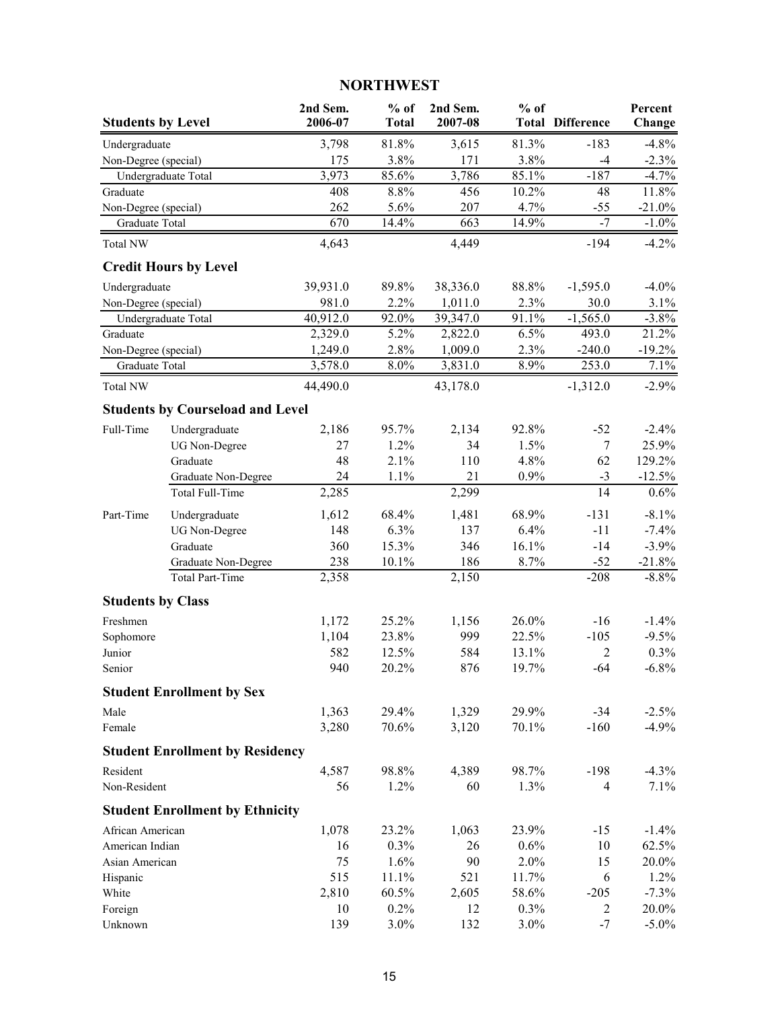## **NORTHWEST**

| <b>Students by Level</b> |                                         | 2nd Sem.<br>2006-07 | $%$ of<br><b>Total</b> | 2nd Sem.<br>2007-08 | $%$ of | <b>Total Difference</b> | Percent<br>Change |
|--------------------------|-----------------------------------------|---------------------|------------------------|---------------------|--------|-------------------------|-------------------|
| Undergraduate            |                                         | 3,798               | 81.8%                  | 3,615               | 81.3%  | $-183$                  | $-4.8%$           |
| Non-Degree (special)     |                                         | 175                 | 3.8%                   | 171                 | 3.8%   | $-4$                    | $-2.3%$           |
|                          | Undergraduate Total                     | 3,973               | 85.6%                  | 3,786               | 85.1%  | $-187$                  | $-4.7%$           |
| Graduate                 |                                         | 408                 | 8.8%                   | 456                 | 10.2%  | 48                      | 11.8%             |
| Non-Degree (special)     |                                         | 262                 | 5.6%                   | 207                 | 4.7%   | $-55$                   | $-21.0%$          |
| Graduate Total           |                                         | 670                 | $14.4\%$               | 663                 | 14.9%  | $-7$                    | $-1.0%$           |
| <b>Total NW</b>          |                                         | 4,643               |                        | 4,449               |        | $-194$                  | $-4.2\%$          |
|                          | <b>Credit Hours by Level</b>            |                     |                        |                     |        |                         |                   |
| Undergraduate            |                                         | 39,931.0            | 89.8%                  | 38,336.0            | 88.8%  | $-1,595.0$              | $-4.0\%$          |
| Non-Degree (special)     |                                         | 981.0               | 2.2%                   | 1,011.0             | 2.3%   | 30.0                    | 3.1%              |
|                          | Undergraduate Total                     | 40,912.0            | 92.0%                  | 39,347.0            | 91.1%  | $-1,565.0$              | $-3.8%$           |
| Graduate                 |                                         | 2,329.0             | 5.2%                   | 2,822.0             | 6.5%   | 493.0                   | 21.2%             |
| Non-Degree (special)     |                                         | 1,249.0             | 2.8%                   | 1,009.0             | 2.3%   | $-240.0$                | $-19.2%$          |
| Graduate Total           |                                         | 3,578.0             | 8.0%                   | 3,831.0             | 8.9%   | 253.0                   | 7.1%              |
| Total NW                 |                                         | 44,490.0            |                        | 43,178.0            |        | $-1,312.0$              | $-2.9%$           |
|                          | <b>Students by Courseload and Level</b> |                     |                        |                     |        |                         |                   |
| Full-Time                | Undergraduate                           | 2,186               | 95.7%                  | 2,134               | 92.8%  | $-52$                   | $-2.4%$           |
|                          | <b>UG</b> Non-Degree                    | 27                  | 1.2%                   | 34                  | 1.5%   | $\tau$                  | 25.9%             |
|                          | Graduate                                | 48                  | 2.1%                   | 110                 | 4.8%   | 62                      | 129.2%            |
|                          | Graduate Non-Degree                     | 24                  | 1.1%                   | 21                  | 0.9%   | $-3$                    | $-12.5%$          |
|                          | Total Full-Time                         | 2,285               |                        | 2,299               |        | 14                      | 0.6%              |
| Part-Time                | Undergraduate                           | 1,612               | 68.4%                  | 1,481               | 68.9%  | $-131$                  | $-8.1\%$          |
|                          | <b>UG</b> Non-Degree                    | 148                 | 6.3%                   | 137                 | 6.4%   | $-11$                   | $-7.4%$           |
|                          | Graduate                                | 360                 | 15.3%                  | 346                 | 16.1%  | $-14$                   | $-3.9\%$          |
|                          | Graduate Non-Degree                     | 238                 | $10.1\%$               | 186                 | 8.7%   | $-52$                   | $-21.8%$          |
|                          | <b>Total Part-Time</b>                  | 2,358               |                        | 2,150               |        | $-208$                  | $-8.8%$           |
| <b>Students by Class</b> |                                         |                     |                        |                     |        |                         |                   |
| Freshmen                 |                                         | 1,172               | 25.2%                  | 1,156               | 26.0%  | $-16$                   | $-1.4\%$          |
| Sophomore                |                                         | 1,104               | 23.8%                  | 999                 | 22.5%  | $-105$                  | $-9.5%$           |
| Junior                   |                                         | 582                 | 12.5%                  | 584                 | 13.1%  | 2                       | 0.3%              |
| Senior                   |                                         | 940                 | 20.2%                  | 876                 | 19.7%  | -64                     | $-6.8\%$          |
|                          | <b>Student Enrollment by Sex</b>        |                     |                        |                     |        |                         |                   |
| Male                     |                                         | 1,363               | 29.4%                  | 1,329               | 29.9%  | $-34$                   | $-2.5%$           |
| Female                   |                                         | 3,280               | 70.6%                  | 3,120               | 70.1%  | $-160$                  | $-4.9%$           |
|                          | <b>Student Enrollment by Residency</b>  |                     |                        |                     |        |                         |                   |
| Resident                 |                                         | 4,587               | 98.8%                  | 4,389               | 98.7%  | $-198$                  | $-4.3%$           |
| Non-Resident             |                                         | 56                  | 1.2%                   | 60                  | 1.3%   | $\overline{4}$          | 7.1%              |
|                          | <b>Student Enrollment by Ethnicity</b>  |                     |                        |                     |        |                         |                   |
| African American         |                                         | 1,078               | 23.2%                  | 1,063               | 23.9%  | $-15$                   | $-1.4%$           |
| American Indian          |                                         | 16                  | 0.3%                   | 26                  | 0.6%   | 10                      | 62.5%             |
| Asian American           |                                         | 75                  | 1.6%                   | 90                  | 2.0%   | 15                      | 20.0%             |
| Hispanic                 |                                         | 515                 | 11.1%                  | 521                 | 11.7%  | 6                       | 1.2%              |
| White                    |                                         | 2,810               | 60.5%                  | 2,605               | 58.6%  | $-205$                  | $-7.3%$           |
| Foreign                  |                                         | 10                  | 0.2%                   | 12                  | 0.3%   | 2                       | 20.0%             |
| Unknown                  |                                         | 139                 | 3.0%                   | 132                 | 3.0%   | $-7$                    | $-5.0\%$          |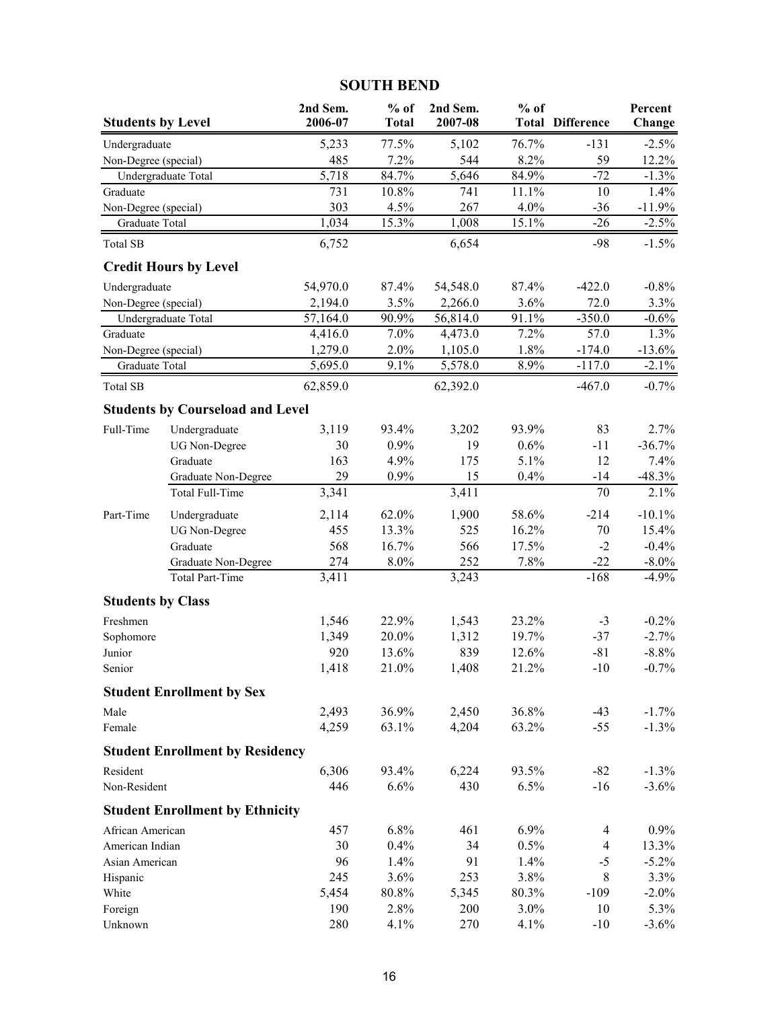### **SOUTH BEND**

| <b>Students by Level</b> |                                         | 2nd Sem.<br>2006-07 | $%$ of<br><b>Total</b> | 2nd Sem.<br>2007-08 | $%$ of              | <b>Total Difference</b> | Percent<br>Change |
|--------------------------|-----------------------------------------|---------------------|------------------------|---------------------|---------------------|-------------------------|-------------------|
| Undergraduate            |                                         | 5,233               | 77.5%                  | 5,102               | 76.7%               | $-131$                  | $-2.5%$           |
| Non-Degree (special)     |                                         | 485                 | 7.2%                   | 544                 | 8.2%                | 59                      | 12.2%             |
|                          | Undergraduate Total                     | $\overline{5,718}$  | 84.7%                  | 5,646               | 84.9%               | $-72$                   | $-1.3%$           |
| Graduate                 |                                         | 731                 | 10.8%                  | 741                 | 11.1%               | 10                      | 1.4%              |
| Non-Degree (special)     |                                         | 303                 | 4.5%                   | 267                 | 4.0%                | $-36$                   | $-11.9%$          |
| Graduate Total           |                                         | 1,034               | 15.3%                  | 1,008               | $15.\overline{1\%}$ | $-26$                   | $-2.5%$           |
| <b>Total SB</b>          |                                         | 6,752               |                        | 6,654               |                     | $-98$                   | $-1.5%$           |
|                          | <b>Credit Hours by Level</b>            |                     |                        |                     |                     |                         |                   |
| Undergraduate            |                                         | 54,970.0            | 87.4%                  | 54,548.0            | 87.4%               | $-422.0$                | $-0.8%$           |
| Non-Degree (special)     |                                         | 2,194.0             | 3.5%                   | 2,266.0             | 3.6%                | 72.0                    | 3.3%              |
|                          | Undergraduate Total                     | 57,164.0            | 90.9%                  | 56,814.0            | 91.1%               | $-350.0$                | $-0.6%$           |
| Graduate                 |                                         | 4,416.0             | 7.0%                   | 4,473.0             | 7.2%                | 57.0                    | 1.3%              |
| Non-Degree (special)     |                                         | 1,279.0             | 2.0%                   | 1,105.0             | 1.8%                | $-174.0$                | $-13.6%$          |
| Graduate Total           |                                         | 5,695.0             | 9.1%                   | 5,578.0             | 8.9%                | $-117.0$                | $-2.1\%$          |
| <b>Total SB</b>          |                                         | 62,859.0            |                        | 62,392.0            |                     | $-467.0$                | $-0.7%$           |
|                          | <b>Students by Courseload and Level</b> |                     |                        |                     |                     |                         |                   |
| Full-Time                | Undergraduate                           | 3,119               | 93.4%                  | 3,202               | 93.9%               | 83                      | 2.7%              |
|                          | <b>UG</b> Non-Degree                    | 30                  | 0.9%                   | 19                  | 0.6%                | $-11$                   | $-36.7%$          |
|                          | Graduate                                | 163                 | 4.9%                   | 175                 | 5.1%                | 12                      | 7.4%              |
|                          | Graduate Non-Degree                     | 29                  | 0.9%                   | 15                  | 0.4%                | $-14$                   | $-48.3%$          |
|                          | Total Full-Time                         | 3,341               |                        | 3,411               |                     | 70                      | 2.1%              |
| Part-Time                | Undergraduate                           | 2,114               | 62.0%                  | 1,900               | 58.6%               | $-214$                  | $-10.1%$          |
|                          | <b>UG</b> Non-Degree                    | 455                 | 13.3%                  | 525                 | 16.2%               | 70                      | 15.4%             |
|                          | Graduate                                | 568                 | 16.7%                  | 566                 | 17.5%               | $-2$                    | $-0.4%$           |
|                          | Graduate Non-Degree                     | 274                 | 8.0%                   | 252                 | 7.8%                | $-22$                   | $-8.0\%$          |
|                          | <b>Total Part-Time</b>                  | 3,411               |                        | 3,243               |                     | $-168$                  | $-4.9%$           |
| <b>Students by Class</b> |                                         |                     |                        |                     |                     |                         |                   |
| Freshmen                 |                                         | 1,546               | 22.9%                  | 1,543               | 23.2%               | $-3$                    | $-0.2\%$          |
| Sophomore                |                                         | 1,349               | 20.0%                  | 1,312               | 19.7%               | $-37$                   | $-2.7%$           |
| Junior                   |                                         | 920                 | 13.6%                  | 839                 | 12.6%               | $-81$                   | $-8.8%$           |
| Senior                   |                                         | 1,418               | 21.0%                  | 1,408               | 21.2%               | $-10$                   | $-0.7\%$          |
|                          | <b>Student Enrollment by Sex</b>        |                     |                        |                     |                     |                         |                   |
| Male                     |                                         | 2,493               | 36.9%                  | 2,450               | 36.8%               | $-43$                   | $-1.7\%$          |
| Female                   |                                         | 4,259               | 63.1%                  | 4,204               | 63.2%               | $-55$                   | $-1.3\%$          |
|                          | <b>Student Enrollment by Residency</b>  |                     |                        |                     |                     |                         |                   |
| Resident                 |                                         | 6,306               | 93.4%                  | 6,224               | 93.5%               | $-82$                   | $-1.3\%$          |
| Non-Resident             |                                         | 446                 | 6.6%                   | 430                 | 6.5%                | $-16$                   | $-3.6\%$          |
|                          | <b>Student Enrollment by Ethnicity</b>  |                     |                        |                     |                     |                         |                   |
| African American         |                                         | 457                 | 6.8%                   | 461                 | 6.9%                | 4                       | $0.9\%$           |
| American Indian          |                                         | 30                  | 0.4%                   | 34                  | 0.5%                | $\overline{4}$          | 13.3%             |
| Asian American           |                                         | 96                  | 1.4%                   | 91                  | 1.4%                | $-5$                    | $-5.2\%$          |
| Hispanic                 |                                         | 245                 | 3.6%                   | 253                 | 3.8%                | 8                       | 3.3%              |
| White                    |                                         | 5,454               | 80.8%                  | 5,345               | 80.3%               | $-109$                  | $-2.0\%$          |
| Foreign                  |                                         | 190                 | 2.8%                   | 200                 | 3.0%                | 10                      | 5.3%              |
| Unknown                  |                                         | 280                 | 4.1%                   | 270                 | 4.1%                | $-10$                   | $-3.6%$           |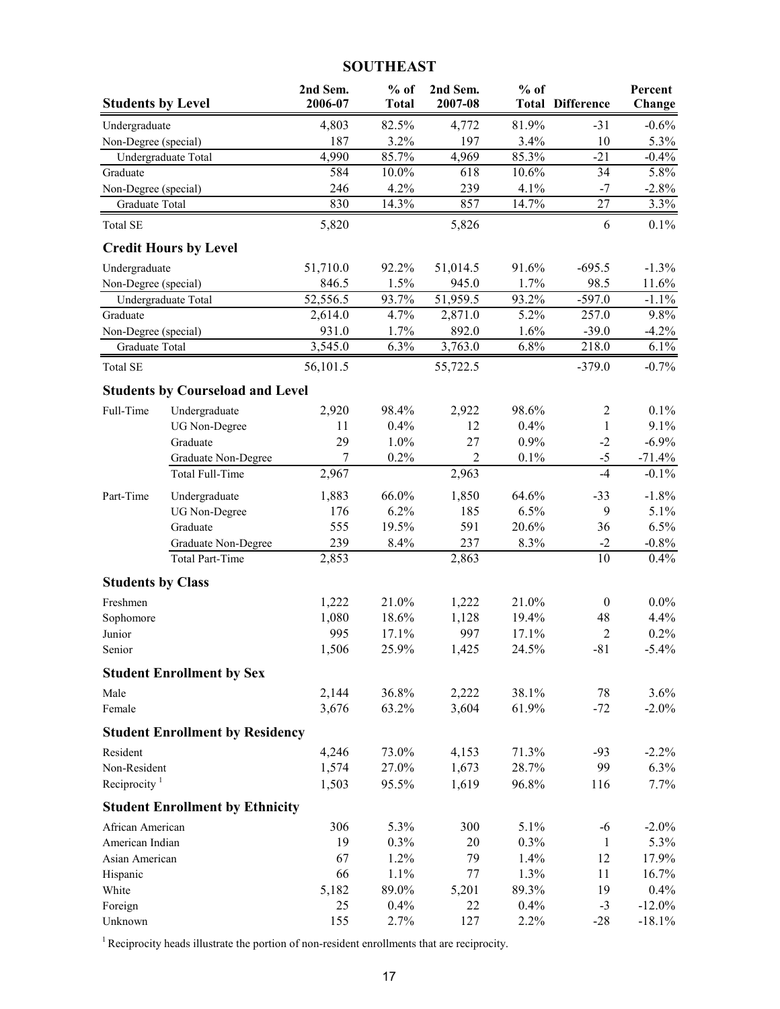### **SOUTHEAST**

| <b>Students by Level</b>          |                                         | 2nd Sem.<br>2006-07           | $%$ of<br><b>Total</b> | 2nd Sem.<br>2007-08 | $%$ of       | <b>Total Difference</b> | Percent<br>Change |
|-----------------------------------|-----------------------------------------|-------------------------------|------------------------|---------------------|--------------|-------------------------|-------------------|
| Undergraduate                     |                                         | 4,803                         | 82.5%                  | 4,772               | 81.9%        | $-31$                   | $-0.6%$           |
| Non-Degree (special)              |                                         | 187                           | 3.2%                   | 197                 | 3.4%         | 10                      | 5.3%              |
|                                   | Undergraduate Total                     | 4,990                         | 85.7%                  | 4,969               | 85.3%        | $-21$                   | $-0.4%$           |
| Graduate                          |                                         | 584                           | $10.0\%$               | 618                 | 10.6%        | 34                      | 5.8%              |
| Non-Degree (special)              |                                         | 246                           | 4.2%                   | 239                 | 4.1%         | $-7$                    | $-2.8%$           |
| Graduate Total                    |                                         | 830                           | 14.3%                  | 857                 | 14.7%        | 27                      | 3.3%              |
| <b>Total SE</b>                   |                                         | 5,820                         |                        | 5,826               |              | 6                       | $0.1\%$           |
|                                   | <b>Credit Hours by Level</b>            |                               |                        |                     |              |                         |                   |
| Undergraduate                     |                                         | 51,710.0                      | 92.2%                  | 51,014.5            | 91.6%        | $-695.5$                | $-1.3%$           |
| Non-Degree (special)              |                                         | 846.5                         | 1.5%                   | 945.0               | 1.7%         | 98.5                    | 11.6%             |
|                                   | Undergraduate Total                     | 52,556.5                      | 93.7%                  | 51,959.5            | 93.2%        | $-597.0$                | $-1.1%$           |
| Graduate                          |                                         | 2,614.0                       | 4.7%                   | 2,871.0             | 5.2%         | 257.0                   | 9.8%              |
| Non-Degree (special)              |                                         | 931.0<br>$\overline{3,}545.0$ | 1.7%<br>6.3%           | 892.0<br>3,763.0    | 1.6%<br>6.8% | $-39.0$                 | $-4.2%$           |
| Graduate Total<br><b>Total SE</b> |                                         | 56,101.5                      |                        | 55,722.5            |              | 218.0<br>$-379.0$       | 6.1%<br>$-0.7\%$  |
|                                   |                                         |                               |                        |                     |              |                         |                   |
|                                   | <b>Students by Courseload and Level</b> |                               |                        |                     |              |                         |                   |
| Full-Time                         | Undergraduate                           | 2,920                         | 98.4%                  | 2,922               | 98.6%        | $\overline{2}$          | 0.1%              |
|                                   | <b>UG Non-Degree</b><br>Graduate        | 11<br>29                      | 0.4%<br>1.0%           | 12<br>27            | 0.4%<br>0.9% | $\mathbf{1}$<br>$-2$    | 9.1%<br>$-6.9%$   |
|                                   | Graduate Non-Degree                     | $\tau$                        | 0.2%                   | $\overline{2}$      | 0.1%         | $-5$                    | $-71.4%$          |
|                                   | Total Full-Time                         | 2,967                         |                        | 2,963               |              | $-4$                    | $-0.1\%$          |
| Part-Time                         | Undergraduate                           | 1,883                         | 66.0%                  | 1,850               | 64.6%        | $-33$                   | $-1.8%$           |
|                                   | <b>UG</b> Non-Degree                    | 176                           | 6.2%                   | 185                 | 6.5%         | 9                       | 5.1%              |
|                                   | Graduate                                | 555                           | 19.5%                  | 591                 | 20.6%        | 36                      | 6.5%              |
|                                   | Graduate Non-Degree                     | 239                           | 8.4%                   | 237                 | 8.3%         | $-2$                    | $-0.8%$           |
|                                   | <b>Total Part-Time</b>                  | 2,853                         |                        | 2,863               |              | 10                      | 0.4%              |
| <b>Students by Class</b>          |                                         |                               |                        |                     |              |                         |                   |
| Freshmen                          |                                         | 1,222                         | 21.0%                  | 1,222               | 21.0%        | $\boldsymbol{0}$        | $0.0\%$           |
| Sophomore                         |                                         | 1,080                         | 18.6%                  | 1,128               | 19.4%        | 48                      | 4.4%              |
| Junior                            |                                         | 995                           | 17.1%                  | 997                 | 17.1%        | $\overline{2}$          | 0.2%              |
| Senior                            |                                         | 1,506                         | 25.9%                  | 1,425               | 24.5%        | $-81$                   | $-5.4\%$          |
|                                   | <b>Student Enrollment by Sex</b>        |                               |                        |                     |              |                         |                   |
| Male                              |                                         | 2,144                         | 36.8%                  | 2,222               | 38.1%        | 78                      | 3.6%              |
| Female                            |                                         | 3,676                         | 63.2%                  | 3,604               | 61.9%        | $-72$                   | $-2.0\%$          |
|                                   | <b>Student Enrollment by Residency</b>  |                               |                        |                     |              |                         |                   |
| Resident                          |                                         | 4,246                         | 73.0%                  | 4,153               | 71.3%        | $-93$                   | $-2.2\%$          |
| Non-Resident                      |                                         | 1,574                         | 27.0%                  | 1,673               | 28.7%        | 99                      | 6.3%              |
| Reciprocity $1$                   |                                         | 1,503                         | 95.5%                  | 1,619               | 96.8%        | 116                     | 7.7%              |
|                                   | <b>Student Enrollment by Ethnicity</b>  |                               |                        |                     |              |                         |                   |
| African American                  |                                         | 306                           | 5.3%                   | 300                 | 5.1%         | $-6$                    | $-2.0\%$          |
| American Indian                   |                                         | 19                            | 0.3%                   | 20                  | 0.3%         | $\mathbf{1}$            | 5.3%              |
| Asian American                    |                                         | 67                            | 1.2%                   | 79                  | 1.4%         | 12                      | 17.9%             |
| Hispanic                          |                                         | 66                            | 1.1%                   | 77                  | 1.3%         | 11                      | 16.7%             |
| White                             |                                         | 5,182                         | 89.0%                  | 5,201               | 89.3%        | 19                      | 0.4%              |
| Foreign                           |                                         | 25                            | 0.4%                   | 22                  | 0.4%         | $-3$                    | $-12.0\%$         |
| Unknown                           |                                         | 155                           | 2.7%                   | 127                 | 2.2%         | $-28$                   | $-18.1%$          |

 $1$  Reciprocity heads illustrate the portion of non-resident enrollments that are reciprocity.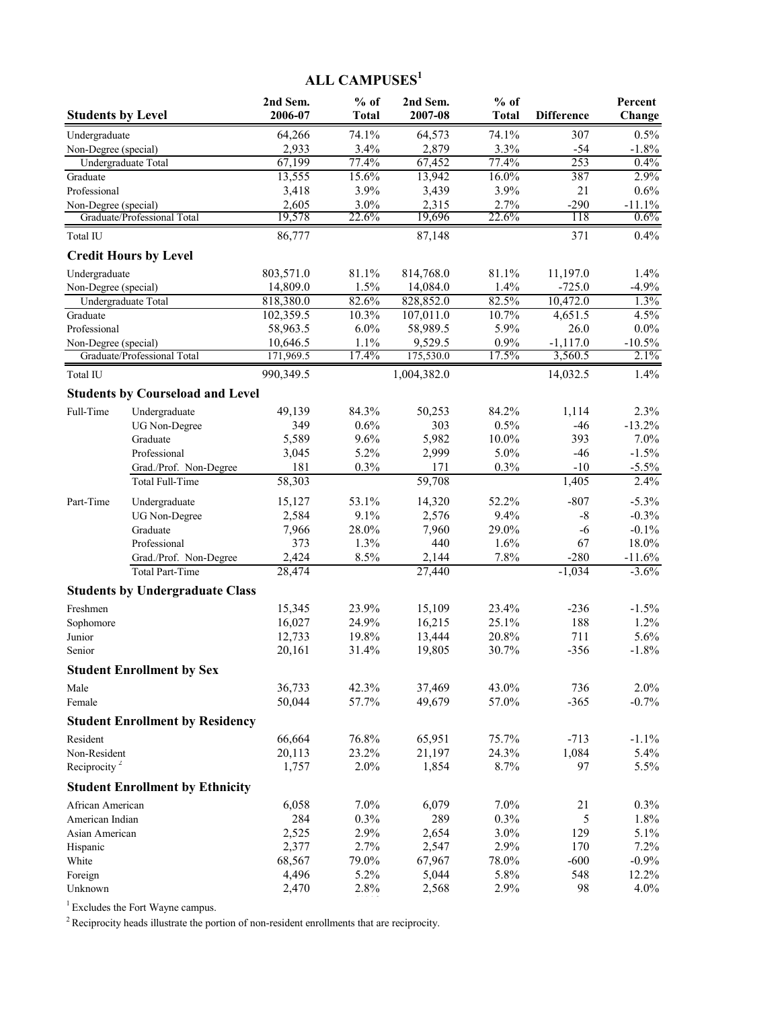# **ALL CAMPUSES<sup>1</sup>**

| <b>Students by Level</b>              |                                         | 2nd Sem.<br>2006-07 | $%$ of<br><b>Total</b> | 2nd Sem.<br>2007-08 | $%$ of<br><b>Total</b> | <b>Difference</b> | Percent<br>Change |
|---------------------------------------|-----------------------------------------|---------------------|------------------------|---------------------|------------------------|-------------------|-------------------|
|                                       |                                         | 64,266              | 74.1%                  | 64,573              | 74.1%                  | 307               | 0.5%              |
| Undergraduate<br>Non-Degree (special) |                                         | 2,933               | 3.4%                   | 2,879               | 3.3%                   | $-54$             | $-1.8%$           |
| Undergraduate Total                   |                                         | 67,199              | 77.4%                  | 67,452              | 77.4%                  | 253               | 0.4%              |
| Graduate                              |                                         | 13,555              | 15.6%                  | 13,942              | 16.0%                  | 387               | 2.9%              |
| Professional                          |                                         | 3,418               | 3.9%                   | 3,439               | 3.9%                   | 21                | 0.6%              |
| Non-Degree (special)                  |                                         | 2,605               | $3.0\%$                | 2,315               | 2.7%                   | $-290$            | $-11.1%$          |
|                                       | Graduate/Professional Total             | 19,578              | 22.6%                  | 19,696              | 22.6%                  | 118               | 0.6%              |
| Total IU                              |                                         | 86,777              |                        | 87,148              |                        | 371               | 0.4%              |
|                                       | <b>Credit Hours by Level</b>            |                     |                        |                     |                        |                   |                   |
| Undergraduate                         |                                         | 803,571.0           | 81.1%                  | 814,768.0           | 81.1%                  | 11,197.0          | 1.4%              |
| Non-Degree (special)                  |                                         | 14,809.0            | 1.5%                   | 14,084.0            | 1.4%                   | $-725.0$          | $-4.9%$           |
| Undergraduate Total                   |                                         | 818,380.0           | 82.6%                  | 828,852.0           | 82.5%                  | 10,472.0          | 1.3%              |
| Graduate                              |                                         | 102,359.5           | 10.3%                  | 107,011.0           | 10.7%                  | 4,651.5           | 4.5%              |
| Professional                          |                                         | 58,963.5            | 6.0%                   | 58,989.5            | 5.9%                   | 26.0              | $0.0\%$           |
| Non-Degree (special)                  |                                         | 10,646.5            | 1.1%                   | 9,529.5             | 0.9%                   | $-1,117.0$        | $-10.5%$          |
|                                       | Graduate/Professional Total             | 171,969.5           | 17.4%                  | 175,530.0           | 17.5%                  | 3,560.5           | 2.1%              |
| Total IU                              |                                         | 990,349.5           |                        | 1,004,382.0         |                        | 14,032.5          | 1.4%              |
|                                       | <b>Students by Courseload and Level</b> |                     |                        |                     |                        |                   |                   |
| Full-Time                             | Undergraduate                           | 49,139              | 84.3%                  | 50,253              | 84.2%                  | 1,114             | 2.3%              |
|                                       | <b>UG</b> Non-Degree                    | 349                 | 0.6%                   | 303                 | 0.5%                   | $-46$             | $-13.2%$          |
|                                       | Graduate                                | 5,589               | 9.6%                   | 5,982               | 10.0%                  | 393               | 7.0%              |
|                                       | Professional                            | 3,045               | 5.2%                   | 2,999               | 5.0%                   | $-46$             | $-1.5%$           |
|                                       | Grad./Prof. Non-Degree                  | 181                 | 0.3%                   | 171                 | 0.3%                   | $-10$             | $-5.5%$           |
|                                       | Total Full-Time                         | 58,303              |                        | 59,708              |                        | 1,405             | 2.4%              |
| Part-Time                             | Undergraduate                           | 15,127              | 53.1%                  | 14,320              | 52.2%                  | $-807$            | $-5.3%$           |
|                                       | <b>UG</b> Non-Degree                    | 2,584               | 9.1%                   | 2,576               | 9.4%                   | $-8$              | $-0.3%$           |
|                                       | Graduate                                | 7,966               | 28.0%                  | 7,960               | 29.0%                  | $-6$              | $-0.1%$           |
|                                       | Professional                            | 373                 | 1.3%                   | 440                 | 1.6%                   | 67                | 18.0%             |
|                                       | Grad./Prof. Non-Degree                  | 2,424               | 8.5%                   | 2,144               | 7.8%                   | $-280$            | $-11.6%$          |
|                                       | Total Part-Time                         | 28,474              |                        | 27,440              |                        | $-1,034$          | $-3.6\%$          |
|                                       | <b>Students by Undergraduate Class</b>  |                     |                        |                     |                        |                   |                   |
| Freshmen                              |                                         | 15,345              | 23.9%                  | 15,109              | 23.4%                  | $-236$            | $-1.5%$           |
| Sophomore                             |                                         | 16,027              | 24.9%                  | 16,215              | 25.1%                  | 188               | 1.2%              |
| Junior                                |                                         | 12,733              | 19.8%                  | 13,444              | 20.8%                  | 711               | 5.6%              |
| Senior                                |                                         | 20,161              | 31.4%                  | 19,805              | 30.7%                  | $-356$            | $-1.8%$           |
|                                       | <b>Student Enrollment by Sex</b>        |                     |                        |                     |                        |                   |                   |
| Male                                  |                                         | 36,733              | 42.3%                  | 37,469              | 43.0%                  | 736               | 2.0%              |
| Female                                |                                         | 50,044              | 57.7%                  | 49,679              | 57.0%                  | $-365$            | $-0.7%$           |
|                                       | <b>Student Enrollment by Residency</b>  |                     |                        |                     |                        |                   |                   |
| Resident                              |                                         | 66,664              | 76.8%                  | 65,951              | 75.7%                  | $-713$            | $-1.1%$           |
| Non-Resident                          |                                         | 20,113              | 23.2%                  | 21,197              | 24.3%                  | 1,084             | 5.4%              |
| Reciprocity <sup>2</sup>              |                                         | 1,757               | 2.0%                   | 1,854               | 8.7%                   | 97                | 5.5%              |
|                                       | <b>Student Enrollment by Ethnicity</b>  |                     |                        |                     |                        |                   |                   |
| African American                      |                                         | 6,058               | 7.0%                   | 6,079               | 7.0%                   | 21                | 0.3%              |
| American Indian                       |                                         | 284                 | 0.3%                   | 289                 | 0.3%                   | 5                 | 1.8%              |
| Asian American                        |                                         | 2,525               | 2.9%                   | 2,654               | 3.0%                   | 129               | 5.1%              |
| Hispanic                              |                                         | 2,377               | 2.7%                   | 2,547               | 2.9%                   | 170               | 7.2%              |
| White                                 |                                         | 68,567              | 79.0%                  | 67,967              | 78.0%                  | $-600$            | $-0.9%$           |
| Foreign                               |                                         | 4,496               | 5.2%                   | 5,044               | 5.8%                   | 548               | 12.2%             |
| Unknown                               |                                         | 2,470               | 2.8%                   | 2,568               | 2.9%                   | 98                | 4.0%              |

 $1$  Excludes the Fort Wayne campus.

 $2R$  Reciprocity heads illustrate the portion of non-resident enrollments that are reciprocity.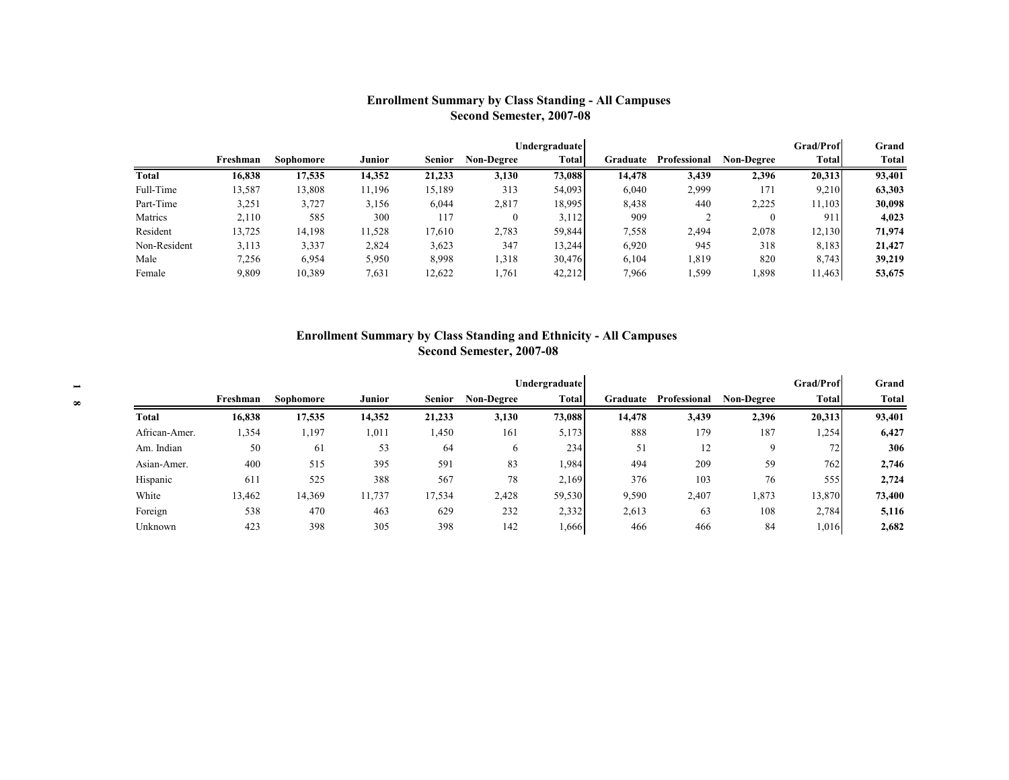### **Enrollment Summary by Class Standing - All Campuses Second Semester, 2007-08**

|              |          |           |        |        |            | Undergraduate |          |              |            | <b>Grad/Prof</b> | Grand  |
|--------------|----------|-----------|--------|--------|------------|---------------|----------|--------------|------------|------------------|--------|
|              | Freshman | Sophomore | Junior | Senior | Non-Degree | <b>Total</b>  | Graduate | Professional | Non-Degree | <b>Total</b>     | Total  |
| Total        | 16,838   | 17,535    | 14,352 | 21,233 | 3,130      | 73,088        | 14,478   | 3,439        | 2,396      | 20,313           | 93,401 |
| Full-Time    | 13,587   | 13,808    | 11,196 | 15,189 | 313        | 54,093        | 6,040    | 2,999        | 171        | 9,210            | 63,303 |
| Part-Time    | 3,251    | 3,727     | 3,156  | 6,044  | 2,817      | 18,995        | 8,438    | 440          | 2,225      | 11.103           | 30.098 |
| Matrics      | 2,110    | 585       | 300    | 117    |            | 3.112         | 909      |              | 0          | 911              | 4,023  |
| Resident     | 13,725   | 14,198    | 11,528 | 17,610 | 2,783      | 59,844        | 7,558    | 2,494        | 2,078      | 12,130           | 71,974 |
| Non-Resident | 3,113    | 3.337     | 2,824  | 3,623  | 347        | 13,244        | 6,920    | 945          | 318        | 8,183            | 21,427 |
| Male         | 7,256    | 6,954     | 5,950  | 8,998  | 1,318      | 30,476        | 6,104    | 1,819        | 820        | 8,743            | 39,219 |
| Female       | 9,809    | 10,389    | 7,631  | 12,622 | 1,761      | 42,212        | 7,966    | 599ء         | 1,898      | 1,463            | 53,675 |

#### **Enrollment Summary by Class Standing and Ethnicity - All Campuses Second Semester, 2007-08**

|               |          |           |               |               |                   | Undergraduate |          |              |                   | <b>Grad/Prof</b> | Grand        |
|---------------|----------|-----------|---------------|---------------|-------------------|---------------|----------|--------------|-------------------|------------------|--------------|
|               | Freshman | Sophomore | <b>Junior</b> | <b>Senior</b> | <b>Non-Degree</b> | Total         | Graduate | Professional | <b>Non-Degree</b> | <b>Total</b>     | <b>Total</b> |
| Total         | 16,838   | 17,535    | 14,352        | 21,233        | 3,130             | 73,088        | 14,478   | 3,439        | 2,396             | 20,313           | 93,401       |
| African-Amer. | .354     | , 197     | 1,011         | 1,450         | 161               | 5,173         | 888      | 179          | 187               | 1,254            | 6,427        |
| Am. Indian    | 50       | 61        | 53            | 64            | 6                 | 234           | 51       | 12           | 9                 | 72               | 306          |
| Asian-Amer.   | 400      | 515       | 395           | 591           | 83                | 1,984         | 494      | 209          | 59                | 762              | 2,746        |
| Hispanic      | 611      | 525       | 388           | 567           | 78                | 2,169         | 376      | 103          | 76                | 555              | 2,724        |
| White         | 13,462   | 14,369    | 11,737        | 17,534        | 2,428             | 59,530        | 9,590    | 2,407        | .873              | 13,870           | 73,400       |
| Foreign       | 538      | 470       | 463           | 629           | 232               | 2,332         | 2,613    | 63           | 108               | 2,784            | 5,116        |
| Unknown       | 423      | 398       | 305           | 398           | 142               | 1,666         | 466      | 466          | 84                | 1,016            | 2,682        |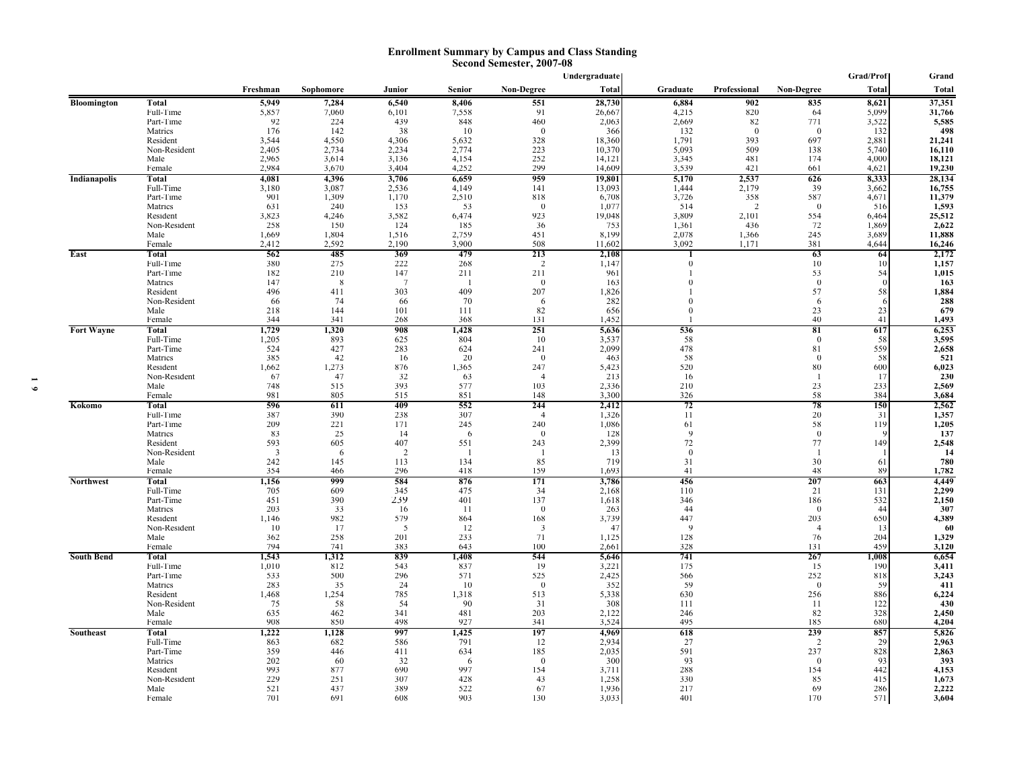#### **Enrollment Summary by Campus and Class Standing Second Semester, 2007-08**

|                     |                        |              |               |              |             |                 | Undergraduate  |              |                      |                 | Grad/Prof    | Grand           |
|---------------------|------------------------|--------------|---------------|--------------|-------------|-----------------|----------------|--------------|----------------------|-----------------|--------------|-----------------|
|                     |                        | Freshman     | Sophomore     | Junior       | Senior      | Non-Degree      | <b>Total</b>   | Graduate     | Professional         | Non-Degree      | Total        | <b>Total</b>    |
| <b>Bloomington</b>  | <b>Total</b>           | 5,949        | 7,284         | 6,540        | 8,406       | 551             | 28,730         | 6,884        | 902                  | 835             | 8,621        | 37,351          |
|                     | Full-Time              | 5,857        | 7,060         | 6,101        | 7,558       | 91              | 26,667         | 4,215        | 820                  | 64              | 5,099        | 31,766          |
|                     | Part-Time              | 92           | 224           | 439          | 848         | 460             | 2,063          | 2,669        | 82                   | 771             | 3,522        | 5,585           |
|                     | Matrics                | 176          | 142           | 38           | 10          | $\theta$        | 366            | 132          | $\mathbf{0}$         | $\theta$        | 132          | 498             |
|                     | Resident               | 3,544        | 4,550         | 4,306        | 5,632       | 328             | 18,360         | 1,791        | 393                  | 697             | 2,881        | 21,241          |
|                     | Non-Resident           | 2,405        | 2,734         | 2,234        | 2,774       | 223             | 10,370         | 5,093        | 509                  | 138             | 5,740        | 16,110          |
|                     | Male                   | 2,965        | 3,614         | 3,136        | 4,154       | 252             | 14,121         | 3,345        | 481                  | 174             | 4,000        | 18,121          |
|                     | Female                 | 2,984        | 3,670         | 3,404        | 4,252       | 299             | 14,609         | 3,539        | 421                  | 661             | 4,621        | 19,230          |
| <b>Indianapolis</b> | Total                  | 4,081        | 4,396         | 3,706        | 6,659       | 959             | 19,801         | 5,170        | 2,537                | 626             | 8,333        | 28,134          |
|                     | Full-Time              | 3,180        | 3,087         | 2,536        | 4,149       | 141             | 13,093         | 1,444        | 2,179                | 39              | 3,662        | 16,755          |
|                     | Part-Time<br>Matrics   | 901<br>631   | 1.309<br>240  | 1.170<br>153 | 2,510<br>53 | 818<br>$\theta$ | 6,708<br>1,077 | 3,726<br>514 | 358<br>$\mathcal{D}$ | 587<br>$\Omega$ | 4,671<br>516 | 11,379<br>1,593 |
|                     | Resident               | 3,823        | 4,246         | 3,582        | 6,474       | 923             | 19,048         | 3,809        | 2,101                | 554             | 6,464        | 25,512          |
|                     | Non-Resident           | 258          | 150           | 124          | 185         | 36              | 753            | 1,361        | 436                  | 72              | 1,869        | 2,622           |
|                     | Male                   | 1,669        | 1,804         | 1,516        | 2,759       | 451             | 8,199          | 2,078        | 1,366                | 245             | 3,689        | 11,888          |
|                     | Female                 | 2,412        | 2,592         | 2,190        | 3,900       | 508             | 11,602         | 3,092        | 1,171                | 381             | 4,644        | 16,246          |
| East                | Total                  | 562          | 485           | 369          | 479         | 213             | 2,108          | 1            |                      | 63              | 64           | 2,172           |
|                     | Full-Time              | 380          | 275           | 222          | 268         | 2               | 1,147          | $\Omega$     |                      | 10              | 10           | 1,157           |
|                     | Part-Time              | 182          | 210           | 147          | 211         | 211             | 961            |              |                      | 53              | 54           | 1,015           |
|                     | Matrics                | 147          | $\mathcal{R}$ | 7            |             | $\theta$        | 163            | $\Omega$     |                      | $\theta$        |              | 163             |
|                     | Resident               | 496          | 411           | 303          | 409         | 207             | 1,826          |              |                      | 57              | 58           | 1,884           |
|                     | Non-Resident           | 66           | 74            | 66           | 70          | -6              | 282            | 0            |                      | -6              |              | 288             |
|                     | Male                   | 218          | 144           | 101          | 111         | 82              | 656            | $\theta$     |                      | 23              | 23           | 679             |
|                     | Female                 | 344          | 341           | 268          | 368         | 131             | 1,452          |              |                      | 40              | 41           | 1,493           |
| <b>Fort Wayne</b>   | Total                  | 1,729        | 1,320         | 908          | 1,428       | 251             | 5,636          | 536          |                      | 81              | 617          | 6,253           |
|                     | Full-Time<br>Part-Time | 1,205<br>524 | 893<br>427    | 625<br>283   | 804         | 10<br>241       | 3,537          | 58<br>478    |                      | $\Omega$<br>81  | 58<br>559    | 3,595           |
|                     | Matrics                | 385          | 42            | 16           | 624<br>20   | $\theta$        | 2,099<br>463   | 58           |                      | $\theta$        | 58           | 2,658<br>521    |
|                     | Resident               | 1,662        | 1,273         | 876          | 1,365       | 247             | 5,423          | 520          |                      | 80              | 600          | 6,023           |
|                     | Non-Resident           | 67           | 47            | 32           | 63          | $\overline{4}$  | 213            | 16           |                      | -1              | 17           | 230             |
|                     | Male                   | 748          | 515           | 393          | 577         | 103             | 2,336          | 210          |                      | 23              | 233          | 2,569           |
|                     | Female                 | 981          | 805           | 515          | 851         | 148             | 3,300          | 326          |                      | 58              | 384          | 3,684           |
| Kokomo              | Total                  | 596          | 611           | 409          | 552         | 244             | 2,412          | 72           |                      | 78              | 150          | 2,562           |
|                     | Full-Time              | 387          | 390           | 238          | 307         | $\overline{4}$  | 1,326          | 11           |                      | 20              | 31           | 1,357           |
|                     | Part-Time              | 209          | 221           | 171          | 245         | 240             | 1,086          | 61           |                      | 58              | 119          | 1,205           |
|                     | Matrics                | 83           | 25            | 14           | 6           | $\theta$        | 128            | 9            |                      | $\theta$        |              | 137             |
|                     | Resident               | 593          | 605           | 407          | 551         | 243             | 2,399          | 72           |                      | 77              | 149          | 2,548           |
|                     | Non-Resident           | 3            | 6             | <sup>2</sup> |             | -1              | 13             | $\theta$     |                      | -1              |              | 14              |
|                     | Male                   | 242<br>354   | 145           | 113<br>296   | 134<br>418  | 85<br>159       | 719<br>1,693   | 31<br>41     |                      | 30<br>48        | 61<br>89     | 780             |
| <b>Northwest</b>    | Female<br>Total        | 1,156        | 466<br>999    | 584          | 876         | 171             | 3,786          | 456          |                      | 207             | 663          | 1,782<br>4,449  |
|                     | Full-Time              | 705          | 609           | 345          | 475         | 34              | 2,168          | 110          |                      | 21              | 131          | 2,299           |
|                     | Part-Time              | 451          | 390           | 239          | 401         | 137             | 1,618          | 346          |                      | 186             | 532          | 2,150           |
|                     | Matrics                | 203          | 33            | 16           | -11         | $\mathbf{0}$    | 263            | 44           |                      | $\overline{0}$  | 44           | 307             |
|                     | Resident               | 1.146        | 982           | 579          | 864         | 168             | 3,739          | 447          |                      | 203             | 650          | 4,389           |
|                     | Non-Resident           | 10           | 17            | 5            | 12          | 3               | 47             | $\mathbf Q$  |                      | $\overline{4}$  | -13          | 60              |
|                     | Male                   | 362          | 258           | 201          | 233         | 71              | 1,125          | 128          |                      | 76              | 204          | 1,329           |
|                     | Female                 | 794          | 741           | 383          | 643         | 100             | 2,661          | 328          |                      | 131             | 459          | 3,120           |
| <b>South Bend</b>   | Total                  | 1,543        | 1,312         | 839          | 1,408       | 544             | 5,646          | 741          |                      | 267             | 1,008        | 6,654           |
|                     | Full-Time              | 1,010        | 812           | 543          | 837         | 19              | 3,221          | 175          |                      | 15              | 190          | 3,411           |
|                     | Part-Time              | 533          | 500           | 296          | 571         | 525             | 2,425          | 566          |                      | 252             | 818          | 3,243           |
|                     | Matrics                | 283          | 35            | 24           | 10          | $\theta$        | 352            | 59           |                      | $\theta$        | 59           | 411             |
|                     | Resident               | 1,468        | 1,254<br>58   | 785<br>54    | 1,318<br>90 | 513<br>31       | 5,338<br>308   | 630<br>111   |                      | 256<br>11       | 886<br>122   | 6,224<br>430    |
|                     | Non-Resident<br>Male   | 75<br>635    | 462           | 341          | 481         | 203             | 2,122          | 246          |                      | 82              | 328          | 2,450           |
|                     | Female                 | 908          | 850           | 498          | 927         | 341             | 3,524          | 495          |                      | 185             | 680          | 4,204           |
| Southeast           | Total                  | 1,222        | 1,128         | 997          | 1,425       | 197             | 4,969          | 618          |                      | 239             | 857          | 5,826           |
|                     | Full-Time              | 863          | 682           | 586          | 791         | 12              | 2,934          | 27           |                      | $\overline{2}$  | 29           | 2,963           |
|                     | Part-Time              | 359          | 446           | 411          | 634         | 185             | 2,035          | 591          |                      | 237             | 828          | 2,863           |
|                     | Matrics                | 202          | 60            | 32           | 6           | $\bf{0}$        | 300            | 93           |                      | $\mathbf{0}$    | 93           | 393             |
|                     | Resident               | 993          | 877           | 690          | 997         | 154             | 3,711          | 288          |                      | 154             | 442          | 4,153           |
|                     | Non-Resident           | 229          | 251           | 307          | 428         | 43              | 1,258          | 330          |                      | 85              | 415          | 1,673           |
|                     | Male                   | 521          | 437           | 389          | 522         | 67              | 1,936          | 217          |                      | 69              | 286          | 2,222           |
|                     | Female                 | 701          | 691           | 608          | 903         | 130             | 3,033          | 401          |                      | 170             | 571          | 3,604           |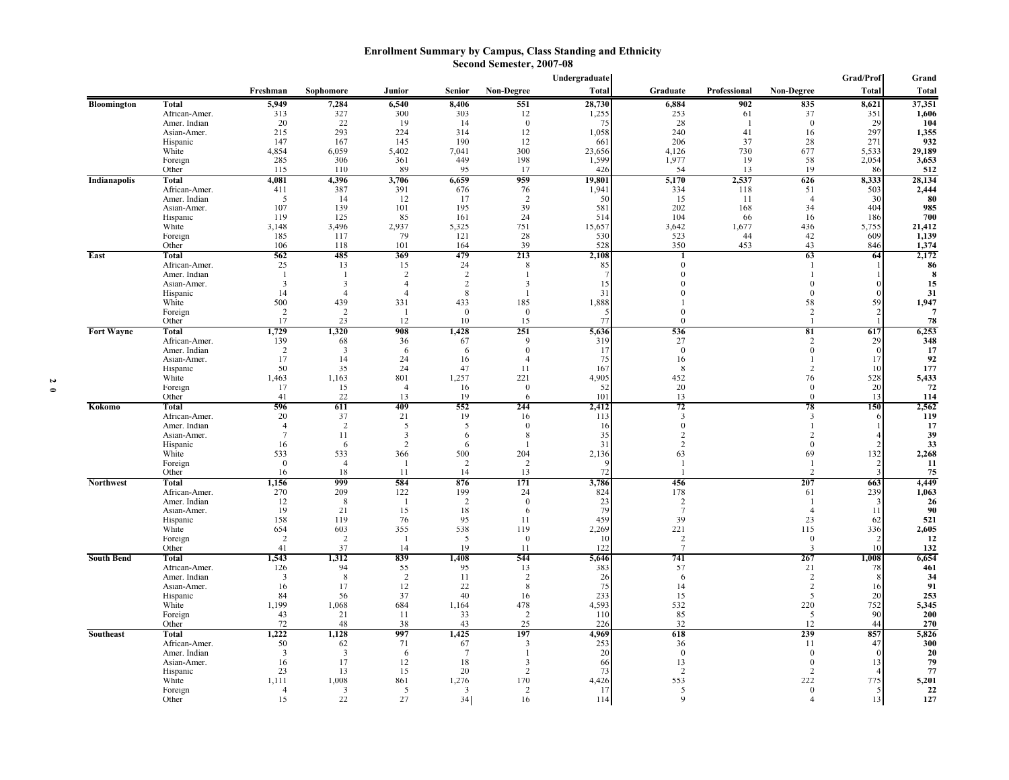#### **Enrollment Summary by Campus, Class Standing and Ethnicity Second Semester, 2007-08**

|                    |                               |                     |                      |                       |                |                         | Undergraduate |                                      |              |                                | Grad/Prof    | Grand        |
|--------------------|-------------------------------|---------------------|----------------------|-----------------------|----------------|-------------------------|---------------|--------------------------------------|--------------|--------------------------------|--------------|--------------|
|                    |                               | Freshman            | Sophomore            | Junior                | Senior         | Non-Degree              | <b>Total</b>  | Graduate                             | Professional | <b>Non-Degree</b>              | <b>Total</b> | Total        |
| <b>Bloomington</b> | <b>Total</b>                  | 5,949               | 7,284                | 6,540                 | 8,406          | 551                     | 28,730        | 6,884                                | 902          | 835                            | 8,621        | 37,351       |
|                    | African-Amer.                 | 313                 | 327                  | 300                   | 303            | 12                      | 1,255         | 253                                  | 61           | 37                             | 351          | 1,606        |
|                    | Amer. Indian                  | 20                  | 22                   | 19                    | 14             | $\theta$                | 75            | 28                                   | -1           | $\theta$                       | 29           | 104          |
|                    | Asian-Amer.<br>Hispanic       | 215<br>147          | 293<br>167           | 224<br>145            | 314<br>190     | 12<br>12                | 1,058<br>661  | 240<br>206                           | 41<br>37     | 16<br>28                       | 297<br>271   | 1,355<br>932 |
|                    | White                         | 4,854               | 6,059                | 5,402                 | 7,041          | 300                     | 23,656        | 4,126                                | 730          | 677                            | 5,533        | 29,189       |
|                    | Foreign                       | 285                 | 306                  | 361                   | 449            | 198                     | 1,599         | 1,977                                | 19           | 58                             | 2,054        | 3,653        |
|                    | Other                         | 115                 | 110                  | 89                    | 95             | 17                      | 426           | 54                                   | 13           | 19                             | 86           | 512          |
| Indianapolis       | Total                         | 4,081               | 4,396                | 3,706                 | 6,659          | 959                     | 19,801        | 5,170                                | 2,537        | 626                            | 8,333        | 28,134       |
|                    | African-Amer.                 | 411<br>5            | 387<br>14            | 391<br>12             | 676<br>17      | 76<br>$\overline{2}$    | 1,941<br>50   | 334<br>15                            | 118<br>11    | 51<br>$\overline{4}$           | 503<br>30    | 2,444<br>80  |
|                    | Amer. Indian<br>Asian-Amer.   | 107                 | 139                  | 101                   | 195            | 39                      | 581           | 202                                  | 168          | 34                             | 404          | 985          |
|                    | Hispanic                      | 119                 | 125                  | 85                    | 161            | 24                      | 514           | 104                                  | 66           | 16                             | 186          | 700          |
|                    | White                         | 3,148               | 3,496                | 2,937                 | 5,325          | 751                     | 15,657        | 3,642                                | 1,677        | 436                            | 5,755        | 21,412       |
|                    | Foreign                       | 185                 | 117                  | 79                    | 121            | 28                      | 530           | 523                                  | 44           | 42                             | 609          | 1,139        |
|                    | Other                         | 106                 | 118                  | 101                   | 164            | 39                      | 528           | 350                                  | 453          | 43                             | 846          | 1,374        |
| East               | Total                         | 562<br>25           | 485                  | 369                   | 479<br>24      | 213                     | 2,108         | $\Omega$                             |              | 63<br>-1                       | 64           | 2,172        |
|                    | African-Amer.<br>Amer. Indian | $\overline{1}$      | 13<br>$\mathbf{I}$   | 15<br>2               | $\overline{2}$ | 8<br>$\mathbf{1}$       | 85            | $\Omega$                             |              |                                |              | 86<br>8      |
|                    | Asian-Amer.                   | 3                   | 3                    | $\Delta$              | $\overline{2}$ | 3                       | 15            |                                      |              | $\Omega$                       |              | 15           |
|                    | Hispanic                      | 14                  | $\overline{4}$       |                       | 8              | $\mathbf{I}$            | 31            |                                      |              | $\Omega$                       |              | 31           |
|                    | White                         | 500                 | 439                  | 331                   | 433            | 185                     | 1,888         |                                      |              | 58                             | 59           | 1,947        |
|                    | Foreign                       | 2                   | 2                    |                       | $\theta$       | $\theta$                | -5<br>77      | $\Omega$<br>$\Omega$                 |              | $\overline{2}$<br>$\mathbf{1}$ |              | 7            |
| <b>Fort Wayne</b>  | Other<br>Total                | 17<br>1,729         | 23<br>1,320          | 12<br>908             | 10<br>1,428    | 15<br>251               | 5,636         | 536                                  |              | 81                             | 617          | 78<br>6,253  |
|                    | African-Amer.                 | 139                 | 68                   | 36                    | 67             | 9                       | 319           | 27                                   |              | 2                              | 29           | 348          |
|                    | Amer. Indian                  | 2                   | 3                    | 6                     | 6              | $\theta$                | 17            | $\theta$                             |              | $\theta$                       | $\Omega$     | 17           |
|                    | Asian-Amer.                   | 17                  | 14                   | 24                    | 16             | $\overline{4}$          | 75            | 16                                   |              | -1                             | 17           | 92           |
|                    | Hispanic                      | 50                  | 35                   | 24                    | 47             | 11                      | 167           | -8                                   |              | 2                              | 10           | 177          |
|                    | White<br>Foreign              | 1,463<br>17         | 1,163<br>15          | 801<br>$\overline{4}$ | 1,257<br>16    | 221<br>$\boldsymbol{0}$ | 4,905<br>52   | 452<br>20                            |              | 76<br>$\boldsymbol{0}$         | 528<br>20    | 5,433<br>72  |
|                    | Other                         | 41                  | 22                   | 13                    | 19             | 6                       | 101           | 13                                   |              | $\theta$                       | 13           | 114          |
| Kokomo             | Total                         | 596                 | 611                  | 409                   | 552            | 244                     | 2,412         | 72                                   |              | 78                             | 150          | 2,562        |
|                    | African-Amer.                 | 20                  | 37                   | 21                    | 19             | 16                      | 113           | 3                                    |              | 3                              |              | 119          |
|                    | Amer. Indian                  | $\overline{4}$<br>7 | $\overline{2}$<br>11 | -5<br>3               | 5              | $\mathbf{0}$<br>8       | 16            | $\Omega$<br>$\overline{\mathcal{L}}$ |              | $\overline{2}$                 |              | 17           |
|                    | Asian-Amer.<br>Hispanic       | 16                  | 6                    | $\overline{2}$        | 6<br>6         | $\mathbf{1}$            | 35<br>31      | $\overline{2}$                       |              | $\boldsymbol{0}$               |              | 39<br>33     |
|                    | White                         | 533                 | 533                  | 366                   | 500            | 204                     | 2,136         | 63                                   |              | 69                             | 132          | 2,268        |
|                    | Foreign                       | $\theta$            | $\overline{4}$       |                       | 2              | 2                       |               | -1                                   |              | $\mathbf{1}$                   |              | 11           |
|                    | Other                         | 16                  | 18                   | 11                    | 14             | 13                      | 72            |                                      |              | $\mathcal{D}$                  |              | 75           |
| <b>Northwest</b>   | Total                         | 1,156               | 999                  | 584                   | 876<br>199     | 171                     | 3,786         | 456                                  |              | 207                            | 663          | 4,449        |
|                    | African-Amer.<br>Amer. Indian | 270<br>12           | 209<br>8             | 122<br>- 1            | $\overline{2}$ | 24<br>$\theta$          | 824<br>23     | 178<br>$\overline{\mathcal{L}}$      |              | 61<br>-1                       | 239<br>-3    | 1,063<br>26  |
|                    | Asian-Amer.                   | 19                  | 21                   | 15                    | 18             | 6                       | 79            | -7                                   |              | $\overline{4}$                 | 11           | 90           |
|                    | Hispanic                      | 158                 | 119                  | 76                    | 95             | 11                      | 459           | 39                                   |              | 23                             | 62           | 521          |
|                    | White                         | 654                 | 603                  | 355                   | 538            | 119                     | 2,269         | 221                                  |              | 115                            | 336          | 2,605        |
|                    | Foreign                       | 2<br>41             | $\overline{2}$       |                       | 5<br>19        | $\boldsymbol{0}$        | 10            | 2<br>$\overline{7}$                  |              | $\boldsymbol{0}$               | 10           | 12           |
| <b>South Bend</b>  | Other<br>Total                | 1,543               | 37<br>1,312          | 14<br>839             | 1,408          | 11<br>544               | 122<br>5,646  | 741                                  |              | 3<br>267                       | 1,008        | 132<br>6,654 |
|                    | African-Amer.                 | 126                 | 94                   | 55                    | 95             | 13                      | 383           | 57                                   |              | 21                             | 78           | 461          |
|                    | Amer. Indian                  | 3                   | 8                    | $\overline{2}$        | 11             | $\overline{2}$          | 26            | 6                                    |              | $\overline{c}$                 |              | 34           |
|                    | Asian-Amer.                   | 16                  | 17                   | 12                    | 22             | 8                       | 75            | 14                                   |              | $\overline{2}$                 | 16           | 91           |
|                    | Hispanic                      | 84                  | 56                   | 37                    | 40             | 16                      | 233           | 15                                   |              | 5                              | 20           | 253          |
|                    | White<br>Foreign              | 1,199<br>43         | 1,068<br>21          | 684<br>11             | 1,164<br>33    | 478<br>$\overline{2}$   | 4,593<br>110  | 532<br>85                            |              | 220<br>$\sqrt{5}$              | 752<br>90    | 5,345<br>200 |
|                    | Other                         | 72                  | 48                   | 38                    | 43             | 25                      | 226           | 32                                   |              | 12                             | 44           | 270          |
| Southeast          | Total                         | 1,222               | 1,128                | 997                   | 1,425          | 197                     | 4,969         | 618                                  |              | 239                            | 857          | 5,826        |
|                    | African-Amer.                 | 50                  | 62                   | 71                    | 67             | 3                       | 253           | 36                                   |              | 11                             | 47           | 300          |
|                    | Amer. Indian                  | 3                   | 3                    | 6                     | $\overline{7}$ | $\mathbf{I}$            | 20            | $\boldsymbol{0}$                     |              | $\boldsymbol{0}$               |              | 20           |
|                    | Asian-Amer.<br>Hispanic       | 16<br>23            | 17<br>13             | 12<br>15              | 18<br>20       | $\mathcal{R}$<br>2      | 66<br>73      | 13<br>$\mathcal{D}$                  |              | $\Omega$<br>2                  | 13           | 79<br>77     |
|                    | White                         | 1,111               | 1,008                | 861                   | 1,276          | 170                     | 4,426         | 553                                  |              | 222                            | 775          | 5,201        |
|                    | Foreign                       | $\overline{4}$      | 3                    | -5                    | 3              | 2                       | 17            | 5                                    |              | $\boldsymbol{0}$               |              | 22           |
|                    | Other                         | 15                  | 22                   | 27                    | 34             | 16                      | 114           | 9                                    |              | $\overline{4}$                 | 13           | 127          |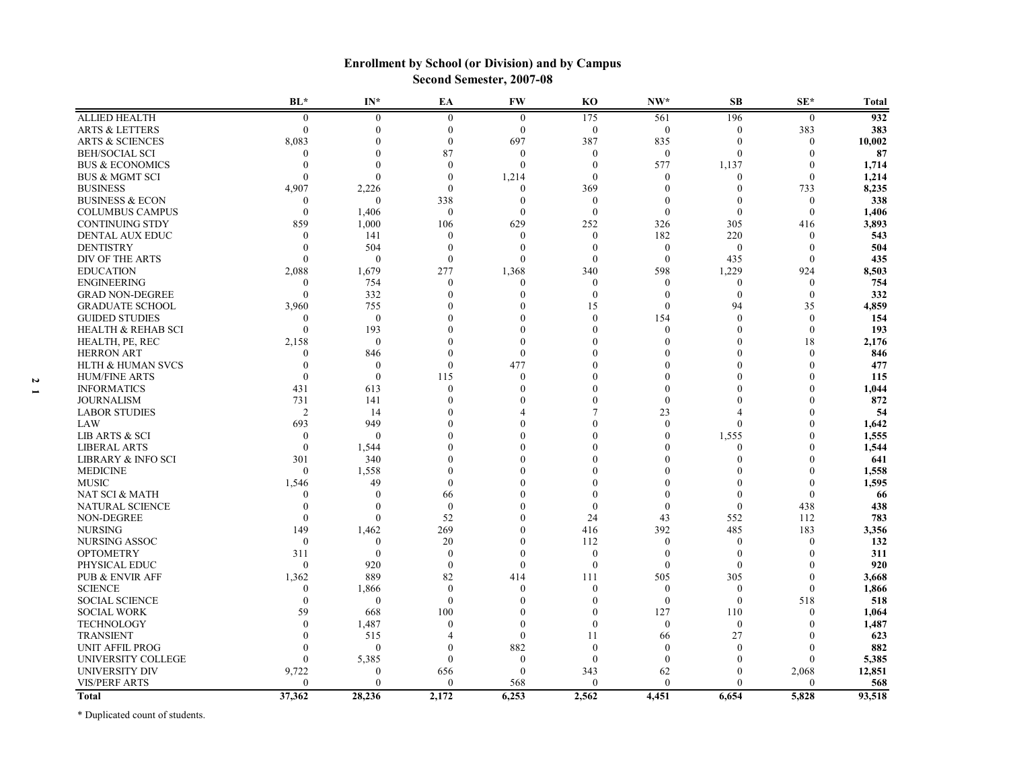|                               | $BL*$          | $IN^*$           | EA             | <b>FW</b>        | K <sub>O</sub>   | $NW*$        | SB               | $SE^*$           | <b>Total</b> |
|-------------------------------|----------------|------------------|----------------|------------------|------------------|--------------|------------------|------------------|--------------|
| <b>ALLIED HEALTH</b>          | $\mathbf{0}$   | $\mathbf{0}$     | $\mathbf{0}$   | $\theta$         | 175              | 561          | 196              | $\boldsymbol{0}$ | 932          |
| <b>ARTS &amp; LETTERS</b>     | $\Omega$       | $\boldsymbol{0}$ | $\theta$       | $\overline{0}$   | $\boldsymbol{0}$ | $\mathbf{0}$ | $\mathbf{0}$     | 383              | 383          |
| <b>ARTS &amp; SCIENCES</b>    | 8,083          | 0                | $\Omega$       | 697              | 387              | 835          | $\mathbf{0}$     | $\theta$         | 10,002       |
| <b>BEH/SOCIAL SCI</b>         | 0              | 0                | 87             | $\mathbf{0}$     | $\theta$         | $\theta$     | $\theta$         | $\Omega$         | 87           |
| <b>BUS &amp; ECONOMICS</b>    | $\theta$       | $\boldsymbol{0}$ | $\Omega$       | $\theta$         | $\Omega$         | 577          | 1,137            | $\theta$         | 1,714        |
| <b>BUS &amp; MGMT SCI</b>     | $\Omega$       | $\theta$         | $\theta$       | 1,214            | $\Omega$         | 0            | $\theta$         | $\theta$         | 1,214        |
| <b>BUSINESS</b>               | 4,907          | 2,226            | $\Omega$       | $\theta$         | 369              | $\theta$     | $\mathbf{0}$     | 733              | 8,235        |
| <b>BUSINESS &amp; ECON</b>    | 0              | $\mathbf{0}$     | 338            | $\Omega$         | $\theta$         | $\mathbf{0}$ | $\theta$         | $\mathbf{0}$     | 338          |
| <b>COLUMBUS CAMPUS</b>        | $\Omega$       | 1,406            | $\mathbf{0}$   | $\theta$         | $\theta$         | $\mathbf{0}$ | $\mathbf{0}$     | $\theta$         | 1,406        |
| <b>CONTINUING STDY</b>        | 859            | 1,000            | 106            | 629              | 252              | 326          | 305              | 416              | 3,893        |
| DENTAL AUX EDUC               | $\Omega$       | 141              | $\theta$       | $\theta$         | $\theta$         | 182          | 220              | $\theta$         | 543          |
| <b>DENTISTRY</b>              | 0              | 504              | $\theta$       | $\boldsymbol{0}$ | $\theta$         | $\mathbf{0}$ | $\mathbf{0}$     | $\mathbf{0}$     | 504          |
| DIV OF THE ARTS               |                | $\mathbf{0}$     | $\Omega$       | $\theta$         | $\Omega$         | $\theta$     | 435              | $\Omega$         | 435          |
| <b>EDUCATION</b>              | 2,088          | 1,679            | 277            | 1,368            | 340              | 598          | 1,229            | 924              | 8,503        |
| <b>ENGINEERING</b>            | 0              | 754              | $\Omega$       | $\Omega$         | $\theta$         | $\Omega$     | $\mathbf{0}$     | $\theta$         | 754          |
| <b>GRAD NON-DEGREE</b>        | $\mathbf{0}$   | 332              | $\Omega$       | 0                | $\Omega$         | $\mathbf{0}$ | $\mathbf{0}$     | $\mathbf{0}$     | 332          |
| <b>GRADUATE SCHOOL</b>        | 3,960          | 755              | $\Omega$       |                  | 15               | $\theta$     | 94               | 35               | 4,859        |
| <b>GUIDED STUDIES</b>         | $\Omega$       | $\mathbf{0}$     | 0              |                  | $\Omega$         | 154          | $\theta$         | $\boldsymbol{0}$ | 154          |
| <b>HEALTH &amp; REHAB SCI</b> | $\Omega$       | 193              | $\Omega$       |                  |                  | $\theta$     | $\theta$         | $\mathbf{0}$     | 193          |
| HEALTH, PE, REC               | 2,158          | $\mathbf{0}$     |                |                  |                  | $\Omega$     | $\Omega$         | 18               | 2,176        |
| <b>HERRON ART</b>             | $\theta$       | 846              | $\Omega$       | $\Omega$         |                  | $\Omega$     | $\Omega$         | $\theta$         | 846          |
| <b>HLTH &amp; HUMAN SVCS</b>  | $\Omega$       | $\boldsymbol{0}$ | $\Omega$       | 477              |                  | $\Omega$     | 0                | $\Omega$         | 477          |
| <b>HUM/FINE ARTS</b>          | $\Omega$       | $\mathbf{0}$     | 115            | $\theta$         |                  | $\Omega$     | $\Omega$         | $\Omega$         | 115          |
| <b>INFORMATICS</b>            | 431            | 613              | $\Omega$       | $\Omega$         |                  | $\Omega$     |                  | $\Omega$         | 1,044        |
| <b>JOURNALISM</b>             | 731            | 141              | $\Omega$       |                  |                  | $\Omega$     | $\Omega$         | $\sqrt{ }$       | 872          |
| <b>LABOR STUDIES</b>          | $\overline{2}$ | 14               |                |                  |                  | 23           |                  |                  | 54           |
| LAW                           | 693            | 949              | $\Omega$       |                  |                  | $\theta$     | $\mathbf{0}$     | $\Omega$         | 1,642        |
| <b>LIB ARTS &amp; SCI</b>     | $\Omega$       | $\mathbf{0}$     | $\Omega$       |                  |                  | $\mathbf{0}$ | 1,555            | $\Omega$         | 1,555        |
| <b>LIBERAL ARTS</b>           | $\Omega$       | 1,544            |                |                  |                  | $\theta$     | $\theta$         | $\Omega$         | 1,544        |
| <b>LIBRARY &amp; INFO SCI</b> | 301            | 340              | $\Omega$       |                  |                  | $\Omega$     | $\Omega$         | $\Omega$         | 641          |
| <b>MEDICINE</b>               | $\theta$       | 1,558            | $\Omega$       |                  |                  | 0            |                  | $\sqrt{ }$       | 1,558        |
| <b>MUSIC</b>                  | 1,546          | 49               | $\Omega$       |                  |                  | $\Omega$     | $\Omega$         | $\theta$         | 1,595        |
| NAT SCI & MATH                | $\theta$       | $\mathbf{0}$     | 66             |                  |                  | $\Omega$     | $\theta$         | $\theta$         | 66           |
| NATURAL SCIENCE               | $\Omega$       | $\boldsymbol{0}$ | $\theta$       |                  | $\Omega$         | $\Omega$     | $\theta$         | 438              | 438          |
| NON-DEGREE                    | $\theta$       | $\boldsymbol{0}$ | 52             |                  | 24               | 43           | 552              | 112              | 783          |
| <b>NURSING</b>                | 149            | 1,462            | 269            |                  | 416              | 392          | 485              | 183              | 3,356        |
| <b>NURSING ASSOC</b>          | $\mathbf{0}$   | $\mathbf{0}$     | 20             | 0                | 112              | $\theta$     | $\theta$         | $\theta$         | 132          |
| <b>OPTOMETRY</b>              | 311            | $\mathbf{0}$     | $\theta$       | $\Omega$         | $\mathbf{0}$     | $\mathbf{0}$ | $\mathbf{0}$     | $\Omega$         | 311          |
| PHYSICAL EDUC                 | $\theta$       | 920              | $\theta$       | $\theta$         | $\theta$         | $\mathbf{0}$ | $\mathbf{0}$     | $\Omega$         | 920          |
| <b>PUB &amp; ENVIR AFF</b>    | 1,362          | 889              | 82             | 414              | 111              | 505          | 305              | $\theta$         | 3,668        |
| <b>SCIENCE</b>                | $\mathbf{0}$   | 1,866            | $\theta$       | $\theta$         | $\theta$         | $\mathbf{0}$ | $\boldsymbol{0}$ | $\mathbf{0}$     | 1,866        |
| <b>SOCIAL SCIENCE</b>         | $\Omega$       | $\mathbf{0}$     | $\Omega$       | $\Omega$         | $\Omega$         | $\theta$     | $\overline{0}$   | 518              | 518          |
| <b>SOCIAL WORK</b>            | 59             | 668              | 100            | $\Omega$         | $\Omega$         | 127          | 110              | $\theta$         | 1,064        |
| <b>TECHNOLOGY</b>             | $\Omega$       | 1,487            | $\Omega$       | $\Omega$         | $\Omega$         | $\Omega$     | $\mathbf{0}$     | $\Omega$         | 1,487        |
| <b>TRANSIENT</b>              |                | 515              | $\overline{4}$ | $\theta$         | 11               | 66           | 27               | $\Omega$         | 623          |
| <b>UNIT AFFIL PROG</b>        |                | $\mathbf{0}$     | $\Omega$       | 882              | $\theta$         | $\Omega$     | $\theta$         | $\Omega$         | 882          |
| UNIVERSITY COLLEGE            |                | 5,385            | $\theta$       | $\theta$         | $\theta$         | $\theta$     | $\theta$         | $\mathbf{0}$     | 5,385        |
| UNIVERSITY DIV                | 9,722          | $\mathbf{0}$     | 656            | $\theta$         | 343              | 62           | $\theta$         | 2,068            | 12,851       |
| <b>VIS/PERF ARTS</b>          | ∩              | $\Omega$         | $\Omega$       | 568              | $\mathbf{0}$     | $\Omega$     | $\Omega$         | $\theta$         | 568          |
| <b>Total</b>                  | 37,362         | 28,236           | 2,172          | 6,253            | 2,562            | 4,451        | 6,654            | 5,828            | 93,518       |

### **Enrollment by School (or Division) and by Campus Second Semester, 2007-08**

\* Duplicated count of students.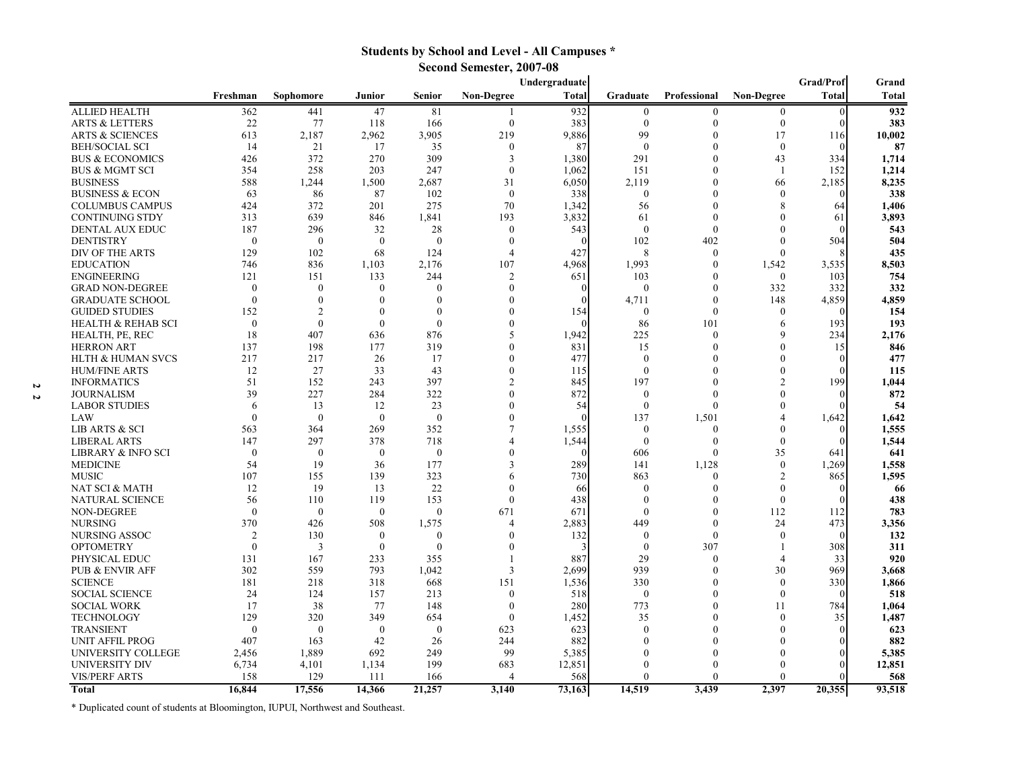### **Students by School and Level - All Campuses \***

**Second Semester, 2007-08**

|                               | Grad/Prof<br>Undergraduate |                |              |              |                   |            |                  | Grand            |                             |              |              |
|-------------------------------|----------------------------|----------------|--------------|--------------|-------------------|------------|------------------|------------------|-----------------------------|--------------|--------------|
|                               | Freshman                   | Sophomore      | Junior       | Senior       | <b>Non-Degree</b> | Total      | Graduate         | Professional     | <b>Non-Degree</b>           | Total        | <b>Total</b> |
| <b>ALLIED HEALTH</b>          | 362                        | 441            | 47           | 81           |                   | 932        | $\boldsymbol{0}$ | $\boldsymbol{0}$ | $\mathbf{0}$                | $\mathbf{0}$ | 932          |
| <b>ARTS &amp; LETTERS</b>     | 22                         | 77             | 118          | 166          | $\boldsymbol{0}$  | 383        | $\mathbf{0}$     | $\theta$         | $\boldsymbol{0}$            | $\Omega$     | 383          |
| <b>ARTS &amp; SCIENCES</b>    | 613                        | 2,187          | 2,962        | 3,905        | 219               | 9,886      | 99               | $\Omega$         | 17                          | 116          | 10,002       |
| <b>BEH/SOCIAL SCI</b>         | 14                         | 21             | 17           | 35           | $\mathbf{0}$      | 87         | $\mathbf{0}$     | $\Omega$         | $\boldsymbol{0}$            | $\Omega$     | 87           |
| <b>BUS &amp; ECONOMICS</b>    | 426                        | 372            | 270          | 309          | 3                 | 1,380      | 291              | 0                | 43                          | 334          | 1,714        |
| <b>BUS &amp; MGMT SCI</b>     | 354                        | 258            | 203          | 247          | $\theta$          | 1,062      | 151              | $\Omega$         | -1                          | 152          | 1,214        |
| <b>BUSINESS</b>               | 588                        | 1,244          | 1,500        | 2,687        | 31                | 6,050      | 2,119            | $\Omega$         | 66                          | 2,185        | 8,235        |
| <b>BUSINESS &amp; ECON</b>    | 63                         | 86             | 87           | 102          | $\theta$          | 338        | $\boldsymbol{0}$ | $\Omega$         | $\Omega$                    |              | 338          |
| <b>COLUMBUS CAMPUS</b>        | 424                        | 372            | 201          | 275          | 70                | 1,342      | 56               | $\Omega$         | 8                           | 64           | 1,406        |
| <b>CONTINUING STDY</b>        | 313                        | 639            | 846          | 1,841        | 193               | 3,832      | 61               | $\overline{0}$   | $\Omega$                    | 61           | 3,893        |
| DENTAL AUX EDUC               | 187                        | 296            | 32           | 28           | $\mathbf{0}$      | 543        | $\theta$         | $\Omega$         | $\Omega$                    | ſ            | 543          |
| <b>DENTISTRY</b>              | $\theta$                   | $\theta$       | $\theta$     | $\Omega$     | $\theta$          | $\sqrt{ }$ | 102              | 402              | $\theta$                    | 504          | 504          |
| DIV OF THE ARTS               | 129                        | 102            | 68           | 124          | 4                 | 427        | 8                | $\theta$         | $\Omega$                    |              | 435          |
| <b>EDUCATION</b>              | 746                        | 836            | 1,103        | 2,176        | 107               | 4,968      | 1,993            | $\theta$         | 1,542                       | 3,535        | 8,503        |
| <b>ENGINEERING</b>            | 121                        | 151            | 133          | 244          | $\overline{2}$    | 651        | 103              | $\overline{0}$   | $\theta$                    | 103          | 754          |
| <b>GRAD NON-DEGREE</b>        | $\theta$                   | $\theta$       | $\theta$     | $\Omega$     | $\theta$          | $\sqrt{ }$ | $\theta$         | 0                | 332                         | 332          | 332          |
| <b>GRADUATE SCHOOL</b>        | $\theta$                   | $\Omega$       | $\theta$     |              |                   |            | 4,711            | $\theta$         | 148                         | 4,859        | 4,859        |
| <b>GUIDED STUDIES</b>         | 152                        | $\mathfrak{D}$ | $\theta$     |              |                   | 154        | $\mathbf{0}$     | $\Omega$         | $\mathbf{0}$                | $\Omega$     | 154          |
| <b>HEALTH &amp; REHAB SCI</b> | $\theta$                   | $\theta$       | $\theta$     | $\Omega$     |                   |            | 86               | 101              | 6                           | 193          | 193          |
| HEALTH, PE, REC               | 18                         | 407            | 636          | 876          | 5                 | 1,942      | 225              | $\theta$         | $\mathbf Q$                 | 234          | 2,176        |
| <b>HERRON ART</b>             | 137                        | 198            | 177          | 319          | $\Omega$          | 831        | 15               | $\Omega$         | $\theta$                    | 15           | 846          |
| <b>HLTH &amp; HUMAN SVCS</b>  | 217                        | 217            | 26           | 17           | $\theta$          | 477        | $\theta$         | $\Omega$         | $\Omega$                    | $\Omega$     | 477          |
| <b>HUM/FINE ARTS</b>          | 12                         | 27             | 33           | 43           | $\Omega$          | 115        | $\theta$         |                  | $\Omega$                    |              | 115          |
| <b>INFORMATICS</b>            | 51                         | 152            | 243          | 397          | $\mathfrak{D}$    | 845        | 197              | $\Omega$         | $\overline{2}$              | 199          | 1,044        |
| <b>JOURNALISM</b>             | 39                         | 227            | 284          | 322          | $\Omega$          | 872        | $\mathbf{0}$     | $\Omega$         | 0                           |              | 872          |
| <b>LABOR STUDIES</b>          | 6                          | 13             | 12           | 23           | $\Omega$          | 54         | $\theta$         | $\Omega$         | $\Omega$                    |              | 54           |
| LAW                           | $\theta$                   | $\theta$       | $\theta$     | $\theta$     | $\Omega$          |            | 137              | 1,501            | 4                           | 1,642        | 1,642        |
| <b>LIB ARTS &amp; SCI</b>     | 563                        | 364            | 269          | 352          |                   | 1,555      | $\mathbf{0}$     | $\theta$         | 0                           | $\Omega$     | 1,555        |
| <b>LIBERAL ARTS</b>           | 147                        | 297            | 378          | 718          |                   | 1,544      | $\mathbf{0}$     | $\theta$         | $\Omega$                    |              | 1,544        |
| LIBRARY & INFO SCI            | $\theta$                   | $\theta$       | $\theta$     | $\Omega$     |                   | $\sqrt{ }$ | 606              | $\Omega$         | 35                          | 641          | 641          |
| <b>MEDICINE</b>               | 54                         | 19             | 36           | 177          | 3                 | 289        | 141              | 1,128            | $\mathbf{0}$                | 1,269        | 1,558        |
| <b>MUSIC</b>                  | 107                        | 155            | 139          | 323          | 6                 | 730        | 863              | $\Omega$         | $\overline{2}$              | 865          | 1,595        |
| NAT SCI & MATH                | 12                         | 19             | 13           | 22           | $\Omega$          | 66         | $\theta$         | $\Omega$         | $\Omega$                    | $\Omega$     | 66           |
| NATURAL SCIENCE               | 56                         | 110            | 119          | 153          | $\mathbf{0}$      | 438        | $\theta$         | 0                | $\mathbf{0}$                |              | 438          |
| NON-DEGREE                    | $\mathbf{0}$               | $\mathbf{0}$   | $\mathbf{0}$ | $\Omega$     | 671               | 671        | $\theta$         | 0                | 112                         | 112          | 783          |
| <b>NURSING</b>                | 370                        | 426            | 508          | 1,575        | 4                 | 2,883      | 449              | $\Omega$         | 24                          | 473          | 3,356        |
| NURSING ASSOC                 | 2                          | 130            | $\mathbf{0}$ | $\Omega$     | $\Omega$          | 132        | $\mathbf{0}$     | $\Omega$         | $\theta$                    | $\Omega$     | 132          |
| <b>OPTOMETRY</b>              | $\theta$                   | 3              | $\mathbf{0}$ | $\Omega$     | 0                 |            | $\mathbf{0}$     | 307              |                             | 308          | 311          |
| PHYSICAL EDUC                 | 131                        | 167            | 233          | 355          |                   | 887        | 29               | $\Omega$         | $\boldsymbol{\vartriangle}$ | 33           | 920          |
| <b>PUB &amp; ENVIR AFF</b>    | 302                        | 559            | 793          | 1,042        | 3                 | 2,699      | 939              | 0                | 30                          | 969          | 3,668        |
| <b>SCIENCE</b>                | 181                        | 218            | 318          | 668          | 151               | 1,536      | 330              | 0                | $\mathbf{0}$                | 330          | 1,866        |
| <b>SOCIAL SCIENCE</b>         | 24                         | 124            | 157          | 213          | $\mathbf{0}$      | 518        | $\mathbf{0}$     | $\Omega$         | $\theta$                    | $\theta$     | 518          |
| <b>SOCIAL WORK</b>            | 17                         | 38             | 77           | 148          | $\mathbf{0}$      | 280        | 773              | $\Omega$         | 11                          | 784          | 1,064        |
| <b>TECHNOLOGY</b>             | 129                        | 320            | 349          | 654          | $\Omega$          | 1,452      | 35               | $\Omega$         | $\theta$                    | 35           | 1,487        |
| <b>TRANSIENT</b>              | $\mathbf{0}$               | $\mathbf{0}$   | $\mathbf{0}$ | $\mathbf{0}$ | 623               | 623        | $\theta$         | $\Omega$         | $\Omega$                    |              | 623          |
| UNIT AFFIL PROG               | 407                        | 163            | 42           | 26           | 244               | 882        | $\Omega$         | 0                |                             |              | 882          |
| UNIVERSITY COLLEGE            | 2,456                      | 1,889          | 692          | 249          | 99                | 5,385      |                  |                  |                             | ſ            | 5,385        |
| UNIVERSITY DIV                | 6,734                      | 4,101          | 1,134        | 199          | 683               | 12,851     | 0                |                  |                             |              | 12,851       |
| <b>VIS/PERF ARTS</b>          | 158                        | 129            | 111          | 166          | 4                 | 568        | $\Omega$         | 0                | 0                           |              | 568          |
| Total                         | 16.844                     | 17.556         | 14,366       | 21,257       | 3.140             | 73.163     | 14.519           | 3.439            | 2.397                       | 20.355       | 93,518       |

\* Duplicated count of students at Bloomington, IUPUI, Northwest and Southeast.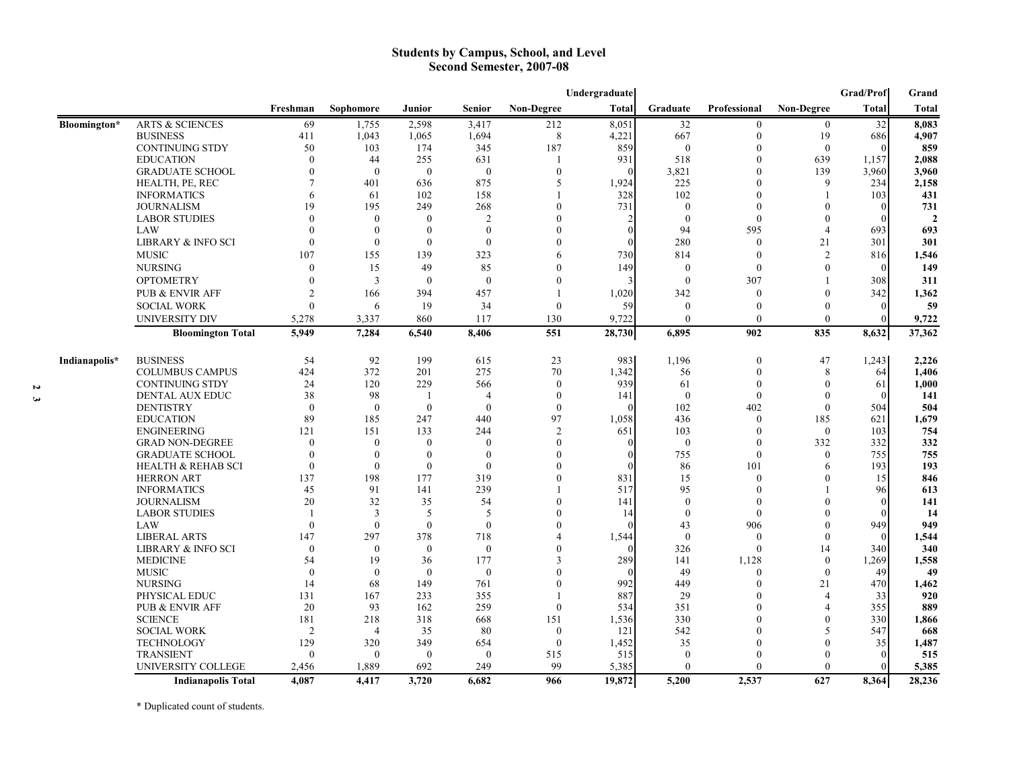#### **Students by Campus, School, and Level Second Semester, 2007-08**

|               |                               | Undergraduate  |                |              |                  |                  |              |              |                     |                  | Grad/Prof    | Grand          |
|---------------|-------------------------------|----------------|----------------|--------------|------------------|------------------|--------------|--------------|---------------------|------------------|--------------|----------------|
|               |                               | Freshman       | Sophomore      | Junior       | Senior           | Non-Degree       | <b>Total</b> | Graduate     | <b>Professional</b> | Non-Degree       | <b>Total</b> | <b>Total</b>   |
| Bloomington*  | <b>ARTS &amp; SCIENCES</b>    | 69             | 1,755          | 2,598        | 3,417            | 212              | 8,051        | 32           | $\boldsymbol{0}$    | $\boldsymbol{0}$ | 32           | 8,083          |
|               | <b>BUSINESS</b>               | 411            | 1,043          | 1,065        | 1,694            | 8                | 4,221        | 667          | $\mathbf{0}$        | 19               | 686          | 4,907          |
|               | <b>CONTINUING STDY</b>        | 50             | 103            | 174          | 345              | 187              | 859          | $\mathbf{0}$ | 0                   | $\mathbf{0}$     |              | 859            |
|               | <b>EDUCATION</b>              | $\Omega$       | 44             | 255          | 631              |                  | 931          | 518          | $\Omega$            | 639              | 1,157        | 2,088          |
|               | <b>GRADUATE SCHOOL</b>        | $\theta$       | $\theta$       | $\mathbf{0}$ | $\boldsymbol{0}$ | $\boldsymbol{0}$ | $\Omega$     | 3,821        | $\overline{0}$      | 139              | 3,960        | 3,960          |
|               | HEALTH, PE, REC               | $\overline{7}$ | 401            | 636          | 875              | 5                | 1,924        | 225          | $\theta$            | 9                | 234          | 2,158          |
|               | <b>INFORMATICS</b>            | 6              | 61             | 102          | 158              |                  | 328          | 102          | $\theta$            |                  | 103          | 431            |
|               | <b>JOURNALISM</b>             | 19             | 195            | 249          | 268              |                  | 731          | $\mathbf{0}$ | $\Omega$            | $\Omega$         |              | 731            |
|               | <b>LABOR STUDIES</b>          | $\Omega$       | $\theta$       | $\Omega$     | $\overline{2}$   |                  |              | $\Omega$     | $\Omega$            | $\Omega$         |              | $\overline{2}$ |
|               | LAW                           | $\Omega$       | $\theta$       | $\mathbf{0}$ | $\boldsymbol{0}$ |                  | $\theta$     | 94           | 595                 | $\overline{4}$   | 693          | 693            |
|               | <b>LIBRARY &amp; INFO SCI</b> | $\theta$       | $\theta$       | $\mathbf{0}$ | $\mathbf{0}$     |                  | $\theta$     | 280          | $\mathbf{0}$        | 21               | 301          | 301            |
|               | <b>MUSIC</b>                  | 107            | 155            | 139          | 323              | 6                | 730          | 814          | $\theta$            | 2                | 816          | 1,546          |
|               | <b>NURSING</b>                | $\theta$       | 15             | 49           | 85               | 0                | 149          | $\mathbf{0}$ | $\theta$            | $\Omega$         | $\Omega$     | 149            |
|               | <b>OPTOMETRY</b>              | $\theta$       | 3              | $\mathbf{0}$ | $\mathbf{0}$     | 0                | 3            | $\mathbf{0}$ | 307                 |                  | 308          | 311            |
|               | PUB & ENVIR AFF               | $\overline{2}$ | 166            | 394          | 457              |                  | 1,020        | 342          | $\theta$            | $\Omega$         | 342          | 1,362          |
|               | <b>SOCIAL WORK</b>            | $\theta$       | 6              | 19           | 34               | $\mathbf{0}$     | 59           | $\mathbf{0}$ | $\theta$            | $\theta$         | $\mathbf{0}$ | 59             |
|               | UNIVERSITY DIV                | 5,278          | 3,337          | 860          | 117              | 130              | 9,722        | $\mathbf{0}$ | $\theta$            | $\mathbf{0}$     |              | 9,722          |
|               | <b>Bloomington Total</b>      | 5,949          | 7,284          | 6,540        | 8,406            | 551              | 28,730       | 6,895        | 902                 | 835              | 8,632        | 37,362         |
|               |                               |                |                |              |                  |                  |              |              |                     |                  |              |                |
| Indianapolis* | <b>BUSINESS</b>               | 54             | 92             | 199          | 615              | 23               | 983          | 1,196        | $\boldsymbol{0}$    | 47               | 1,243        | 2,226          |
|               | <b>COLUMBUS CAMPUS</b>        | 424            | 372            | 201          | 275              | 70               | 1,342        | 56           | $\theta$            | 8                | 64           | 1,406          |
|               | <b>CONTINUING STDY</b>        | 24             | 120            | 229          | 566              | $\mathbf{0}$     | 939          | 61           | $\theta$            | $\theta$         | 61           | 1,000          |
|               | <b>DENTAL AUX EDUC</b>        | 38             | 98             | -1           | 4                | $\mathbf{0}$     | 141          | $\theta$     | $\Omega$            | $\Omega$         |              | 141            |
|               | <b>DENTISTRY</b>              | $\theta$       | $\theta$       | $\mathbf{0}$ | $\mathbf{0}$     | $\mathbf{0}$     | $\Omega$     | 102          | 402                 | $\mathbf{0}$     | 504          | 504            |
|               | <b>EDUCATION</b>              | 89             | 185            | 247          | 440              | 97               | 1,058        | 436          | $\mathbf{0}$        | 185              | 621          | 1,679          |
|               | <b>ENGINEERING</b>            | 121            | 151            | 133          | 244              | 2                | 651          | 103          | $\theta$            | $\mathbf{0}$     | 103          | 754            |
|               | <b>GRAD NON-DEGREE</b>        | $\theta$       | $\theta$       | $\Omega$     | $\theta$         | 0                | $\Omega$     | $\mathbf{0}$ | $\theta$            | 332              | 332          | 332            |
|               | <b>GRADUATE SCHOOL</b>        | $\theta$       | $\Omega$       | $\mathbf{0}$ | $\mathbf{0}$     |                  | $\Omega$     | 755          | $\theta$            | $\mathbf{0}$     | 755          | 755            |
|               | <b>HEALTH &amp; REHAB SCI</b> | $\mathbf{0}$   | $\Omega$       | $\mathbf{0}$ | $\mathbf{0}$     |                  | $\Omega$     | 86           | 101                 | 6                | 193          | 193            |
|               | <b>HERRON ART</b>             | 137            | 198            | 177          | 319              | 0                | 831          | 15           | $\theta$            | $\Omega$         | 15           | 846            |
|               | <b>INFORMATICS</b>            | 45             | 91             | 141          | 239              |                  | 517          | 95           | $\Omega$            |                  | 96           | 613            |
|               | <b>JOURNALISM</b>             | 20             | 32             | 35           | 54               | $\Omega$         | 141          | $\theta$     | $\Omega$            | $\Omega$         |              | 141            |
|               | <b>LABOR STUDIES</b>          | $\mathbf{1}$   | 3              | 5            | 5                |                  | 14           | $\mathbf{0}$ | $\theta$            | ∩                |              | 14             |
|               | LAW                           | $\Omega$       | $\Omega$       | $\theta$     | $\boldsymbol{0}$ | 0                | $\Omega$     | 43           | 906                 | 0                | 949          | 949            |
|               | <b>LIBERAL ARTS</b>           | 147            | 297            | 378          | 718              | 4                | 1,544        | $\mathbf{0}$ | $\theta$            | $\Omega$         |              | 1,544          |
|               | <b>LIBRARY &amp; INFO SCI</b> | $\mathbf{0}$   | $\theta$       | $\mathbf{0}$ | $\boldsymbol{0}$ | 0                | $\Omega$     | 326          | $\mathbf{0}$        | 14               | 340          | 340            |
|               | <b>MEDICINE</b>               | 54             | 19             | 36           | 177              | 3                | 289          | 141          | 1,128               | $\mathbf{0}$     | 1,269        | 1,558          |
|               | <b>MUSIC</b>                  | $\Omega$       | $\Omega$       | $\theta$     | $\mathbf{0}$     | 0                | $\Omega$     | 49           | $\mathbf{0}$        | $\theta$         | 49           | 49             |
|               | <b>NURSING</b>                | 14             | 68             | 149          | 761              | 0                | 992          | 449          | $\theta$            | 21               | 470          | 1,462          |
|               | PHYSICAL EDUC                 | 131            | 167            | 233          | 355              |                  | 887          | 29           | $\Omega$            | $\overline{4}$   | 33           | 920            |
|               | <b>PUB &amp; ENVIR AFF</b>    | 20             | 93             | 162          | 259              | $\mathbf{0}$     | 534          | 351          | 0                   | $\Delta$         | 355          | 889            |
|               | <b>SCIENCE</b>                | 181            | 218            | 318          | 668              | 151              | 1,536        | 330          |                     | $\Omega$         | 330          | 1,866          |
|               | <b>SOCIAL WORK</b>            | $\overline{2}$ | $\overline{4}$ | 35           | 80               | $\mathbf{0}$     | 121          | 542          |                     | 5                | 547          | 668            |
|               | <b>TECHNOLOGY</b>             | 129            | 320            | 349          | 654              | $\mathbf{0}$     | 1,452        | 35           |                     | ∩                | 35           | 1,487          |
|               | <b>TRANSIENT</b>              | $\theta$       | $\theta$       | $\mathbf{0}$ | $\mathbf{0}$     | 515              | 515          | $\theta$     |                     | $\Omega$         |              | 515            |
|               | UNIVERSITY COLLEGE            | 2,456          | 1,889          | 692          | 249              | 99               | 5,385        | $\theta$     | $\Omega$            | $\theta$         |              | 5,385          |
|               | <b>Indianapolis Total</b>     | 4.087          | 4.417          | 3,720        | 6.682            | 966              | 19,872       | 5,200        | 2.537               | 627              | 8.364        | 28,236         |

\* Duplicated count of students.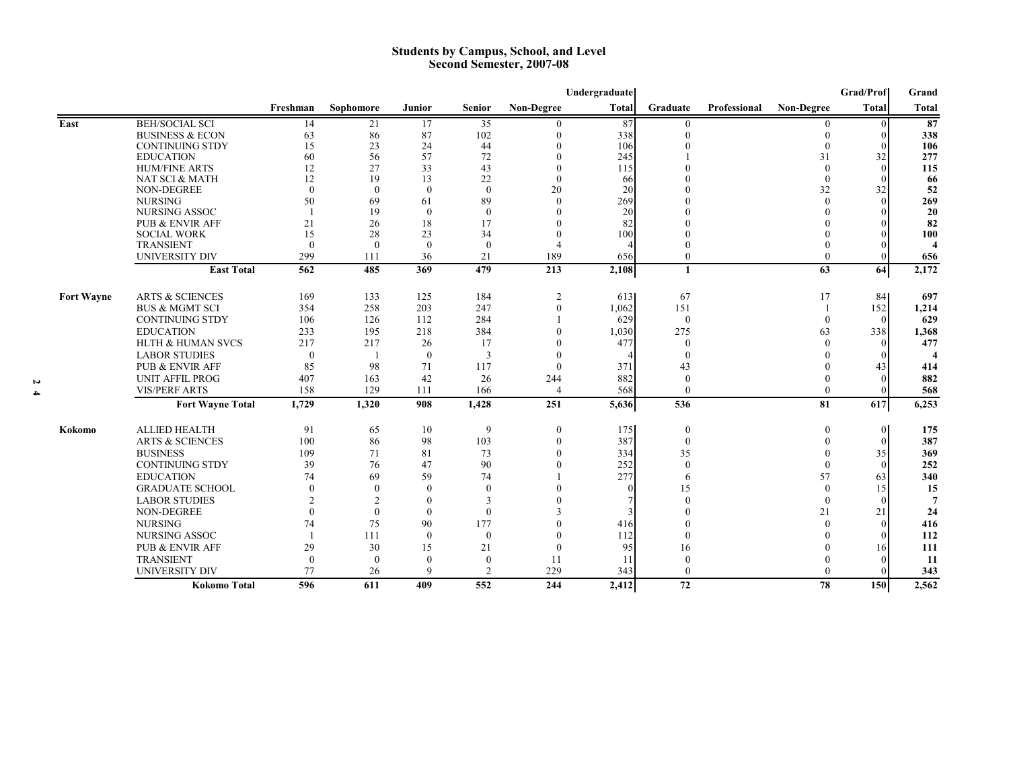#### **Students by Campus, School, and Level Second Semester, 2007-08**

|                   |                              |                |                |              |                |                   | Undergraduate |              |              |                   | Grad/Prof      | Grand   |
|-------------------|------------------------------|----------------|----------------|--------------|----------------|-------------------|---------------|--------------|--------------|-------------------|----------------|---------|
|                   |                              | Freshman       | Sophomore      | Junior       | <b>Senior</b>  | <b>Non-Degree</b> | <b>Total</b>  | Graduate     | Professional | <b>Non-Degree</b> | <b>Total</b>   | Total   |
| East              | <b>BEH/SOCIAL SCI</b>        | 14             | 21             | 17           | 35             |                   | 87            | $\theta$     |              |                   | $\Omega$       | 87      |
|                   | <b>BUSINESS &amp; ECON</b>   | 63             | 86             | 87           | 102            | $\Omega$          | 338           | $\Omega$     |              |                   | $\theta$       | 338     |
|                   | <b>CONTINUING STDY</b>       | 15             | 23             | 24           | 44             | $\mathbf{0}$      | 106           |              |              | $\mathbf{0}$      | $\Omega$       | 106     |
|                   | <b>EDUCATION</b>             | 60             | 56             | 57           | 72             |                   | 245           |              |              | 31                | 32             | 277     |
|                   | <b>HUM/FINE ARTS</b>         | 12             | 27             | 33           | 43             |                   | 115           |              |              | $\theta$          | $\theta$       | 115     |
|                   | NAT SCI & MATH               | 12             | 19             | 13           | 22             | $\theta$          | 66            |              |              | $\theta$          | $\Omega$       | 66      |
|                   | NON-DEGREE                   | $\theta$       | $\theta$       | $\theta$     | $\theta$       | 20                | 20            |              |              | 32                | 32             | 52      |
|                   | <b>NURSING</b>               | 50             | 69             | 61           | 89             | $\Omega$          | 269           |              |              | $\Omega$          | $\Omega$       | 269     |
|                   | NURSING ASSOC                |                | 19             | $\theta$     | $\theta$       |                   | 20            |              |              |                   |                | 20      |
|                   | <b>PUB &amp; ENVIR AFF</b>   | 21             | 26             | 18           | 17             |                   | 82            |              |              |                   | $\Omega$       | 82      |
|                   | <b>SOCIAL WORK</b>           | 15             | 28             | 23           | 34             | $\Omega$          | 100           |              |              |                   |                | 100     |
|                   | <b>TRANSIENT</b>             | $\Omega$       | $\Omega$       | $\theta$     | $\mathbf{0}$   |                   |               |              |              |                   |                |         |
|                   | <b>UNIVERSITY DIV</b>        | 299            | 111            | 36           | 21             | 189               | 656           |              |              | $\Omega$          | $\Omega$       | 656     |
|                   | <b>East Total</b>            | 562            | 485            | 369          | 479            | 213               | 2,108         | $\mathbf{1}$ |              | 63                | 64             | 2,172   |
| <b>Fort Wayne</b> | <b>ARTS &amp; SCIENCES</b>   | 169            | 133            | 125          | 184            | $\overline{c}$    | 613           | 67           |              | 17                | 84             | 697     |
|                   | <b>BUS &amp; MGMT SCI</b>    | 354            | 258            | 203          | 247            | $\theta$          | 1,062         | 151          |              |                   | 152            | 1,214   |
|                   | <b>CONTINUING STDY</b>       | 106            | 126            | 112          | 284            |                   | 629           | $\mathbf{0}$ |              | $\theta$          | $\theta$       | 629     |
|                   | <b>EDUCATION</b>             | 233            | 195            | 218          | 384            |                   | 1.030         | 275          |              | 63                | 338            | 1,368   |
|                   | <b>HLTH &amp; HUMAN SVCS</b> | 217            | 217            | 26           | 17             |                   | 477           | $\Omega$     |              |                   | $\Omega$       | 477     |
|                   | <b>LABOR STUDIES</b>         | $\mathbf{0}$   |                | $\mathbf{0}$ | 3              |                   |               |              |              |                   | $\Omega$       |         |
|                   | <b>PUB &amp; ENVIR AFF</b>   | 85             | 98             | 71           | 117            | $\Omega$          | 371           | 43           |              |                   | 43             | 414     |
|                   | <b>UNIT AFFIL PROG</b>       | 407            | 163            | 42           | 26             | 244               | 882           | $\theta$     |              |                   | $\Omega$       | 882     |
|                   | <b>VIS/PERF ARTS</b>         | 158            | 129            | 111          | 166            | $\overline{4}$    | 568           | $\theta$     |              | $\theta$          | $\theta$       | 568     |
|                   | <b>Fort Wayne Total</b>      | 1,729          | 1,320          | 908          | 1,428          | 251               | 5,636         | 536          |              | 81                | 617            | 6,253   |
| Kokomo            | <b>ALLIED HEALTH</b>         | 91             | 65             | 10           | 9              | $\mathbf{0}$      | 175           | $\mathbf{0}$ |              | $\mathbf{0}$      | $\overline{0}$ | 175     |
|                   | <b>ARTS &amp; SCIENCES</b>   | 100            | 86             | 98           | 103            | $\Omega$          | 387           | $\theta$     |              | $\Omega$          | $\theta$       | 387     |
|                   | <b>BUSINESS</b>              | 109            | 71             | 81           | 73             |                   | 334           | 35           |              |                   | 35             | 369     |
|                   | <b>CONTINUING STDY</b>       | 39             | 76             | 47           | 90             |                   | 252           | $\Omega$     |              | $\Omega$          | $\Omega$       | 252     |
|                   | <b>EDUCATION</b>             | 74             | 69             | 59           | 74             |                   | 277           | 6            |              | 57                | 63             | 340     |
|                   | <b>GRADUATE SCHOOL</b>       | $\theta$       | $\theta$       | $\Omega$     | $\mathbf{0}$   |                   |               | 15           |              | $\Omega$          | 15             |         |
|                   | <b>LABOR STUDIES</b>         | $\overline{2}$ | $\overline{2}$ | $\Omega$     | 3              |                   |               |              |              | $\Omega$          | $\Omega$       | 15<br>7 |
|                   |                              | $\Omega$       |                |              |                |                   |               |              |              |                   |                |         |
|                   | NON-DEGREE                   |                | $\theta$       | $\Omega$     | $\theta$       |                   |               |              |              | 21                | 21             | 24      |
|                   | <b>NURSING</b>               | 74             | 75             | 90           | 177            |                   | 416           |              |              |                   | $\theta$       | 416     |
|                   | NURSING ASSOC                | $\mathbf{1}$   | 111            | $\theta$     | $\theta$       |                   | 112           |              |              |                   | $\Omega$       | 112     |
|                   | PUB & ENVIR AFF              | 29             | 30             | 15           | 21             | $\Omega$          | 95            | 16           |              |                   | 16             | 111     |
|                   | <b>TRANSIENT</b>             | $\Omega$       | $\theta$       | $\Omega$     | $\mathbf{0}$   | 11                | 11            |              |              |                   | $\Omega$       | 11      |
|                   | <b>UNIVERSITY DIV</b>        | 77             | 26             | 9            | $\overline{c}$ | 229               | 343           | $\Omega$     |              | $\Omega$          | $\Omega$       | 343     |
|                   | <b>Kokomo Total</b>          | 596            | 611            | 409          | 552            | 244               | 2,412         | 72           |              | 78                | <b>150</b>     | 2,562   |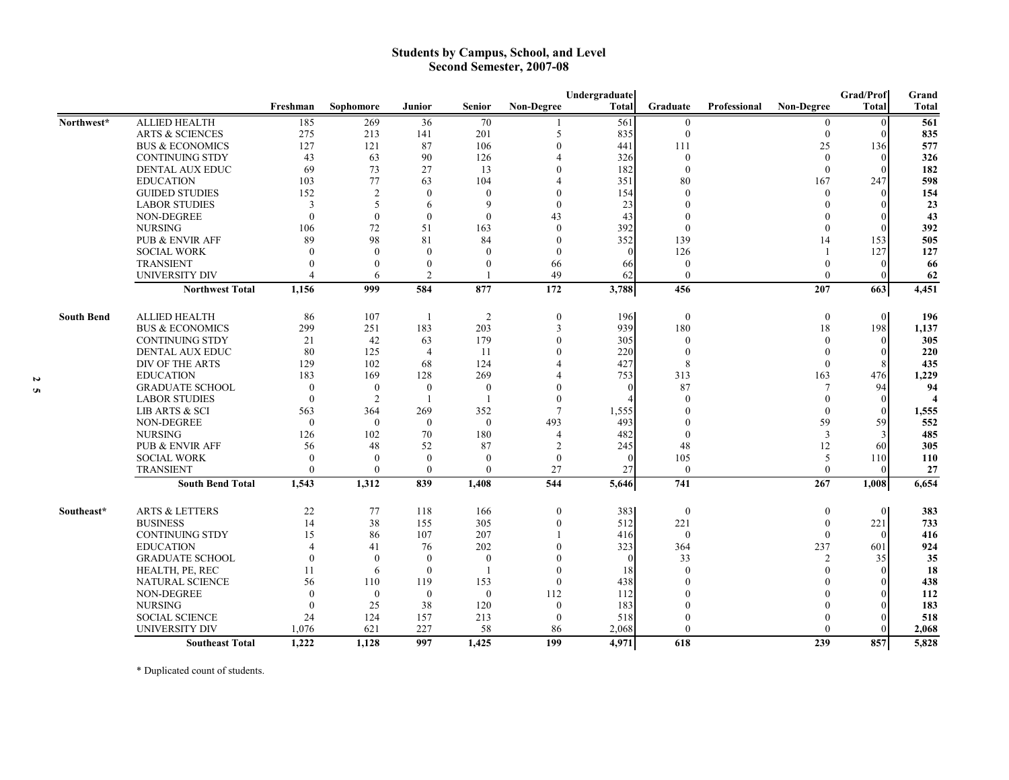#### **Students by Campus, School, and Level Second Semester, 2007-08**

|                   |                            |                |                          |                |                |                          | Undergraduate |                  |              |                   | Grad/Prof      | Grand        |
|-------------------|----------------------------|----------------|--------------------------|----------------|----------------|--------------------------|---------------|------------------|--------------|-------------------|----------------|--------------|
|                   |                            | Freshman       | Sophomore                | <b>Junior</b>  | <b>Senior</b>  | <b>Non-Degree</b>        | <b>Total</b>  | Graduate         | Professional | <b>Non-Degree</b> | Total          | <b>Total</b> |
| Northwest*        | <b>ALLIED HEALTH</b>       | 185            | 269                      | 36             | 70             |                          | 561           | $\mathbf{0}$     |              | $\theta$          | $\theta$       | 561          |
|                   | <b>ARTS &amp; SCIENCES</b> | 275            | 213                      | 141            | 201            | 5                        | 835           | $\mathbf{0}$     |              | $\theta$          | $\Omega$       | 835          |
|                   | <b>BUS &amp; ECONOMICS</b> | 127            | 121                      | 87             | 106            | $\theta$                 | 441           | 111              |              | 25                | 136            | 577          |
|                   | <b>CONTINUING STDY</b>     | 43             | 63                       | 90             | 126            |                          | 326           | $\theta$         |              | $\Omega$          | $\Omega$       | 326          |
|                   | <b>DENTAL AUX EDUC</b>     | 69             | 73                       | 27             | 13             |                          | 182           | $\mathbf{0}$     |              | $\theta$          | $\Omega$       | 182          |
|                   | <b>EDUCATION</b>           | 103            | 77                       | 63             | 104            |                          | 351           | 80               |              | 167               | 247            | 598          |
|                   | <b>GUIDED STUDIES</b>      | 152            | $\overline{2}$           | $\theta$       | $\mathbf{0}$   | $\Omega$                 | 154           | $\theta$         |              | $\theta$          | $\Omega$       | 154          |
|                   | <b>LABOR STUDIES</b>       | 3              | $\overline{\phantom{0}}$ | 6              | 9              | $\Omega$                 | 23            |                  |              |                   | $\Omega$       | 23           |
|                   | NON-DEGREE                 | $\theta$       | $\mathbf{0}$             | $\mathbf{0}$   | $\mathbf{0}$   | 43                       | 43            |                  |              |                   | $\Omega$       | 43           |
|                   | <b>NURSING</b>             | 106            | 72                       | 51             | 163            | $\Omega$                 | 392           | $\theta$         |              |                   | $\Omega$       | 392          |
|                   | <b>PUB &amp; ENVIR AFF</b> | 89             | 98                       | 81             | 84             | $\Omega$                 | 352           | 139              |              | 14                | 153            | 505          |
|                   | <b>SOCIAL WORK</b>         | $\Omega$       | $\Omega$                 | $\Omega$       | $\overline{0}$ | $\Omega$                 | $\Omega$      | 126              |              |                   | 127            | 127          |
|                   | <b>TRANSIENT</b>           | $\Omega$       | $\Omega$                 | $\mathbf{0}$   | $\theta$       | 66                       | 66            | $\mathbf{0}$     |              | $\Omega$          | $\Omega$       | 66           |
|                   | <b>UNIVERSITY DIV</b>      | $\Lambda$      | 6                        | $\overline{2}$ |                | 49                       | 62            | $\Omega$         |              | $\Omega$          | 0              | 62           |
|                   | <b>Northwest Total</b>     | 1,156          | 999                      | 584            | 877            | 172                      | 3,788         | 456              |              | 207               | 663            | 4,451        |
| <b>South Bend</b> | <b>ALLIED HEALTH</b>       | 86             | 107                      | -1             | $\overline{2}$ | $\boldsymbol{0}$         | 196           | $\boldsymbol{0}$ |              | $\mathbf{0}$      | $\overline{0}$ | 196          |
|                   | <b>BUS &amp; ECONOMICS</b> | 299            | 251                      | 183            | 203            | $\overline{3}$           | 939           | 180              |              | 18                | 198            | 1,137        |
|                   | <b>CONTINUING STDY</b>     | 21             | 42                       | 63             | 179            | $\Omega$                 | 305           | $\mathbf{0}$     |              | $\Omega$          | $\mathbf{0}$   | 305          |
|                   | DENTAL AUX EDUC            | 80             | 125                      | $\overline{4}$ | 11             |                          | 220           | $\theta$         |              |                   | $\theta$       | 220          |
|                   | DIV OF THE ARTS            | 129            | 102                      | 68             | 124            |                          | 427           | 8                |              | $\theta$          |                | 435          |
|                   | <b>EDUCATION</b>           | 183            | 169                      | 128            | 269            |                          | 753           | 313              |              | 163               | 476            | 1,229        |
|                   | <b>GRADUATE SCHOOL</b>     | $\overline{0}$ | $\mathbf{0}$             | $\mathbf{0}$   | $\mathbf{0}$   |                          | $\Omega$      | 87               |              |                   | 94             | 94           |
|                   | <b>LABOR STUDIES</b>       | $\theta$       | 2                        |                |                | $\theta$                 |               | $\Omega$         |              | $\theta$          | $\Omega$       |              |
|                   | LIB ARTS & SCI             | 563            | 364                      | 269            | 352            | $\tau$                   | 1,555         |                  |              | $\theta$          | $\theta$       | 1,555        |
|                   | <b>NON-DEGREE</b>          | $\theta$       | $\mathbf{0}$             | $\overline{0}$ | $\mathbf{0}$   | 493                      | 493           |                  |              | 59                | 59             | 552          |
|                   | <b>NURSING</b>             | 126            | 102                      | 70             | 180            | $\boldsymbol{\varDelta}$ | 482           | $\Omega$         |              | 3                 | 3              | 485          |
|                   | <b>PUB &amp; ENVIR AFF</b> | 56             | 48                       | 52             | 87             | $\overline{2}$           | 245           | 48               |              | 12                | 60             | 305          |
|                   | <b>SOCIAL WORK</b>         | $\theta$       | $\Omega$                 | $\theta$       | $\theta$       | $\theta$                 | $\Omega$      | 105              |              | 5                 | 110            | 110          |
|                   | <b>TRANSIENT</b>           | $\Omega$       | $\Omega$                 | $\theta$       | $\theta$       | 27                       | 27            | $\theta$         |              | $\theta$          | $\Omega$       | 27           |
|                   | <b>South Bend Total</b>    | 1.543          | 1,312                    | 839            | 1,408          | 544                      | 5,646         | 741              |              | 267               | 1,008          | 6,654        |
| Southeast*        | <b>ARTS &amp; LETTERS</b>  | 22             | 77                       | 118            | 166            | $\mathbf{0}$             | 383           | $\mathbf{0}$     |              | $\theta$          | $\theta$       | 383          |
|                   | <b>BUSINESS</b>            | 14             | 38                       | 155            | 305            | $\theta$                 | 512           | 221              |              | $\mathbf{0}$      | 221            | 733          |
|                   | <b>CONTINUING STDY</b>     | 15             | 86                       | 107            | 207            |                          | 416           | $\mathbf{0}$     |              | $\theta$          | $\Omega$       | 416          |
|                   | <b>EDUCATION</b>           | $\Delta$       | 41                       | 76             | 202            |                          | 323           | 364              |              | 237               | 601            | 924          |
|                   | <b>GRADUATE SCHOOL</b>     | $\theta$       | $\mathbf{0}$             | $\Omega$       | $\mathbf{0}$   |                          | $\Omega$      | 33               |              | $\overline{2}$    | 35             | 35           |
|                   | HEALTH, PE, REC            | 11             | 6                        | $\Omega$       |                |                          | 18            | $\Omega$         |              | $\Omega$          | $\Omega$       | 18           |
|                   | <b>NATURAL SCIENCE</b>     | 56             | 110                      | 119            | 153            | $\theta$                 | 438           |                  |              |                   | $\Omega$       | 438          |
|                   | NON-DEGREE                 | $\theta$       | $\mathbf{0}$             | $\mathbf{0}$   | $\mathbf{0}$   | 112                      | 112           |                  |              |                   | $\Omega$       | 112          |
|                   | <b>NURSING</b>             | $\Omega$       | 25                       | 38             | 120            | $\theta$                 | 183           |                  |              |                   | $\Omega$       | 183          |
|                   | <b>SOCIAL SCIENCE</b>      | 24             | 124                      | 157            | 213            | $\mathbf{0}$             | 518           |                  |              |                   | 0              | 518          |
|                   | UNIVERSITY DIV             | 1,076          | 621                      | 227            | 58             | 86                       | 2,068         | $\Omega$         |              |                   | 0              | 2,068        |
|                   | <b>Southeast Total</b>     | 1,222          | 1,128                    | 997            | 1,425          | 199                      | 4,971         | 618              |              | 239               | 857            | 5,828        |

\* Duplicated count of students.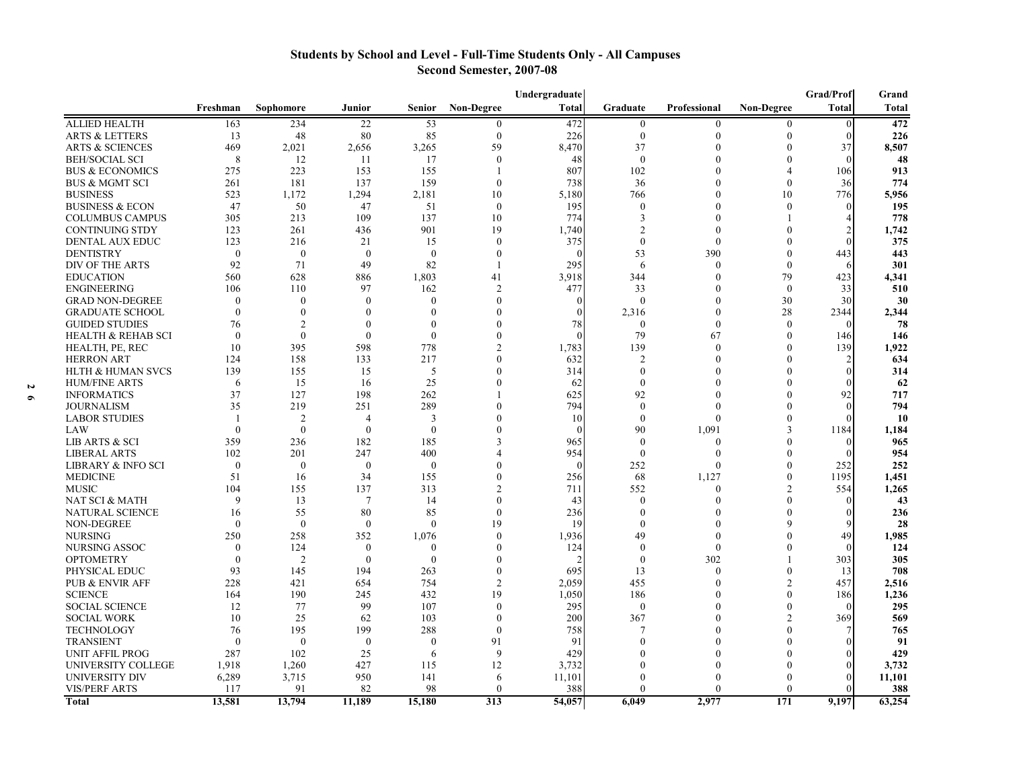#### **Students by School and Level - Full-Time Students Only - All Campuses Second Semester, 2007-08**

|                               |                |                |                |                  |                   | Undergraduate |                  |              |                   | Grad/Prof      | Grand        |
|-------------------------------|----------------|----------------|----------------|------------------|-------------------|---------------|------------------|--------------|-------------------|----------------|--------------|
|                               | Freshman       | Sophomore      | Junior         | <b>Senior</b>    | <b>Non-Degree</b> | Total         | Graduate         | Professional | <b>Non-Degree</b> | Total          | <b>Total</b> |
| <b>ALLIED HEALTH</b>          | 163            | 234            | 22             | 53               | $\Omega$          | 472           | $\boldsymbol{0}$ | $\theta$     |                   | $\theta$       | 472          |
| ARTS & LETTERS                | 13             | 48             | 80             | 85               | $\mathbf{0}$      | 226           | $\boldsymbol{0}$ | $\theta$     | $\mathbf{0}$      | $\theta$       | 226          |
| <b>ARTS &amp; SCIENCES</b>    | 469            | 2,021          | 2,656          | 3,265            | 59                | 8,470         | 37               | $\Omega$     | $\Omega$          | 37             | 8,507        |
| BEH/SOCIAL SCI                | 8              | 12             | -11            | 17               | $\Omega$          | 48            | $\mathbf{0}$     |              | $\Omega$          | $\Omega$       | 48           |
| <b>BUS &amp; ECONOMICS</b>    | 275            | 223            | 153            | 155              |                   | 807           | 102              | 0            | $\overline{4}$    | 106            | 913          |
| <b>BUS &amp; MGMT SCI</b>     | 261            | 181            | 137            | 159              | $\Omega$          | 738           | 36               | $\Omega$     | $\Omega$          | 36             | 774          |
| <b>BUSINESS</b>               | 523            | 1,172          | 1,294          | 2,181            | 10                | 5,180         | 766              | $\Omega$     | 10                | 776            | 5,956        |
| <b>BUSINESS &amp; ECON</b>    | 47             | 50             | 47             | 51               | $\mathbf{0}$      | 195           | $\theta$         | $\Omega$     | $\Omega$          | $\Omega$       | 195          |
| <b>COLUMBUS CAMPUS</b>        | 305            | 213            | 109            | 137              | 10                | 774           | 3                | $\Omega$     |                   |                | 778          |
| CONTINUING STDY               | 123            | 261            | 436            | 901              | 19                | 1,740         | $\overline{c}$   | $\Omega$     | $\Omega$          | $\overline{2}$ | 1,742        |
| <b>DENTAL AUX EDUC</b>        | 123            | 216            | 21             | 15               | $\Omega$          | 375           | $\theta$         | $\Omega$     | $\Omega$          |                | 375          |
| <b>DENTISTRY</b>              | $\theta$       | $\mathbf{0}$   | $\theta$       | $\mathbf{0}$     | $\Omega$          |               | 53               | 390          | $\Omega$          | 443            | 443          |
| DIV OF THE ARTS               | 92             | 71             | 49             | 82               | $\mathbf{1}$      | 295           | 6                | $\Omega$     | $\Omega$          |                | 301          |
| <b>EDUCATION</b>              | 560            | 628            | 886            | 1,803            | 41                | 3,918         | 344              | $\Omega$     | 79                | 423            | 4,341        |
| <b>ENGINEERING</b>            | 106            | 110            | 97             | 162              | $\overline{2}$    | 477           | 33               | $\Omega$     | $\theta$          | 33             | 510          |
| <b>GRAD NON-DEGREE</b>        | $\theta$       | $\overline{0}$ | $\mathbf{0}$   | $\mathbf{0}$     | $\Omega$          |               | $\mathbf{0}$     | $\Omega$     | 30                | 30             | 30           |
| <b>GRADUATE SCHOOL</b>        | $\theta$       | $\theta$       | $\mathbf{0}$   | $\mathbf{0}$     | ∩                 |               | 2,316            | $\theta$     | 28                | 2344           | 2,344        |
| <b>GUIDED STUDIES</b>         | 76             | $\overline{2}$ | $\theta$       | $\mathbf{0}$     |                   | 78            | $\mathbf{0}$     | $\mathbf{0}$ | $\Omega$          | $\Omega$       | 78           |
| <b>HEALTH &amp; REHAB SCI</b> | $\theta$       | $\mathbf{0}$   | $\mathbf{0}$   | $\mathbf{0}$     |                   |               | 79               | 67           | $\theta$          | 146            | 146          |
| HEALTH, PE, REC               | 10             | 395            | 598            | 778              |                   | 1,783         | 139              | $\Omega$     | $\theta$          | 139            | 1,922        |
| <b>HERRON ART</b>             | 124            | 158            | 133            | 217              |                   | 632           | $\overline{c}$   | $\Omega$     | $\Omega$          | $\overline{2}$ | 634          |
| <b>HLTH &amp; HUMAN SVCS</b>  | 139            | 155            | 15             | 5                | $\Omega$          | 314           | $\mathbf{0}$     | $\Omega$     | $\Omega$          | $\Omega$       | 314          |
| <b>HUM/FINE ARTS</b>          | 6              | 15             | 16             | 25               | $\Omega$          | 62            | $\theta$         |              | $\Omega$          |                | 62           |
| <b>INFORMATICS</b>            | 37             | 127            | 198            | 262              |                   | 625           | 92               | $\Omega$     | $\Omega$          | 92             | 717          |
| <b>JOURNALISM</b>             | 35             | 219            | 251            | 289              | $\Omega$          | 794           | $\mathbf{0}$     | $\Omega$     | $\Omega$          | $\Omega$       | 794          |
| <b>LABOR STUDIES</b>          | $\overline{1}$ | $\overline{2}$ | $\overline{A}$ | 3                |                   | 10            | $\theta$         | $\Omega$     | $\Omega$          | $\sqrt{ }$     | <b>10</b>    |
| LAW                           | $\theta$       | $\theta$       | $\theta$       | $\theta$         |                   |               | 90               | 1,091        | $\mathbf{3}$      | 1184           | 1,184        |
| <b>LIB ARTS &amp; SCI</b>     | 359            | 236            | 182            | 185              | 3                 | 965           | $\theta$         | $\Omega$     | $\Omega$          |                | 965          |
| <b>LIBERAL ARTS</b>           | 102            | 201            | 247            | 400              |                   | 954           | $\mathbf{0}$     | $\Omega$     | $\Omega$          | $\Omega$       | 954          |
| <b>LIBRARY &amp; INFO SCI</b> | $\mathbf{0}$   | $\mathbf{0}$   | $\overline{0}$ | $\boldsymbol{0}$ | $\Omega$          | $\Omega$      | 252              | $\Omega$     | $\theta$          | 252            | 252          |
| <b>MEDICINE</b>               | 51             | 16             | 34             | 155              | $\Omega$          | 256           | 68               | 1,127        | $\overline{0}$    | 1195           | 1,451        |
| <b>MUSIC</b>                  | 104            | 155            | 137            | 313              | $\mathfrak{D}$    | 711           | 552              | $\Omega$     | $\overline{2}$    | 554            | 1,265        |
| NAT SCI & MATH                | 9              | 13             | 7              | 14               | $\Omega$          | 43            | $\theta$         | $\Omega$     | $\Omega$          | $\Omega$       | 43           |
| <b>NATURAL SCIENCE</b>        | 16             | 55             | 80             | 85               | $\Omega$          | 236           | $\Omega$         | $\Omega$     | $\theta$          | $\sqrt{ }$     | 236          |
| <b>NON-DEGREE</b>             | $\theta$       | $\mathbf{0}$   | $\theta$       | $\mathbf{0}$     | 19                | 19            | $\Omega$         | $\Omega$     | 9                 |                | 28           |
| <b>NURSING</b>                | 250            | 258            | 352            | 1,076            | $\theta$          | 1,936         | 49               | $\Omega$     | $\theta$          | 49             | 1,985        |
| NURSING ASSOC                 | $\theta$       | 124            | $\theta$       | $\mathbf{0}$     | $\Omega$          | 124           | $\theta$         | $\Omega$     | $\Omega$          | $\Omega$       | 124          |
| <b>OPTOMETRY</b>              | $\theta$       | $\overline{2}$ | $\theta$       | $\theta$         | $\Omega$          |               | $\Omega$         | 302          |                   | 303            | 305          |
| PHYSICAL EDUC                 | 93             | 145            | 194            | 263              | $\Omega$          | 695           | 13               | $\Omega$     | $\theta$          | 13             | 708          |
| PUB & ENVIR AFF               | 228            | 421            | 654            | 754              | $\overline{2}$    | 2,059         | 455              | $\Omega$     | $\overline{2}$    | 457            | 2,516        |
| <b>SCIENCE</b>                | 164            | 190            | 245            | 432              | 19                | 1,050         | 186              | $\Omega$     | $\Omega$          | 186            | 1,236        |
| <b>SOCIAL SCIENCE</b>         | 12             | 77             | 99             | 107              | $\Omega$          | 295           | $\boldsymbol{0}$ | $\Omega$     | $\theta$          | $\Omega$       | 295          |
| <b>SOCIAL WORK</b>            | 10             | 25             | 62             | 103              | $\Omega$          | 200           | 367              | $\Omega$     | $\mathcal{D}$     | 369            | 569          |
| <b>TECHNOLOGY</b>             | 76             | 195            | 199            | 288              | $\theta$          | 758           | 7                | $\Omega$     | $\theta$          |                | 765          |
| <b>TRANSIENT</b>              | $\theta$       | $\mathbf{0}$   | $\mathbf{0}$   | $\boldsymbol{0}$ | 91                | 91            | $\Omega$         | $\Omega$     | $\Omega$          | $\Omega$       | 91           |
| UNIT AFFIL PROG               | 287            | 102            | 25             | 6                | 9                 | 429           | $\Omega$         | $\Omega$     | $\Omega$          | $\Omega$       | 429          |
| UNIVERSITY COLLEGE            | 1,918          | 1,260          | 427            | 115              | 12                | 3,732         | 0                | $\Omega$     | $\Omega$          | $\Omega$       | 3,732        |
| UNIVERSITY DIV                | 6,289          | 3,715          | 950            | 141              | 6                 | 11,101        | $\theta$         | $\Omega$     | $\Omega$          | $\Omega$       | 11,101       |
| <b>VIS/PERF ARTS</b>          | 117            | 91             | 82             | 98               | $\Omega$          | 388           | $\theta$         | $\Omega$     | $\theta$          | $\Omega$       | 388          |
| Total                         | 13,581         | 13,794         | 11,189         | 15,180           | 313               | 54,057        | 6,049            | 2,977        | 171               | 9,197          | 63,254       |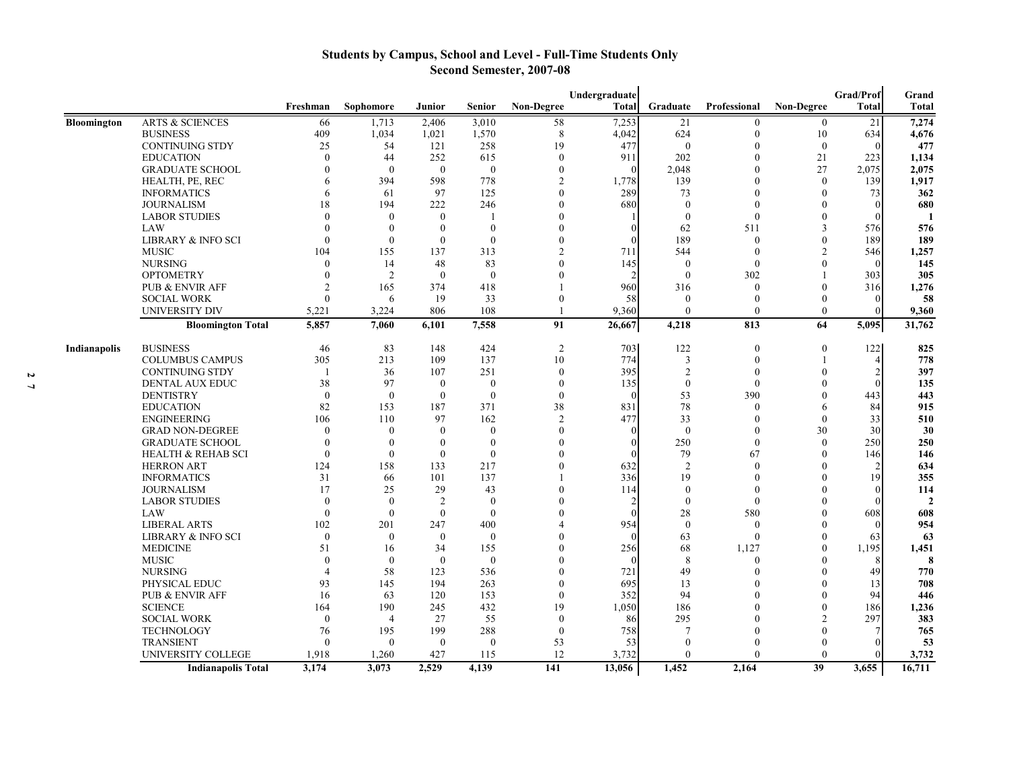#### **Students by Campus, School and Level - Full-Time Students Only Second Semester, 2007-08**

|                    |                               |                |                |                  |               |                   | Undergraduate |                |                  |                   | Grad/Prof    | Grand        |
|--------------------|-------------------------------|----------------|----------------|------------------|---------------|-------------------|---------------|----------------|------------------|-------------------|--------------|--------------|
|                    |                               | Freshman       | Sophomore      | Junior           | <b>Senior</b> | <b>Non-Degree</b> | <b>Total</b>  | Graduate       | Professional     | <b>Non-Degree</b> | <b>Total</b> | <b>Total</b> |
| <b>Bloomington</b> | <b>ARTS &amp; SCIENCES</b>    | 66             | 1,713          | 2,406            | 3,010         | 58                | 7,253         | 21             | $\boldsymbol{0}$ | $\boldsymbol{0}$  | 21           | 7,274        |
|                    | <b>BUSINESS</b>               | 409            | 1,034          | 1,021            | 1,570         | 8                 | 4,042         | 624            | $\Omega$         | 10                | 634          | 4,676        |
|                    | <b>CONTINUING STDY</b>        | 25             | 54             | 121              | 258           | 19                | 477           | $\Omega$       | $\theta$         | $\mathbf{0}$      |              | 477          |
|                    | <b>EDUCATION</b>              | $\theta$       | 44             | 252              | 615           | $\mathbf{0}$      | 911           | 202            | $\theta$         | 21                | 223          | 1,134        |
|                    | <b>GRADUATE SCHOOL</b>        | $\theta$       | $\theta$       | $\mathbf{0}$     | $\mathbf{0}$  | $\theta$          | 0             | 2,048          | $\theta$         | 27                | 2,075        | 2,075        |
|                    | HEALTH, PE, REC               | 6              | 394            | 598              | 778           | $\overline{2}$    | 1,778         | 139            | $\theta$         | $\theta$          | 139          | 1,917        |
|                    | <b>INFORMATICS</b>            | 6              | 61             | 97               | 125           | $\Omega$          | 289           | 73             | $\theta$         | $\theta$          | 73           | 362          |
|                    | <b>JOURNALISM</b>             | 18             | 194            | 222              | 246           | $\Omega$          | 680           | $\theta$       | $\theta$         | $\Omega$          |              | 680          |
|                    | <b>LABOR STUDIES</b>          | $\Omega$       | $\Omega$       | $\mathbf{0}$     |               | $\Omega$          |               | $\theta$       | $\Omega$         | $\Omega$          |              |              |
|                    | <b>LAW</b>                    | $\Omega$       | $\Omega$       | $\mathbf{0}$     | $\theta$      | $\Omega$          | $\Omega$      | 62             | 511              | 3                 | 576          | 576          |
|                    | <b>LIBRARY &amp; INFO SCI</b> | $\Omega$       | $\theta$       | $\mathbf{0}$     | $\Omega$      | $\Omega$          | $\Omega$      | 189            | $\mathbf{0}$     | $\Omega$          | 189          | 189          |
|                    | <b>MUSIC</b>                  | 104            | 155            | 137              | 313           | $\overline{c}$    | 711           | 544            | $\mathbf{0}$     | $\overline{2}$    | 546          | 1,257        |
|                    | <b>NURSING</b>                | $\theta$       | 14             | 48               | 83            | $\theta$          | 145           | $\mathbf{0}$   | $\mathbf{0}$     | $\Omega$          |              | 145          |
|                    | <b>OPTOMETRY</b>              | $\theta$       | $\overline{2}$ | $\mathbf{0}$     | $\theta$      | $\theta$          |               | $\mathbf{0}$   | 302              |                   | 303          | 305          |
|                    | <b>PUB &amp; ENVIR AFF</b>    | $\mathfrak{D}$ | 165            | 374              | 418           |                   | 960           | 316            | $\Omega$         | $\Omega$          | 316          | 1,276        |
|                    | <b>SOCIAL WORK</b>            | $\Omega$       | 6              | 19               | 33            | $\mathbf{0}$      | 58            | $\mathbf{0}$   | $\Omega$         | $\theta$          |              | 58           |
|                    | UNIVERSITY DIV                | 5,221          | 3,224          | 806              | 108           |                   | 9,360         | $\mathbf{0}$   | $\Omega$         | $\theta$          |              | 9,360        |
|                    | <b>Bloomington Total</b>      | 5,857          | 7,060          | 6,101            | 7,558         | 91                | 26,667        | 4,218          | 813              | 64                | 5,095        | 31,762       |
| Indianapolis       | <b>BUSINESS</b>               | 46             | 83             | 148              | 424           | 2                 | 703           | 122            | $\boldsymbol{0}$ | $\mathbf{0}$      | 122          | 825          |
|                    | <b>COLUMBUS CAMPUS</b>        | 305            | 213            | 109              | 137           | 10                | 774           | 3              | $\boldsymbol{0}$ | $\mathbf{1}$      |              | 778          |
|                    | <b>CONTINUING STDY</b>        | -1             | 36             | 107              | 251           | $\mathbf{0}$      | 395           | $\overline{2}$ | $\boldsymbol{0}$ | $\Omega$          |              | 397          |
|                    | <b>DENTAL AUX EDUC</b>        | 38             | 97             | $\mathbf{0}$     | $\mathbf{0}$  | $\theta$          | 135           | $\mathbf{0}$   | $\theta$         | $\Omega$          |              | 135          |
|                    | <b>DENTISTRY</b>              | $\theta$       | $\theta$       | $\mathbf{0}$     | $\theta$      | $\theta$          | $\Omega$      | 53             | 390              | $\Omega$          | 443          | 443          |
|                    | <b>EDUCATION</b>              | 82             | 153            | 187              | 371           | 38                | 831           | 78             | $\mathbf{0}$     | 6                 | 84           | 915          |
|                    | <b>ENGINEERING</b>            | 106            | 110            | 97               | 162           | $\overline{2}$    | 477           | 33             | $\Omega$         | $\theta$          | 33           | 510          |
|                    | <b>GRAD NON-DEGREE</b>        | $\overline{0}$ | $\theta$       | $\mathbf{0}$     | $\theta$      | $\Omega$          | $\Omega$      | $\theta$       | $\theta$         | 30                | 30           | 30           |
|                    | <b>GRADUATE SCHOOL</b>        | $\theta$       | $\theta$       | $\boldsymbol{0}$ | $\theta$      | $\Omega$          | $\Omega$      | 250            | $\mathbf{0}$     | $\theta$          | 250          | 250          |
|                    | <b>HEALTH &amp; REHAB SCI</b> | $\theta$       | $\mathbf{0}$   | $\boldsymbol{0}$ | $\theta$      | $\Omega$          | ∩             | 79             | 67               | $\Omega$          | 146          | 146          |
|                    | <b>HERRON ART</b>             | 124            | 158            | 133              | 217           | $\Omega$          | 632           | 2              | $\Omega$         | $\Omega$          |              | 634          |
|                    | <b>INFORMATICS</b>            | 31             | 66             | 101              | 137           |                   | 336           | 19             | $\Omega$         | $\Omega$          | 19           | 355          |
|                    | <b>JOURNALISM</b>             | 17             | 25             | 29               | 43            | $\theta$          | 114           | $\mathbf{0}$   | $\Omega$         | $\Omega$          |              | 114          |
|                    | <b>LABOR STUDIES</b>          | $\theta$       | $\theta$       | $\overline{2}$   | $\Omega$      | $\Omega$          |               | $\theta$       | $\Omega$         | $\Omega$          |              | $\mathbf{2}$ |
|                    | LAW                           | $\theta$       | $\theta$       | $\mathbf{0}$     | $\theta$      | $\theta$          | $\Omega$      | 28             | 580              | $\Omega$          | 608          | 608          |
|                    | <b>LIBERAL ARTS</b>           | 102            | 201            | 247              | 400           | $\Lambda$         | 954           | $\mathbf{0}$   | $\mathbf{0}$     | $\Omega$          |              | 954          |
|                    | LIBRARY & INFO SCI            | $\overline{0}$ | $\mathbf{0}$   | $\boldsymbol{0}$ | $\theta$      | $\theta$          | $\Omega$      | 63             | $\mathbf{0}$     | $\Omega$          | 63           | 63           |
|                    | <b>MEDICINE</b>               | 51             | 16             | 34               | 155           | $\Omega$          | 256           | 68             | 1,127            | $\Omega$          | 1,195        | 1,451        |
|                    | <b>MUSIC</b>                  | $\theta$       | $\mathbf{0}$   | $\mathbf{0}$     | $\theta$      | 0                 | $\Omega$      | 8              | $\Omega$         | 0                 |              | 8            |
|                    | <b>NURSING</b>                |                | 58             | 123              | 536           | $\theta$          | 721           | 49             | $\Omega$         | $\Omega$          | 49           | 770          |
|                    | PHYSICAL EDUC                 | 93             | 145            | 194              | 263           | $\Omega$          | 695           | 13             |                  | $\Omega$          | 13           | 708          |
|                    | <b>PUB &amp; ENVIR AFF</b>    | 16             | 63             | 120              | 153           | $\theta$          | 352           | 94             |                  | $\Omega$          | 94           | 446          |
|                    | <b>SCIENCE</b>                | 164            | 190            | 245              | 432           | 19                | 1,050         | 186            |                  | $\theta$          | 186          | 1,236        |
|                    | <b>SOCIAL WORK</b>            | $\theta$       | $\overline{4}$ | 27               | 55            | $\theta$          | 86            | 295            | $\Omega$         | $\mathfrak{D}$    | 297          | 383          |
|                    | <b>TECHNOLOGY</b>             | 76             | 195            | 199              | 288           | $\mathbf{0}$      | 758           | $\overline{7}$ | $\Omega$         | $\Omega$          |              | 765          |
|                    | <b>TRANSIENT</b>              | $\Omega$       | $\Omega$       | $\mathbf{0}$     | $\theta$      | 53                | 53            | $\theta$       | $\Omega$         | $\Omega$          |              | 53           |
|                    | UNIVERSITY COLLEGE            | 1,918          | 1,260          | 427              | 115           | 12                | 3,732         | $\theta$       | $\Omega$         | $\Omega$          |              | 3,732        |
|                    | <b>Indianapolis Total</b>     | 3,174          | 3,073          | 2,529            | 4,139         | 141               | 13,056        | 1,452          | 2,164            | 39                | 3,655        | 16,711       |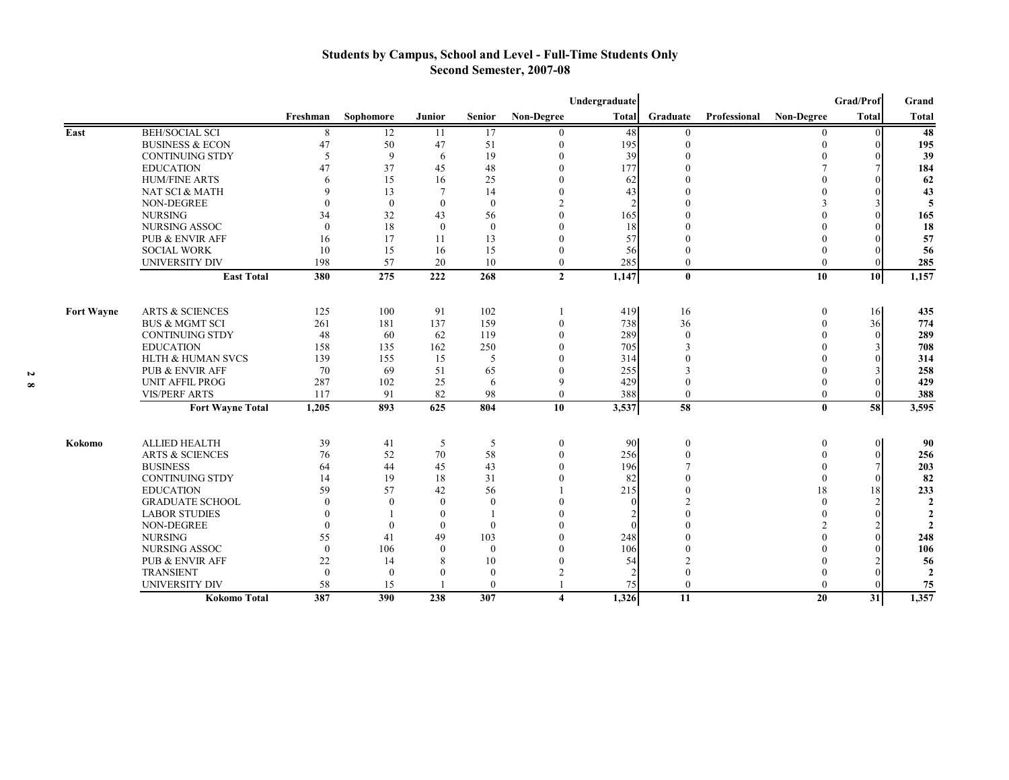#### **Students by Campus, School and Level - Full-Time Students Only Second Semester, 2007-08**

|                   |                              |              |              |                  |               |                         | Undergraduate |               |              |                   | Grad/Prof | Grand          |
|-------------------|------------------------------|--------------|--------------|------------------|---------------|-------------------------|---------------|---------------|--------------|-------------------|-----------|----------------|
|                   |                              | Freshman     | Sophomore    | Junior           | <b>Senior</b> | Non-Degree              | <b>Total</b>  | Graduate      | Professional | <b>Non-Degree</b> | Total     | Total          |
| East              | <b>BEH/SOCIAL SCI</b>        | 8            | 12           | 11               | 17            | $\mathbf{0}$            | 48            | $\mathbf{0}$  |              | $\mathbf{0}$      |           | 48             |
|                   | <b>BUSINESS &amp; ECON</b>   | 47           | 50           | 47               | 51            | $\boldsymbol{0}$        | 195           | $\mathbf{0}$  |              | $\theta$          |           | 195            |
|                   | <b>CONTINUING STDY</b>       | 5            | 9            | 6                | 19            | $\Omega$                | 39            | $\Omega$      |              | $\Omega$          |           | 39             |
|                   | <b>EDUCATION</b>             | 47           | 37           | 45               | 48            | $\mathbf{0}$            | 177           |               |              |                   |           | 184            |
|                   | <b>HUM/FINE ARTS</b>         | 6            | 15           | 16               | 25            | $\Omega$                | 62            |               |              |                   |           | 62             |
|                   | NAT SCI & MATH               | 9            | 13           | $\tau$           | 14            | $\Omega$                | 43            |               |              |                   |           | 43             |
|                   | <b>NON-DEGREE</b>            | $\Omega$     | $\theta$     | $\theta$         | $\theta$      | $\overline{2}$          |               |               |              |                   |           | 5              |
|                   | <b>NURSING</b>               | 34           | 32           | 43               | 56            | $\theta$                | 165           |               |              |                   |           | 165            |
|                   | NURSING ASSOC                | $\theta$     | 18           | $\mathbf{0}$     | $\mathbf{0}$  | $\Omega$                | 18            |               |              |                   |           | 18             |
|                   | <b>PUB &amp; ENVIR AFF</b>   | 16           | 17           | 11               | 13            | $\theta$                | 57            |               |              |                   |           | 57             |
|                   | <b>SOCIAL WORK</b>           | 10           | 15           | 16               | 15            | $\theta$                | 56            | $\Omega$      |              | $\Omega$          |           | 56             |
|                   | <b>UNIVERSITY DIV</b>        | 198          | 57           | 20               | 10            | $\mathbf{0}$            | 285           | $\theta$      |              | $\theta$          |           | 285            |
|                   | <b>East Total</b>            | 380          | 275          | 222              | 268           | $\overline{2}$          | 1,147         | $\bf{0}$      |              | 10                | 10        | 1,157          |
|                   |                              |              |              |                  |               |                         |               |               |              |                   |           |                |
| <b>Fort Wayne</b> | <b>ARTS &amp; SCIENCES</b>   | 125          | 100          | 91               | 102           |                         | 419           | 16            |              | $\boldsymbol{0}$  | 16        | 435            |
|                   | <b>BUS &amp; MGMT SCI</b>    | 261          | 181          | 137              | 159           | $\overline{0}$          | 738           | 36            |              | $\Omega$          | 36        | 774            |
|                   | <b>CONTINUING STDY</b>       | 48           | 60           | 62               | 119           | $\Omega$                | 289           | $\theta$      |              |                   |           | 289            |
|                   | <b>EDUCATION</b>             | 158          | 135          | 162              | 250           | $\Omega$                | 705           | $\mathcal{E}$ |              |                   |           | 708            |
|                   | <b>HLTH &amp; HUMAN SVCS</b> | 139          | 155          | 15               | 5             | $\mathbf{0}$            | 314           | $\Omega$      |              |                   |           | 314            |
|                   | <b>PUB &amp; ENVIR AFF</b>   | 70           | 69           | 51               | 65            | $\mathbf{0}$            | 255           | 3             |              |                   |           | 258            |
|                   | <b>UNIT AFFIL PROG</b>       | 287          | 102          | 25               | 6             | 9                       | 429           | $\Omega$      |              |                   |           | 429            |
|                   | <b>VIS/PERF ARTS</b>         | 117          | 91           | 82               | 98            | $\theta$                | 388           | $\theta$      |              | $\mathbf{0}$      |           | 388            |
|                   | <b>Fort Wayne Total</b>      | 1,205        | 893          | 625              | 804           | 10                      | 3,537         | 58            |              | $\mathbf{0}$      | 58        | 3,595          |
|                   |                              |              |              |                  |               |                         |               |               |              |                   |           |                |
| Kokomo            | <b>ALLIED HEALTH</b>         | 39           | 41           | 5                | 5             | $\overline{0}$          | 90            | $\mathbf{0}$  |              | $\bf{0}$          | $\Omega$  | 90             |
|                   | <b>ARTS &amp; SCIENCES</b>   | 76           | 52           | 70               | 58            | $\mathbf{0}$            | 256           | $\theta$      |              | $\Omega$          | $\Omega$  | 256            |
|                   | <b>BUSINESS</b>              | 64           | 44           | 45               | 43            | $\Omega$                | 196           |               |              |                   |           | 203            |
|                   | <b>CONTINUING STDY</b>       | 14           | 19           | 18               | 31            | $\Omega$                | 82            | $\theta$      |              | $\Omega$          |           | 82             |
|                   | <b>EDUCATION</b>             | 59           | 57           | 42               | 56            |                         | 215           | $\theta$      |              | 18                | 18        | 233            |
|                   | <b>GRADUATE SCHOOL</b>       | $\theta$     | $\mathbf{0}$ | $\boldsymbol{0}$ | $\theta$      |                         | $\Omega$      |               |              | $\Omega$          |           | $\overline{2}$ |
|                   | <b>LABOR STUDIES</b>         | $\mathbf{0}$ |              | $\bf{0}$         |               |                         |               |               |              | $\Omega$          |           | $\overline{2}$ |
|                   | <b>NON-DEGREE</b>            | $\Omega$     | $\Omega$     | $\mathbf{0}$     | $\Omega$      |                         |               |               |              |                   |           | $\mathbf{2}$   |
|                   | <b>NURSING</b>               | 55           | 41           | 49               | 103           | $\Omega$                | 248           |               |              |                   |           | 248            |
|                   | <b>NURSING ASSOC</b>         | $\theta$     | 106          | $\mathbf{0}$     | $\theta$      | $\Omega$                | 106           |               |              |                   |           | 106            |
|                   | <b>PUB &amp; ENVIR AFF</b>   | 22           | 14           | 8                | 10            | $\theta$                | 54            |               |              |                   |           | 56             |
|                   | <b>TRANSIENT</b>             | $\theta$     | $\theta$     | $\mathbf{0}$     | $\theta$      | $\mathcal{P}$           |               | $\Omega$      |              |                   |           | $\overline{2}$ |
|                   | <b>UNIVERSITY DIV</b>        | 58           | 15           |                  | $\theta$      |                         | 75            | $\theta$      |              | $\Omega$          |           | 75             |
|                   | <b>Kokomo Total</b>          | 387          | 390          | 238              | 307           | $\overline{\mathbf{4}}$ | 1.326         | 11            |              | 20                | 31        | 1,357          |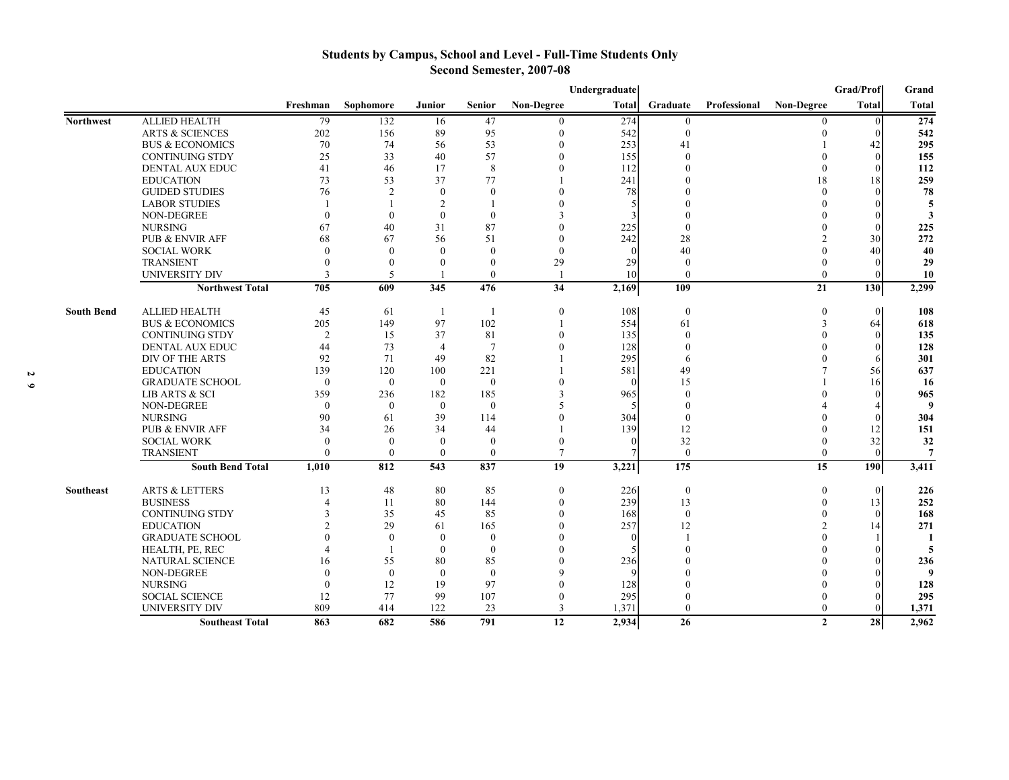### **Students by Campus, School and Level - Full-Time Students Only Second Semester, 2007-08**

|                   |                            |                |                |                |                |                   | Undergraduate |                |              |                   | <b>Grad/Prof</b> | Grand          |
|-------------------|----------------------------|----------------|----------------|----------------|----------------|-------------------|---------------|----------------|--------------|-------------------|------------------|----------------|
|                   |                            | Freshman       | Sophomore      | Junior         | <b>Senior</b>  | <b>Non-Degree</b> | <b>Total</b>  | Graduate       | Professional | <b>Non-Degree</b> | <b>Total</b>     | <b>Total</b>   |
| <b>Northwest</b>  | <b>ALLIED HEALTH</b>       | 79             | 132            | 16             | 47             | 0                 | 274           | $\mathbf{0}$   |              | 0                 | $\Omega$         | 274            |
|                   | <b>ARTS &amp; SCIENCES</b> | 202            | 156            | 89             | 95             | $\overline{0}$    | 542           | $\overline{0}$ |              | $\theta$          |                  | 542            |
|                   | <b>BUS &amp; ECONOMICS</b> | 70             | 74             | 56             | 53             | $\Omega$          | 253           | 41             |              |                   | 42               | 295            |
|                   | <b>CONTINUING STDY</b>     | 25             | 33             | 40             | 57             | $\overline{0}$    | 155           | $\mathbf{0}$   |              |                   |                  | 155            |
|                   | <b>DENTAL AUX EDUC</b>     | 41             | 46             | 17             | 8              | $\theta$          | 112           | $\theta$       |              | $\theta$          |                  | 112            |
|                   | <b>EDUCATION</b>           | 73             | 53             | 37             | 77             |                   | 241           |                |              | 18                | 18               | 259            |
|                   | <b>GUIDED STUDIES</b>      | 76             | $\overline{2}$ | $\theta$       | $\Omega$       | $\theta$          | 78            |                |              | $\Omega$          |                  | 78             |
|                   | <b>LABOR STUDIES</b>       |                |                | $\overline{c}$ |                |                   | 5             |                |              |                   |                  | 5              |
|                   | <b>NON-DEGREE</b>          | $\Omega$       | $\theta$       | $\mathbf{0}$   | $\Omega$       | 3                 |               |                |              |                   |                  | 3              |
|                   | <b>NURSING</b>             | 67             | 40             | 31             | 87             | $\Omega$          | 225           | $\Omega$       |              |                   |                  | 225            |
|                   | <b>PUB &amp; ENVIR AFF</b> | 68             | 67             | 56             | 51             | $\Omega$          | 242           | 28             |              |                   | 30               | 272            |
|                   | <b>SOCIAL WORK</b>         | $\Omega$       | $\theta$       | $\theta$       | $\Omega$       | $\Omega$          | $\Omega$      | 40             |              |                   | 40               | 40             |
|                   | <b>TRANSIENT</b>           | $\theta$       | $\theta$       | $\theta$       | $\Omega$       | 29                | 29            | $\Omega$       |              |                   |                  | 29             |
|                   | <b>UNIVERSITY DIV</b>      | 3              | .5             |                | $\theta$       |                   | 10            | $\Omega$       |              | $\theta$          |                  | 10             |
|                   | <b>Northwest Total</b>     | 705            | 609            | 345            | 476            | 34                | 2,169         | 109            |              | 21                | 130              | 2,299          |
| <b>South Bend</b> | <b>ALLIED HEALTH</b>       | 45             | 61             | -1             | -1             | $\mathbf{0}$      | 108           | $\bf{0}$       |              | $\theta$          | $\Omega$         | 108            |
|                   | <b>BUS &amp; ECONOMICS</b> | 205            | 149            | 97             | 102            |                   | 554           | 61             |              | 3                 | 64               | 618            |
|                   | <b>CONTINUING STDY</b>     | $\overline{2}$ | 15             | 37             | 81             | $\Omega$          | 135           | $\theta$       |              |                   |                  | 135            |
|                   | <b>DENTAL AUX EDUC</b>     | 44             | 73             | $\overline{4}$ | $\overline{7}$ | $\overline{0}$    | 128           | $\mathbf{0}$   |              |                   |                  | 128            |
|                   | <b>DIV OF THE ARTS</b>     | 92             | 71             | 49             | 82             |                   | 295           | 6              |              |                   |                  | 301            |
|                   | <b>EDUCATION</b>           | 139            | 120            | 100            | 221            |                   | 581           | 49             |              |                   | 56               | 637            |
|                   | <b>GRADUATE SCHOOL</b>     | $\theta$       | $\overline{0}$ | $\theta$       | $\Omega$       |                   | $\Omega$      | 15             |              |                   | 16               | 16             |
|                   | LIB ARTS & SCI             | 359            | 236            | 182            | 185            | 3                 | 965           | $\Omega$       |              |                   |                  | 965            |
|                   | <b>NON-DEGREE</b>          | $\theta$       | $\mathbf{0}$   | $\mathbf{0}$   | $\theta$       | 5                 |               | $\Omega$       |              |                   |                  | 9              |
|                   | <b>NURSING</b>             | 90             | 61             | 39             | 114            | $\Omega$          | 304           | $\Omega$       |              |                   |                  | 304            |
|                   | <b>PUB &amp; ENVIR AFF</b> | 34             | 26             | 34             | 44             |                   | 139           | 12             |              |                   | 12               | 151            |
|                   | <b>SOCIAL WORK</b>         | $\theta$       | $\theta$       | $\mathbf{0}$   | $\Omega$       | $\Omega$          | $\Omega$      | 32             |              |                   | 32               | 32             |
|                   | <b>TRANSIENT</b>           | $\theta$       | $\theta$       | $\theta$       | $\theta$       | 7                 |               | $\overline{0}$ |              | $\theta$          | $\sqrt{ }$       | $\overline{7}$ |
|                   | <b>South Bend Total</b>    | 1,010          | 812            | 543            | 837            | 19                | 3,221         | 175            |              | 15                | 190              | 3,411          |
| Southeast         | <b>ARTS &amp; LETTERS</b>  | 13             | 48             | 80             | 85             | $\mathbf{0}$      | 226           | $\bf{0}$       |              | $\mathbf{0}$      | $\overline{0}$   | 226            |
|                   | <b>BUSINESS</b>            | $\overline{4}$ | 11             | 80             | 144            | $\mathbf{0}$      | 239           | 13             |              | $\Omega$          | 13               | 252            |
|                   | <b>CONTINUING STDY</b>     | 3              | 35             | 45             | 85             | $\theta$          | 168           | $\overline{0}$ |              |                   | $\sqrt{ }$       | 168            |
|                   | <b>EDUCATION</b>           | $\mathfrak{D}$ | 29             | 61             | 165            | $\Omega$          | 257           | 12             |              | $\mathfrak{D}$    | 14               | 271            |
|                   | <b>GRADUATE SCHOOL</b>     | $\theta$       | $\mathbf{0}$   | $\mathbf{0}$   | $\mathbf{0}$   |                   | $\Omega$      |                |              |                   |                  | $\blacksquare$ |
|                   | HEALTH, PE, REC            |                | $\mathbf{1}$   | $\mathbf{0}$   | $\mathbf{0}$   |                   |               | $\Omega$       |              |                   |                  | 5              |
|                   | <b>NATURAL SCIENCE</b>     | 16             | 55             | 80             | 85             |                   | 236           |                |              |                   |                  | 236            |
|                   | <b>NON-DEGREE</b>          | $\theta$       | $\theta$       | $\theta$       | $\Omega$       |                   |               |                |              |                   |                  | 9              |
|                   | <b>NURSING</b>             | $\Omega$       | 12             | 19             | 97             |                   | 128           |                |              |                   |                  | 128            |
|                   | <b>SOCIAL SCIENCE</b>      | 12             | 77             | 99             | 107            | $\theta$          | 295           | $\theta$       |              | $\Omega$          |                  | 295            |
|                   | <b>UNIVERSITY DIV</b>      | 809            | 414            | 122            | 23             | 3                 | 1,371         | $\Omega$       |              | $\theta$          |                  | 1,371          |
|                   | <b>Southeast Total</b>     | 863            | 682            | 586            | 791            | 12                | 2,934         | 26             |              | $\mathbf{2}$      | 28               | 2,962          |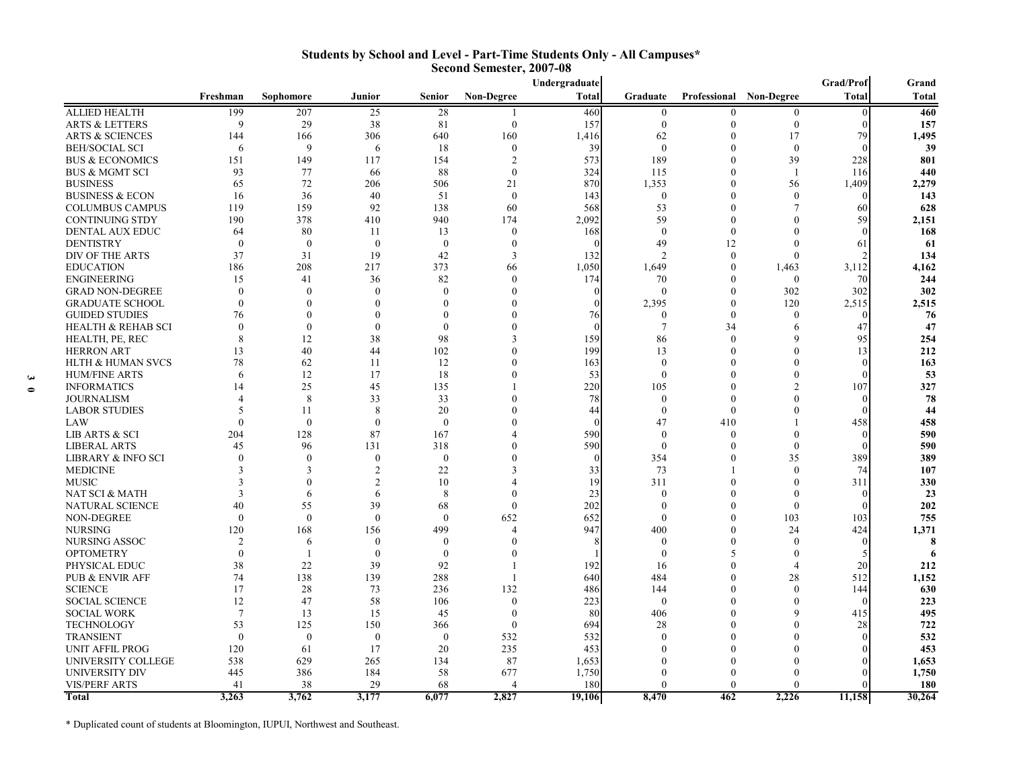|                               |                          |              |                  |               |                   | Undergraduate |                |              |                   | <b>Grad/Prof</b> | Grand  |
|-------------------------------|--------------------------|--------------|------------------|---------------|-------------------|---------------|----------------|--------------|-------------------|------------------|--------|
|                               | Freshman                 | Sophomore    | <b>Junior</b>    | <b>Senior</b> | <b>Non-Degree</b> | Total         | Graduate       | Professional | <b>Non-Degree</b> | <b>Total</b>     | Total  |
| <b>ALLIED HEALTH</b>          | 199                      | 207          | 25               | 28            |                   | 460           | $\mathbf{0}$   | $\Omega$     | $\Omega$          |                  | 460    |
| <b>ARTS &amp; LETTERS</b>     | 9                        | 29           | 38               | 81            | $\mathbf{0}$      | 157           | $\mathbf{0}$   | $\Omega$     | $\mathbf{0}$      |                  | 157    |
| <b>ARTS &amp; SCIENCES</b>    | 144                      | 166          | 306              | 640           | 160               | 1,416         | 62             | $\Omega$     | 17                | 79               | 1,495  |
| <b>BEH/SOCIAL SCI</b>         | 6                        | 9            | 6                | 18            | $\theta$          | 39            | $\mathbf{0}$   | $\Omega$     | $\Omega$          |                  | 39     |
| <b>BUS &amp; ECONOMICS</b>    | 151                      | 149          | 117              | 154           | $\mathcal{D}$     | 573           | 189            | $\theta$     | 39                | 228              | 801    |
| <b>BUS &amp; MGMT SCI</b>     | 93                       | 77           | 66               | 88            | $\Omega$          | 324           | 115            | $\Omega$     | $\mathbf{1}$      | 116              | 440    |
| <b>BUSINESS</b>               | 65                       | 72           | 206              | 506           | 21                | 870           | 1,353          | $\Omega$     | 56                | 1,409            | 2,279  |
| <b>BUSINESS &amp; ECON</b>    | 16                       | 36           | 40               | 51            | $\theta$          | 143           | $\mathbf{0}$   | 0            | $\theta$          |                  | 143    |
| <b>COLUMBUS CAMPUS</b>        | 119                      | 159          | 92               | 138           | 60                | 568           | 53             | 0            |                   | 60               | 628    |
| <b>CONTINUING STDY</b>        | 190                      | 378          | 410              | 940           | 174               | 2.092         | 59             | $\Omega$     | $\Omega$          | 59               | 2,151  |
| DENTAL AUX EDUC               | 64                       | 80           | 11               | 13            | $\theta$          | 168           | $\theta$       | $\Omega$     | $\Omega$          |                  | 168    |
| <b>DENTISTRY</b>              | $\theta$                 | $\theta$     | $\theta$         | $\Omega$      | $\Omega$          |               | 49             | 12           | $\Omega$          | 61               | 61     |
| DIV OF THE ARTS               | 37                       | 31           | 19               | 42            | 3                 | 132           | $\overline{2}$ | $\mathbf{0}$ | $\Omega$          |                  | 134    |
| <b>EDUCATION</b>              | 186                      | 208          | 217              | 373           | 66                | 1,050         | 1,649          | $\Omega$     | 1,463             | 3,112            | 4,162  |
| <b>ENGINEERING</b>            | 15                       | 41           | 36               | 82            | $\Omega$          | 174           | 70             | $\Omega$     | $\mathbf{0}$      | 70               | 244    |
| <b>GRAD NON-DEGREE</b>        | $\Omega$                 | $\Omega$     | $\mathbf{0}$     | $\Omega$      | $\Omega$          |               | $\mathbf{0}$   | $\theta$     | 302               | 302              | 302    |
| <b>GRADUATE SCHOOL</b>        | $\Omega$                 | $\theta$     | $\mathbf{0}$     |               |                   |               | 2,395          | $\Omega$     | 120               | 2,515            | 2,515  |
| <b>GUIDED STUDIES</b>         | 76                       | $\Omega$     | $\theta$         |               |                   | 76            | $\theta$       | $\theta$     | $\theta$          |                  | 76     |
| <b>HEALTH &amp; REHAB SCI</b> | $\Omega$                 | $\mathbf{0}$ | $\overline{0}$   | $\Omega$      |                   |               | $\tau$         | 34           | 6                 | 47               | 47     |
| HEALTH, PE, REC               | 8                        | 12           | 38               | 98            |                   | 159           | 86             | $\theta$     | $\Omega$          | 95               | 254    |
| <b>HERRON ART</b>             | 13                       | 40           | 44               | 102           |                   | 199           | 13             | $\Omega$     | $\theta$          | 13               | 212    |
| <b>HLTH &amp; HUMAN SVCS</b>  | 78                       | 62           | 11               | 12            | $\Omega$          | 163           | $\mathbf{0}$   | $\Omega$     | $\Omega$          |                  | 163    |
| <b>HUM/FINE ARTS</b>          | 6                        | 12           | 17               | 18            |                   | 53            | $\mathbf{0}$   | 0            | $\Omega$          |                  | 53     |
| <b>INFORMATICS</b>            | 14                       | 25           | 45               | 135           |                   | 220           | 105            | 0            | $\mathfrak{D}$    | 107              | 327    |
| <b>JOURNALISM</b>             | $\boldsymbol{\varDelta}$ | 8            | 33               | 33            |                   | 78            | $\theta$       | $\Omega$     | $\Omega$          |                  | 78     |
| <b>LABOR STUDIES</b>          | 5                        | 11           | 8                | 20            |                   | 44            | $\mathbf{0}$   | $\theta$     | $\Omega$          |                  | 44     |
| LAW                           | $\theta$                 | $\theta$     | $\overline{0}$   | $\Omega$      | ſ                 |               | 47             | 410          |                   | 458              | 458    |
| <b>LIB ARTS &amp; SCI</b>     | 204                      | 128          | 87               | 167           |                   | 590           | $\theta$       | $\theta$     | $\Omega$          | $\sqrt{ }$       | 590    |
| <b>LIBERAL ARTS</b>           | 45                       | 96           | 131              | 318           | $\Omega$          | 590           | $\mathbf{0}$   | $\Omega$     | $\Omega$          |                  | 590    |
| <b>LIBRARY &amp; INFO SCI</b> | $\Omega$                 | $\mathbf{0}$ | $\mathbf{0}$     | $\mathbf{0}$  |                   | $\Omega$      | 354            | $\Omega$     | 35                | 389              | 389    |
| <b>MEDICINE</b>               | 3                        | 3            | $\overline{2}$   | 22            | 3                 | 33            | 73             |              | $\Omega$          | 74               | 107    |
| <b>MUSIC</b>                  |                          | $\Omega$     | $\mathfrak{D}$   | 10            |                   | 19            | 311            | 0            | $\theta$          | 311              | 330    |
| NAT SCI & MATH                | 3                        | 6            | 6                | 8             | $\Omega$          | 23            | $\mathbf{0}$   | $\Omega$     | $\Omega$          | $\sqrt{ }$       | 23     |
| NATURAL SCIENCE               | 40                       | 55           | 39               | 68            | $\Omega$          | 202           | $\mathbf{0}$   | $\Omega$     | $\Omega$          |                  | 202    |
| NON-DEGREE                    | $\Omega$                 | $\mathbf{0}$ | $\theta$         | $\Omega$      | 652               | 652           | $\theta$       | $\Omega$     | 103               | 103              | 755    |
| <b>NURSING</b>                | 120                      | 168          | 156              | 499           | $\Delta$          | 947           | 400            | $\Omega$     | 24                | 424              | 1,371  |
| <b>NURSING ASSOC</b>          | $\mathfrak{D}$           | 6            | $\mathbf{0}$     | $\Omega$      | $\Omega$          |               | $\mathbf{0}$   | $\Omega$     | $\theta$          |                  | 8      |
| <b>OPTOMETRY</b>              | $\Omega$                 |              | $\boldsymbol{0}$ | $\Omega$      | $\sqrt{ }$        |               | $\theta$       | 5            | $\Omega$          |                  |        |
| PHYSICAL EDUC                 | 38                       | 22           | 39               | 92            |                   | 192           | 16             | $\Omega$     | $\Delta$          | 20               | 212    |
| PUB & ENVIR AFF               | 74                       | 138          | 139              | 288           |                   | 640           | 484            | $\theta$     | 28                | 512              | 1,152  |
| <b>SCIENCE</b>                | 17                       | 28           | 73               | 236           | 132               | 486           | 144            | $\Omega$     | $\theta$          | 144              | 630    |
| <b>SOCIAL SCIENCE</b>         | 12                       | 47           | 58               | 106           | $\theta$          | 223           | $\theta$       | 0            | $\theta$          |                  | 223    |
| <b>SOCIAL WORK</b>            | $7\phantom{.0}$          | 13           | 15               | 45            | $\Omega$          | 80            | 406            | $\Omega$     | 9                 | 415              | 495    |
| <b>TECHNOLOGY</b>             | 53                       | 125          | 150              | 366           | $\theta$          | 694           | 28             | 0            | $\Omega$          | 28               | 722    |
| <b>TRANSIENT</b>              | $\theta$                 | $\mathbf{0}$ | $\theta$         | $\Omega$      | 532               | 532           | $\theta$       |              |                   |                  | 532    |
| <b>UNIT AFFIL PROG</b>        | 120                      | 61           | 17               | 20            | 235               | 453           | $\Omega$       | O            | $\Omega$          |                  | 453    |
| UNIVERSITY COLLEGE            | 538                      | 629          | 265              | 134           | 87                | 1,653         |                | O            |                   |                  | 1,653  |
| <b>UNIVERSITY DIV</b>         | 445                      | 386          | 184              | 58            | 677               | 1,750         | $\Omega$       |              |                   |                  | 1,750  |
| <b>VIS/PERF ARTS</b>          | 41                       | 38           | 29               | 68            | $\overline{4}$    | 180           | $\theta$       | $\Omega$     | $\Omega$          |                  | 180    |
| <b>Total</b>                  | 3.263                    | 3,762        | 3,177            | 6.077         | 2.827             | 19.106        | 8.470          | 462          | 2.226             | 11,158           | 30,264 |

#### **Students by School and Level - Part-Time Students Only - All Campuses\* Second Semester, 2007-08**

\* Duplicated count of students at Bloomington, IUPUI, Northwest and Southeast.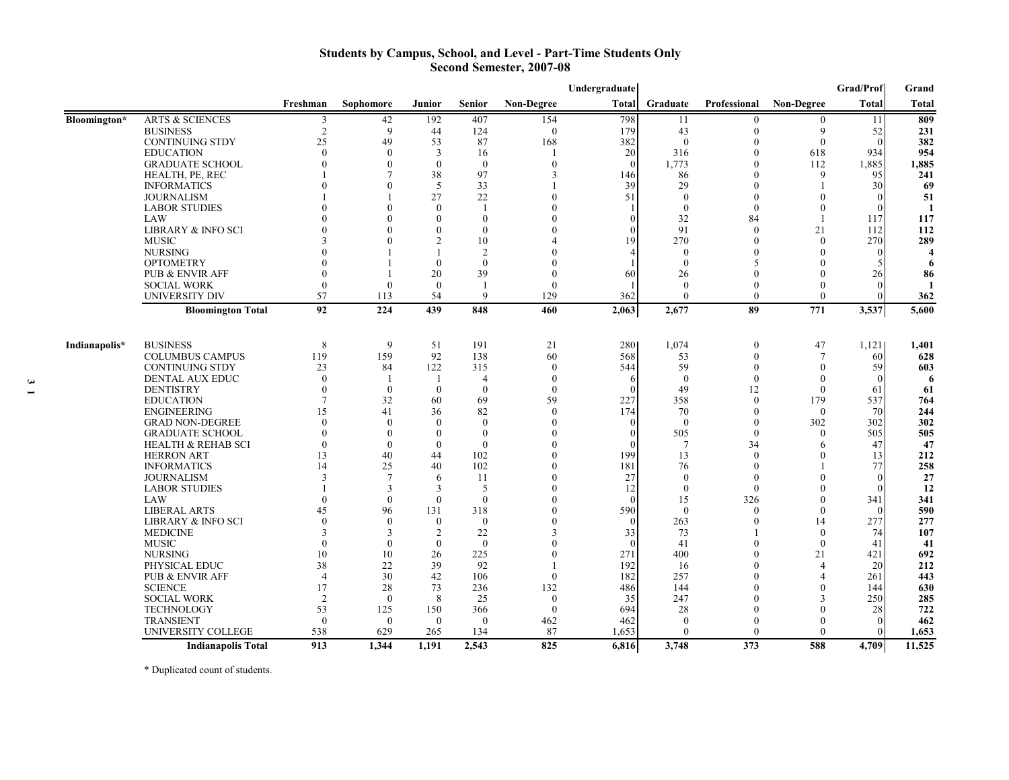#### **Students by Campus, School, and Level - Part-Time Students Only Second Semester, 2007-08**

|               |                               |                |                |                |                |                   | Undergraduate |                  |                  |                       | Grad/Prof    | Grand                   |
|---------------|-------------------------------|----------------|----------------|----------------|----------------|-------------------|---------------|------------------|------------------|-----------------------|--------------|-------------------------|
|               |                               | Freshman       | Sophomore      | Junior         | <b>Senior</b>  | <b>Non-Degree</b> | Total         | Graduate         | Professional     | <b>Non-Degree</b>     | <b>Total</b> | Total                   |
| Bloomington*  | <b>ARTS &amp; SCIENCES</b>    | 3              | 42             | 192            | 407            | 154               | 798           | 11               | $\theta$         | $\boldsymbol{0}$      | 11           | 809                     |
|               | <b>BUSINESS</b>               | $\overline{2}$ | 9              | 44             | 124            | $\theta$          | 179           | 43               | $\theta$         | 9                     | 52           | 231                     |
|               | <b>CONTINUING STDY</b>        | 25             | 49             | 53             | 87             | 168               | 382           | $\theta$         | 0                | $\mathbf{0}$          |              | 382                     |
|               | <b>EDUCATION</b>              | $\theta$       | $\theta$       | 3              | 16             |                   | 20            | 316              | $\theta$         | 618                   | 934          | 954                     |
|               | <b>GRADUATE SCHOOL</b>        | $\Omega$       | $\theta$       | $\Omega$       | $\theta$       | $\Omega$          | $\Omega$      | 1,773            | $\theta$         | 112                   | 1,885        | 1,885                   |
|               | HEALTH, PE, REC               |                | $\overline{7}$ | 38             | 97             | 3                 | 146           | 86               | $\theta$         | 9                     | 95           | 241                     |
|               | <b>INFORMATICS</b>            | $\Omega$       |                | 5              | 33             |                   | 39            | 29               | $\Omega$         | -1                    | 30           | 69                      |
|               | <b>JOURNALISM</b>             |                |                | 27             | 22             |                   | 51            | $\theta$         | $\theta$         | $\Omega$              |              | 51                      |
|               | <b>LABOR STUDIES</b>          | $\Omega$       | $\Omega$       | $\theta$       | $\overline{1}$ |                   |               | $\theta$         | $\theta$         | $\mathbf{0}$          |              | 1                       |
|               | LAW                           | $\Omega$       | $\Omega$       | $\theta$       | $\Omega$       |                   |               | 32               | 84               |                       | 117          | 117                     |
|               | <b>LIBRARY &amp; INFO SCI</b> |                | $\Omega$       | $\theta$       | $\mathbf{0}$   |                   |               | 91               | $\mathbf{0}$     | 21                    | 112          | 112                     |
|               | <b>MUSIC</b>                  |                | $\Omega$       | $\overline{2}$ | 10             | Δ                 | 19            | 270              | $\theta$         | $\theta$              | 270          | 289                     |
|               | <b>NURSING</b>                | $\Omega$       |                |                | 2              | $\mathbf{O}$      |               | $\theta$         | $\Omega$         | $\theta$              |              | $\overline{\mathbf{4}}$ |
|               | <b>OPTOMETRY</b>              | $\theta$       |                | $\theta$       | $\theta$       | $\theta$          |               | $\theta$         | 5                | $\mathbf{0}$          |              | 6                       |
|               | <b>PUB &amp; ENVIR AFF</b>    | $\theta$       |                | 20             | 39             | $\left( \right)$  | 60            | 26               | $\Omega$         | $\theta$              | 26           | 86                      |
|               | <b>SOCIAL WORK</b>            | $\theta$       | $\theta$       | $\theta$       | -1             | $\left($          |               | $\boldsymbol{0}$ | $\theta$         | $\theta$              |              | -1                      |
|               | UNIVERSITY DIV                | 57             | 113            | 54             | 9              | 129               | 362           | $\theta$         | $\theta$         | $\theta$              |              | 362                     |
|               | <b>Bloomington Total</b>      | 92             | 224            | 439            | 848            | 460               | 2,063         | 2,677            | 89               | 771                   | 3,537        | 5,600                   |
|               |                               |                |                |                |                |                   |               |                  |                  |                       |              |                         |
| Indianapolis* | <b>BUSINESS</b>               | 8              | 9              | 51             | 191            | 21                | 280           | 1,074            | $\boldsymbol{0}$ | 47                    | 1,121        | 1,401                   |
|               | <b>COLUMBUS CAMPUS</b>        | 119            | 159            | 92             | 138            | 60                | 568           | 53               | $\overline{0}$   | $\overline{7}$        | 60           | 628                     |
|               | <b>CONTINUING STDY</b>        | 23             | 84             | 122            | 315            | $\mathbf{0}$      | 544           | 59               | $\theta$         | $\Omega$              | 59           | 603                     |
|               | DENTAL AUX EDUC               | $\mathbf{0}$   | -1             | $\mathbf{1}$   | $\overline{4}$ | $\theta$          |               | $\mathbf{0}$     | $\mathbf{0}$     | $\mathbf{0}$          |              | 6                       |
|               | <b>DENTISTRY</b>              | $\theta$       | $\mathbf{0}$   | $\mathbf{0}$   | $\mathbf{0}$   | $\mathbf{0}$      |               | 49               | 12               | $\theta$              | 61           | 61                      |
|               | <b>EDUCATION</b>              | $\overline{7}$ | 32             | 60             | 69             | 59                | 227           | 358              | $\mathbf{0}$     | 179                   | 537          | 764                     |
|               | <b>ENGINEERING</b>            | 15             | 41             | 36             | 82             | $\Omega$          | 174           | 70               | $\theta$         | $\Omega$              | 70           | 244                     |
|               | <b>GRAD NON-DEGREE</b>        | $\theta$       | $\theta$       | $\theta$       | $\theta$       | $\Omega$          |               | $\theta$         | $\theta$         | 302                   | 302          | 302                     |
|               | <b>GRADUATE SCHOOL</b>        | $\theta$       | $\theta$       | $\theta$       | $\theta$       | $\Omega$          |               | 505              | $\theta$         | $\theta$              | 505          | 505                     |
|               | <b>HEALTH &amp; REHAB SCI</b> | $\theta$       | $\theta$       | $\theta$       | $\theta$       | $\mathbf{0}$      |               | 7                | 34               | 6                     | 47           | 47                      |
|               | <b>HERRON ART</b>             | 13             | 40             | 44             | 102            | $\mathcal{L}$     | 199           | 13               | $\theta$         | $\theta$              | 13           | 212                     |
|               | <b>INFORMATICS</b>            | 14             | 25             | 40             | 102            | $\mathbf{0}$      | 181           | 76               | $\theta$         |                       | 77           | 258                     |
|               | <b>JOURNALISM</b>             | 3              | $\overline{7}$ | 6              | 11             | $\left( \right)$  | 27            | $\theta$         | $\theta$         | $\theta$              |              | 27                      |
|               | <b>LABOR STUDIES</b>          |                | 3              | 3              | 5              | $\theta$          | 12            | $\theta$         | $\theta$         | $\theta$              |              | 12                      |
|               | LAW                           | $\mathbf{0}$   | $\theta$       | $\theta$       | $\theta$       | $\mathbf{r}$      |               | 15               | 326              | $\mathbf{0}$          | 341          | 341                     |
|               | <b>LIBERAL ARTS</b>           | 45             | 96             | 131            | 318            | $\mathbf{r}$      | 590           | $\theta$         | $\theta$         | $\theta$              |              | 590                     |
|               | <b>LIBRARY &amp; INFO SCI</b> | $\theta$       | $\theta$       | $\theta$       | $\theta$       | $\left( \right)$  |               | 263              | $\mathbf{0}$     | 14                    | 277          | 277                     |
|               | <b>MEDICINE</b>               | 3              | 3              | $\overline{2}$ | 22             | 3                 | 33            | 73               |                  | $\theta$              | 74           | 107                     |
|               | <b>MUSIC</b>                  | $\theta$       | $\theta$       | $\mathbf{0}$   | $\overline{0}$ | $\Omega$          |               | 41               | 0                | $\theta$              | 41           | 41                      |
|               | <b>NURSING</b>                | 10             | 10             | 26             | 225            | $\Omega$          | 271           | 400              | $\theta$         | 21                    | 421          | 692                     |
|               | PHYSICAL EDUC                 | 38             | 22             | 39             | 92             |                   | 192           | 16               | 0                | 4                     | 20           | 212                     |
|               | PUB & ENVIR AFF               | $\overline{4}$ | 30             | 42             | 106            | $\theta$          | 182           | 257              | $\Omega$         | $\boldsymbol{\Delta}$ | 261          | 443                     |
|               | <b>SCIENCE</b>                | 17             | 28             | 73             | 236            | 132               | 486           | 144              | $\Omega$         | $\Omega$              | 144          | 630                     |
|               | <b>SOCIAL WORK</b>            | $\overline{2}$ | $\theta$       | 8              | 25             | $\Omega$          | 35            | 247              |                  | 3                     | 250          | 285                     |
|               | <b>TECHNOLOGY</b>             | 53             | 125            | 150            | 366            | $\theta$          | 694           | 28               |                  | $\theta$              | 28           | 722                     |
|               | <b>TRANSIENT</b>              | $\mathbf{0}$   | $\theta$       | $\mathbf{0}$   | $\mathbf{0}$   | 462               | 462           | $\theta$         | 0                | $\Omega$              |              | 462                     |
|               | UNIVERSITY COLLEGE            | 538            | 629            | 265            | 134            | 87                | 1,653         | $\theta$         | $\theta$         | $\Omega$              |              | 1,653                   |
|               | <b>Indianapolis Total</b>     | 913            | 1,344          | 1,191          | 2,543          | 825               | 6,816         | 3,748            | 373              | 588                   | 4.709        | 11,525                  |

\* Duplicated count of students.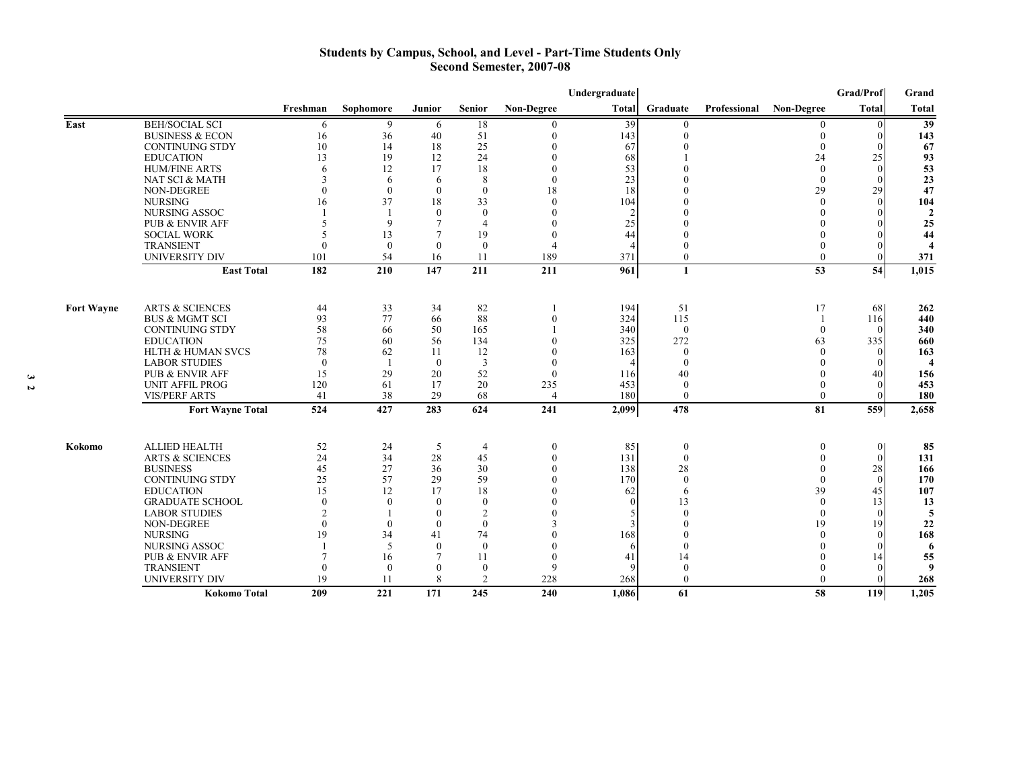#### **Students by Campus, School, and Level - Part-Time Students Only Second Semester, 2007-08**

|                   |                                                  |                          |              |                    |                      |                          | Undergraduate |                              |              |                      | Grad/Prof              | Grand                    |
|-------------------|--------------------------------------------------|--------------------------|--------------|--------------------|----------------------|--------------------------|---------------|------------------------------|--------------|----------------------|------------------------|--------------------------|
|                   |                                                  | Freshman                 | Sophomore    | Junior             | <b>Senior</b>        | Non-Degree               | <b>Total</b>  | Graduate                     | Professional | <b>Non-Degree</b>    | Total                  | <b>Total</b>             |
| East              | <b>BEH/SOCIAL SCI</b>                            | 6                        | 9            | 6                  | 18                   | 0                        | 39            | $\Omega$                     |              |                      | $\Omega$               | $\overline{39}$          |
|                   | <b>BUSINESS &amp; ECON</b>                       | 16                       | 36           | 40                 | 51                   |                          | 143           | $\theta$                     |              |                      | $\vert$ 0              | 143                      |
|                   | <b>CONTINUING STDY</b>                           | 10                       | 14           | 18                 | 25                   |                          | 67            |                              |              |                      | $\Omega$               | 67                       |
|                   | <b>EDUCATION</b>                                 | 13                       | 19           | 12                 | 24                   |                          | 68            |                              |              | 24                   | 25                     | 93                       |
|                   | <b>HUM/FINE ARTS</b>                             | 6                        | 12           | 17                 | 18                   |                          | 53            |                              |              | $\Omega$             | $\theta$               | 53                       |
|                   | NAT SCI & MATH                                   | $\mathbf{3}$             | 6            | 6                  | 8                    | $\Omega$                 | 23            |                              |              | $\Omega$             | $\Omega$               | 23                       |
|                   | <b>NON-DEGREE</b>                                | $\theta$                 | $\theta$     | $\mathbf{0}$       | $\mathbf{0}$         | 18                       | 18            |                              |              | 29                   | 29                     | 47                       |
|                   | <b>NURSING</b>                                   | 16                       | 37           | 18                 | 33                   | $\Omega$                 | 104           |                              |              | $\Omega$             | $\Omega$               | 104                      |
|                   | NURSING ASSOC                                    |                          | $\mathbf Q$  | $\theta$<br>$\tau$ | $\Omega$             |                          |               |                              |              |                      | $\Omega$<br>$\Omega$   | $\overline{2}$           |
|                   | <b>PUB &amp; ENVIR AFF</b><br><b>SOCIAL WORK</b> | 5                        | 13           |                    | $\overline{4}$<br>19 | $\Omega$                 | 25<br>44      |                              |              |                      | $\Omega$               | 25<br>44                 |
|                   | <b>TRANSIENT</b>                                 | $\Omega$                 | $\mathbf{0}$ | $\mathbf{0}$       | $\mathbf{0}$         | $\overline{\mathcal{L}}$ |               |                              |              |                      | $\Omega$               | $\boldsymbol{\varDelta}$ |
|                   | <b>UNIVERSITY DIV</b>                            | 101                      | 54           | 16                 | 11                   | 189                      | 371           | $\mathbf{0}$                 |              | $\Omega$             | $\Omega$               | 371                      |
|                   |                                                  |                          |              | 147                |                      |                          |               |                              |              | 53                   |                        |                          |
|                   | <b>East Total</b>                                | 182                      | 210          |                    | 211                  | 211                      | 961           | 1                            |              |                      | 54                     | 1,015                    |
|                   |                                                  |                          |              |                    |                      |                          |               |                              |              |                      |                        |                          |
| <b>Fort Wayne</b> | <b>ARTS &amp; SCIENCES</b>                       | 44                       | 33           | 34                 | 82                   |                          | 194           | 51                           |              | 17                   | 68                     | 262                      |
|                   | <b>BUS &amp; MGMT SCI</b>                        | 93                       | 77           | 66                 | 88                   | $\Omega$                 | 324           | 115                          |              | $\overline{1}$       | 116                    | 440                      |
|                   | <b>CONTINUING STDY</b>                           | 58                       | 66           | 50                 | 165                  |                          | 340           | $\theta$                     |              | $\Omega$             | $\Omega$               | 340                      |
|                   | <b>EDUCATION</b>                                 | 75                       | 60           | 56                 | 134                  |                          | 325           | 272                          |              | 63                   | 335                    | 660                      |
|                   | HLTH & HUMAN SVCS                                | 78                       | 62           | 11                 | 12                   |                          | 163           | $\theta$                     |              | $\Omega$             | $\theta$               | 163                      |
|                   | <b>LABOR STUDIES</b>                             | $\theta$                 |              | $\theta$           | 3                    | $\mathbf{0}$             |               | $\mathbf{0}$                 |              | $\Omega$             | $\theta$               | $\overline{\bf{4}}$      |
|                   | PUB & ENVIR AFF                                  | 15                       | 29           | 20                 | 52                   | $\theta$                 | 116           | 40                           |              | $\Omega$             | 40<br>$\theta$         | 156                      |
|                   | <b>UNIT AFFIL PROG</b><br><b>VIS/PERF ARTS</b>   | 120<br>41                | 61<br>38     | 17<br>29           | 20<br>68             | 235<br>$\overline{4}$    | 453<br>180    | $\bf{0}$<br>$\boldsymbol{0}$ |              | $\theta$             | $\theta$               | 453<br>180               |
|                   |                                                  |                          |              |                    |                      |                          |               |                              |              |                      |                        |                          |
|                   | <b>Fort Wayne Total</b>                          | 524                      | 427          | 283                | 624                  | 241                      | 2,099         | 478                          |              | 81                   | 559                    | 2,658                    |
|                   |                                                  |                          |              |                    |                      |                          |               |                              |              |                      |                        |                          |
| Kokomo            | <b>ALLIED HEALTH</b>                             | 52                       | 24           | 5                  | $\overline{4}$       | $\theta$                 | 85            | $\theta$                     |              | $\theta$             | $\vert$ 0              | 85                       |
|                   | <b>ARTS &amp; SCIENCES</b><br><b>BUSINESS</b>    | 24<br>45                 | 34<br>27     | 28<br>36           | 45                   | $\theta$<br>$\Omega$     | 131           | $\mathbf{0}$                 |              | $\theta$<br>$\theta$ | $\vert 0 \vert$        | 131                      |
|                   | <b>CONTINUING STDY</b>                           | 25                       | 57           | 29                 | 30<br>59             |                          | 138<br>170    | 28<br>$\Omega$               |              | $\Omega$             | 28<br>$\left  \right $ | 166<br>170               |
|                   | <b>EDUCATION</b>                                 | 15                       | 12           | 17                 | 18                   |                          | 62            | 6                            |              | 39                   | 45                     | 107                      |
|                   | <b>GRADUATE SCHOOL</b>                           | $\theta$                 | $\theta$     | $\theta$           | $\theta$             |                          |               | 13                           |              | $\theta$             | 13                     | 13                       |
|                   | <b>LABOR STUDIES</b>                             | $\overline{\mathcal{L}}$ |              | $\theta$           | $\overline{2}$       |                          |               |                              |              | $\theta$             | $\theta$               | 5                        |
|                   | <b>NON-DEGREE</b>                                | $\Omega$                 | $\Omega$     | $\theta$           | $\theta$             |                          |               |                              |              | 19                   | 9                      | 22                       |
|                   | <b>NURSING</b>                                   | 19                       | 34           | 41                 | 74                   |                          | 168           |                              |              | $\Omega$             | $\Omega$               | 168                      |
|                   | NURSING ASSOC                                    |                          | 5            | $\mathbf{0}$       | $\mathbf{0}$         |                          |               | $\Omega$                     |              | $\Omega$             | $\Omega$               | 6                        |
|                   | PUB & ENVIR AFF                                  |                          | 16           |                    | 11                   | $\Omega$                 | 41            | 14                           |              |                      | 14                     | 55                       |
|                   | <b>TRANSIENT</b>                                 | $\Omega$                 | $\mathbf{0}$ | $\theta$           | $\boldsymbol{0}$     | 9                        |               | $\theta$                     |              |                      | $\Omega$               | 9                        |
|                   | <b>UNIVERSITY DIV</b>                            | 19                       | 11           | 8                  | 2                    | 228                      | 268           | $\theta$                     |              |                      | $\Omega$               | 268                      |
|                   | Kokomo Total                                     | 209                      | 221          | 171                | 245                  | 240                      | 1,086         | 61                           |              | 58                   | 119                    | 1,205                    |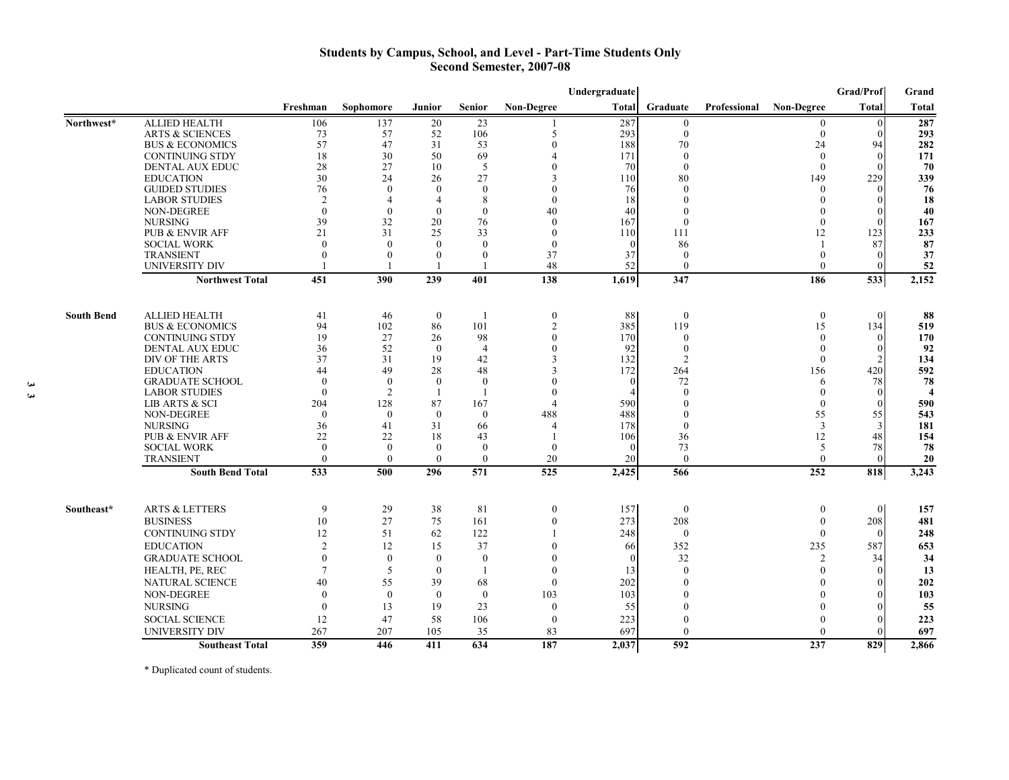## **Students by Campus, School, and Level - Part-Time Students Only Second Semester, 2007-08**

|                   |                            |              |                      |                  |                  |                          | Undergraduate |                  |              |                   | Grad/Prof       | Grand            |
|-------------------|----------------------------|--------------|----------------------|------------------|------------------|--------------------------|---------------|------------------|--------------|-------------------|-----------------|------------------|
|                   |                            | Freshman     | Sophomore            | Junior           | Senior           | <b>Non-Degree</b>        | Total         | Graduate         | Professional | <b>Non-Degree</b> | <b>Total</b>    | <b>Total</b>     |
| Northwest*        | <b>ALLIED HEALTH</b>       | 106          | 137                  | 20               | 23               |                          | 287           | $\mathbf{0}$     |              | $\overline{0}$    | $\overline{0}$  | 287              |
|                   | <b>ARTS &amp; SCIENCES</b> | 73           | 57                   | 52               | 106              | 5                        | 293           | $\mathbf{0}$     |              | $\mathbf{0}$      | $\vert 0 \vert$ | 293              |
|                   | <b>BUS &amp; ECONOMICS</b> | 57           | 47                   | 31               | 53               | $\theta$                 | 188           | 70               |              | 24                | 94              | 282              |
|                   | <b>CONTINUING STDY</b>     | 18           | 30                   | 50               | 69               | $\overline{4}$           | 171           | $\theta$         |              | $\theta$          | $\vert 0 \vert$ | 171              |
|                   | <b>DENTAL AUX EDUC</b>     | 28           | 27                   | 10               | 5                | $\Omega$                 | 70            | $\theta$         |              | $\theta$          | $\theta$        | 70               |
|                   | <b>EDUCATION</b>           | 30           | 24                   | 26               | 27               | $\overline{\mathcal{E}}$ | 110           | 80               |              | 149               | 229             | 339              |
|                   | <b>GUIDED STUDIES</b>      | 76           | $\theta$             | $\theta$         | $\theta$         | $\left($                 | 76            | $\theta$         |              | $\theta$          | $\theta$        | 76               |
|                   | <b>LABOR STUDIES</b>       | 2            | $\overline{4}$       | $\overline{4}$   | 8                | $\theta$                 | 18            | $\mathbf{0}$     |              | $\theta$          | $\Omega$        | 18               |
|                   | <b>NON-DEGREE</b>          | $\theta$     | $\theta$             | $\theta$         | $\theta$         | 40                       | 40            |                  |              | $\theta$          | $\theta$        | 40               |
|                   | <b>NURSING</b>             | 39           | 32                   | 20               | 76               | $\theta$                 | 167           | $\theta$         |              | $\theta$          | $\Omega$        | 167              |
|                   | <b>PUB &amp; ENVIR AFF</b> | 21           | 31                   | 25               | 33               | $\theta$                 | 110           | 111              |              | 12                | 123             | 233              |
|                   | <b>SOCIAL WORK</b>         | $\theta$     | $\Omega$<br>$\theta$ | $\theta$         | $\left( \right)$ | $\theta$                 |               | 86               |              | -1                | 87              | 87               |
|                   | <b>TRANSIENT</b>           | $\theta$     |                      | $\theta$         | $\theta$         | 37                       | 37            | $\theta$         |              | $\theta$          | $\Omega$        | 37               |
|                   | <b>UNIVERSITY DIV</b>      |              |                      |                  | -1               | 48                       | 52            | $\mathbf{0}$     |              | $\theta$          | $\vert 0 \vert$ | 52               |
|                   | <b>Northwest Total</b>     | 451          | 390                  | 239              | 401              | 138                      | 1,619         | 347              |              | 186               | 533             | 2,152            |
| <b>South Bend</b> | <b>ALLIED HEALTH</b>       | 41           | 46                   | $\boldsymbol{0}$ | -1               | $\boldsymbol{0}$         | 88            | $\bf{0}$         |              | $\boldsymbol{0}$  | $\overline{0}$  | 88               |
|                   | <b>BUS &amp; ECONOMICS</b> | 94           | 102                  | 86               | 101              | $\overline{2}$           | 385           | 119              |              | 15                | 134             | 519              |
|                   | <b>CONTINUING STDY</b>     | 19           | 27                   | 26               | 98               | $\Omega$                 | 170           | $\theta$         |              | $\Omega$          | $\vert 0 \vert$ | 170              |
|                   | DENTAL AUX EDUC            | 36           | 52                   | $\theta$         | $\overline{4}$   | $\left($                 | 92            | $\theta$         |              | $\theta$          | $\theta$        | 92               |
|                   | DIV OF THE ARTS            | 37           | 31                   | 19               | 42               | 3                        | 132           | 2                |              | $\theta$          | $\overline{2}$  | 134              |
|                   | <b>EDUCATION</b>           | 44           | 49                   | 28               | 48               | $\overline{\mathcal{E}}$ | 172           | 264              |              | 156               | 420             | 592              |
|                   | <b>GRADUATE SCHOOL</b>     | $\theta$     | $\theta$             | $\theta$         | $\theta$         | $\theta$                 | $\theta$      | 72               |              | 6                 | 78              | 78               |
|                   | <b>LABOR STUDIES</b>       | $\theta$     | $\overline{2}$       | -1               | $\mathbf{1}$     | $\theta$                 |               | $\mathbf{0}$     |              | $\theta$          | $\Omega$        | $\boldsymbol{4}$ |
|                   | LIB ARTS & SCI             | 204          | 128                  | 87               | 167              | $\overline{4}$           | 590           |                  |              | $\theta$          | $\mathbf{0}$    | 590              |
|                   | <b>NON-DEGREE</b>          | $\theta$     | $\theta$             | $\theta$         | $\theta$         | 488                      | 488           |                  |              | 55                | 55              | 543              |
|                   | <b>NURSING</b>             | 36           | 41                   | 31               | 66               | $\boldsymbol{\Delta}$    | 178           | $\theta$         |              | 3                 | 3               | 181              |
|                   | <b>PUB &amp; ENVIR AFF</b> | 22           | 22                   | 18               | 43               |                          | 106           | 36               |              | 12                | 48              | 154              |
|                   | <b>SOCIAL WORK</b>         | $\mathbf{0}$ | $\theta$             | $\theta$         | $\theta$         | $\Omega$                 | $\Omega$      | 73               |              | 5                 | 78              | 78               |
|                   | <b>TRANSIENT</b>           | $\theta$     | $\theta$             | $\theta$         | $\mathbf{0}$     | 20                       | 20            | $\mathbf{0}$     |              | $\theta$          | $\vert$ 0       | 20               |
|                   | <b>South Bend Total</b>    | 533          | 500                  | 296              | 571              | 525                      | 2,425         | 566              |              | 252               | 818             | 3,243            |
| Southeast*        | <b>ARTS &amp; LETTERS</b>  | 9            | 29                   |                  | 81               |                          |               |                  |              |                   | $\Omega$        |                  |
|                   |                            |              |                      | 38               |                  | $\boldsymbol{0}$         | 157           | $\boldsymbol{0}$ |              | $\boldsymbol{0}$  |                 | 157              |
|                   | <b>BUSINESS</b>            | 10           | 27                   | 75               | 161              | $\mathbf{0}$             | 273           | 208              |              | $\theta$          | 208             | 481              |
|                   | <b>CONTINUING STDY</b>     | 12           | 51                   | 62               | 122              |                          | 248           | $\theta$         |              | $\Omega$          | $\Omega$        | 248              |
|                   | <b>EDUCATION</b>           | 2            | 12                   | 15               | 37               | $\theta$                 | 66            | 352              |              | 235               | 587             | 653              |
|                   | <b>GRADUATE SCHOOL</b>     | $\mathbf{0}$ | $\theta$             | $\mathbf{0}$     | $\overline{0}$   | $\theta$                 | $\Omega$      | 32               |              | 2                 | 34              | 34               |
|                   | HEALTH, PE, REC            | 7            | 5                    | $\theta$         | $\overline{1}$   | $\theta$                 | 13            | $\theta$         |              | $\Omega$          | $\Omega$        | 13               |
|                   | <b>NATURAL SCIENCE</b>     | 40           | 55                   | 39               | 68               | $\mathbf{0}$             | 202           | $\Omega$         |              | $\Omega$          | $\vert 0 \vert$ | 202              |
|                   | NON-DEGREE                 | $\mathbf{0}$ | $\theta$             | $\mathbf{0}$     | $\mathbf{0}$     | 103                      | 103           |                  |              |                   | $\Omega$        | 103              |
|                   | <b>NURSING</b>             | $\mathbf{0}$ | 13                   | 19               | 23               | $\mathbf{0}$             | 55            |                  |              | $\Omega$          | $\theta$        | 55               |
|                   | <b>SOCIAL SCIENCE</b>      | 12           | 47                   | 58               | 106              | $\mathbf{0}$             | 223           |                  |              | $\Omega$          | $\Omega$        | 223              |
|                   | <b>UNIVERSITY DIV</b>      | 267          | 207                  | 105              | 35               | 83                       | 697           | $\theta$         |              | $\Omega$          | $\vert 0 \vert$ | 697              |
|                   | <b>Southeast Total</b>     | 359          | 446                  | 411              | 634              | 187                      | 2,037         | 592              |              | 237               | 829             | 2,866            |

\* Duplicated count of students.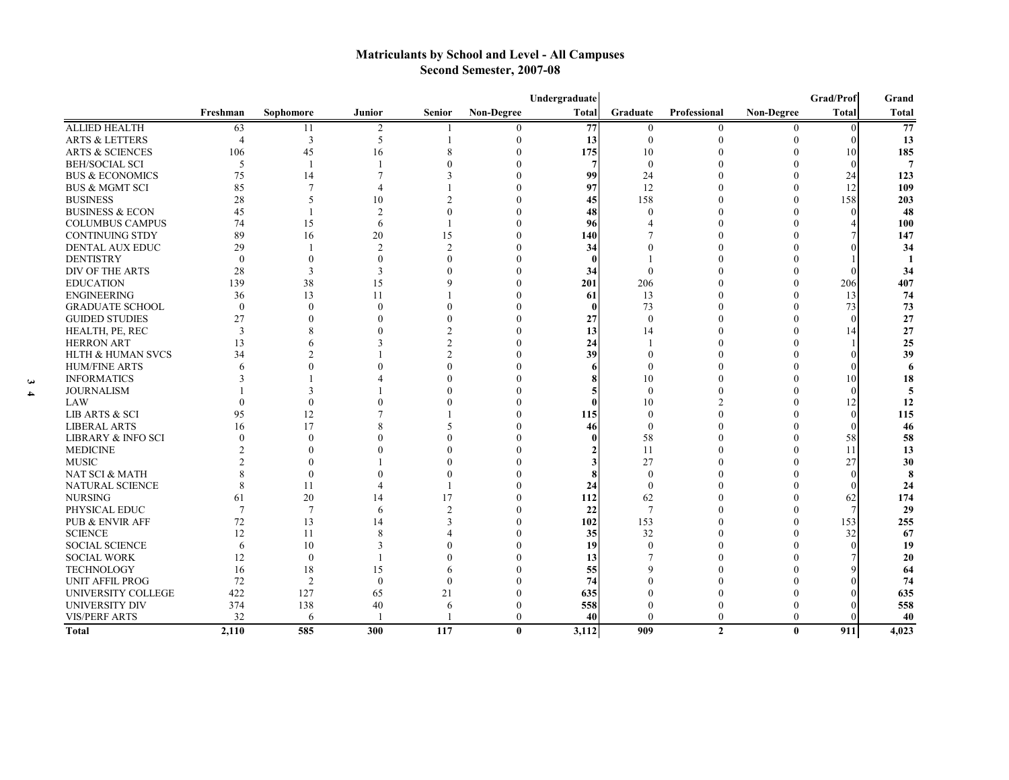# **Matriculants by School and Level - All Campuses Second Semester, 2007-08**

|                               | Grad/Prof<br>Undergraduate |                |                |                |              |                 |              |              | Grand        |              |                |
|-------------------------------|----------------------------|----------------|----------------|----------------|--------------|-----------------|--------------|--------------|--------------|--------------|----------------|
|                               | Freshman                   | Sophomore      | Junior         | <b>Senior</b>  | Non-Degree   | <b>Total</b>    | Graduate     | Professional | Non-Degree   | <b>Total</b> | Total          |
| <b>ALLIED HEALTH</b>          | 63                         | 11             | $\overline{2}$ |                |              | $\overline{77}$ | $\theta$     | $\bf{0}$     |              |              | 77             |
| <b>ARTS &amp; LETTERS</b>     | 4                          | $\overline{3}$ | 5              |                | $\Omega$     | 13              | $\theta$     |              |              |              | 13             |
| <b>ARTS &amp; SCIENCES</b>    | 106                        | 45             | 16             |                |              | 175             | 10           |              |              | 10           | 185            |
| <b>BEH/SOCIAL SCI</b>         | 5                          | -1             |                |                |              | 7               | $\mathbf{0}$ |              |              | $\Omega$     | $\overline{7}$ |
| <b>BUS &amp; ECONOMICS</b>    | 75                         | 14             |                |                |              | 99              | 24           |              |              | 24           | 123            |
| <b>BUS &amp; MGMT SCI</b>     | 85                         | $\overline{7}$ |                |                |              | 97              | 12           |              |              | 12           | 109            |
| <b>BUSINESS</b>               | 28                         | 5              | 10             |                |              | 45              | 158          |              |              | 158          | 203            |
| <b>BUSINESS &amp; ECON</b>    | 45                         |                | $\mathfrak{D}$ |                |              | 48              | $\Omega$     |              |              | $\Omega$     | 48             |
| <b>COLUMBUS CAMPUS</b>        | 74                         | 15             | 6              |                |              | 96              |              |              |              |              | 100            |
| <b>CONTINUING STDY</b>        | 89                         | 16             | 20             | 15             |              | 140             |              |              |              |              | 147            |
| <b>DENTAL AUX EDUC</b>        | 29                         |                | $\overline{2}$ | $\mathfrak{D}$ | $\Omega$     | 34              |              |              |              |              | 34             |
| <b>DENTISTRY</b>              | $\theta$                   |                | $\theta$       |                |              |                 |              |              |              |              | -1             |
| DIV OF THE ARTS               | 28                         | 3              | 3              |                |              | 34              |              |              |              |              | 34             |
| <b>EDUCATION</b>              | 139                        | 38             | 15             |                | $\Omega$     | 201             | 206          |              |              | 206          | 407            |
| <b>ENGINEERING</b>            | 36                         | 13             | 11             |                |              | 61              | 13           |              |              | 13           | 74             |
| <b>GRADUATE SCHOOL</b>        | $\mathbf{0}$               | $\Omega$       | $\Omega$       |                | $\Omega$     |                 | 73           |              |              | 73           | 73             |
| <b>GUIDED STUDIES</b>         | 27                         |                |                |                |              | 27              | $\Omega$     |              |              |              | 27             |
| HEALTH, PE, REC               | 3                          |                |                |                |              | 13              | 14           |              |              | 14           | 27             |
| <b>HERRON ART</b>             | 13                         |                |                |                | $\Omega$     | 24              |              |              |              |              | 25             |
| <b>HLTH &amp; HUMAN SVCS</b>  | 34                         |                |                |                |              | 39              |              |              |              |              | 39             |
| <b>HUM/FINE ARTS</b>          | 6                          |                |                |                |              |                 |              |              |              |              | 6              |
| <b>INFORMATICS</b>            |                            |                |                |                |              |                 | 10           |              |              | 10           | 18             |
| <b>JOURNALISM</b>             |                            |                |                |                |              |                 | $\Omega$     |              |              | $\Omega$     | 5              |
| LAW                           |                            | $\Omega$       |                |                |              |                 | 10           |              |              | 12           | 12             |
| LIB ARTS & SCI                | 95                         | 12             |                |                | $\Omega$     | 115             | $\Omega$     |              |              | $\Omega$     | 115            |
| <b>LIBERAL ARTS</b>           | 16                         | 17             |                |                |              | 46              | $\mathbf{0}$ |              |              |              | 46             |
| <b>LIBRARY &amp; INFO SCI</b> | $\theta$                   | $\Omega$       |                |                |              |                 | 58           |              |              | 58           | 58             |
| <b>MEDICINE</b>               |                            |                |                |                |              |                 | 11           |              |              | 11           | 13             |
| <b>MUSIC</b>                  |                            |                |                |                |              |                 | 27           |              |              | 27           | 30             |
| NAT SCI & MATH                |                            | $\theta$       |                |                |              |                 | $\Omega$     |              |              |              | 8              |
| NATURAL SCIENCE               |                            | 11             |                |                |              | 24              | $\Omega$     |              |              |              | 24             |
| <b>NURSING</b>                | 61                         | 20             | 14             | 17             |              | 112             | 62           |              |              | 62           | 174            |
| PHYSICAL EDUC                 | $\overline{7}$             | $\overline{7}$ | 6              | $\mathcal{I}$  | $\Omega$     | 22              | 7            |              |              |              | 29             |
| PUB & ENVIR AFF               | 72                         | 13             | 14             |                | $\Omega$     | 102             | 153          |              |              | 153          | 255            |
| <b>SCIENCE</b>                | 12                         | 11             | 8              |                |              | 35              | 32           |              |              | 32           | 67             |
| <b>SOCIAL SCIENCE</b>         | 6                          | 10             |                |                | $\Omega$     | 19              |              |              |              |              | 19             |
| <b>SOCIAL WORK</b>            | 12                         | $\mathbf{0}$   |                |                |              | 13              |              |              |              |              | 20             |
| <b>TECHNOLOGY</b>             | 16                         | 18             | 15             |                |              | 55              |              |              |              |              | 64             |
| UNIT AFFIL PROG               | 72                         | $\overline{2}$ | $\Omega$       | $\Omega$       |              | 74              |              |              |              |              | 74             |
| <b>UNIVERSITY COLLEGE</b>     | 422                        | 127            | 65             | 21             |              | 635             |              |              |              |              | 635            |
| <b>UNIVERSITY DIV</b>         | 374                        | 138            | 40             | 6              | $\Omega$     | 558             |              |              |              |              | 558            |
| <b>VIS/PERF ARTS</b>          | 32                         | 6              |                |                | $\theta$     | 40              | $\Omega$     | 0            | $\theta$     |              | 40             |
| <b>Total</b>                  | 2,110                      | 585            | 300            | 117            | $\mathbf{0}$ | 3,112           | 909          | $\mathbf{2}$ | $\mathbf{0}$ | 911          | 4,023          |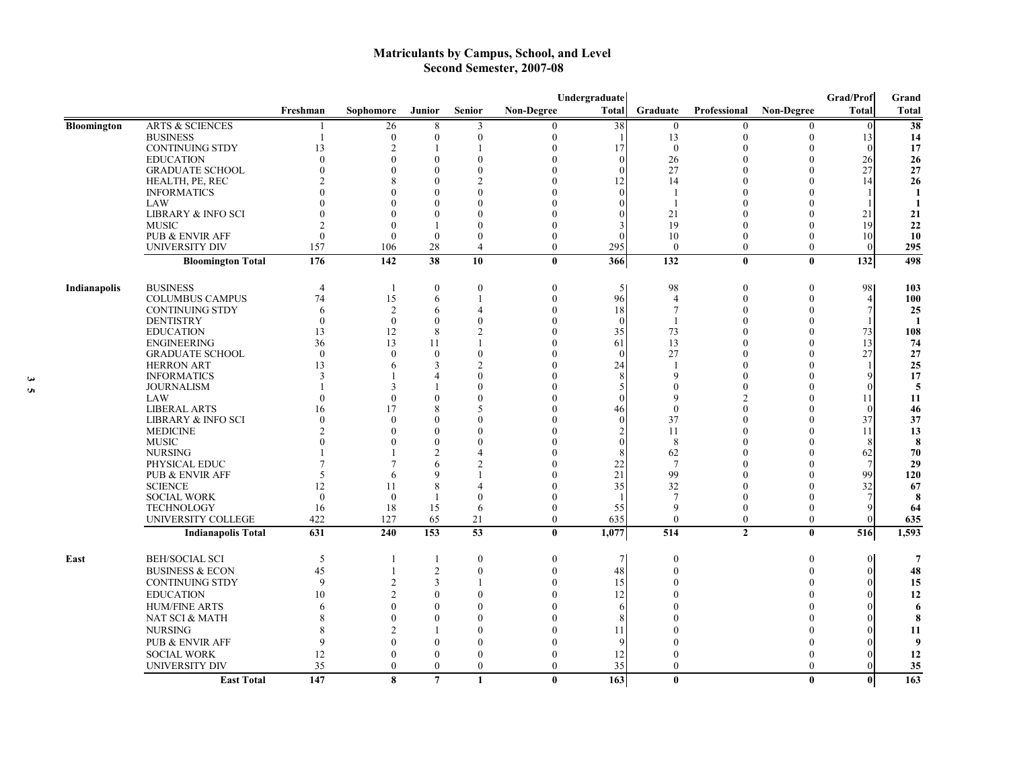# **Matriculants by Campus, School, and Level Second Semester, 2007-08**

|              |                               | Undergraduate  |                |                  |                  |                   |              |                          |                |                   | Grad/Prof      | Grand          |
|--------------|-------------------------------|----------------|----------------|------------------|------------------|-------------------|--------------|--------------------------|----------------|-------------------|----------------|----------------|
|              |                               | Freshman       | Sophomore      | <b>Junior</b>    | <b>Senior</b>    | <b>Non-Degree</b> | <b>Total</b> | Graduate                 | Professional   | <b>Non-Degree</b> | <b>Total</b>   | <b>Total</b>   |
| Bloomington  | <b>ARTS &amp; SCIENCES</b>    |                | 26             | 8                | 3                | 0                 | 38           | $\boldsymbol{0}$         | $\Omega$       | $\theta$          | $\theta$       | 38             |
|              | <b>BUSINESS</b>               |                | $\overline{0}$ | $\mathbf{0}$     | $\Omega$         | 0                 |              | 13                       |                | $\Omega$          | 13             | 14             |
|              | <b>CONTINUING STDY</b>        | 13             | $\overline{2}$ |                  |                  | $\theta$          | 17           | $\Omega$                 |                | $\Omega$          | $\Omega$       | 17             |
|              | <b>EDUCATION</b>              | $\theta$       | $\Omega$       | $\theta$         | $\Omega$         | 0                 | $\Omega$     | 26                       |                | $\Omega$          | 26             | 26             |
|              | <b>GRADUATE SCHOOL</b>        | 0              | $\theta$       | $\Omega$         | $\Omega$         |                   | $\Omega$     | 27                       |                | $\Omega$          | 27             | 27             |
|              | HEALTH, PE, REC               |                | 8              | 0                |                  |                   | 12           | 14                       |                | $\Omega$          | 14             | 26             |
|              | <b>INFORMATICS</b>            | 0              | $\Omega$       | 0                |                  |                   |              | -1                       |                | $\Omega$          |                | -1             |
|              | LAW                           |                | $\Omega$       | $\Omega$         | 0                |                   |              | $\mathbf{1}$             |                | $\Omega$          |                | -1             |
|              | <b>LIBRARY &amp; INFO SCI</b> | 0              | $\Omega$       | $\theta$         | $\Omega$         |                   |              | 21                       |                | $\Omega$          | 21             | 21             |
|              | <b>MUSIC</b>                  | 2              | $\theta$       | $\mathbf{1}$     | $\Omega$         |                   |              | 19                       |                | $\theta$          | 19             | 22             |
|              | PUB & ENVIR AFF               | $\theta$       | $\theta$       | $\theta$         | $\theta$         | $\theta$          |              | 10                       | $\Omega$       | $\theta$          | 10             | 10             |
|              | UNIVERSITY DIV                | 157            | 106            | 28               | $\overline{4}$   | $\theta$          | 295          | $\theta$                 | $\theta$       | $\theta$          | $\Omega$       | 295            |
|              | <b>Bloomington Total</b>      | 176            | 142            | 38               | 10               | $\mathbf{0}$      | 366          | 132                      | $\mathbf{0}$   | $\bf{0}$          | 132            | 498            |
| Indianapolis | <b>BUSINESS</b>               | $\overline{4}$ | $\mathbf{1}$   | $\boldsymbol{0}$ | $\boldsymbol{0}$ | $\theta$          | 5            | 98                       | $\theta$       | $\boldsymbol{0}$  | 98             | 103            |
|              | <b>COLUMBUS CAMPUS</b>        | 74             | 15             | 6                | $\mathbf{1}$     | $\theta$          | 96           | $\overline{4}$           | $\theta$       | $\boldsymbol{0}$  | $\overline{4}$ | 100            |
|              | <b>CONTINUING STDY</b>        | 6              | $\overline{2}$ | 6                | $\overline{4}$   | $\mathbf{0}$      | 18           | 7                        | $\mathbf{0}$   | $\theta$          | $\overline{7}$ | 25             |
|              | <b>DENTISTRY</b>              | $\theta$       | $\theta$       | $\boldsymbol{0}$ | $\theta$         | $\Omega$          | $\theta$     | $\mathbf{1}$             | $\Omega$       | $\theta$          |                | -1             |
|              | <b>EDUCATION</b>              | 13             | 12             | 8                | $\overline{2}$   | 0                 | 35           | 73                       |                | $\Omega$          | 73             | 108            |
|              | <b>ENGINEERING</b>            | 36             | 13             | 11               |                  |                   | 61           | 13                       |                | $\Omega$          | 13             | 74             |
|              | <b>GRADUATE SCHOOL</b>        | $\mathbf{0}$   | $\overline{0}$ | $\bf{0}$         | $\overline{0}$   |                   | $\Omega$     | 27                       |                | $\Omega$          | 27             | 27             |
|              | <b>HERRON ART</b>             | 13             | 6              | 3                | $\mathfrak{D}$   |                   | 24           | $\overline{\phantom{a}}$ |                | $\Omega$          |                | 25             |
|              | <b>INFORMATICS</b>            | 3              |                | $\overline{4}$   | $\Omega$         |                   | 8            | $\mathbf Q$              |                | $\Omega$          | q              | 17             |
|              | <b>JOURNALISM</b>             |                | 3              |                  | $\theta$         |                   |              |                          |                | $\Omega$          |                | 5              |
|              | LAW                           | $\overline{0}$ | $\overline{0}$ | $\mathbf{0}$     | $\Omega$         |                   | $\Omega$     |                          |                | $\Omega$          | 11             | 11             |
|              | <b>LIBERAL ARTS</b>           | 16             | 17             | 8                | $\overline{5}$   |                   | 46           | $\theta$                 |                | $\Omega$          | $\theta$       | 46             |
|              | <b>LIBRARY &amp; INFO SCI</b> | $\Omega$       | $\Omega$       | $\Omega$         | 0                |                   |              | 37                       |                | $\Omega$          | 37             | 37             |
|              | <b>MEDICINE</b>               | $\mathfrak{D}$ | $\Omega$       | $\Omega$         | $\Omega$         |                   |              | 11                       |                | $\Omega$          | 11             | 13             |
|              | <b>MUSIC</b>                  | 0              | $\Omega$       | $\boldsymbol{0}$ | $\Omega$         |                   | $\Omega$     | 8                        |                | $\Omega$          | 8              | 8              |
|              | <b>NURSING</b>                |                |                | $\overline{2}$   | Δ                |                   |              | 62                       |                | $\Omega$          | 62             | 70             |
|              | PHYSICAL EDUC                 |                | 7              | 6                | $\overline{2}$   |                   | 22           | $\overline{7}$           |                | $\Omega$          | $\overline{7}$ | 29             |
|              | <b>PUB &amp; ENVIR AFF</b>    | 5              | 6              | 9                |                  |                   | 21           | 99                       |                | $\left($          | 99             | 120            |
|              | <b>SCIENCE</b>                | 12             | 11             | 8                | $\overline{4}$   |                   | 35           | 32                       |                | $\left($          | 32             | 67             |
|              | <b>SOCIAL WORK</b>            | $\theta$       | $\theta$       | $\mathbf{1}$     | $\theta$         |                   |              | $\overline{7}$           |                | $\left($          | $\tau$         | 8              |
|              | TECHNOLOGY                    | 16             | 18             | 15               | 6                | $\theta$          | 55           | 9                        | $\Omega$       | $\left($          |                | 64             |
|              | UNIVERSITY COLLEGE            | 422            | 127            | 65               | 21               | $\theta$          | 635          | $\theta$                 | $\theta$       | $\theta$          | $\Omega$       | 635            |
|              | <b>Indianapolis Total</b>     | 631            | 240            | 153              | 53               | $\bf{0}$          | 1,077        | 514                      | $\overline{2}$ | $\bf{0}$          | 516            | 1,593          |
| East         | <b>BEH/SOCIAL SCI</b>         | 5              | -1             | -1               | $\overline{0}$   | $\theta$          | $\tau$       | $\theta$                 |                | $\theta$          | $\Omega$       | $\overline{7}$ |
|              | <b>BUSINESS &amp; ECON</b>    | 45             | $\overline{1}$ | $\overline{c}$   | $\Omega$         | $\Omega$          | 48           | $\Omega$                 |                | $\theta$          | $\Omega$       | 48             |
|              | <b>CONTINUING STDY</b>        | 9              | $\overline{2}$ | 3                |                  | $\Omega$          | 15           |                          |                | $\Omega$          |                | 15             |
|              | <b>EDUCATION</b>              | 10             | $\overline{2}$ | $\Omega$         | $\Omega$         |                   | 12           |                          |                | $\Omega$          |                | 12             |
|              | <b>HUM/FINE ARTS</b>          | 6              | $\Omega$       | $\Omega$         | 0                |                   |              |                          |                |                   |                | 6              |
|              |                               |                |                |                  | $\Omega$         |                   |              |                          |                |                   |                |                |
|              | NAT SCI & MATH                |                | $\Omega$       | $\theta$         |                  |                   |              |                          |                |                   |                | 8              |
|              | <b>NURSING</b>                | 8              | $\mathfrak{D}$ |                  | $\Omega$         |                   | 11           |                          |                |                   |                | 11             |
|              | <b>PUB &amp; ENVIR AFF</b>    | 9              | $\theta$       | $\mathbf{0}$     | $\Omega$         |                   | 9            |                          |                | $\Omega$          |                | 9              |
|              | <b>SOCIAL WORK</b>            | 12             | $\theta$       | $\boldsymbol{0}$ | $\overline{0}$   | $\theta$          | 12           |                          |                | $\Omega$          |                | 12             |
|              | UNIVERSITY DIV                | 35             | $\mathbf{0}$   | $\overline{0}$   | $\overline{0}$   | $\theta$          | 35           | $\mathbf{0}$             |                | $\theta$          | $\theta$       | 35             |
|              | <b>East Total</b>             | 147            | 8              | $\overline{7}$   | $\mathbf{1}$     | $\mathbf{0}$      | 163          | $\mathbf{0}$             |                | $\mathbf{0}$      | $\mathbf{0}$   | 163            |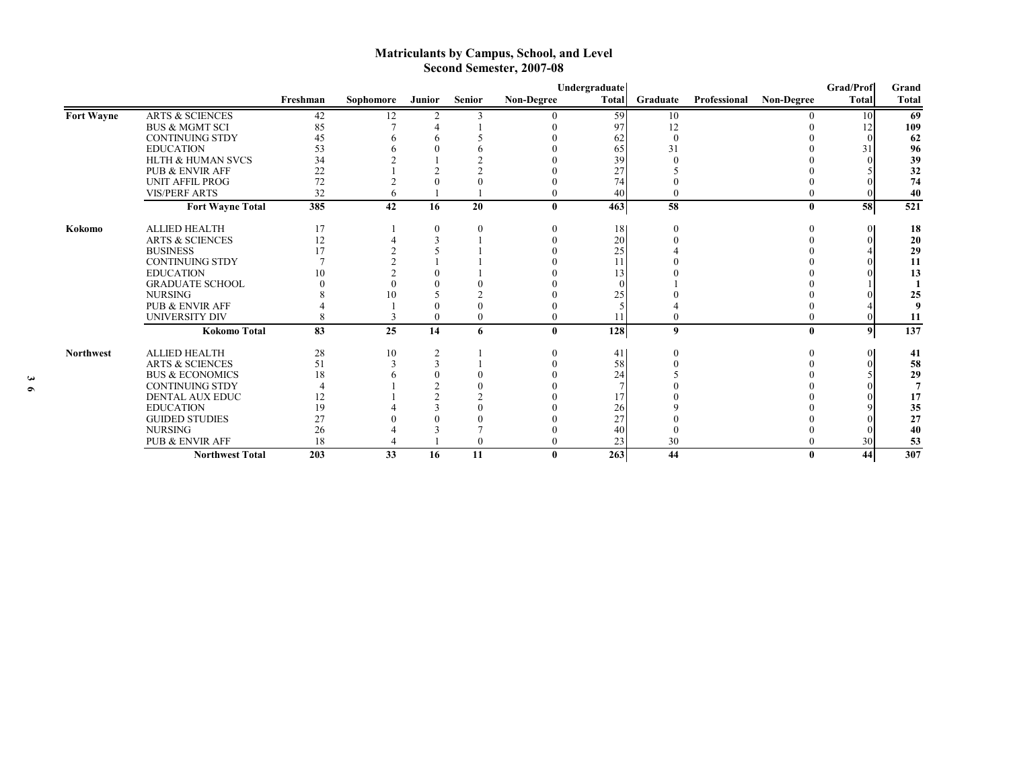# **Matriculants by Campus, School, and Level Second Semester, 2007-08**

|                  |                              |          |                          |                |               |                   | Undergraduate |          |              |                   | <b>Grad/Prof</b> | Grand        |
|------------------|------------------------------|----------|--------------------------|----------------|---------------|-------------------|---------------|----------|--------------|-------------------|------------------|--------------|
|                  |                              | Freshman | Sophomore                | Junior         | <b>Senior</b> | <b>Non-Degree</b> | <b>Total</b>  | Graduate | Professional | <b>Non-Degree</b> | <b>Total</b>     | <b>Total</b> |
| Fort Wayne       | <b>ARTS &amp; SCIENCES</b>   | 42       | 12                       | $\overline{c}$ |               |                   | 59            | 10       |              |                   | 10               | 69           |
|                  | <b>BUS &amp; MGMT SCI</b>    | 85       |                          |                |               |                   | 97            | 12       |              |                   |                  | 109          |
|                  | <b>CONTINUING STDY</b>       | 45       |                          |                |               |                   | 62            |          |              |                   |                  | 62           |
|                  | <b>EDUCATION</b>             | 53       |                          |                |               |                   | 65            | 31       |              |                   | 31               | 96           |
|                  | <b>HLTH &amp; HUMAN SVCS</b> | 34       |                          |                |               |                   | 39            |          |              |                   |                  | 39           |
|                  | PUB & ENVIR AFF              | 22       |                          |                |               |                   | 27            |          |              |                   |                  | 32           |
|                  | <b>UNIT AFFIL PROG</b>       | 72       |                          |                |               |                   | 74            |          |              |                   |                  | 74           |
|                  | <b>VIS/PERF ARTS</b>         | 32       | h                        |                |               |                   | 40            |          |              |                   |                  | 40           |
|                  | <b>Fort Wayne Total</b>      | 385      | 42                       | 16             | 20            | 0                 | 463           | 58       |              | $\mathbf{0}$      | 58               | 521          |
| Kokomo           | <b>ALLIED HEALTH</b>         | 17       |                          | $\mathbf{0}$   |               |                   | 18            |          |              |                   |                  | 18           |
|                  | <b>ARTS &amp; SCIENCES</b>   | 12       |                          |                |               |                   | 20            |          |              |                   |                  | 20           |
|                  | <b>BUSINESS</b>              | 17       |                          |                |               |                   | 25            |          |              |                   |                  | 29           |
|                  | <b>CONTINUING STDY</b>       |          |                          |                |               |                   | 11            |          |              |                   |                  | 11           |
|                  | <b>EDUCATION</b>             | 10       |                          |                |               |                   |               |          |              |                   |                  | 13           |
|                  | <b>GRADUATE SCHOOL</b>       |          |                          |                |               |                   |               |          |              |                   |                  |              |
|                  | <b>NURSING</b>               |          | $\mathbf{I}(\mathbf{I})$ |                |               |                   | 25            |          |              |                   |                  | 25           |
|                  | <b>PUB &amp; ENVIR AFF</b>   |          |                          |                |               |                   |               |          |              |                   |                  |              |
|                  | UNIVERSITY DIV               | 8        |                          | $\theta$       | $\theta$      |                   |               |          |              |                   |                  | 11           |
|                  | <b>Kokomo Total</b>          | 83       | 25                       | 14             | 6             | 0                 | 128           | 9        |              | $\mathbf{0}$      | $\boldsymbol{9}$ | 137          |
| <b>Northwest</b> | <b>ALLIED HEALTH</b>         | 28       | 10                       | $\overline{2}$ |               |                   | 41            |          |              |                   |                  | 41           |
|                  | <b>ARTS &amp; SCIENCES</b>   | 51       |                          | 3              |               |                   | 58            |          |              |                   |                  | 58           |
|                  | <b>BUS &amp; ECONOMICS</b>   | 18       |                          | $\Omega$       |               |                   | 24            |          |              |                   |                  | 29           |
|                  | <b>CONTINUING STDY</b>       |          |                          |                |               |                   |               |          |              |                   |                  |              |
|                  | <b>DENTAL AUX EDUC</b>       | 12       |                          |                |               |                   | 17            |          |              |                   |                  | 17           |
|                  | <b>EDUCATION</b>             | 19       |                          |                |               |                   | 26            |          |              |                   |                  | 35           |
|                  | <b>GUIDED STUDIES</b>        | 27       |                          |                |               |                   | 27            |          |              |                   |                  | 27           |
|                  | <b>NURSING</b>               | 26       |                          |                |               |                   | 40            |          |              |                   |                  | 40           |
|                  | <b>PUB &amp; ENVIR AFF</b>   | 18       |                          |                | $\theta$      |                   | 23            | 30       |              |                   | 30               | 53           |
|                  | <b>Northwest Total</b>       | 203      | 33                       | 16             | 11            | $\mathbf{0}$      | 263           | 44       |              | 0                 | 44               | 307          |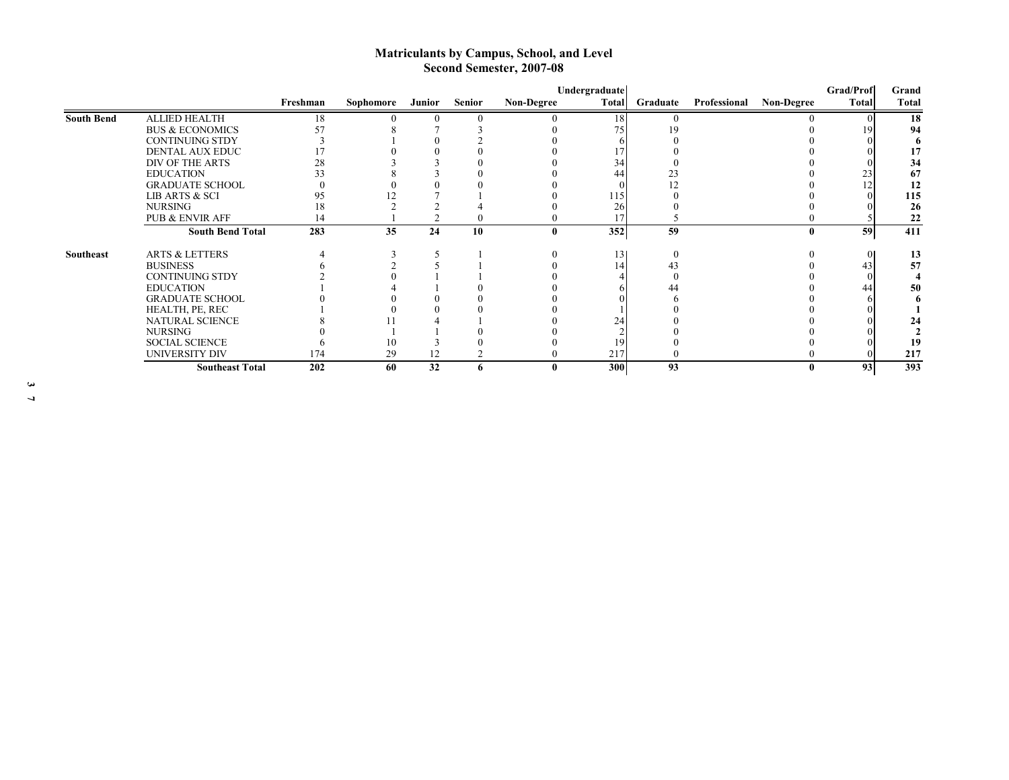# **Matriculants by Campus, School, and Level Second Semester, 2007-08**

|                   |                            |          |           |        |               |                   | Undergraduate |          |              |                   | <b>Grad/Prof</b> | Grand        |
|-------------------|----------------------------|----------|-----------|--------|---------------|-------------------|---------------|----------|--------------|-------------------|------------------|--------------|
|                   |                            | Freshman | Sophomore | Junior | <b>Senior</b> | <b>Non-Degree</b> | Total         | Graduate | Professional | <b>Non-Degree</b> | <b>Total</b>     | <b>Total</b> |
| <b>South Bend</b> | <b>ALLIED HEALTH</b>       | 18       |           |        |               |                   | 18            |          |              |                   |                  | 18           |
|                   | <b>BUS &amp; ECONOMICS</b> | 57       |           |        |               |                   | 75            |          |              |                   | 19               | 94           |
|                   | <b>CONTINUING STDY</b>     |          |           |        |               |                   |               |          |              |                   |                  |              |
|                   | DENTAL AUX EDUC            |          |           |        |               |                   |               |          |              |                   |                  |              |
|                   | DIV OF THE ARTS            | 28       |           |        |               |                   | 34            |          |              |                   |                  | 34           |
|                   | <b>EDUCATION</b>           | 33       |           |        |               |                   | 44            | 23       |              |                   | 23               | 67           |
|                   | <b>GRADUATE SCHOOL</b>     |          |           |        |               |                   |               |          |              |                   | 12               | 12           |
|                   | LIB ARTS & SCI             | 95       |           |        |               |                   | 115           |          |              |                   |                  | 115          |
|                   | <b>NURSING</b>             | 18       |           |        |               |                   | 26            |          |              |                   |                  | 26           |
|                   | <b>PUB &amp; ENVIR AFF</b> | 14       |           |        |               |                   |               |          |              |                   |                  | 22           |
|                   | <b>South Bend Total</b>    | 283      | 35        | 24     | 10            |                   | 352           | 59       |              |                   | 59               | 411          |
| Southeast         | <b>ARTS &amp; LETTERS</b>  |          |           |        |               |                   | 13            |          |              |                   | $\overline{0}$   | 13           |
|                   | <b>BUSINESS</b>            |          |           |        |               |                   | 14            | 43       |              |                   | 43               | 57           |
|                   | <b>CONTINUING STDY</b>     |          |           |        |               |                   |               |          |              |                   |                  |              |
|                   | <b>EDUCATION</b>           |          |           |        |               |                   |               |          |              |                   | 44               | 50           |
|                   | <b>GRADUATE SCHOOL</b>     |          |           |        |               |                   |               |          |              |                   |                  |              |
|                   | HEALTH, PE, REC            |          |           |        |               |                   |               |          |              |                   |                  |              |
|                   | NATURAL SCIENCE            |          |           |        |               |                   | 24            |          |              |                   |                  |              |
|                   | <b>NURSING</b>             |          |           |        |               |                   |               |          |              |                   |                  |              |
|                   | <b>SOCIAL SCIENCE</b>      |          | 10        |        |               |                   | 19            |          |              |                   |                  | 19           |
|                   | <b>UNIVERSITY DIV</b>      | 174      | 29        | 12     |               |                   | 217           |          |              |                   |                  | 217          |
|                   | <b>Southeast Total</b>     | 202      | 60        | 32     | 6             |                   | 300           | 93       |              |                   | 93               | 393          |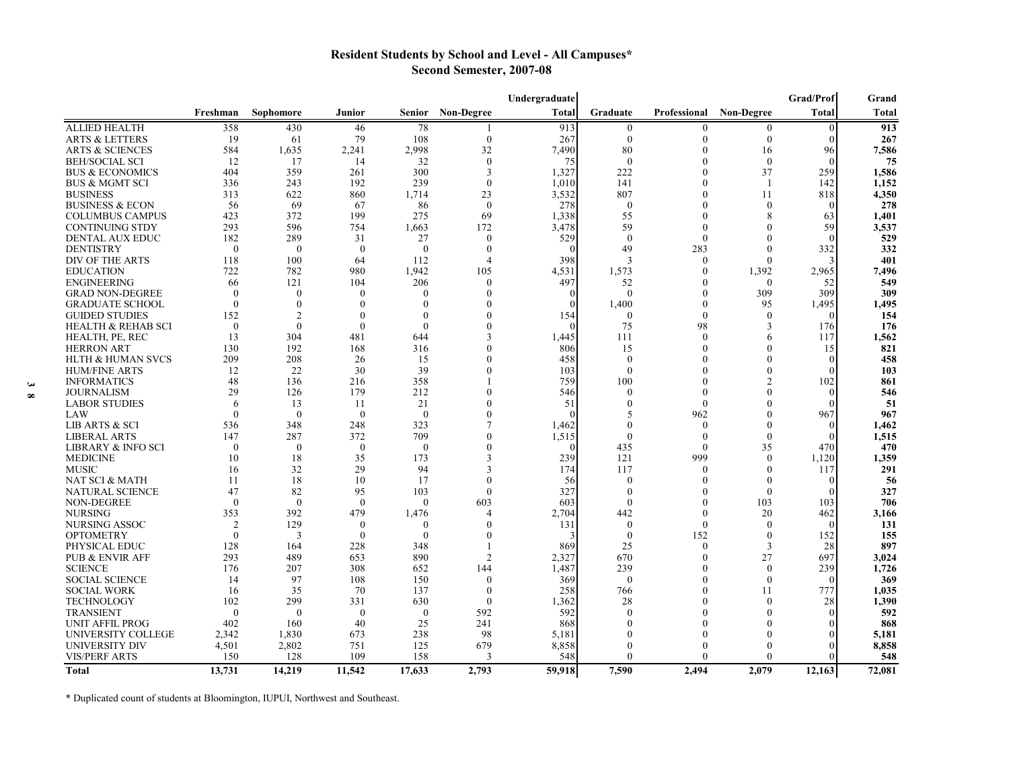# **Resident Students by School and Level - All Campuses\* Second Semester, 2007-08**

|                               |                |                |                  |               |                          | Undergraduate |                  |              |                          | Grad/Prof    | Grand  |
|-------------------------------|----------------|----------------|------------------|---------------|--------------------------|---------------|------------------|--------------|--------------------------|--------------|--------|
|                               | Freshman       | Sophomore      | Junior           | <b>Senior</b> | <b>Non-Degree</b>        | Total         | Graduate         | Professional | Non-Degree               | <b>Total</b> | Total  |
| <b>ALLIED HEALTH</b>          | 358            | 430            | 46               | 78            |                          | 913           | $\bf{0}$         | 0            | $\mathbf{0}$             | $\Omega$     | 913    |
| <b>ARTS &amp; LETTERS</b>     | 19             | 61             | 79               | 108           | $\mathbf{0}$             | 267           | $\mathbf{0}$     | $\Omega$     | $\theta$                 | $\Omega$     | 267    |
| ARTS & SCIENCES               | 584            | 1,635          | 2,241            | 2,998         | 32                       | 7,490         | 80               | $\Omega$     | 16                       | 96           | 7,586  |
| <b>BEH/SOCIAL SCI</b>         | 12             | 17             | 14               | 32            | $\mathbf{0}$             | 75            | $\theta$         |              | $\mathbf{0}$             |              | 75     |
| <b>BUS &amp; ECONOMICS</b>    | 404            | 359            | 261              | 300           | $\mathcal{R}$            | 1,327         | 222              | $\Omega$     | 37                       | 259          | 1,586  |
| <b>BUS &amp; MGMT SCI</b>     | 336            | 243            | 192              | 239           | $\theta$                 | 1,010         | 141              | $\bigcap$    | $\overline{\phantom{a}}$ | 142          | 1,152  |
| <b>BUSINESS</b>               | 313            | 622            | 860              | 1,714         | 23                       | 3,532         | 807              | $\bigcap$    | 11                       | 818          | 4,350  |
| <b>BUSINESS &amp; ECON</b>    | 56             | 69             | 67               | 86            | $\theta$                 | 278           | $\bf{0}$         | $\left($     | $\theta$                 |              | 278    |
| <b>COLUMBUS CAMPUS</b>        | 423            | 372            | 199              | 275           | 69                       | 1,338         | 55               | $\Omega$     | 8                        | 63           | 1,401  |
| <b>CONTINUING STDY</b>        | 293            | 596            | 754              | 1,663         | 172                      | 3,478         | 59               | $\bigcap$    | $\mathbf{0}$             | 59           | 3,537  |
| DENTAL AUX EDUC               | 182            | 289            | 31               | 27            | $\theta$                 | 529           | $\boldsymbol{0}$ | $\theta$     | $\theta$                 | $\theta$     | 529    |
| <b>DENTISTRY</b>              | $\theta$       | $\theta$       | $\theta$         | $\theta$      | $\theta$                 |               | 49               | 283          | $\theta$                 | 332          | 332    |
| DIV OF THE ARTS               | 118            | 100            | 64               | 112           | $\overline{4}$           | 398           | 3                | $\theta$     | $\theta$                 |              | 401    |
| <b>EDUCATION</b>              | 722            | 782            | 980              | 1,942         | 105                      | 4,531         | 1,573            | $\left($     | 1,392                    | 2,965        | 7,496  |
| <b>ENGINEERING</b>            | 66             | 121            | 104              | 206           | $\theta$                 | 497           | 52               | $\Omega$     | $\mathbf{0}$             | 52           | 549    |
| <b>GRAD NON-DEGREE</b>        | $\theta$       | $\Omega$       | $\theta$         | $\Omega$      | $\Omega$                 |               | $\theta$         | $\Omega$     | 309                      | 309          | 309    |
| <b>GRADUATE SCHOOL</b>        | $\theta$       | $\Omega$       | $\Omega$         | $\Omega$      | $\Omega$                 |               | 1,400            | $\Omega$     | 95                       | 1,495        | 1,495  |
| <b>GUIDED STUDIES</b>         | 152            | $\overline{2}$ | $\theta$         | $\Omega$      | $\Omega$                 | 154           | $\overline{0}$   | $\Omega$     | $\mathbf{0}$             |              | 154    |
| <b>HEALTH &amp; REHAB SCI</b> | $\mathbf{0}$   | $\Omega$       | $\mathbf{0}$     | $\Omega$      | $\Omega$                 |               | 75               | 98           | 3                        | 176          | 176    |
| HEALTH, PE, REC               | 13             | 304            | 481              | 644           |                          | 1,445         | 111              | $\Omega$     | 6                        | 117          | 1,562  |
| <b>HERRON ART</b>             | 130            | 192            | 168              | 316           |                          | 806           | 15               | $\Omega$     | 0                        | 15           | 821    |
| <b>HLTH &amp; HUMAN SVCS</b>  | 209            | 208            | 26               | 15            | $\Omega$                 | 458           | $\Omega$         |              | $\Omega$                 |              | 458    |
| <b>HUM/FINE ARTS</b>          | 12             | 22             | 30               | 39            | $\Omega$                 | 103           | $\mathbf{0}$     |              | 0                        |              | 103    |
| <b>INFORMATICS</b>            | 48             | 136            | 216              | 358           |                          | 759           | 100              | 0            | 2                        | 102          | 861    |
| <b>JOURNALISM</b>             | 29             | 126            | 179              | 212           |                          | 546           | $\theta$         | $\Omega$     | $\theta$                 |              | 546    |
| <b>LABOR STUDIES</b>          | 6              | 13             | 11               | 21            |                          | 51            | 0                | $\theta$     | 0                        |              | 51     |
| LAW                           | $\theta$       | $\overline{0}$ | $\mathbf{0}$     | $\theta$      | $\theta$                 |               | 5                | 962          | $\Omega$                 | 967          | 967    |
| LIB ARTS & SCI                | 536            | 348            | 248              | 323           |                          | 1,462         | $\mathbf{0}$     | $\theta$     | $\theta$                 |              | 1,462  |
| <b>LIBERAL ARTS</b>           | 147            | 287            | 372              | 709           | $\theta$                 | 1,515         | $\theta$         | $\theta$     | $\theta$                 |              | 1,515  |
| LIBRARY & INFO SCI            | $\theta$       | $\theta$       | $\boldsymbol{0}$ | $\theta$      | $\mathbf{0}$             |               | 435              | $\theta$     | 35                       | 470          | 470    |
| <b>MEDICINE</b>               | 10             | 18             | 35               | 173           | 3                        | 239           | 121              | 999          | $\theta$                 | 1,120        | 1,359  |
| <b>MUSIC</b>                  | 16             | 32             | 29               | 94            | 3                        | 174           | 117              | $\left($     | $\theta$                 | 117          | 291    |
| NAT SCI & MATH                | 11             | 18             | 10               | 17            | $\bigcap$                | 56            | $\theta$         | $\bigcap$    | $\theta$                 |              | 56     |
| NATURAL SCIENCE               | 47             | 82             | 95               | 103           | $\left($                 | 327           | $\theta$         | $\left($     | $\theta$                 |              | 327    |
| NON-DEGREE                    | $\theta$       | $\theta$       | $\theta$         | $\theta$      | 603                      | 603           | $\theta$         |              | 103                      | 103          | 706    |
| <b>NURSING</b>                | 353            | 392            | 479              | 1,476         | $\boldsymbol{\varDelta}$ | 2,704         | 442              | $\left($     | 20                       | 462          | 3,166  |
| <b>NURSING ASSOC</b>          | $\overline{2}$ | 129            | $\boldsymbol{0}$ | $\left($      | $\left($                 | 131           | $\theta$         | $\left($     | $\left($                 | $\theta$     | 131    |
| <b>OPTOMETRY</b>              | $\theta$       | 3              | $\theta$         | $\theta$      | $\Omega$                 |               | $\theta$         | 152          | $\theta$                 | 152          | 155    |
| PHYSICAL EDUC                 | 128            | 164            | 228              | 348           |                          | 869           | 25               | $\Omega$     | 3                        | 28           | 897    |
| <b>PUB &amp; ENVIR AFF</b>    | 293            | 489            | 653              | 890           | $\mathfrak{D}$           | 2.327         | 670              | $\Omega$     | 27                       | 697          | 3,024  |
| <b>SCIENCE</b>                | 176            | 207            | 308              | 652           | 144                      | 1,487         | 239              | $\sqrt{ }$   | $\mathbf{0}$             | 239          | 1,726  |
| <b>SOCIAL SCIENCE</b>         | 14             | 97             | 108              | 150           | $\theta$                 | 369           | $\theta$         | $\Omega$     | $\theta$                 | $\theta$     | 369    |
| <b>SOCIAL WORK</b>            | 16             | 35             | 70               | 137           | $\Omega$                 | 258           | 766              | $\Omega$     | 11                       | 777          | 1,035  |
| <b>TECHNOLOGY</b>             | 102            | 299            | 331              | 630           | $\theta$                 | 1,362         | 28               | $\Omega$     | $\Omega$                 | 28           | 1,390  |
| <b>TRANSIENT</b>              | $\mathbf{0}$   | $\Omega$       | $\mathbf{0}$     | $\mathbf{0}$  | 592                      | 592           | $\Omega$         |              | 0                        |              | 592    |
| UNIT AFFIL PROG               | 402            | 160            | 40               | 25            | 241                      | 868           |                  |              | 0                        |              | 868    |
| UNIVERSITY COLLEGE            | 2.342          | 1,830          | 673              | 238           | 98                       | 5.181         |                  |              | $\Omega$                 |              | 5,181  |
| UNIVERSITY DIV                | 4,501          | 2,802          | 751              | 125           | 679                      | 8,858         |                  |              | 0                        |              | 8,858  |
| <b>VIS/PERF ARTS</b>          | 150            | 128            | 109              | 158           | 3                        | 548           | $\Omega$         | $\Omega$     | 0                        |              | 548    |
| <b>Total</b>                  | 13.731         | 14,219         | 11,542           | 17.633        | 2.793                    | 59.918        | 7.590            | 2.494        | 2.079                    | 12.163       | 72.081 |

\* Duplicated count of students at Bloomington, IUPUI, Northwest and Southeast.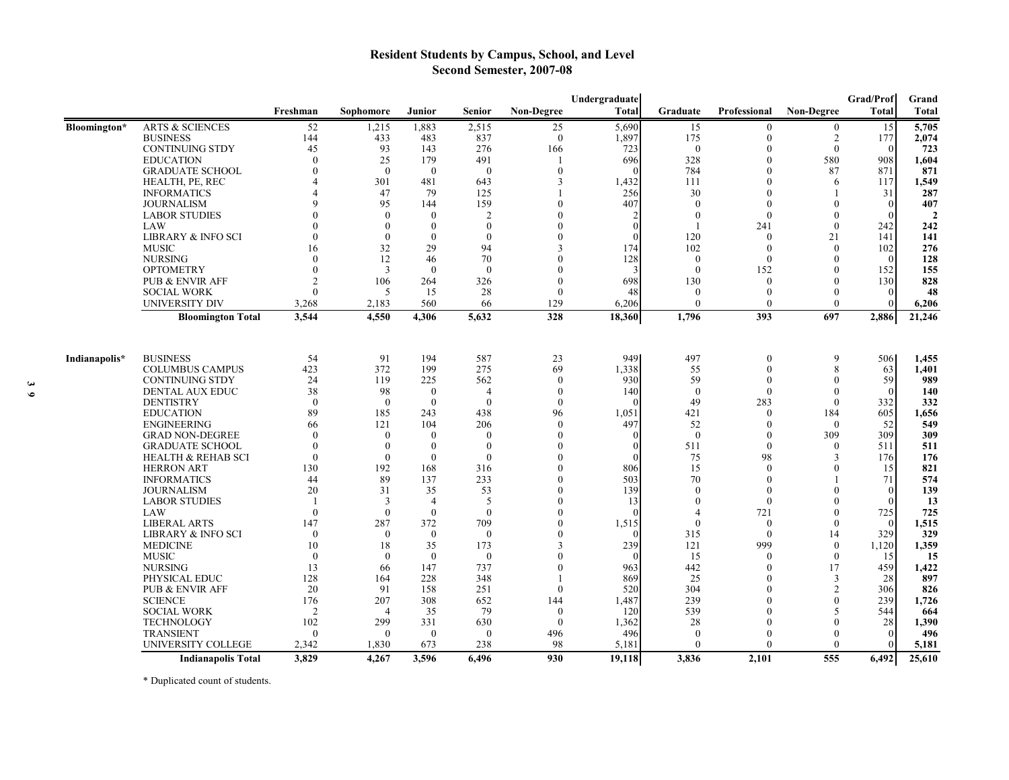# **Resident Students by Campus, School, and Level Second Semester, 2007-08**

|               |                                                 | Grad/Prof<br>Undergraduate |                         |                |                |                   |                 |                      |                     | Grand                    |                          |                   |
|---------------|-------------------------------------------------|----------------------------|-------------------------|----------------|----------------|-------------------|-----------------|----------------------|---------------------|--------------------------|--------------------------|-------------------|
|               |                                                 | Freshman                   | Sophomore               | Junior         | <b>Senior</b>  | <b>Non-Degree</b> | <b>Total</b>    | Graduate             | <b>Professional</b> | <b>Non-Degree</b>        | Total                    | <b>Total</b>      |
| Bloomington*  | <b>ARTS &amp; SCIENCES</b>                      | $\overline{52}$            | 1,215                   | 1,883          | 2,515          | 25                | 5,690           | 15                   | $\Omega$            | $\overline{0}$           | 15                       | $\frac{1}{5,705}$ |
|               | <b>BUSINESS</b>                                 | 144                        | 433                     | 483            | 837            | $\theta$          | 1,897           | 175                  | $\theta$            | $\overline{2}$           | 177                      | 2,074             |
|               | <b>CONTINUING STDY</b>                          | 45                         | 93                      | 143            | 276            | 166               | 723             | $\theta$             |                     | $\theta$                 | $\theta$                 | 723               |
|               | <b>EDUCATION</b>                                | $\theta$                   | 25                      | 179            | 491            | $\mathbf{I}$      | 696             | 328                  | $\Omega$            | 580                      | 908                      | 1,604             |
|               | <b>GRADUATE SCHOOL</b>                          | $\theta$                   | $\theta$                | $\theta$       | $\theta$       | $\theta$          |                 | 784                  | $\Omega$            | 87                       | 871                      | 871               |
|               | HEALTH, PE, REC                                 |                            | 301                     | 481            | 643            | 3                 | 1,432           | 111                  |                     | 6                        | 117                      | 1,549             |
|               | <b>INFORMATICS</b>                              |                            | 47                      | 79             | 125            |                   | 256             | 30                   |                     |                          | 31                       | 287               |
|               | <b>JOURNALISM</b>                               |                            | 95                      | 144            | 159            | $\Omega$          | 407             | $\theta$             |                     | 0                        | $\mathbf{0}$             | 407               |
|               | <b>LABOR STUDIES</b>                            |                            | $\bf{0}$                | $\theta$       | $\overline{2}$ | $\Omega$          |                 | $\mathbf{0}$         | $\Omega$            | $\theta$                 | $\theta$                 | $\overline{2}$    |
|               | LAW                                             |                            | $\Omega$                | $\theta$       | $\Omega$       | $\Omega$          | $\Omega$        |                      | 241                 | $\theta$                 | 242                      | 242               |
|               | LIBRARY & INFO SCI                              | $\Omega$                   | $\Omega$                | $\theta$       | $\Omega$       |                   | $\Omega$        | 120                  | $\theta$            | 21                       | 141                      | 141               |
|               | <b>MUSIC</b>                                    | 16                         | 32                      | 29             | 94             |                   | 174             | 102                  | $\Omega$            | $\mathbf{0}$             | 102                      | 276               |
|               | <b>NURSING</b>                                  | $\Omega$                   | 12                      | 46             | 70             |                   | 128             | $\mathbf{0}$         |                     | $\theta$                 | $\theta$                 | 128               |
|               | <b>OPTOMETRY</b>                                | $\theta$                   | $\overline{\mathbf{3}}$ | $\mathbf{0}$   | $\Omega$       | $\sqrt{ }$        |                 | $\theta$             | 152                 | 0                        | 152                      | 155               |
|               | <b>PUB &amp; ENVIR AFF</b>                      | $\mathfrak{D}$             | 106                     | 264            | 326            | $\Omega$          | 698             | 130                  | $\Omega$            | 0                        | 130                      | 828               |
|               | <b>SOCIAL WORK</b>                              | $\Omega$                   | 5                       | 15             | 28             | $\theta$          | 48              | $\theta$             | $\Omega$            | $\theta$                 | $\theta$                 | 48                |
|               | <b>UNIVERSITY DIV</b>                           | 3,268                      | 2,183                   | 560            | 66             | 129               | 6,206           | $\theta$             | $\Omega$            | $\theta$                 | $\theta$                 | 6,206             |
|               | <b>Bloomington Total</b>                        | 3,544                      | 4,550                   | 4,306          | 5,632          | 328               | 18,360          | 1,796                | 393                 | 697                      | 2,886                    | 21,246            |
|               |                                                 |                            |                         |                |                |                   |                 |                      |                     |                          |                          |                   |
| Indianapolis* | <b>BUSINESS</b>                                 | 54                         | 91                      | 194            | 587            | 23                | 949             | 497                  | $\theta$            | 9                        | 506                      | 1,455             |
|               | <b>COLUMBUS CAMPUS</b>                          | 423                        | 372                     | 199            | 275            | 69                | 1,338           | 55                   |                     | 8                        | 63                       | 1,401             |
|               | <b>CONTINUING STDY</b>                          | 24                         | 119                     | 225            | 562            | $\theta$          | 930             | 59                   |                     | $\Omega$                 | 59                       | 989               |
|               | <b>DENTAL AUX EDUC</b>                          | 38                         | 98                      | $\mathbf{0}$   | $\overline{4}$ | $\theta$          | 140             | $\theta$             | $\Omega$            | $\Omega$                 | $\theta$                 | 140               |
|               | <b>DENTISTRY</b>                                | $\Omega$                   | $\Omega$                | $\theta$       | $\Omega$       | $\theta$          |                 | 49                   | 283                 | $\Omega$                 | 332                      | 332               |
|               | <b>EDUCATION</b>                                | 89                         | 185                     | 243            | 438            | 96                | 1,051           | 421                  | $\theta$            | 184                      | 605                      | 1,656             |
|               | <b>ENGINEERING</b>                              | 66                         | 121                     | 104            | 206            | $\theta$          | 497             | 52                   |                     | $\theta$                 | 52                       | 549               |
|               | <b>GRAD NON-DEGREE</b>                          | $\Omega$                   | $\overline{0}$          | $\theta$       | $\theta$       | $\Omega$          |                 | $\mathbf{0}$         |                     | 309                      | 309                      | 309               |
|               | <b>GRADUATE SCHOOL</b>                          | $\theta$                   | $\Omega$                | $\mathbf{0}$   | $\Omega$       | $\Omega$          | $\Omega$        | 511                  | $\Omega$            | $\theta$                 | 511                      | 511               |
|               | HEALTH & REHAB SCI                              | $\theta$                   | $\overline{0}$          | $\mathbf{0}$   | $\Omega$       | $\theta$          |                 | 75                   | 98                  | 3                        | 176                      | 176               |
|               | <b>HERRON ART</b>                               | 130                        | 192                     | 168            | 316            | $\Omega$          | 806             | 15                   | $\Omega$            | 0                        | 15                       | 821               |
|               | <b>INFORMATICS</b>                              | 44                         | 89                      | 137            | 233            | $\mathbf{0}$      | 503             | 70                   |                     |                          | 71                       | 574               |
|               | <b>JOURNALISM</b>                               | 20                         | 31                      | 35             | 53             | $\mathbf{0}$      | 139             | $\theta$             |                     | $\Omega$                 | $\theta$                 | 139               |
|               | <b>LABOR STUDIES</b>                            | -1                         | 3                       | $\overline{4}$ | 5              | $\theta$          | 13              | $\mathbf{0}$         | $\theta$            | $\theta$                 | $\theta$                 | 13                |
|               | LAW                                             | $\theta$                   | $\theta$                | $\theta$       | $\theta$       | $\theta$          |                 | 4                    | 721                 | $\theta$                 | 725                      | 725               |
|               | <b>LIBERAL ARTS</b>                             | 147                        | 287                     | 372            | 709            | $\theta$          | 1,515           | $\theta$             | $\theta$            | $\theta$                 | $\theta$                 | 1,515             |
|               | LIBRARY & INFO SCI                              | $\theta$                   | $\theta$                | $\theta$       | $\theta$       | $\theta$          |                 | 315                  | $\theta$            | 14                       | 329                      | 329               |
|               | <b>MEDICINE</b>                                 | 10                         | 18                      | 35             | 173            | 3                 | 239             | 121                  | 999                 | $\theta$                 | 1,120                    | 1,359             |
|               | <b>MUSIC</b>                                    | $\theta$                   | $\theta$                | $\theta$       | $\theta$       | $\theta$          |                 | 15                   | $\Omega$            | $\theta$                 | 15                       | 15                |
|               | <b>NURSING</b>                                  | 13                         | 66                      | 147            | 737            | $\theta$          | 963             | 442                  |                     | 17                       | 459                      | 1,422             |
|               | PHYSICAL EDUC                                   | 128                        | 164                     | 228            | 348            |                   | 869             | 25                   |                     | 3                        | 28                       | 897               |
|               | <b>PUB &amp; ENVIR AFF</b>                      | 20                         | 91                      | 158            | 251            | $\theta$          | 520             | 304                  |                     | $\overline{2}$           | 306                      | 826               |
|               | <b>SCIENCE</b>                                  | 176                        | 207                     | 308            | 652            | 144               | 1,487           | 239                  |                     | $\theta$                 | 239                      | 1,726             |
|               | <b>SOCIAL WORK</b>                              | $\overline{c}$             | $\overline{4}$          | 35             | 79             | $\Omega$          | 120             | 539                  |                     | $\overline{\phantom{0}}$ | 544                      | 664               |
|               | <b>TECHNOLOGY</b>                               | 102                        | 299                     | 331            | 630            | $\mathbf{0}$      | 1,362           | 28                   |                     | 0                        | 28                       | 1,390             |
|               | <b>TRANSIENT</b>                                | $\Omega$                   | $\Omega$                | $\theta$       | $\overline{0}$ | 496               | 496             | $\theta$<br>$\theta$ |                     | 0<br>0                   | $\mathbf{0}$<br>$\Omega$ | 496               |
|               | UNIVERSITY COLLEGE<br><b>Indianapolis Total</b> | 2,342<br>3,829             | 1,830<br>4,267          | 673<br>3,596   | 238<br>6,496   | 98<br>930         | 5,181<br>19,118 | 3,836                | 2,101               | 555                      | 6,492                    | 5,181<br>25,610   |
|               |                                                 |                            |                         |                |                |                   |                 |                      |                     |                          |                          |                   |

\* Duplicated count of students.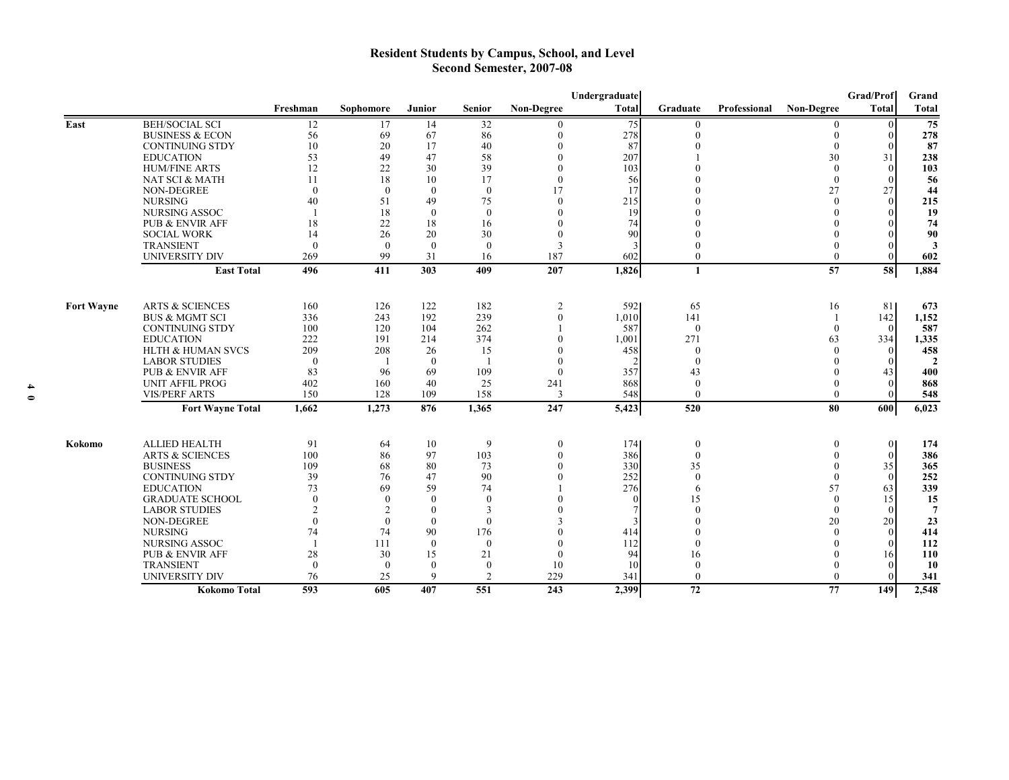# **Resident Students by Campus, School, and Level Second Semester, 2007-08**

|                   |                              |              |                |              |                |                   | Undergraduate |              |              |                   | Grad/Prof    | Grand          |
|-------------------|------------------------------|--------------|----------------|--------------|----------------|-------------------|---------------|--------------|--------------|-------------------|--------------|----------------|
|                   |                              | Freshman     | Sophomore      | Junior       | <b>Senior</b>  | <b>Non-Degree</b> | Total         | Graduate     | Professional | <b>Non-Degree</b> | <b>Total</b> | Total          |
| East              | <b>BEH/SOCIAL SCI</b>        | 12           | 17             | 14           | 32             |                   | 75            |              |              |                   |              | 75             |
|                   | <b>BUSINESS &amp; ECON</b>   | 56           | 69             | 67           | 86             |                   | 278           |              |              |                   |              | 278            |
|                   | <b>CONTINUING STDY</b>       | 10           | 20             | 17           | 40             |                   | 87            |              |              | $\theta$          |              | 87             |
|                   | <b>EDUCATION</b>             | 53           | 49             | 47           | 58             |                   | 207           |              |              | 30                | 31           | 238            |
|                   | <b>HUM/FINE ARTS</b>         | 12           | 22             | 30           | 39             |                   | 103           |              |              | $\Omega$          | $\theta$     | 103            |
|                   | NAT SCI & MATH               | 11           | 18             | 10           | 17             |                   | 56            |              |              | $\theta$          |              | 56             |
|                   | NON-DEGREE                   | $\theta$     | $\theta$       | $\theta$     | $\theta$       | 17                | 17            |              |              | 27                | 27           | 44             |
|                   | <b>NURSING</b>               | 40           | 51             | 49           | 75             | $\theta$          | 215           |              |              | $\theta$          |              | 215            |
|                   | <b>NURSING ASSOC</b>         |              | 18             | $\theta$     | $\theta$       |                   | 19            |              |              | $\mathbf{0}$      |              | 19             |
|                   | PUB & ENVIR AFF              | 18           | 22             | 18           | 16             |                   | 74            |              |              | $\theta$          |              | 74             |
|                   | <b>SOCIAL WORK</b>           | 14           | 26             | 20           | 30             |                   | 90            |              |              | $\theta$          |              | 90             |
|                   | <b>TRANSIENT</b>             | $\theta$     | $\theta$       | $\theta$     | $\theta$       | 3                 |               |              |              | $\mathbf{0}$      |              | 3              |
|                   | <b>UNIVERSITY DIV</b>        | 269          | 99             | 31           | 16             | 187               | 602           | $\theta$     |              | $\theta$          |              | 602            |
|                   | <b>East Total</b>            | 496          | 411            | 303          | 409            | 207               | 1,826         | $\mathbf{1}$ |              | $\overline{57}$   | 58           | 1,884          |
|                   |                              |              |                |              |                |                   |               |              |              |                   |              |                |
| <b>Fort Wayne</b> | <b>ARTS &amp; SCIENCES</b>   | 160          | 126            | 122          | 182            | $\overline{2}$    | 592           | 65           |              | 16                | 81           | 673            |
|                   | <b>BUS &amp; MGMT SCI</b>    | 336          | 243            | 192          | 239            | $\theta$          | 1,010         | 141          |              |                   | 142          | 1,152          |
|                   | <b>CONTINUING STDY</b>       | 100          | 120            | 104          | 262            |                   | 587           | $\theta$     |              | $\theta$          | $\Omega$     | 587            |
|                   | <b>EDUCATION</b>             | 222          | 191            | 214          | 374            |                   | 1,001         | 271          |              | 63                | 334          | 1,335          |
|                   | <b>HLTH &amp; HUMAN SVCS</b> | 209          | 208            | 26           | 15             |                   | 458           |              |              | $\Omega$          |              | 458            |
|                   | <b>LABOR STUDIES</b>         | $\theta$     |                | $\theta$     |                |                   |               | $\Omega$     |              | $\Omega$          |              | $\overline{2}$ |
|                   | <b>PUB &amp; ENVIR AFF</b>   | 83           | 96             | 69           | 109            | $\Omega$          | 357           | 43           |              | $\Omega$          | 43           | 400            |
|                   | <b>UNIT AFFIL PROG</b>       | 402          | 160            | 40           | 25             | 241               | 868           | $\mathbf{0}$ |              | $\theta$          | $\Omega$     | 868            |
|                   | <b>VIS/PERF ARTS</b>         | 150          | 128            | 109          | 158            | 3                 | 548           | $\theta$     |              | $\theta$          |              | 548            |
|                   | <b>Fort Wayne Total</b>      | 1,662        | 1,273          | 876          | 1,365          | 247               | 5,423         | 520          |              | 80                | 600          | 6,023          |
|                   |                              |              |                |              |                |                   |               |              |              |                   |              |                |
| Kokomo            | <b>ALLIED HEALTH</b>         | 91           | 64             | 10           | 9              | $\theta$          | 174           | $\theta$     |              | $\theta$          | $\theta$     | 174            |
|                   | <b>ARTS &amp; SCIENCES</b>   | 100          | 86             | 97           | 103            |                   | 386           | $\theta$     |              | $\Omega$          | $\theta$     | 386            |
|                   | <b>BUSINESS</b>              | 109          | 68             | 80           | 73             |                   | 330           | 35           |              | $\Omega$          | 35           | 365            |
|                   | <b>CONTINUING STDY</b>       | 39           | 76             | 47           | 90             |                   | 252           | $\theta$     |              | $\Omega$          | $\theta$     | 252            |
|                   | <b>EDUCATION</b>             | 73           | 69             | 59           | 74             |                   | 276           | 6            |              | 57                | 63           | 339            |
|                   | <b>GRADUATE SCHOOL</b>       | $\theta$     | $\theta$       | $\Omega$     | $\Omega$       |                   | $\Omega$      | 15           |              | $\Omega$          | 15           | 15             |
|                   | <b>LABOR STUDIES</b>         | 2            | $\overline{2}$ | $\mathbf{0}$ | 3              |                   |               |              |              | $\theta$          |              | $\overline{7}$ |
|                   | NON-DEGREE                   | $\theta$     | $\theta$       | $\theta$     | $\Omega$       |                   |               |              |              | 20                | 20           | 23             |
|                   | <b>NURSING</b>               | 74           | 74             | 90           | 176            |                   | 414           |              |              | $\theta$          | $\Omega$     | 414            |
|                   | NURSING ASSOC                | $\mathbf{1}$ | 111            | $\theta$     | $\Omega$       |                   | 112           |              |              | $\Omega$          |              | 112            |
|                   | <b>PUB &amp; ENVIR AFF</b>   | 28           | 30             | 15           | 21             |                   | 94            | 16           |              | $\Omega$          | 16           | 110            |
|                   | <b>TRANSIENT</b>             | $\theta$     | $\theta$       | $\theta$     | $\mathbf{0}$   | 10                | 10            | $\theta$     |              | $\Omega$          |              | <b>10</b>      |
|                   | <b>UNIVERSITY DIV</b>        | 76           | 25             | 9            | $\overline{2}$ | 229               | 341           | $\theta$     |              | $\theta$          |              | 341            |
|                   | Kokomo Total                 | 593          | 605            | 407          | 551            | 243               | 2,399         | 72           |              | 77                | 149          | 2,548          |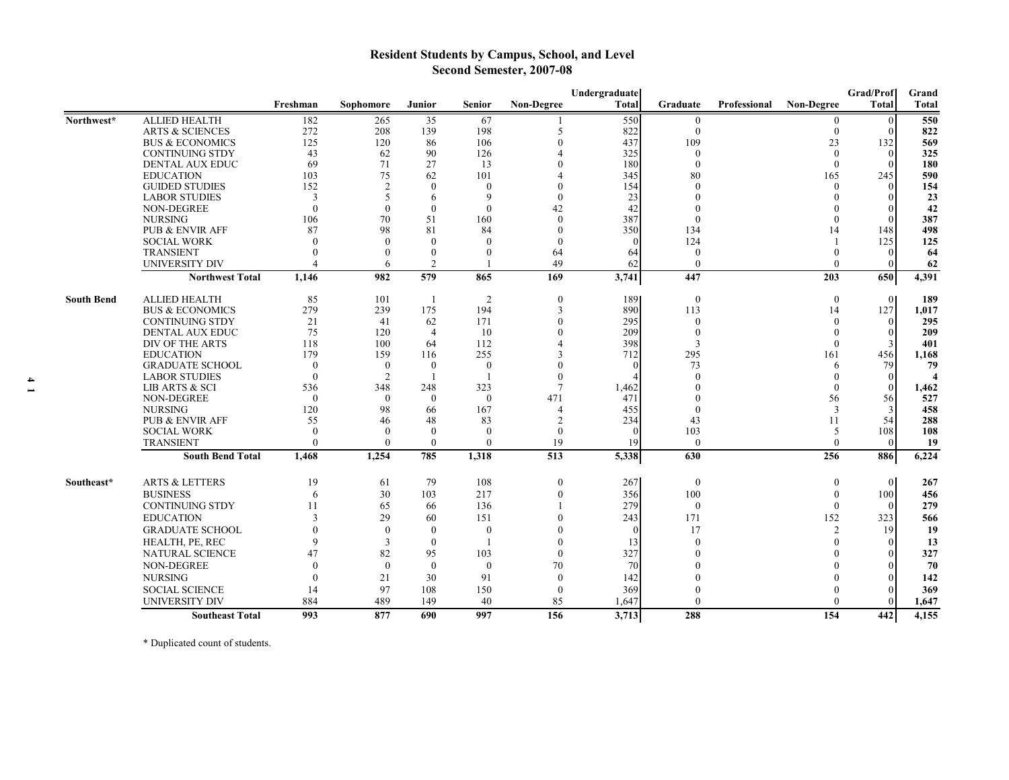# **Resident Students by Campus, School, and Level Second Semester, 2007-08**

|                   |                            |                |                          |                |                  |                   | Undergraduate |              |              |                   | Grad/Prof    | Grand        |
|-------------------|----------------------------|----------------|--------------------------|----------------|------------------|-------------------|---------------|--------------|--------------|-------------------|--------------|--------------|
|                   |                            | Freshman       | Sophomore                | Junior         | <b>Senior</b>    | <b>Non-Degree</b> | <b>Total</b>  | Graduate     | Professional | <b>Non-Degree</b> | <b>Total</b> | <b>Total</b> |
| Northwest*        | <b>ALLIED HEALTH</b>       | 182            | 265                      | 35             | 67               |                   | 550           | $\mathbf{0}$ |              | $\theta$          | $\Omega$     | 550          |
|                   | <b>ARTS &amp; SCIENCES</b> | 272            | 208                      | 139            | 198              | 5                 | 822           | $\theta$     |              | $\Omega$          | $\Omega$     | 822          |
|                   | <b>BUS &amp; ECONOMICS</b> | 125            | 120                      | 86             | 106              | $\Omega$          | 437           | 109          |              | 23                | 132          | 569          |
|                   | <b>CONTINUING STDY</b>     | 43             | 62                       | 90             | 126              |                   | 325           | $\Omega$     |              | $\Omega$          | $\theta$     | 325          |
|                   | <b>DENTAL AUX EDUC</b>     | 69             | 71                       | 27             | 13               |                   | 180           | $\theta$     |              | $\theta$          | $\Omega$     | 180          |
|                   | <b>EDUCATION</b>           | 103            | 75                       | 62             | 101              |                   | 345           | 80           |              | 165               | 245          | 590          |
|                   | <b>GUIDED STUDIES</b>      | 152            | $\overline{2}$           | $\theta$       | $\mathbf{0}$     | $\Omega$          | 154           | $\Omega$     |              | $\Omega$          | $\Omega$     | 154          |
|                   | <b>LABOR STUDIES</b>       | 3              | $\overline{\phantom{0}}$ | 6              | 9                | $\Omega$          | 23            | $\sqrt{ }$   |              | $\Omega$          |              | 23           |
|                   | NON-DEGREE                 | $\theta$       | $\theta$                 | $\theta$       | $\mathbf{0}$     | 42                | 42            |              |              | $\Omega$          | $\Omega$     | 42           |
|                   | <b>NURSING</b>             | 106            | 70                       | 51             | 160              | $\theta$          | 387           | $\Omega$     |              | $\Omega$          | $\Omega$     | 387          |
|                   | PUB & ENVIR AFF            | 87             | 98                       | 81             | 84               | $\theta$          | 350           | 134          |              | 14                | 148          | 498          |
|                   | <b>SOCIAL WORK</b>         | $\Omega$       | $\Omega$                 | $\theta$       | $\theta$         | $\mathbf{0}$      | $\Omega$      | 124          |              |                   | 125          | 125          |
|                   | <b>TRANSIENT</b>           |                |                          | $\theta$       | $\Omega$         | 64                | 64            | $\theta$     |              | $\Omega$          | $\Omega$     | -64          |
|                   | UNIVERSITY DIV             | $\overline{A}$ | 6                        | 2              |                  | 49                | 62            | $\theta$     |              | $\Omega$          |              | 62           |
|                   | <b>Northwest Total</b>     | 1.146          | 982                      | 579            | 865              | 169               | 3,741         | 447          |              | 203               | 650          | 4,391        |
| <b>South Bend</b> | <b>ALLIED HEALTH</b>       | 85             | 101                      | - 1            | 2                | $\theta$          | 1891          | $\theta$     |              | $\theta$          | $\theta$     | 189          |
|                   | <b>BUS &amp; ECONOMICS</b> | 279            | 239                      | 175            | 194              | 3                 | 890           | 113          |              | 14                | 127          | 1,017        |
|                   | <b>CONTINUING STDY</b>     | 21             | 41                       | 62             | 171              | $\mathbf{0}$      | 295           | $\theta$     |              | $\theta$          | $\theta$     | 295          |
|                   | <b>DENTAL AUX EDUC</b>     | 75             | 120                      | $\overline{4}$ | 10               | $\Omega$          | 209           | $\left($     |              | $\theta$          | $\left($     | 209          |
|                   | DIV OF THE ARTS            | 118            | 100                      | 64             | 112              |                   | 398           | 3            |              | $\Omega$          | 3            | 401          |
|                   | <b>EDUCATION</b>           | 179            | 159                      | 116            | 255              | 3                 | 712           | 295          |              | 161               | 456          | 1,168        |
|                   | <b>GRADUATE SCHOOL</b>     | $\theta$       | $\theta$                 | $\Omega$       | $\boldsymbol{0}$ |                   | $\Omega$      | 73           |              | 6                 | 79           | 79           |
|                   | <b>LABOR STUDIES</b>       | $\bf{0}$       | 2                        |                |                  | $\theta$          |               |              |              | $\mathbf{0}$      | $\Omega$     |              |
|                   | LIB ARTS & SCI             | 536            | 348                      | 248            | 323              | $\tau$            | 1,462         |              |              | $\Omega$          | $\mathbf{0}$ | 1,462        |
|                   | <b>NON-DEGREE</b>          | $\theta$       | $\Omega$                 | $\theta$       | $\theta$         | 471               | 471           |              |              | 56                | 56           | 527          |
|                   | <b>NURSING</b>             | 120            | 98                       | 66             | 167              | $\overline{A}$    | 455           | $\Omega$     |              | 3                 | 3            | 458          |
|                   | PUB & ENVIR AFF            | 55             | 46                       | 48             | 83               | $\overline{c}$    | 234           | 43           |              | 11                | 54           | 288          |
|                   | <b>SOCIAL WORK</b>         | $\Omega$       | $\Omega$                 | $\Omega$       | $\Omega$         | $\theta$          | $\Omega$      | 103          |              | 5                 | 108          | 108          |
|                   | <b>TRANSIENT</b>           | $\theta$       | $\Omega$                 | $\mathbf{0}$   | $\mathbf{0}$     | 19                | 19            | $\mathbf{0}$ |              | $\Omega$          | $\theta$     | 19           |
|                   | <b>South Bend Total</b>    | 1,468          | 1,254                    | 785            | 1,318            | 513               | 5,338         | 630          |              | 256               | 886          | 6,224        |
| Southeast*        | <b>ARTS &amp; LETTERS</b>  | 19             | 61                       | 79             | 108              | $\mathbf{0}$      | 267           | $\mathbf{0}$ |              | $\theta$          | $\mathbf{0}$ | 267          |
|                   | <b>BUSINESS</b>            | 6              | 30                       | 103            | 217              | $\theta$          | 356           | 100          |              | $\Omega$          | 100          | 456          |
|                   | <b>CONTINUING STDY</b>     | 11             | 65                       | 66             | 136              |                   | 279           | $\mathbf{0}$ |              | $\Omega$          | $\theta$     | 279          |
|                   | <b>EDUCATION</b>           | $\mathbf{3}$   | 29                       | 60             | 151              | $\Omega$          | 243           | 171          |              | 152               | 323          | 566          |
|                   | <b>GRADUATE SCHOOL</b>     | $\Omega$       | $\mathbf{0}$             | $\theta$       | $\boldsymbol{0}$ |                   | $\Omega$      | 17           |              | 2                 | 19           | 19           |
|                   | HEALTH, PE, REC            | $\mathbf Q$    | 3                        | $\theta$       |                  | $\Omega$          | 13            | $\Omega$     |              | $\Omega$          | $\Omega$     | 13           |
|                   | <b>NATURAL SCIENCE</b>     | 47             | 82                       | 95             | 103              | $\theta$          | 327           |              |              |                   |              | 327          |
|                   | <b>NON-DEGREE</b>          | $\Omega$       | $\mathbf{0}$             | $\theta$       | $\mathbf{0}$     | 70                | 70            |              |              | $\Omega$          |              | 70           |
|                   | <b>NURSING</b>             | $\Omega$       | 21                       | 30             | 91               | $\theta$          | 142           |              |              |                   | $\Omega$     | 142          |
|                   | <b>SOCIAL SCIENCE</b>      | 14             | 97                       | 108            | 150              | $\mathbf{0}$      | 369           |              |              | $\Omega$          |              | 369          |
|                   | <b>UNIVERSITY DIV</b>      | 884            | 489                      | 149            | 40               | 85                | 1,647         | $\theta$     |              | $\Omega$          | $\Omega$     | 1,647        |
|                   | <b>Southeast Total</b>     | 993            | 877                      | 690            | 997              | 156               | 3,713         | 288          |              | 154               | 442          | 4,155        |

\* Duplicated count of students.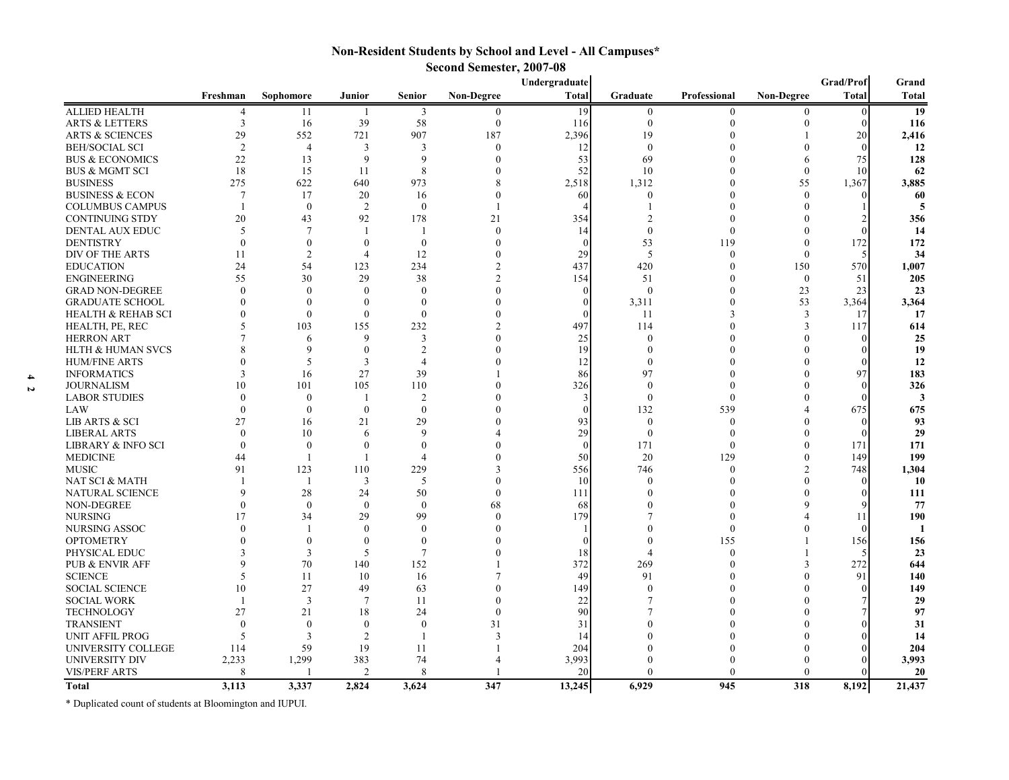## **Non-Resident Students by School and Level - All Campuses\* Second Semester, 2007-08**

|                                  | Undergraduate  |                  |                      |                  |                   |              |                  |              | Grad/Prof         | Grand        |              |
|----------------------------------|----------------|------------------|----------------------|------------------|-------------------|--------------|------------------|--------------|-------------------|--------------|--------------|
|                                  | Freshman       | Sophomore        | Junior               | <b>Senior</b>    | <b>Non-Degree</b> | <b>Total</b> | Graduate         | Professional | <b>Non-Degree</b> | <b>Total</b> | <b>Total</b> |
| <b>ALLIED HEALTH</b>             | 4              | 11               | $\mathbf{1}$         | 3                | $\boldsymbol{0}$  | 19           | $\mathbf{0}$     | $\Omega$     | $\theta$          | $\Omega$     | 19           |
| <b>ARTS &amp; LETTERS</b>        | 3              | 16               | 39                   | 58               | $\boldsymbol{0}$  | 116          | $\mathbf{0}$     | $\Omega$     |                   |              | 116          |
| <b>ARTS &amp; SCIENCES</b>       | 29             | 552              | 721                  | 907              | 187               | 2,396        | 19               | $\Omega$     |                   | 20           | 2,416        |
| <b>BEH/SOCIAL SCI</b>            | $\overline{2}$ | $\overline{4}$   | 3                    | 3                | $\theta$          | 12           | $\theta$         |              |                   |              | 12           |
| <b>BUS &amp; ECONOMICS</b>       | 22             | 13               | 9                    | 9                | $\theta$          | 53           | 69               |              |                   | 75           | 128          |
| <b>BUS &amp; MGMT SCI</b>        | 18             | 15               | 11                   | 8                | $\Omega$          | 52           | 10               | $\Omega$     | $\theta$          | 10           | 62           |
| <b>BUSINESS</b>                  | 275            | 622              | 640                  | 973              |                   | 2,518        | 1,312            | $\Omega$     | 55                | 1,367        | 3,885        |
| <b>BUSINESS &amp; ECON</b>       | 7              | 17               | 20                   | 16               | $\Omega$          | 60           | $\mathbf{0}$     | $\Omega$     | $\Omega$          |              | 60           |
| <b>COLUMBUS CAMPUS</b>           |                | $\mathbf{0}$     | $\overline{2}$       | $\Omega$         |                   |              |                  | $\Omega$     |                   |              |              |
| CONTINUING STDY                  | 20             | 43               | 92                   | 178              | 21                | 354          | $\mathfrak{D}$   | $\Omega$     |                   |              | 356          |
| DENTAL AUX EDUC                  | 5              | $\overline{7}$   |                      |                  | $\mathbf{0}$      | 14           | $\mathbf{0}$     | $\theta$     |                   |              | 14           |
| <b>DENTISTRY</b>                 | $\theta$       | $\boldsymbol{0}$ | $\theta$             | $\boldsymbol{0}$ | $\theta$          | $\theta$     | 53               | 119          |                   | 172          | 172          |
| DIV OF THE ARTS                  | 11             | $\overline{2}$   | $\overline{4}$       | 12               | $\Omega$          | 29           | 5                | $\Omega$     | $\theta$          |              | 34           |
| <b>EDUCATION</b>                 | 24             | 54               | 123                  | 234              |                   | 437          | 420              | $\Omega$     | 150               | 570          | 1,007        |
| <b>ENGINEERING</b>               | 55             | 30               | 29                   | 38               | $\mathfrak{D}$    | 154          | 51               | $\Omega$     | $\mathbf{0}$      | 51           | 205          |
| <b>GRAD NON-DEGREE</b>           | $\Omega$       | $\theta$         | $\Omega$             | $\Omega$         | $\Omega$          | $\Omega$     | $\theta$         | $\Omega$     | 23                | 23           | 23           |
| <b>GRADUATE SCHOOL</b>           |                | $\theta$         | $\theta$             | $\Omega$         |                   | $\theta$     | 3,311            | $\Omega$     | 53                | 3,364        | 3,364        |
| <b>HEALTH &amp; REHAB SCI</b>    |                | $\Omega$         | $\theta$             | $\Omega$         |                   | $\Omega$     | 11               | 3            | $\mathbf{3}$      | 17           | 17           |
| HEALTH, PE, REC                  |                | 103              | 155                  | 232              |                   | 497          | 114              | $\Omega$     |                   | 117          | 614          |
| <b>HERRON ART</b>                |                | 6                | $\mathbf{Q}$         | 3                |                   | 25           | $\theta$         | $\theta$     |                   |              | 25           |
| <b>HLTH &amp; HUMAN SVCS</b>     |                | 9                | $\theta$             | $\overline{2}$   |                   | 19           | $\Omega$         |              |                   |              | 19           |
| <b>HUM/FINE ARTS</b>             |                | 5                | 3                    | $\overline{4}$   |                   | 12           | $\theta$         |              |                   |              | 12           |
| <b>INFORMATICS</b>               |                | 16               | 27                   | 39               |                   | 86           | 97               | $\Omega$     |                   | 97           | 183          |
| <b>JOURNALISM</b>                | 10             | 101              | 105                  | 110              |                   | 326          | $\bf{0}$         | $\Omega$     |                   |              | 326          |
| <b>LABOR STUDIES</b>             | $\Omega$       | $\theta$         |                      | $\overline{2}$   |                   | 3            | $\theta$         | $\Omega$     |                   |              |              |
| LAW                              | $\Omega$       | $\mathbf{0}$     | $\theta$             | $\overline{0}$   |                   | $\theta$     | 132              | 539          |                   | 675          | 675          |
| <b>LIB ARTS &amp; SCI</b>        | 27             | 16               | 21                   | 29               |                   | 93           | $\theta$         | $\Omega$     |                   |              | 93           |
| <b>LIBERAL ARTS</b>              | $\Omega$       | 10               | 6                    | 9                |                   | 29           | $\boldsymbol{0}$ | $\theta$     |                   |              | 29           |
| <b>LIBRARY &amp; INFO SCI</b>    | $\Omega$       | $\theta$         | $\theta$             | $\Omega$         |                   | $\theta$     | 171              | $\Omega$     |                   | 171          | 171          |
| <b>MEDICINE</b>                  | 44             | -1               |                      | $\overline{4}$   |                   | 50           | 20               | 129          |                   | 149          | 199          |
| <b>MUSIC</b>                     | 91             | 123              | 110                  | 229              | 3                 | 556          | 746              | $\Omega$     | $\mathfrak{D}$    | 748          | 1,304        |
| NAT SCI & MATH                   |                | -1               | 3                    | 5                | $\Omega$          | 10           | $\theta$         | $\Omega$     |                   |              | 10           |
| NATURAL SCIENCE                  | Q              | 28               | 24                   | 50               | $\theta$          | 111          | $\Omega$         |              |                   |              | 111          |
| NON-DEGREE                       |                | $\Omega$         | $\theta$             | $\Omega$         | 68                | 68           |                  | $\Omega$     |                   |              | 77           |
| <b>NURSING</b>                   | 17             | 34               | 29                   | 99               | $\theta$          | 179          |                  | $\theta$     |                   | 11           | 190          |
| NURSING ASSOC                    |                |                  | $\theta$             | $\Omega$         | $\Omega$          |              |                  | $\theta$     |                   |              |              |
| <b>OPTOMETRY</b>                 |                | $\mathbf{0}$     | $\mathbf{0}$         | $\theta$         |                   | $\Omega$     |                  | 155          |                   | 156          |              |
|                                  |                | $\overline{3}$   | 5                    | $\overline{7}$   |                   | 18           | Δ                | $\theta$     |                   |              | 156<br>23    |
| PHYSICAL EDUC<br>PUB & ENVIR AFF |                | 70               | 140                  | 152              |                   | 372          | 269              | $\Omega$     |                   | 272          |              |
|                                  | $\varsigma$    | 11               | 10                   | 16               |                   | 49           | 91               | $\Omega$     |                   | 91           | 644<br>140   |
| <b>SCIENCE</b>                   | 10             | 27               |                      |                  | $\Omega$          |              | $\Omega$         | $\Omega$     |                   |              |              |
| <b>SOCIAL SCIENCE</b>            |                |                  | 49<br>$\overline{7}$ | 63               | $\Omega$          | 149          |                  | $\Omega$     |                   |              | 149          |
| <b>SOCIAL WORK</b>               |                | 3                |                      | 11               |                   | 22           |                  | $\Omega$     |                   |              | 29           |
| <b>TECHNOLOGY</b>                | 27             | 21               | 18                   | 24               | $\theta$          | 90           |                  |              |                   |              | 97           |
| <b>TRANSIENT</b>                 | $\Omega$       | $\overline{0}$   | $\mathbf{0}$         | $\theta$         | 31                | 31           |                  |              |                   |              | 31           |
| UNIT AFFIL PROG                  | 5              | 3                | $\overline{2}$       |                  | 3                 | 14           |                  |              |                   |              | 14           |
| UNIVERSITY COLLEGE               | 114            | 59               | 19                   | 11               |                   | 204          |                  | $\Omega$     |                   |              | 204          |
| <b>UNIVERSITY DIV</b>            | 2,233          | 1,299            | 383                  | 74               | 4                 | 3,993        |                  |              |                   |              | 3,993        |
| <b>VIS/PERF ARTS</b>             | 8              | -1               | 2                    | 8                |                   | 20           | $\theta$         | $\theta$     |                   |              | 20           |
| Total                            | 3.113          | 3.337            | 2.824                | 3.624            | 347               | 13,245       | 6.929            | 945          | 318               | 8.192        | 21,437       |

\* Duplicated count of students at Bloomington and IUPUI.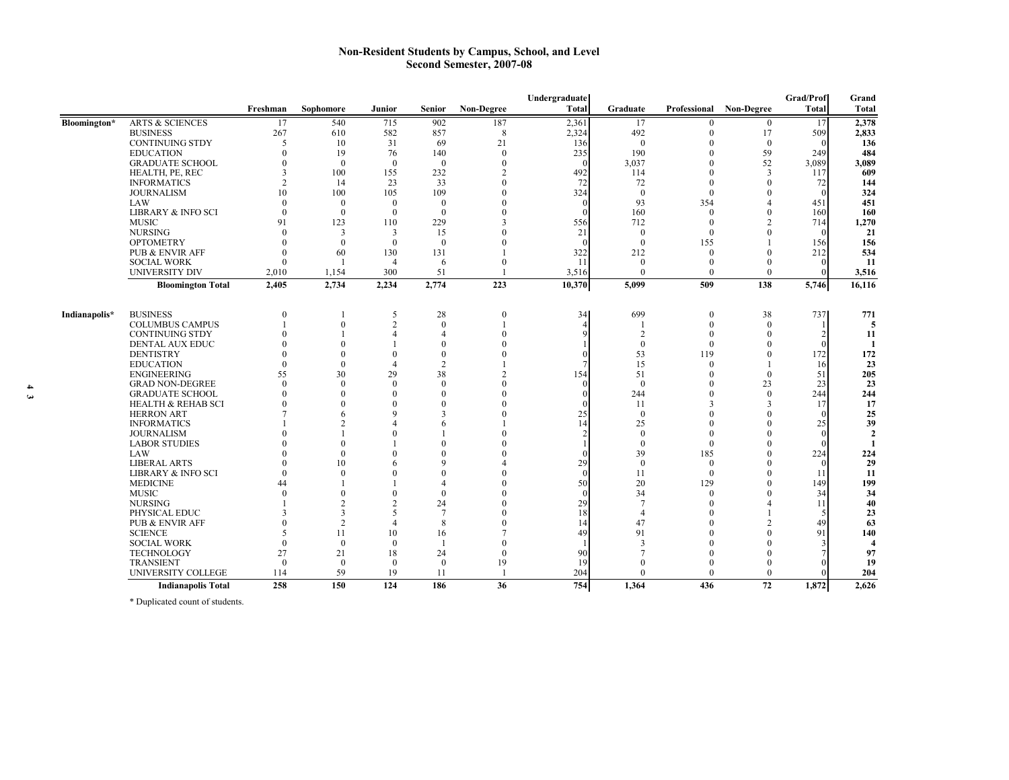#### **Non-Resident Students by Campus, School, and Level Second Semester, 2007-08**

|               |                               |               |                      |                |                          |            | Undergraduate |                |                 |                         | Grad/Prof    | Grand               |
|---------------|-------------------------------|---------------|----------------------|----------------|--------------------------|------------|---------------|----------------|-----------------|-------------------------|--------------|---------------------|
|               |                               | Freshman      | Sophomore            | <b>Junior</b>  | <b>Senior</b>            | Non-Degree | <b>Total</b>  | Graduate       |                 | Professional Non-Degree | <b>Total</b> | <b>Total</b>        |
| Bloomington*  | <b>ARTS &amp; SCIENCES</b>    | 17            | 540                  | 715            | 902                      | 187        | 2,361         | 17             | $\Omega$        | $\mathbf{0}$            | 17           | 2,378               |
|               | <b>BUSINESS</b>               | 267           | 610                  | 582            | 857                      | 8          | 2,324         | 492            |                 | 17                      | 509          | 2,833               |
|               | <b>CONTINUING STDY</b>        | 5             | 10                   | 31             | 69                       | 21         | 136           | $\overline{0}$ |                 | $\overline{0}$          |              | 136                 |
|               | <b>EDUCATION</b>              | $\Omega$      | 19                   | 76             | 140                      | $\theta$   | 235           | 190            | 0               | 59                      | 249          | 484                 |
|               | <b>GRADUATE SCHOOL</b>        | $\Omega$      | $\theta$             | $\overline{0}$ | $\Omega$                 | $\Omega$   |               | 3,037          | 0               | 52                      | 3.089        | 3,089               |
|               | HEALTH, PE, REC               | $\mathcal{R}$ | 100                  | 155            | 232                      |            | 492           | 114            |                 | $\overline{3}$          | 117          | 609                 |
|               | <b>INFORMATICS</b>            |               | 14                   | 23             | 33                       | $\Omega$   | 72            | 72             |                 | $\Omega$                | 72           | 144                 |
|               | <b>JOURNALISM</b>             | 10            | 100                  | 105            | 109                      |            | 324           | $\overline{0}$ | $\theta$        | $\Omega$                |              | 324                 |
|               | LAW                           |               | 0                    | $\overline{0}$ | $\Omega$                 |            |               | 93             | 354             |                         | 451          | 451                 |
|               | LIBRARY & INFO SCI            | $\Omega$      | $\mathbf{0}$         | $\overline{0}$ | $\Omega$                 |            |               | 160            | $\Omega$        | $\theta$                | 160          | 160                 |
|               | <b>MUSIC</b>                  | 91            | 123                  | 110            | 229                      |            | 556           | 712            | $\Omega$        | $\overline{2}$          | 714          | 1,270               |
|               | <b>NURSING</b>                | $\Omega$      | 3                    | 3              | 15                       |            | 21            | $\Omega$       | $\theta$        | $\Omega$                | $\Omega$     | 21                  |
|               | <b>OPTOMETRY</b>              |               | $\Omega$             | $\Omega$       | $\theta$                 |            |               | $\Omega$       | 155             |                         | 156          | 156                 |
|               | PUB & ENVIR AFF               |               | 60                   | 130            | 131                      |            | 322           | 212            | $\theta$        | $\Omega$                | 212          | 534                 |
|               | <b>SOCIAL WORK</b>            |               |                      | $\overline{A}$ | 6                        | $\Omega$   | 11            | $\overline{0}$ | $\theta$        | $\Omega$                |              | -11                 |
|               | UNIVERSITY DIV                | 2,010         | 1,154                | 300            | 51                       |            | 3,516         | $\mathbf{0}$   | $\Omega$        | $\theta$                |              | 3,516               |
|               | <b>Bloomington Total</b>      | 2,405         | 2,734                | 2,234          | 2,774                    | 223        | 10,370        | 5,099          | 509             | 138                     | 5,746        | 16,116              |
|               |                               |               |                      |                |                          |            |               |                |                 |                         |              |                     |
| Indianapolis* | <b>BUSINESS</b>               | $\Omega$      |                      | -5             | 28                       | $\theta$   | 34            | 699            | $\mathbf{0}$    | 38                      | 737          | 771                 |
|               | <b>COLUMBUS CAMPUS</b>        |               | $\theta$             | $\overline{2}$ | $\theta$                 |            |               |                | $\theta$        | $\overline{0}$          |              | 5                   |
|               | <b>CONTINUING STDY</b>        |               |                      | $\overline{4}$ | $\boldsymbol{\varDelta}$ |            |               | $\overline{2}$ | $\Omega$        | $\Omega$                |              | 11                  |
|               | DENTAL AUX EDUC               |               | 0                    |                |                          |            |               | $\Omega$       | $\Omega$        | $\Omega$                |              | -1                  |
|               | <b>DENTISTRY</b>              |               | $\Omega$             | $\Omega$       | $\Omega$                 |            |               | 53             | 119             | $\Omega$                | 172          | 172                 |
|               | <b>EDUCATION</b>              |               | $\Omega$             | $\overline{A}$ | $\mathcal{D}$            |            |               | 15             | $\Omega$        |                         | 16           | 23                  |
|               | ENGINEERING                   | 55            | 30                   | 29             | 38                       |            | 154           | 51             | $\Omega$        | $\theta$                | 51           | 205                 |
|               | <b>GRAD NON-DEGREE</b>        | $\Omega$      | $\Omega$             | $\Omega$       | $\Omega$                 |            |               | $\Omega$       | 0               | 23                      | 23           | 23                  |
|               | <b>GRADUATE SCHOOL</b>        |               | $\Omega$             | $\Omega$       | $\Omega$                 |            |               | 244            | $\Omega$        | $\overline{0}$          | 244          | 244                 |
|               | <b>HEALTH &amp; REHAB SCI</b> |               | 0                    | $\sqrt{ }$     |                          |            |               | 11             |                 | 3                       | 17           | 17                  |
|               | <b>HERRON ART</b>             |               | 6                    | q              | $\mathbf{3}$             |            | 25            | $\Omega$       | O               | $\Omega$                |              | 25                  |
|               | <b>INFORMATICS</b>            |               | $\mathfrak{D}$       |                |                          |            | 14            | 25             |                 | $\Omega$                | 25           | 39                  |
|               | <b>JOURNALISM</b>             |               |                      | $\sqrt{ }$     |                          |            |               | $\Omega$       |                 |                         |              | $\overline{2}$      |
|               | <b>LABOR STUDIES</b>          |               | $\Omega$<br>$\theta$ | $\Omega$       |                          |            |               | $\Omega$<br>39 | $\Omega$        | C<br>$\Omega$           | 224          | $\mathbf{1}$<br>224 |
|               | LAW<br><b>LIBERAL ARTS</b>    |               | 10                   |                |                          |            | 29            | $\theta$       | 185<br>$\Omega$ |                         | $\Omega$     | 29                  |
|               | LIBRARY & INFO SCI            |               | $\Omega$             | $\sqrt{ }$     |                          |            |               | 11             | $\theta$        | $\Omega$                | -11          | -11                 |
|               | <b>MEDICINE</b>               | 44            |                      |                |                          |            | 50            | 20             | 129             | $\Omega$                | 149          | 199                 |
|               | <b>MUSIC</b>                  |               | $\Omega$             | $\overline{0}$ | $\Omega$                 |            |               | 34             | $\Omega$        |                         | 34           | 34                  |
|               | <b>NURSING</b>                |               | $\mathfrak{D}$       | $\mathcal{D}$  | 24                       |            | 29            | $\overline{7}$ | $\Omega$        |                         | 11           | 40                  |
|               | PHYSICAL EDUC                 |               | 3                    | 5              | $\overline{7}$           |            | 18            | $\overline{4}$ |                 |                         | -5           | 23                  |
|               | <b>PUB &amp; ENVIR AFF</b>    |               | $\overline{2}$       | $\overline{4}$ | 8                        |            | 14            | 47             |                 | $\mathcal{I}$           | 49           | 63                  |
|               | <b>SCIENCE</b>                |               | 11                   | 10             | 16                       |            | 49            | 91             |                 | $\Omega$                | 91           | 140                 |
|               | <b>SOCIAL WORK</b>            | $\Omega$      | $\theta$             | $\Omega$       |                          |            |               | 3              |                 |                         |              | $\overline{4}$      |
|               | <b>TECHNOLOGY</b>             | 27            | 21                   | 18             | 24                       | $\Omega$   | 90            |                |                 |                         |              | 97                  |
|               | <b>TRANSIENT</b>              | $\Omega$      | $\mathbf{0}$         | $\overline{0}$ | $\theta$                 | 19         | 19            |                |                 | $\Omega$                |              | 19                  |
|               | UNIVERSITY COLLEGE            | 114           | 59                   | 19             | 11                       |            | 204           | $\theta$       | $\Omega$        | $\Omega$                |              | 204                 |
|               | <b>Indianapolis Total</b>     | 258           | 150                  | 124            | 186                      | 36         | 754           | 1.364          | 436             | 72                      | 1.872        | 2,626               |

\* Duplicated count of students.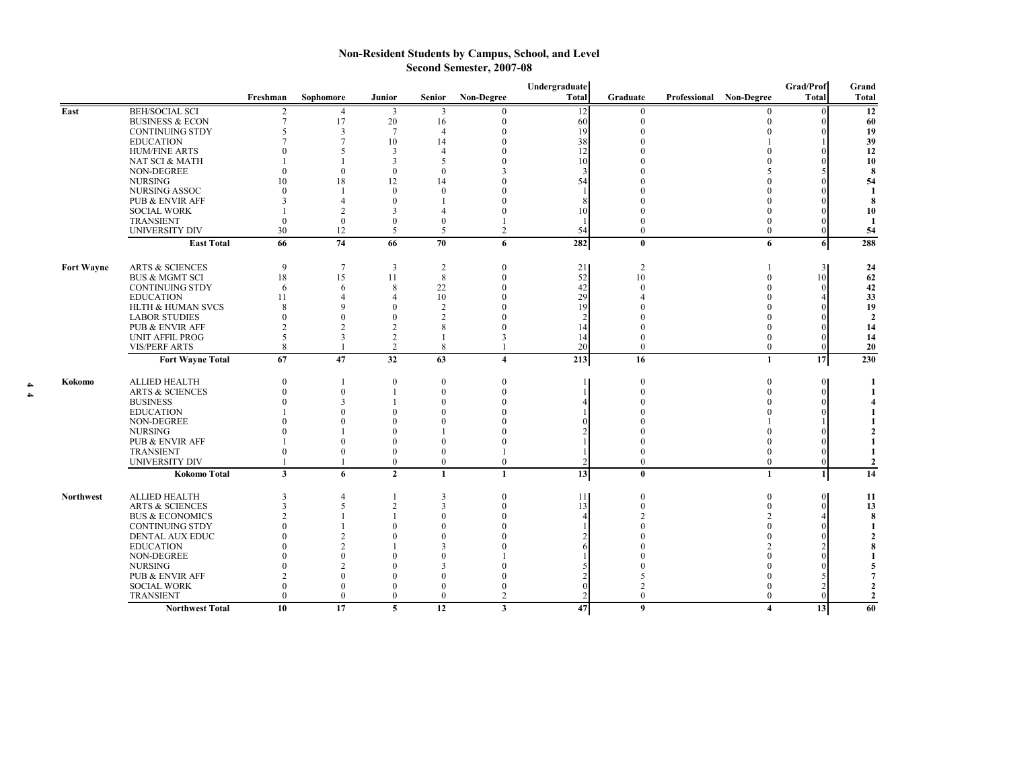## **Non-Resident Students by Campus, School, and Level Second Semester, 2007-08**

|                   |                                        |                          |                      |                              |                          |                   | Undergraduate |                                |                         |                         | Grad/Prof    | Grand                        |
|-------------------|----------------------------------------|--------------------------|----------------------|------------------------------|--------------------------|-------------------|---------------|--------------------------------|-------------------------|-------------------------|--------------|------------------------------|
|                   |                                        | Freshman                 | Sophomore            | Junior                       | Senior                   | <b>Non-Degree</b> | <b>Total</b>  | Graduate                       | Professional Non-Degree |                         | <b>Total</b> | Total                        |
| East              | <b>BEH/SOCIAL SCI</b>                  |                          | $\overline{4}$       | 3                            | 3                        | 0                 | 12            | $\boldsymbol{0}$               |                         | 0                       |              | 12                           |
|                   | <b>BUSINESS &amp; ECON</b>             | $\overline{7}$           | 17                   | 20                           | 16                       | $\overline{0}$    | 60            | $\mathbf{0}$                   |                         | 0                       |              | 60                           |
|                   | <b>CONTINUING STDY</b>                 | $\overline{\phantom{0}}$ | $\mathcal{R}$        | $7\phantom{.0}$              | $\boldsymbol{\varDelta}$ | 0                 | 19            |                                |                         |                         |              | 19                           |
|                   | <b>EDUCATION</b>                       |                          |                      | 10                           | 14                       |                   | 38            |                                |                         |                         |              | 39                           |
|                   | <b>HUM/FINE ARTS</b>                   |                          |                      | 3                            | $\overline{4}$           |                   | 12            |                                |                         |                         |              | 12                           |
|                   | NAT SCI & MATH                         |                          |                      | 3                            | 5                        |                   | 10            |                                |                         |                         |              | 10                           |
|                   | NON-DEGREE<br><b>NURSING</b>           | $\Omega$<br>10           | $\Omega$             | $\mathbf{0}$                 | $\Omega$<br>14           |                   |               |                                |                         |                         |              | 8                            |
|                   | NURSING ASSOC                          |                          | 18                   | 12<br>$\mathbf{0}$           | $\theta$                 |                   | 54            |                                |                         |                         |              | 54<br>1                      |
|                   | <b>PUB &amp; ENVIR AFF</b>             |                          |                      | $\theta$                     |                          |                   |               |                                |                         |                         |              | 8                            |
|                   | <b>SOCIAL WORK</b>                     |                          | $\mathfrak{D}$       | 3                            |                          |                   | 10            |                                |                         |                         |              | 10                           |
|                   | <b>TRANSIENT</b>                       | $\Omega$                 | $\Omega$             | $\mathbf{0}$                 | $\theta$                 |                   |               |                                |                         |                         |              | -1                           |
|                   | <b>UNIVERSITY DIV</b>                  | 30                       | 12                   | 5                            | 5                        | $\overline{c}$    | 54            | $\Omega$                       |                         | $\Omega$                |              | 54                           |
|                   | <b>East Total</b>                      | 66                       | 74                   | 66                           | 70                       | 6                 | 282           | $\bf{0}$                       |                         | 6                       | 6            | 288                          |
| <b>Fort Wayne</b> | <b>ARTS &amp; SCIENCES</b>             | 9                        | $\overline{7}$       | $\mathbf{3}$                 | $\overline{2}$           | $\Omega$          | 21            | $\overline{c}$                 |                         |                         | 31           | 24                           |
|                   | <b>BUS &amp; MGMT SCI</b>              | 18                       | 15                   | 11                           | 8                        |                   | 52            | 10                             |                         |                         | 10           | 62                           |
|                   | <b>CONTINUING STDY</b>                 | 6                        | 6                    | 8                            | 22                       |                   | 42            | $\Omega$                       |                         |                         |              | 42                           |
|                   | <b>EDUCATION</b>                       | 11                       |                      | $\overline{4}$               | 10                       |                   | 29            |                                |                         |                         |              | 33                           |
|                   | HLTH & HUMAN SVCS                      | X                        | $\Omega$             | $\theta$                     | $\overline{2}$           |                   | 19            |                                |                         |                         |              | 19                           |
|                   | <b>LABOR STUDIES</b>                   | $\Omega$                 | $\Omega$             | $\mathbf{0}$                 | 2                        |                   |               |                                |                         |                         |              | $\overline{2}$               |
|                   | PUB & ENVIR AFF                        | $\mathfrak{D}$           | C                    | $\overline{c}$               | 8                        |                   | 14            |                                |                         |                         |              | 14                           |
|                   | <b>UNIT AFFIL PROG</b>                 | 5                        |                      | $\overline{2}$               | 1                        | 3                 | 14            | $\Omega$                       |                         | 0                       |              | 14                           |
|                   | <b>VIS/PERF ARTS</b>                   | 8                        |                      | $\overline{2}$               | 8                        |                   | 20            | $\mathbf{0}$                   |                         | $\overline{0}$          |              | 20                           |
|                   | <b>Fort Wayne Total</b>                | 67                       | 47                   | $\overline{32}$              | 63                       | 4                 | 213           | 16                             |                         | 1                       | 17           | 230                          |
| Kokomo            | <b>ALLIED HEALTH</b>                   | $\Omega$                 |                      | $\mathbf{0}$                 | $\mathbf{0}$             |                   |               | $\theta$                       |                         |                         | $\Omega$     | 1                            |
|                   | <b>ARTS &amp; SCIENCES</b>             | $\Omega$                 | $\Omega$             |                              | $\overline{0}$           |                   |               | $\Omega$                       |                         |                         |              |                              |
|                   | <b>BUSINESS</b>                        |                          |                      |                              | $\Omega$                 |                   |               |                                |                         |                         |              |                              |
|                   | <b>EDUCATION</b>                       |                          |                      | $\Omega$                     | $\Omega$                 |                   |               |                                |                         |                         |              |                              |
|                   | NON-DEGREE                             |                          |                      | $\Omega$                     | U                        |                   |               |                                |                         |                         |              |                              |
|                   | <b>NURSING</b>                         |                          |                      | $\Omega$                     |                          |                   |               |                                |                         |                         |              | 2                            |
|                   | PUB & ENVIR AFF                        |                          |                      | $\theta$                     | $\theta$                 |                   |               |                                |                         |                         |              | $\mathbf{1}$                 |
|                   | <b>TRANSIENT</b>                       | $\Omega$                 |                      | $\mathbf{0}$                 | $\overline{0}$           |                   |               |                                |                         | 0                       |              | 1                            |
|                   | UNIVERSITY DIV                         |                          |                      | $\boldsymbol{0}$             | $\overline{0}$           | $\bf{0}$          |               | $\Omega$                       |                         | $\mathbf{0}$            |              | $\mathbf{2}$                 |
|                   | <b>Kokomo Total</b>                    | 3                        | 6                    | $\overline{2}$               | 1                        | $\mathbf{1}$      | 13            | $\mathbf{0}$                   |                         | $\mathbf{1}$            |              | $\overline{14}$              |
| <b>Northwest</b>  | <b>ALLIED HEALTH</b>                   | 3                        | $\overline{4}$       | $\mathbf{1}$                 | 3                        | $\Omega$          | 11            | $\mathbf{0}$                   |                         | $\Omega$                | $\Omega$     | 11                           |
|                   | <b>ARTS &amp; SCIENCES</b>             | 3                        | 5                    | $\overline{2}$               | 3                        |                   | 13            | $\mathbf{0}$                   |                         |                         |              | 13                           |
|                   | <b>BUS &amp; ECONOMICS</b>             | $\mathcal{D}$            |                      |                              | $\Omega$                 |                   |               |                                |                         |                         |              | 8                            |
|                   | <b>CONTINUING STDY</b>                 | $\Omega$                 |                      | $\Omega$                     | 0                        |                   |               |                                |                         |                         |              |                              |
|                   | DENTAL AUX EDUC                        |                          | $\mathcal{D}$        | $\theta$                     | $\Omega$                 |                   |               |                                |                         |                         |              | $\mathbf{2}$                 |
|                   | <b>EDUCATION</b>                       |                          | $\mathcal{D}$        |                              | 3                        |                   |               |                                |                         |                         |              | 8                            |
|                   | NON-DEGREE                             |                          |                      | $\Omega$                     | 0                        |                   |               |                                |                         |                         |              |                              |
|                   | <b>NURSING</b>                         |                          | $\mathcal{D}$        | $\Omega$                     | 3                        |                   |               |                                |                         |                         |              | 5                            |
|                   | PUB & ENVIR AFF                        | $\mathfrak{D}$           |                      | $\Omega$                     | $\Omega$                 |                   |               | 5                              |                         |                         |              | 7                            |
|                   | <b>SOCIAL WORK</b><br><b>TRANSIENT</b> | $\Omega$<br>$\Omega$     | $\Omega$<br>$\theta$ | $\mathbf{0}$<br>$\mathbf{0}$ | $\theta$<br>$\Omega$     | $\overline{c}$    |               | $\overline{2}$<br>$\mathbf{0}$ |                         | 0                       |              | $\mathbf{2}$<br>$\mathbf{2}$ |
|                   | <b>Northwest Total</b>                 | 10                       | 17                   | 5                            | 12                       | $\mathbf{3}$      | $\bf 47$      | $\boldsymbol{9}$               |                         | $\overline{\mathbf{4}}$ | 13           | 60                           |
|                   |                                        |                          |                      |                              |                          |                   |               |                                |                         |                         |              |                              |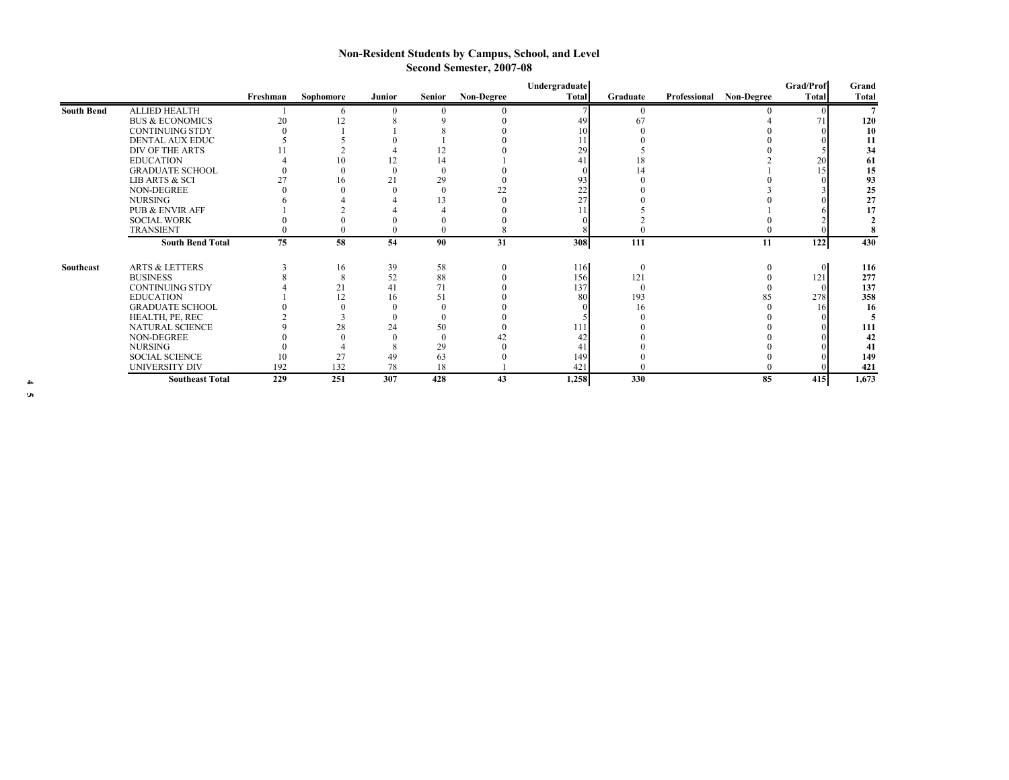## **Non-Resident Students by Campus, School, and Level Second Semester, 2007-08**

|                   |                            |          |           |          |               |                   | Undergraduate |              |              |            | Grad/Prof    | Grand        |
|-------------------|----------------------------|----------|-----------|----------|---------------|-------------------|---------------|--------------|--------------|------------|--------------|--------------|
|                   |                            | Freshman | Sophomore | Junior   | <b>Senior</b> | <b>Non-Degree</b> | <b>Total</b>  | Graduate     | Professional | Non-Degree | <b>Total</b> | <b>Total</b> |
| <b>South Bend</b> | <b>ALLIED HEALTH</b>       |          |           |          |               |                   |               |              |              |            |              |              |
|                   | <b>BUS &amp; ECONOMICS</b> | 20       | 12        |          |               |                   |               | 6            |              |            |              | 120          |
|                   | <b>CONTINUING STDY</b>     |          |           |          |               |                   |               |              |              |            |              | 10           |
|                   | DENTAL AUX EDUC            |          |           |          |               |                   |               |              |              |            |              | 11           |
|                   | DIV OF THE ARTS            |          |           |          | l 4           |                   | 29            |              |              |            |              | 34           |
|                   | <b>EDUCATION</b>           |          | 10        | 12       | 14            |                   |               |              |              |            | 20           | 61           |
|                   | <b>GRADUATE SCHOOL</b>     |          |           |          |               |                   |               |              |              |            |              | 15           |
|                   | LIB ARTS & SCI             |          | 16        | 21       | 29            |                   |               |              |              |            |              | 93           |
|                   | NON-DEGREE                 |          |           |          |               | 22                | 22            |              |              |            |              | 25           |
|                   | NURSING                    |          |           |          |               |                   | 27            |              |              |            |              | 27           |
|                   | <b>PUB &amp; ENVIR AFF</b> |          |           |          |               |                   |               |              |              |            |              |              |
|                   | <b>SOCIAL WORK</b>         |          |           |          |               |                   |               |              |              |            |              |              |
|                   | <b>TRANSIENT</b>           |          |           |          |               |                   |               |              |              |            |              |              |
|                   | <b>South Bend Total</b>    | 75       | 58        | 54       | 90            | 31                | 308           | 111          |              | -11        | 122          | 430          |
|                   |                            |          |           |          |               |                   |               |              |              |            |              |              |
| Southeast         | <b>ARTS &amp; LETTERS</b>  |          | 16        | 39       | 58            |                   | 116           | $\mathbf{0}$ |              |            | $\Omega$     | 116          |
|                   | <b>BUSINESS</b>            |          |           | 52       | 88            |                   | 156           | 121          |              |            | 121          | 277          |
|                   | <b>CONTINUING STDY</b>     |          | 21        | 41       | 71            |                   | 137           | $\Omega$     |              |            |              | 137          |
|                   | <b>EDUCATION</b>           |          | 12        | 16       | 51            |                   | 80            | 193          |              | 85         | 278          | 358          |
|                   | <b>GRADUATE SCHOOL</b>     |          |           |          |               |                   |               | 16           |              |            | 16.          | 16           |
|                   | HEALTH, PE, REC            |          |           |          |               |                   |               |              |              |            |              |              |
|                   | NATURAL SCIENCE            |          | 28        | 24       | 50            |                   |               |              |              |            |              | 111          |
|                   | NON-DEGREE                 |          |           | $\Omega$ |               | 42                |               |              |              |            |              | 42           |
|                   | NURSING                    |          |           | -8       | 29            |                   |               |              |              |            |              | 41           |
|                   | <b>SOCIAL SCIENCE</b>      | 10       | 27        | 49       | 63            |                   | 149           |              |              |            |              | 149          |
|                   | <b>UNIVERSITY DIV</b>      | 192      | 132       | 78       | 18            |                   | 421           |              |              |            |              | 421          |
|                   | <b>Southeast Total</b>     | 229      | 251       | 307      | 428           | 43                | 1,258         | 330          |              | 85         | 415          | 1,673        |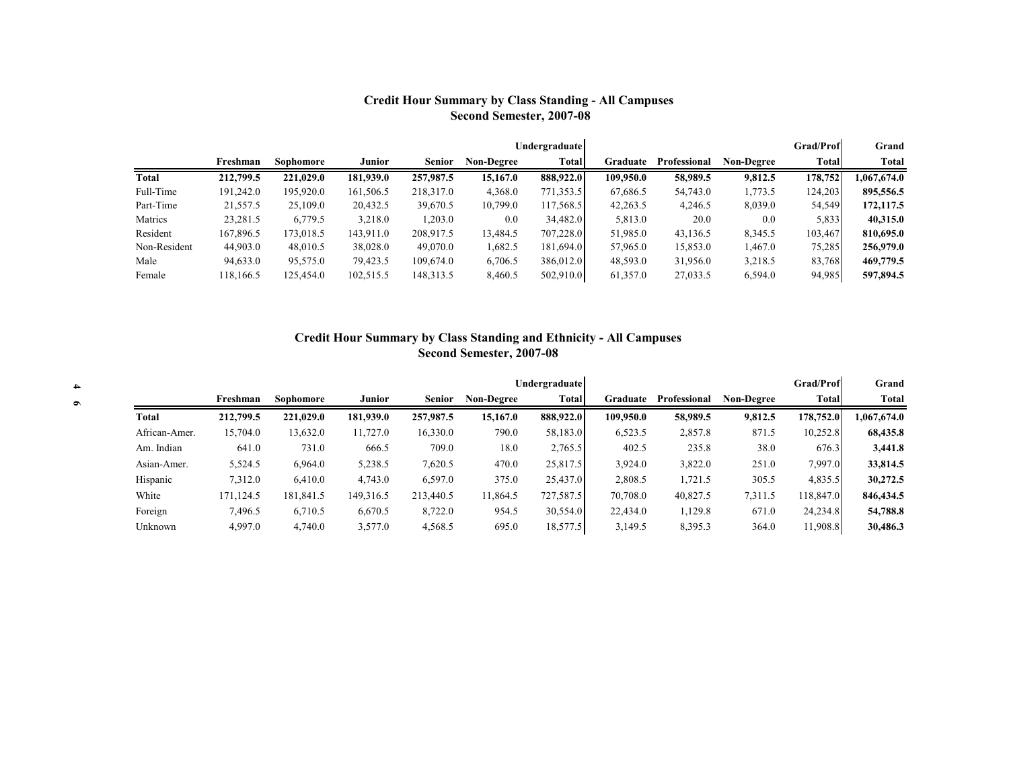# **Credit Hour Summary by Class Standing - All Campuses Second Semester, 2007-08**

|              |           |           |           |               |                   | Undergraduate |           |              |            | <b>Grad/Prof</b> | Grand       |
|--------------|-----------|-----------|-----------|---------------|-------------------|---------------|-----------|--------------|------------|------------------|-------------|
|              | Freshman  | Sophomore | Junior    | <b>Senior</b> | <b>Non-Degree</b> | Total         | Graduate  | Professional | Non-Degree | Total            | Total       |
| Total        | 212,799.5 | 221,029.0 | 181,939.0 | 257,987.5     | 15,167.0          | 888,922.0     | 109,950.0 | 58,989.5     | 9,812.5    | 178,752          | 1,067,674.0 |
| Full-Time    | 191.242.0 | 195,920.0 | 161,506.5 | 218,317.0     | 4,368.0           | 771,353.5     | 67,686.5  | 54,743.0     | 1,773.5    | 124,203          | 895,556.5   |
| Part-Time    | 21,557.5  | 25,109.0  | 20,432.5  | 39,670.5      | 10,799.0          | 117,568.5     | 42,263.5  | 4,246.5      | 8,039.0    | 54,549           | 172, 117.5  |
| Matrics      | 23,281.5  | 6,779.5   | 3,218.0   | 1,203.0       | 0.0               | 34,482.0      | 5,813.0   | 20.0         | 0.0        | 5,833            | 40.315.0    |
| Resident     | 167,896.5 | 173,018.5 | 143,911.0 | 208,917.5     | 13,484.5          | 707,228.0     | 51,985.0  | 43,136.5     | 8,345.5    | 103,467          | 810,695.0   |
| Non-Resident | 44,903.0  | 48,010.5  | 38,028.0  | 49,070.0      | 1,682.5           | 181,694.0     | 57,965.0  | 15,853.0     | 1,467.0    | 75,285           | 256,979.0   |
| Male         | 94,633.0  | 95,575.0  | 79,423.5  | 109,674.0     | 6,706.5           | 386,012.0     | 48,593.0  | 31,956.0     | 3,218.5    | 83,768           | 469,779.5   |
| Female       | 18,166.5  | 125,454.0 | 102,515.5 | 148,313.5     | 8,460.5           | 502,910.0     | 61,357.0  | 27,033.5     | 6,594.0    | 94,985           | 597,894.5   |

# **Credit Hour Summary by Class Standing and Ethnicity - All Campuses Second Semester, 2007-08**

|               |           |           |           |               |                   | <b>Undergraduate</b> |           |              |                   | <b>Grad/Prof</b> | Grand       |
|---------------|-----------|-----------|-----------|---------------|-------------------|----------------------|-----------|--------------|-------------------|------------------|-------------|
|               | Freshman  | Sophomore | Junior    | <b>Senior</b> | <b>Non-Degree</b> | Total                | Graduate  | Professional | <b>Non-Degree</b> | Total            | Total       |
| Total         | 212,799.5 | 221,029.0 | 181,939.0 | 257,987.5     | 15,167.0          | 888,922.0            | 109,950.0 | 58,989.5     | 9.812.5           | 178,752.0        | 1,067,674.0 |
| African-Amer. | 15,704.0  | 13,632.0  | 11,727.0  | 16,330.0      | 790.0             | 58,183.0             | 6,523.5   | 2,857.8      | 871.5             | 10,252.8         | 68,435.8    |
| Am. Indian    | 641.0     | 731.0     | 666.5     | 709.0         | 18.0              | 2,765.5              | 402.5     | 235.8        | 38.0              | 676.3            | 3,441.8     |
| Asian-Amer.   | 5,524.5   | 6,964.0   | 5,238.5   | 7,620.5       | 470.0             | 25,817.5             | 3.924.0   | 3,822.0      | 251.0             | 7,997.0          | 33,814.5    |
| Hispanic      | 7,312.0   | 6,410.0   | 4,743.0   | 6,597.0       | 375.0             | 25,437.0             | 2,808.5   | 1,721.5      | 305.5             | 4,835.5          | 30,272.5    |
| White         | 171,124.5 | 181,841.5 | 149,316.5 | 213,440.5     | 1,864.5           | 727,587.5            | 70,708.0  | 40,827.5     | 7,311.5           | 118,847.0        | 846, 434.5  |
| Foreign       | 7,496.5   | 6,710.5   | 6,670.5   | 8,722.0       | 954.5             | 30,554.0             | 22,434.0  | 1,129.8      | 671.0             | 24,234.8         | 54,788.8    |
| Unknown       | 4,997.0   | 4,740.0   | 3,577.0   | 4,568.5       | 695.0             | 18,577.5             | 3,149.5   | 8,395.3      | 364.0             | 11,908.8         | 30,486.3    |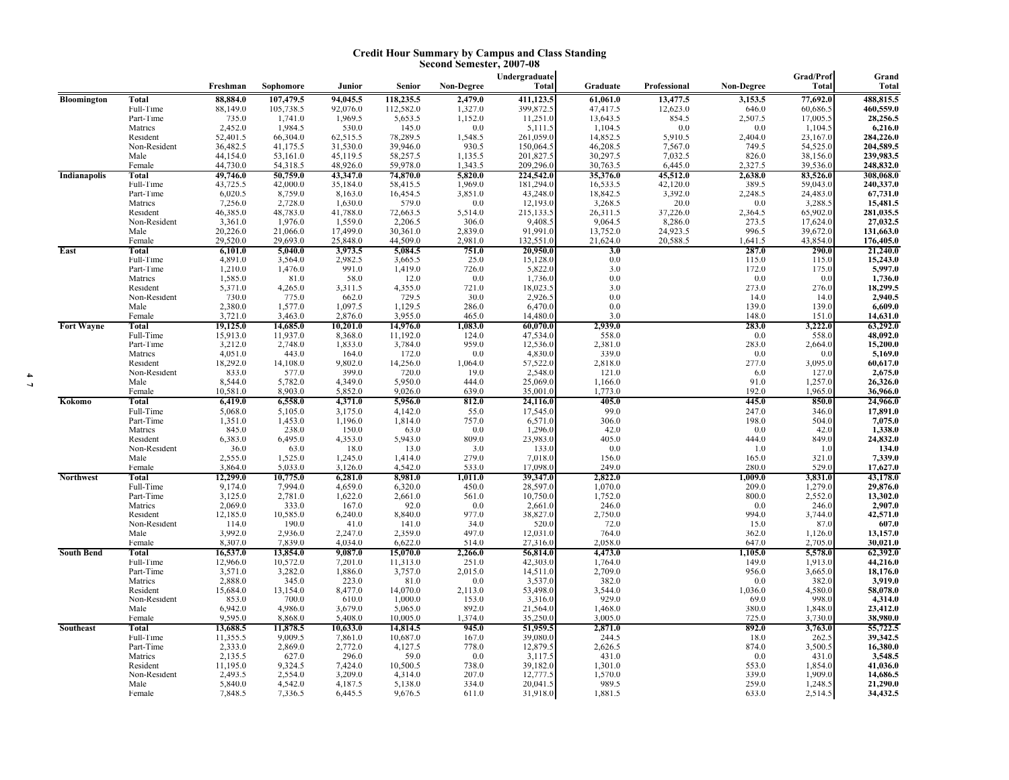#### **Credit Hour Summary by Campus and Class Standing Second Semester, 2007-08**

|                     |                      |                     |                    |                    |                                |                   | Undergraduate        |                     |                     |                    | Grad/Prof           | Grand                   |
|---------------------|----------------------|---------------------|--------------------|--------------------|--------------------------------|-------------------|----------------------|---------------------|---------------------|--------------------|---------------------|-------------------------|
|                     |                      | Freshman            | Sophomore          | Junior             | Senior                         | <b>Non-Degree</b> | Total                | Graduate            | Professional        | <b>Non-Degree</b>  | <b>Total</b>        | <b>Total</b>            |
| Bloomington         | <b>Total</b>         | 88,884.0            | 107,479.5          | 94,045.5           | 118,235.5                      | 2,479.0           | 411,123.5            | 61,061.0            | 13,477.5            | 3,153.5            | 77,692.0            | 488,815.5               |
|                     | Full-Time            | 88,149.0            | 105,738.5          | 92,076.0           | 112,582.0                      | 1,327.0           | 399,872.5            | 47,417.5            | 12,623.0            | 646.0              | 60,686.5            | 460,559.0               |
|                     | Part-Time<br>Matrics | 735.0<br>2,452.0    | 1,741.0<br>1,984.5 | 1,969.5<br>530.0   | 5,653.5<br>145.0               | 1,152.0<br>0.0    | 11,251.0<br>5,111.5  | 13,643.5<br>1,104.5 | 854.5<br>0.0        | 2,507.5<br>0.0     | 17,005.5<br>1,104.5 | 28,256.5<br>6,216.0     |
|                     | Resident             | 52,401.5            | 66,304.0           | 62,515.5           | 78,289.5                       | 1,548.5           | 261,059.0            | 14,852.5            |                     | 2,404.0            | 23,167.0            | 284,226.0               |
|                     | Non-Resident         | 36,482.5            | 41,175.5           | 31,530.0           | 39,946.0                       | 930.5             | 150,064.5            | 46,208.5            | 5,910.5<br>7,567.0  | 749.5              | 54,525.0            | 204,589.5               |
|                     | Male                 | 44,154.0            | 53,161.0           | 45,119.5           | 58,257.5                       | 1,135.5           | 201,827.5            | 30,297.5            | 7,032.5             | 826.0              | 38,156.0            | 239,983.5               |
|                     | Female               | 44,730.0            | 54,318.5           | 48,926.0           | 59,978.0                       | 1,343.5           | 209,296.0            | 30,763.5            | 6,445.0             | 2,327.5            | 39,536.0            | 248,832.0               |
| <b>Indianapolis</b> | Total                | 49,746.0            | 50,759.0           | 43,347.0           | 74,870.0                       | 5,820.0           | 224,542.0            | 35,376.0            | 45,512.0            | 2,638.0            | 83,526.0            | 308,068.0               |
|                     | Full-Time            | 43,725.5            | 42,000.0           | 35,184.0           | 58,415.5                       | 1,969.0           | 181,294.0            | 16,533.5            | 42,120.0            | 389.5              | 59,043.0            | 240,337.0               |
|                     | Part-Time<br>Matrics | 6,020.5<br>7,256.0  | 8,759.0<br>2,728.0 | 8,163.0<br>1,630.0 | 16,454.5                       | 3,851.0<br>0.0    | 43,248.0<br>12,193.0 | 18,842.5<br>3,268.5 | 3,392.0<br>$20.0\,$ | 2,248.5<br>$0.0\,$ | 24,483.0<br>3,288.5 | 67,731.0                |
|                     | Resident             | 46,385.0            | 48,783.0           | 41,788.0           | $579.0$<br>72,663.5            | 5,514.0           | 215,133.5            | 26,311.5            | 37,226.0            | 2,364.5            | 65,902.0            | 15,481.5<br>281,035.5   |
|                     | Non-Resident         | 3,361.0             | 1,976.0            | 1,559.0            | 2,206.5                        | 306.0             | 9,408.5              | 9,064.5             | 8,286.0             | 273.5              | 17,624.0            |                         |
|                     | Male                 | 20,226.0            | 21,066.0           | 17,499.0           | 30,361.0                       | 2,839.0           | 91,991.0             | 13,752.0            | 24,923.5            | 996.5              | 39,672.0            | $27,032.5$<br>131,663.0 |
|                     | Female               | 29,520.0            | 29,693.0           | 25,848.0           | 44,509.0                       | 2,981.0           | 132,551.0            | 21,624.0            | 20,588.5            | 1,641.5            | 43,854.0            | 176,405.0               |
| East                | Total                | 6,101.0             | 5,040.0            | 3,973.5            | 5,084.5                        | 751.0             | 20,950.0             | 3.0                 |                     | 287.0              | 290.0               | 21,240.0                |
|                     | Full-Time            | 4,891.0             | 3,564.0            | 2,982.5            | 3,665.5                        | 25.0              | 15,128.0             | 0.0                 |                     | 115.0              | 115.0               | 15,243.0<br>5,997.0     |
|                     | Part-Time<br>Matrics | 1,210.0<br>1,585.0  | 1,476.0<br>81.0    | 991.0              | 1,419.0<br>12.0                | 726.0<br>0.0      | 5,822.0<br>1,736.0   | 3.0<br>0.0          |                     | 172.0              | 175.0<br>0.0        | 1,736.0                 |
|                     | Resident             | 5,371.0             | 4,265.0            | 58.0<br>3,311.5    | 4,355.0                        | 721.0             | 18,023.5             | 3.0                 |                     | $0.0\,$<br>273.0   | 276.0               | 18,299.5                |
|                     | Non-Resident         | 730.0               | 775.0              | 662.0              | 729.5                          | 30.0              | 2,926.5              | 0.0                 |                     | 14.0               | 14.0                | 2,940.5                 |
|                     | Male                 | 2,380.0             | 1,577.0            | 1,097.5            | 1,129.5                        | 286.0             | 6,470.0              | 0.0                 |                     | 139.0              | 139.0               | 6,609.0                 |
|                     | Female               | 3,721.0             | 3,463.0            | 2,876.0            | 3,955.0                        | 465.0             | 14,480.0             | 3.0                 |                     | 148.0              | 151.0               | 14,631.0                |
| <b>Fort Wayne</b>   | Total                | 19,125.0            | 14,685.0           | 10,201.0           | 14,976.0                       | 1,083.0           | 60,070.0             | 2,939.0             |                     | 283.0              | 3,222.0             | 63,292.0                |
|                     | Full-Time            | 15,913.0            | 11,937.0           | 8,368.0            | 11,192.0                       | 124.0             | 47,534.0             | 558.0               |                     | 0.0                | 558.0               | 48,092.0                |
|                     | Part-Time            | 3,212.0             | 2,748.0            | 1,833.0            | 3,784.0                        | 959.0<br>0.0      | 12,536.0             | 2,381.0             |                     | 283.0              | 2,664.0<br>0.0      | 15,200.0                |
|                     | Matrics<br>Resident  | 4,051.0<br>18,292.0 | 443.0<br>14,108.0  | 164.0<br>9,802.0   | 172.0                          | 1,064.0           | 4,830.0<br>57,522.0  | 339.0<br>2,818.0    |                     | 0.0<br>277.0       | 3,095.0             | 5,169.0<br>60,617.0     |
|                     | Non-Resident         | 833.0               | 577.0              | 399.0              | $\substack{14,256.0 \\ 720.0}$ | 19.0              | 2,548.0              | 121.0               |                     | 6.0                | 127.0               | 2,675.0                 |
|                     | Male                 | 8,544.0             | 5,782.0            | 4,349.0            | 5,950.0                        | 444.0             | 25,069.0             | 1,166.0             |                     | 91.0               | 1,257.0             | 26,326.0                |
|                     | Female               | 10,581.0            | 8,903.0            | 5,852.0            | 9,026.0                        | 639.0             | 35,001.0             | 1,773.0             |                     | 192.0              | 1,965.0             | 36,966.0                |
| Kokomo              | Total                | 6,419.0             | 6,558.0            | 4,371.0            | 5,956.0                        | 812.0             | 24,116.0             | 405.0               |                     | 445.0              | 850.0               | 24,966.0                |
|                     | Full-Time            | 5,068.0             | 5,105.0            | 3,175.0            | 4,142.0                        | 55.0              | 17,545.0             | 99.0                |                     | 247.0              | 346.0               | 17,891.0                |
|                     | Part-Time            | 1,351.0             | 1,453.0            | 1,196.0            | 1,814.0                        | 757.0             | 6,571.0              | 306.0               |                     | 198.0              | 504.0               | 7,075.0                 |
|                     | Matrics<br>Resident  | 845.0<br>6,383.0    | 238.0<br>6,495.0   | $150.0$<br>4,353.0 | 63.0<br>5,943.0                | 0.0<br>809.0      | 1,296.0<br>23,983.0  | 42.0<br>405.0       |                     | $0.0\,$<br>444.0   | 42.0<br>849.0       | 1,338.0<br>24,832.0     |
|                     | Non-Resident         | 36.0                | 63.0               | 18.0               | 13.0                           | 3.0               | 133.0                | 0.0                 |                     | 1.0                | 1.0                 | 134.0                   |
|                     | Male                 | 2,555.0             | 1,525.0            | 1,245.0            | 1,414.0                        | 279.0             | 7,018.0              | 156.0               |                     | 165.0              | 321.0               | 7,339.0                 |
|                     | Female               | 3,864.0             | 5,033.0            | 3,126.0            | 4,542.0                        | 533.0             | 17,098.0             | 249.0               |                     | 280.0              | 529.0               | 17,627.0                |
| <b>Northwest</b>    | Total                | 12,299.0            | 10,775.0           | 6,281.0            | 8,981.0                        | 1,011.0           | 39,347.0             | 2,822.0             |                     | 1,009.0            | 3,831.0             | 43,178.0                |
|                     | Full-Time            | 9,174.0             | 7,994.0            | 4,659.0            | 6,320.0                        | 450.0             | 28,597.0             | 1,070.0             |                     | 209.0              | 1,279.0             | 29,876.0                |
|                     | Part-Time            | 3,125.0             | 2,781.0            | 1,622.0            | 2,661.0                        | 561.0             | 10,750.0             | 1,752.0             |                     | 800.0              | 2,552.0             | 13,302.0                |
|                     | Matrics<br>Resident  | 2,069.0<br>12,185.0 | 333.0<br>10,585.0  | 167.0<br>6,240.0   | 92.0<br>8,840.0                | 0.0<br>977.0      | 2,661.0<br>38,827.0  | 246.0<br>2,750.0    |                     | 0.0<br>994.0       | 246.0<br>3,744.0    | $2,907.0$<br>42,571.0   |
|                     | Non-Resident         | 114.0               | 190.0              | 41.0               | 141.0                          | 34.0              | 520.0                | 72.0                |                     | 15.0               | 87.0                | 607.0                   |
|                     | Male                 | 3,992.0             | 2,936.0            | 2,247.0            | 2,359.0                        | 497.0             | 12,031.0             | 764.0               |                     | 362.0              | 1,126.0             | 13,157.0                |
|                     | Female               | 8,307.0             | 7,839.0            | 4,034.0            | 6,622.0                        | 514.0             | 27,316.0             | 2,058.0             |                     | 647.0              | 2,705.0             | 30,021.0                |
| <b>South Bend</b>   | Total                | 16,537.0            | 13,854.0           | 9,087.0            | 15,070.0                       | 2,266.0           | 56,814.0             | 4,473.0             |                     | 1,105.0            | 5,578.0             | 62,392.0                |
|                     | Full-Time            | 12,966.0            | 10,572.0           | 7,201.0            | 11,313.0                       | 251.0             | 42,303.0             | 1,764.0             |                     | 149.0              | 1,913.0             | 44,216.0                |
|                     | Part-Time            | 3,571.0             | 3,282.0            | 1,886.0            | 3,757.0                        | 2,015.0           | 14,511.0             | 2,709.0             |                     | 956.0              | 3,665.0             | 18,176.0                |
|                     | Matrics<br>Resident  | 2,888.0<br>15,684.0 | 345.0<br>13,154.0  | 223.0              | 81.0<br>14,070.0               | 0.0<br>2,113.0    | 3,537.0<br>53,498.0  | 382.0<br>3,544.0    |                     | $0.0\,$<br>1,036.0 | 382.0               | 3,919.0                 |
|                     | Non-Resident         | 853.0               | 700.0              | $8,477.0$<br>610.0 | 1,000.0                        | 153.0             | 3,316.0              | 929.0               |                     | 69.0               | 4,580.0<br>998.0    | $58,078.0$<br>4,314.0   |
|                     | Male                 | 6,942.0             | 4,986.0            | 3,679.0            | 5,065.0                        | 892.0             | 21,564.0             | 1,468.0             |                     | 380.0              | 1,848.0             |                         |
|                     | Female               | 9,595.0             | 8,868.0            | 5,408.0            | 10,005.0                       | 1,374.0           | 35,250.0             | 3,005.0             |                     | 725.0              | 3,730.0             | 23,412.0<br>38,980.0    |
| Southeast           | Total                | 13,688.5            | 11,878.5           | 10,633.0           | 14,814.5                       | 945.0             | 51,959.5             | 2,871.0             |                     | 892.0              | 3,763.0             | 55,722.5                |
|                     | Full-Time            | 11,355.5            | 9,009.5            | 7,861.0            | 10,687.0                       | 167.0             | 39,080.0             | 244.5               |                     | 18.0               | 262.5               | 39,342.5                |
|                     | Part-Time            | 2,333.0             | 2,869.0            | 2,772.0            | 4,127.5                        | 778.0             | 12,879.5             | 2,626.5             |                     | 874.0              | 3,500.5             | 16,380.0                |
|                     | Matrics<br>Resident  | 2,135.5<br>11,195.0 | 627.0<br>9,324.5   | 296.0<br>7,424.0   | 59.0<br>10,500.5               | 0.0<br>738.0      | 3,117.5<br>39,182.0  | 431.0<br>1,301.0    |                     | 0.0<br>553.0       | 431.0<br>1,854.0    | 3,548.5                 |
|                     | Non-Resident         | 2,493.5             | 2,554.0            | 3,209.0            | 4,314.0                        | 207.0             | 12,777.5             | 1,570.0             |                     | 339.0              | 1,909.0             | 41,036.0<br>14,686.5    |
|                     | Male                 | 5,840.0             | 4,542.0            | 4,187.5            | 5,138.0                        | 334.0             | 20,041.5             | 989.5               |                     | 259.0              | 1,248.5             | 21,290.0                |
|                     | Female               | 7,848.5             | 7,336.5            | 6,445.5            | 9,676.5                        | 611.0             | 31,918.0             | 1,881.5             |                     | 633.0              | 2,514.5             | 34,432.5                |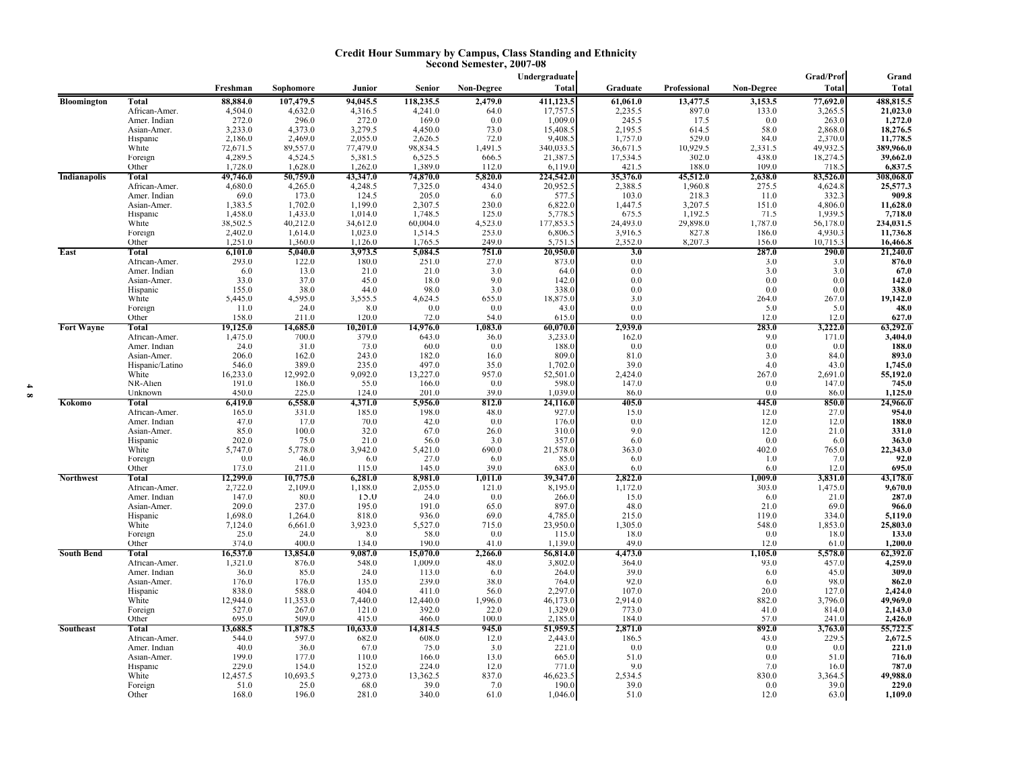#### **Credit Hour Summary by Campus, Class Standing and Ethnicity Second Semester, 2007-08**

|                     |                             |                     |                     |                     |                     |                  | Undergraduate         |                      |                   |                  | Grad/Prof            | Grand                 |
|---------------------|-----------------------------|---------------------|---------------------|---------------------|---------------------|------------------|-----------------------|----------------------|-------------------|------------------|----------------------|-----------------------|
|                     |                             | Freshman            | Sophomore           | Junior              | <b>Senior</b>       | Non-Degree       | <b>Total</b>          | Graduate             | Professional      | Non-Degree       | <b>Total</b>         | <b>Total</b>          |
| Bloomington         | <b>Total</b>                | 88,884.0            | 107,479.5           | 94,045.5            | 118,235.5           | 2,479.0          | 411,123.5             | 61,061.0             | 13,477.5          | 3,153.5          | 77,692.0             | 488,815.5             |
|                     | African-Amer.               | 4,504.0             | 4,632.0             | 4,316.5             | 4,241.0             | 64.0             | 17,757.5              | 2,235.5              | 897.0             | 133.0            | 3,265.5              | 21,023.0              |
|                     | Amer. Indian                | 272.0               | 296.0               | 272.0               | 169.0               | 0.0              | 1,009.0               | 245.5                | 17.5              | 0.0              | 263.0                | 1,272.0               |
|                     | Asian-Amer.                 | 3,233.0             | 4,373.0             | 3,279.5             | 4,450.0             | 73.0             | 15,408.5              | 2,195.5              | 614.5             | 58.0             | 2,868.0              | 18,276.5              |
|                     | Hispanic                    | 2,186.0             | 2,469.0             | 2,055.0             | 2,626.5             | 72.0             | 9,408.5               | 1,757.0              | 529.0             | 84.0             | 2,370.0              | 11,778.5              |
|                     | White                       | 72,671.5<br>4,289.5 | 89,557.0<br>4,524.5 | 77,479.0<br>5,381.5 | 98,834.5<br>6,525.5 | 1,491.5<br>666.5 | 340,033.5<br>21,387.5 | 36,671.5<br>17,534.5 | 10,929.5<br>302.0 | 2,331.5<br>438.0 | 49,932.5<br>18,274.5 | 389,966.0<br>39,662.0 |
|                     | Foreign<br>Other            | 1,728.0             | 1,628.0             | 1,262.0             | 1,389.0             | 112.0            | 6,119.0               | 421.5                | 188.0             | 109.0            | 718.                 | 6,837.5               |
| <b>Indianapolis</b> | Total                       | 49,746.0            | 50,759.0            | 43,347.0            | 74,870.0            | 5,820.0          | 224,542.0             | 35,376.0             | 45,512.0          | 2,638.0          | 83,526.0             | 308,068.0             |
|                     | African-Amer.               | 4,680.0             | 4,265.0             | 4,248.5             | 7,325.0             | 434.0            | 20,952.5              | 2,388.5              | 1,960.8           | 275.5            | 4,624.8              | 25,577.3              |
|                     | Amer. Indian                | 69.0                | 173.0               | 124.5               | 205.0               | 6.0              | 577.5                 | 103.0                | 218.3             | 11.0             | 332.3                | 909.8                 |
|                     | Asian-Amer.                 | 1,383.5             | 1,702.0             | 1,199.0             | 2,307.5             | 230.0            | 6,822.0               | 1,447.5              | 3,207.5           | 151.0            | 4,806.0              | 11,628.0              |
|                     | Hispanic                    | 1,458.0             | 1,433.0             | 1,014.0             | 1,748.5             | 125.0            | 5,778.5               | 675.5                | 1,192.5           | 71.5             | 1,939.5              | 7,718.0               |
|                     | White                       | 38,502.5            | 40,212.0            | 34,612.0            | 60,004.0            | 4,523.0          | 177,853.5             | 24,493.0             | 29,898.0          | 1,787.0          | 56,178.0             | 234,031.5             |
|                     | Foreign                     | 2,402.0             | 1,614.0             | 1,023.0             | 1,514.5             | 253.0            | 6,806.5               | 3,916.5              | 827.8             | 186.0            | 4,930.3              | 11,736.8              |
| East                | Other<br>Total              | 1,251.0<br>6,101.0  | 1,360.0<br>5,040.0  | 1,126.0<br>3,973.5  | 1,765.5<br>5,084.5  | 249.0<br>751.0   | 5,751.5<br>20,950.0   | 2,352.0<br>3.0       | 8,207.3           | 156.0<br>287.0   | 10,715.3<br>290.0    | 16,466.8<br>21,240.0  |
|                     | African-Amer.               | 293.0               | 122.0               | 180.0               | 251.0               | 27.0             | 873.0                 | 0.0                  |                   | 3.0              | 3.0                  | 876.0                 |
|                     | Amer. Indian                | 6.0                 | 13.0                | 21.0                | 21.0                | 3.0              | 64.0                  | 0.0                  |                   | 3.0              | 3.0                  | 67.0                  |
|                     | Asian-Amer.                 | 33.0                | 37.0                | 45.0                | 18.0                | 9.0              | 142.0                 | 0.0                  |                   | 0.0              | 0.0                  | 142.0                 |
|                     | Hispanic                    | 155.0               | 38.0                | 44.0                | 98.0                | 3.0              | 338.0                 | 0.0                  |                   | 0.0              | 0.0                  | 338.0                 |
|                     | White                       | 5,445.0             | 4,595.0             | 3,555.5             | 4,624.5             | 655.0            | 18,875.0              | 3.0                  |                   | 264.0            | 267.0                | 19,142.0              |
|                     | Foreign                     | 11.0                | 24.0                | 8.0                 | 0.0                 | 0.0              | 43.0                  | 0.0                  |                   | 5.0              | 5.0                  | 48.0                  |
|                     | Other                       | 158.0               | 211.0               | 120.0               | 72.0                | 54.0             | 615.0                 | 0.0                  |                   | 12.0             | 12.0                 | 627.0                 |
| <b>Fort Wayne</b>   | Total                       | 19,125.0            | 14,685.0            | 10,201.0            | 14,976.0            | 1,083.0          | 60,070.0              | 2,939.0              |                   | 283.0            | 3,222.0              | 63,292.0              |
|                     | African-Amer.               | 1,475.0             | 700.0               | 379.0               | 643.0               | 36.0             | 3,233.0               | 162.0                |                   | 9.0              | 171.0                | 3,404.0               |
|                     | Amer. Indian<br>Asian-Amer. | 24.0<br>206.0       | 31.0<br>162.0       | 73.0<br>243.0       | 60.0<br>182.0       | 0.0              | 188.0<br>809.0        | 0.0<br>81.0          |                   | 0.0<br>3.0       | 0.0<br>84.0          | 188.0<br>893.0        |
|                     | Hispanic/Latino             | 546.0               | 389.0               | 235.0               | 497.0               | 16.0<br>35.0     | 1,702.0               | 39.0                 |                   | 4.0              | 43.0                 | 1,745.0               |
|                     | White                       | 16,233.0            | 12,992.0            | 9,092.0             | 13,227.0            | 957.0            | 52,501.0              | 2,424.0              |                   | 267.0            | 2,691.0              | 55,192.0              |
|                     | NR-Alien                    | 191.0               | 186.0               | 55.0                | 166.0               | 0.0              | 598.0                 | 147.0                |                   | 0.0              | 147.0                | 745.0                 |
|                     | Unknown                     | 450.0               | 225.0               | 124.0               | 201.0               | 39.0             | 1.039.0               | 86.0                 |                   | 0.0              | 86.0                 | 1,125.0               |
| Kokomo              | Total                       | 6,419.0             | 6,558.0             | 4,371.0             | 5,956.0             | 812.0            | 24,116.0              | 405.0                |                   | 445.0            | 850.0                | 24,966.0              |
|                     | African-Amer.               | 165.0               | 331.0               | 185.0               | 198.0               | 48.0             | 927.0                 | 15.0                 |                   | 12.0             | 27.0                 | 954.0                 |
|                     | Amer. Indian                | 47.0                | 17.0                | 70.0                | 42.0                | 0.0              | 176.0                 | 0.0                  |                   | 12.0             | 12.0                 | 188.0                 |
|                     | Asian-Amer.                 | 85.0<br>202.0       | 100.0               | 32.0<br>21.0        | 67.0                | 26.0             | 310.0<br>357.0        | 9.0                  |                   | 12.0             | 21.0                 | 331.0<br>363.0        |
|                     | Hispanic<br>White           | 5,747.0             | 75.0<br>5,778.0     | 3,942.0             | 56.0<br>5,421.0     | 3.0<br>690.0     | 21,578.0              | 6.0<br>363.0         |                   | 0.0<br>402.0     | 6.0<br>765.0         | 22,343.0              |
|                     | Foreign                     | 0.0                 | 46.0                | 6.0                 | 27.0                | 6.0              | 85.0                  | 6.0                  |                   | 1.0              | 7.0                  | 92.0                  |
|                     | Other                       | 173.0               | 211.0               | 115.0               | 145.0               | 39.0             | 683.0                 | 6.0                  |                   | 6.0              | 12.0                 | 695.0                 |
| <b>Northwest</b>    | Total                       | 12,299.0            | 10,775.0            | 6,281.0             | 8,981.0             | 1,011.0          | 39,347.0              | 2,822.0              |                   | 1.009.0          | 3,831.0              | 43,178.0              |
|                     | African-Amer.               | 2,722.0             | 2,109.0             | 1,188.0             | 2,055.0             | 121.0            | 8,195.0               | 1,172.0              |                   | 303.0            | 1,475.0              | 9,670.0               |
|                     | Amer. Indian                | 147.0               | 80.0                | 15.0                | 24.0                | 0.0              | 266.0                 | 15.0                 |                   | 6.0              | 21.0                 | 287.0                 |
|                     | Asian-Amer.                 | 209.0               | 237.0               | 195.0               | 191.0               | 65.0             | 897.0                 | 48.0                 |                   | 21.0             | 69.0                 | 966.0                 |
|                     | Hispanic                    | 1,698.0             | 1,264.0             | 818.0               | 936.0               | 69.0             | 4,785.0               | 215.0                |                   | 119.0            | 334.0                | 5,119.0<br>25,803.0   |
|                     | White<br>Foreign            | 7,124.0<br>25.0     | 6,661.0<br>24.0     | 3,923.0<br>8.0      | 5,527.0<br>58.0     | 715.0<br>0.0     | 23,950.0<br>115.0     | 1,305.0<br>18.0      |                   | 548.0<br>0.0     | 1,853.0<br>18.0      | 133.0                 |
|                     | Other                       | 374.0               | 400.0               | 134.0               | 190.0               | 41.0             | 1,139.0               | 49.0                 |                   | 12.0             | 61.0                 | 1,200.0               |
| <b>South Bend</b>   | Total                       | 16,537.0            | 13,854.0            | 9,087.0             | 15,070.0            | 2,266.0          | 56,814.0              | 4,473.0              |                   | 1,105.0          | 5,578.0              | 62,392.0              |
|                     | African-Amer.               | 1,321.0             | 876.0               | 548.0               | 1,009.0             | 48.0             | 3,802.0               | 364.0                |                   | 93.0             | 457.0                | 4,259.0               |
|                     | Amer. Indian                | 36.0                | 85.0                | 24.0                | 113.0               | 6.0              | 264.0                 | 39.0                 |                   | 6.0              | 45.0                 | 309.0                 |
|                     | Asian-Amer.                 | 176.0               | 176.0               | 135.0               | 239.0               | 38.0             | 764.0                 | 92.0                 |                   | 6.0              | 98.0                 | 862.0                 |
|                     | Hispanic                    | 838.0               | 588.0               | 404.0               | 411.0               | 56.0             | 2,297.0               | 107.0                |                   | 20.0             | 127.0                | 2,424.0               |
|                     | White                       | 12,944.0            | 11,353.0            | 7,440.0             | 12,440.0            | 1,996.0          | 46,173.0              | 2,914.0              |                   | 882.0            | 3,796.0              | 49,969.0              |
|                     | Foreign<br>Other            | 527.0<br>695.0      | 267.0<br>509.0      | 121.0<br>415.0      | 392.0<br>466.0      | 22.0<br>100.0    | 1,329.0<br>2,185.0    | 773.0<br>184.0       |                   | 41.0<br>57.0     | 814.0<br>241.0       | 2,143.0<br>2,426.0    |
| <b>Southeast</b>    | <b>Total</b>                | 13,688.5            | 11,878.5            | 10,633.0            | 14,814.5            | 945.0            | 51,959.5              | 2,871.0              |                   | 892.0            | 3,763.0              | 55,722.5              |
|                     | African-Amer.               | 544.0               | 597.0               | 682.0               | 608.0               | 12.0             | 2,443.0               | 186.5                |                   | 43.0             | 229.5                | 2,672.5               |
|                     | Amer. Indian                | 40.0                | 36.0                | 67.0                | 75.0                | 3.0              | 221.0                 | 0.0                  |                   | 0.0              | 0.0                  | 221.0                 |
|                     | Asian-Amer.                 | 199.0               | 177.0               | 110.0               | 166.0               | 13.0             | 665.0                 | 51.0                 |                   | 0.0              | 51.0                 | 716.0                 |
|                     | Hispanic                    | 229.0               | 154.0               | 152.0               | 224.0               | 12.0             | 771.0                 | 9.0                  |                   | 7.0              | 16.0                 | 787.0                 |
|                     | White                       | 12,457.5            | 10,693.5            | 9,273.0             | 13,362.5            | 837.0            | 46,623.5              | 2,534.5              |                   | 830.0            | 3,364.5              | 49,988.0              |
|                     | Foreign                     | 51.0                | 25.0                | 68.0                | 39.0                | 7.0              | 190.0                 | 39.0                 |                   | 0.0              | 39.0                 | 229.0                 |
|                     | Other                       | 168.0               | 196.0               | 281.0               | 340.0               | 61.0             | 1,046.0               | 51.0                 |                   | 12.0             | 63.0                 | 1,109.0               |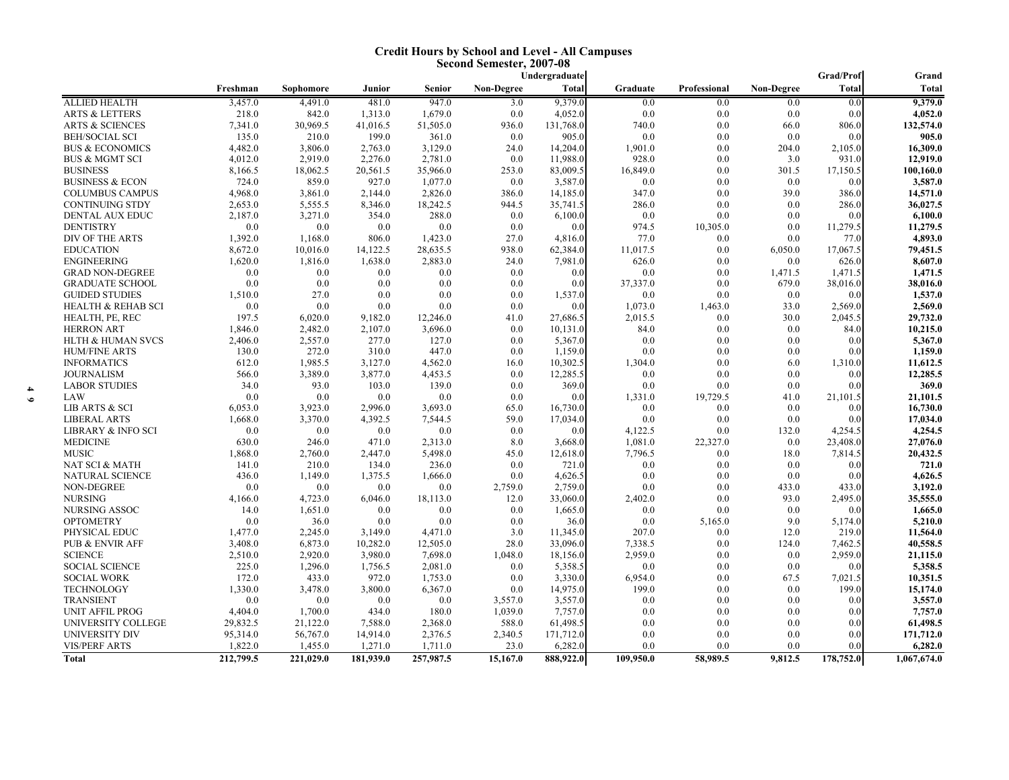#### **Credit Hours by School and Level - All Campuses Second Semester, 2007-08**

|                               |           |           |           |           |                   | Undergraduate |           |              |                   | Grad/Prof    | Grand        |
|-------------------------------|-----------|-----------|-----------|-----------|-------------------|---------------|-----------|--------------|-------------------|--------------|--------------|
|                               | Freshman  | Sophomore | Junior    | Senior    | <b>Non-Degree</b> | <b>Total</b>  | Graduate  | Professional | <b>Non-Degree</b> | <b>Total</b> | <b>Total</b> |
| <b>ALLIED HEALTH</b>          | 3,457.0   | 4,491.0   | 481.0     | 947.0     | 3.0               | 9,379.0       | 0.0       | 0.0          | 0.0               | 0.0          | 9,379.0      |
| <b>ARTS &amp; LETTERS</b>     | 218.0     | 842.0     | 1,313.0   | 1,679.0   | 0.0               | 4,052.0       | 0.0       | 0.0          | 0.0               | 0.0          | 4,052.0      |
| <b>ARTS &amp; SCIENCES</b>    | 7,341.0   | 30,969.5  | 41,016.5  | 51,505.0  | 936.0             | 131,768.0     | 740.0     | 0.0          | 66.0              | 806.0        | 132,574.0    |
| <b>BEH/SOCIAL SCI</b>         | 135.0     | 210.0     | 199.0     | 361.0     | 0.0               | 905.0         | 0.0       | 0.0          | 0.0               | 0.0          | 905.0        |
| <b>BUS &amp; ECONOMICS</b>    | 4,482.0   | 3,806.0   | 2,763.0   | 3,129.0   | 24.0              | 14,204.0      | 1,901.0   | 0.0          | 204.0             | 2,105.0      | 16,309.0     |
| <b>BUS &amp; MGMT SCI</b>     | 4,012.0   | 2,919.0   | 2,276.0   | 2,781.0   | 0.0               | 11,988.0      | 928.0     | 0.0          | 3.0               | 931.0        | 12,919.0     |
| <b>BUSINESS</b>               | 8,166.5   | 18,062.5  | 20,561.5  | 35,966.0  | 253.0             | 83,009.5      | 16,849.0  | 0.0          | 301.5             | 17,150.5     | 100,160.0    |
| <b>BUSINESS &amp; ECON</b>    | 724.0     | 859.0     | 927.0     | 1,077.0   | 0.0               | 3,587.0       | 0.0       | 0.0          | 0.0               | 0.0          | 3,587.0      |
| <b>COLUMBUS CAMPUS</b>        | 4,968.0   | 3,861.0   | 2,144.0   | 2,826.0   | 386.0             | 14,185.0      | 347.0     | 0.0          | 39.0              | 386.0        | 14,571.0     |
| <b>CONTINUING STDY</b>        | 2,653.0   | 5,555.5   | 8,346.0   | 18,242.5  | 944.5             | 35,741.5      | 286.0     | 0.0          | 0.0               | 286.0        | 36,027.5     |
| DENTAL AUX EDUC               | 2,187.0   | 3,271.0   | 354.0     | 288.0     | 0.0               | 6,100.0       | 0.0       | 0.0          | 0.0               | 0.0          | 6,100.0      |
| <b>DENTISTRY</b>              | 0.0       | 0.0       | 0.0       | 0.0       | 0.0               | 0.0           | 974.5     | 10,305.0     | 0.0               | 11,279.5     | 11,279.5     |
| DIV OF THE ARTS               | 1,392.0   | 1,168.0   | 806.0     | 1,423.0   | 27.0              | 4,816.0       | 77.0      | 0.0          | 0.0               | 77.0         | 4,893.0      |
| <b>EDUCATION</b>              | 8,672.0   | 10,016.0  | 14,122.5  | 28,635.5  | 938.0             | 62,384.0      | 11,017.5  | 0.0          | 6,050.0           | 17,067.5     | 79,451.5     |
| <b>ENGINEERING</b>            | 1,620.0   | 1.816.0   | 1,638.0   | 2,883.0   | 24.0              | 7,981.0       | 626.0     | 0.0          | 0.0               | 626.0        | 8,607.0      |
| <b>GRAD NON-DEGREE</b>        | 0.0       | 0.0       | 0.0       | 0.0       | 0.0               | 0.0           | 0.0       | 0.0          | 1,471.5           | 1,471.5      | 1,471.5      |
| <b>GRADUATE SCHOOL</b>        | 0.0       | 0.0       | 0.0       | 0.0       | 0.0               | 0.0           | 37,337.0  | 0.0          | 679.0             | 38,016.0     | 38,016.0     |
| <b>GUIDED STUDIES</b>         | 1,510.0   | 27.0      | 0.0       | 0.0       | 0.0               | 1,537.0       | 0.0       | 0.0          | 0.0               | 0.0          | 1,537.0      |
| <b>HEALTH &amp; REHAB SCI</b> | 0.0       | 0.0       | 0.0       | 0.0       | 0.0               | 0.0           | 1,073.0   | 1,463.0      | 33.0              | 2,569.0      | 2,569.0      |
| HEALTH, PE, REC               | 197.5     | 6,020.0   | 9,182.0   | 12,246.0  | 41.0              | 27,686.5      | 2,015.5   | 0.0          | 30.0              | 2,045.5      | 29,732.0     |
| <b>HERRON ART</b>             | 1,846.0   | 2,482.0   | 2,107.0   | 3,696.0   | 0.0               | 10,131.0      | 84.0      | 0.0          | 0.0               | 84.0         | 10,215.0     |
| HLTH & HUMAN SVCS             | 2,406.0   | 2,557.0   | 277.0     | 127.0     | 0.0               | 5,367.0       | 0.0       | 0.0          | 0.0               | 0.0          | 5,367.0      |
| <b>HUM/FINE ARTS</b>          | 130.0     | 272.0     | 310.0     | 447.0     | 0.0               | 1,159.0       | 0.0       | 0.0          | 0.0               | 0.0          | 1,159.0      |
| <b>INFORMATICS</b>            | 612.0     | 1,985.5   | 3,127.0   | 4,562.0   | 16.0              | 10,302.5      | 1,304.0   | 0.0          | 6.0               | 1,310.0      | 11,612.5     |
| <b>JOURNALISM</b>             | 566.0     | 3,389.0   | 3,877.0   | 4,453.5   | 0.0               | 12,285.5      | 0.0       | 0.0          | 0.0               | 0.0          | 12,285.5     |
| <b>LABOR STUDIES</b>          | 34.0      | 93.0      | 103.0     | 139.0     | 0.0               | 369.0         | 0.0       | 0.0          | 0.0               | 0.0          | 369.0        |
| LAW                           | 0.0       | 0.0       | 0.0       | 0.0       | 0.0               | 0.0           | 1,331.0   | 19,729.5     | 41.0              | 21,101.5     | 21,101.5     |
| LIB ARTS & SCI                | 6,053.0   | 3,923.0   | 2,996.0   | 3,693.0   | 65.0              | 16,730.0      | 0.0       | 0.0          | 0.0               | 0.0          | 16,730.0     |
| <b>LIBERAL ARTS</b>           | 1,668.0   | 3,370.0   | 4,392.5   | 7,544.5   | 59.0              | 17,034.0      | 0.0       | 0.0          | 0.0               | 0.0          | 17,034.0     |
| <b>LIBRARY &amp; INFO SCI</b> | 0.0       | 0.0       | 0.0       | 0.0       | 0.0               | 0.0           | 4,122.5   | 0.0          | 132.0             | 4,254.5      | 4,254.5      |
| <b>MEDICINE</b>               | 630.0     | 246.0     | 471.0     | 2,313.0   | 8.0               | 3,668.0       | 1,081.0   | 22,327.0     | 0.0               | 23,408.0     | 27,076.0     |
| <b>MUSIC</b>                  | 1,868.0   | 2,760.0   | 2,447.0   | 5,498.0   | 45.0              | 12,618.0      | 7,796.5   | 0.0          | 18.0              | 7,814.5      | 20,432.5     |
| NAT SCI & MATH                | 141.0     | 210.0     | 134.0     | 236.0     | 0.0               | 721.0         | 0.0       | 0.0          | 0.0               | 0.0          | 721.0        |
| <b>NATURAL SCIENCE</b>        | 436.0     | 1,149.0   | 1,375.5   | 1,666.0   | 0.0               | 4,626.5       | 0.0       | 0.0          | 0.0               | 0.0          | 4,626.5      |
| NON-DEGREE                    | 0.0       | 0.0       | 0.0       | 0.0       | 2,759.0           | 2,759.0       | 0.0       | 0.0          | 433.0             | 433.0        | 3,192.0      |
| <b>NURSING</b>                | 4,166.0   | 4,723.0   | 6,046.0   | 18,113.0  | 12.0              | 33,060.0      | 2,402.0   | 0.0          | 93.0              | 2,495.0      | 35,555.0     |
| NURSING ASSOC                 | 14.0      | 1,651.0   | 0.0       | 0.0       | 0.0               | 1,665.0       | 0.0       | 0.0          | 0.0               | 0.0          | 1,665.0      |
| <b>OPTOMETRY</b>              | 0.0       | 36.0      | 0.0       | 0.0       | 0.0               | 36.0          | 0.0       | 5,165.0      | 9.0               | 5,174.0      | 5,210.0      |
| PHYSICAL EDUC                 | 1,477.0   | 2,245.0   | 3,149.0   | 4,471.0   | 3.0               | 11,345.0      | 207.0     | 0.0          | 12.0              | 219.0        | 11,564.0     |
| <b>PUB &amp; ENVIR AFF</b>    | 3,408.0   | 6,873.0   | 10,282.0  | 12,505.0  | 28.0              | 33,096.0      | 7,338.5   | 0.0          | 124.0             | 7,462.5      | 40,558.5     |
| <b>SCIENCE</b>                | 2,510.0   | 2.920.0   | 3.980.0   | 7,698.0   | 1,048.0           | 18,156.0      | 2,959.0   | 0.0          | 0.0               | 2.959.0      | 21,115.0     |
| <b>SOCIAL SCIENCE</b>         | 225.0     | 1,296.0   | 1,756.5   | 2,081.0   | 0.0               | 5,358.5       | 0.0       | 0.0          | 0.0               | 0.0          | 5,358.5      |
| <b>SOCIAL WORK</b>            | 172.0     | 433.0     | 972.0     | 1,753.0   | 0.0               | 3,330.0       | 6,954.0   | 0.0          | 67.5              | 7,021.5      | 10,351.5     |
| <b>TECHNOLOGY</b>             | 1,330.0   | 3,478.0   | 3,800.0   | 6,367.0   | 0.0               | 14,975.0      | 199.0     | 0.0          | 0.0               | 199.0        | 15,174.0     |
| <b>TRANSIENT</b>              | 0.0       | 0.0       | 0.0       | 0.0       | 3,557.0           | 3,557.0       | 0.0       | 0.0          | 0.0               | 0.0          | 3,557.0      |
| <b>UNIT AFFIL PROG</b>        | 4,404.0   | 1,700.0   | 434.0     | 180.0     | 1,039.0           | 7,757.0       | 0.0       | 0.0          | 0.0               | 0.0          | 7,757.0      |
| UNIVERSITY COLLEGE            | 29,832.5  | 21,122.0  | 7,588.0   | 2,368.0   | 588.0             | 61,498.5      | 0.0       | 0.0          | 0.0               | 0.0          | 61,498.5     |
| UNIVERSITY DIV                | 95,314.0  | 56,767.0  | 14,914.0  | 2,376.5   | 2,340.5           | 171,712.0     | 0.0       | 0.0          | 0.0               | 0.0          | 171,712.0    |
| <b>VIS/PERF ARTS</b>          | 1,822.0   | 1,455.0   | 1,271.0   | 1,711.0   | 23.0              | 6,282.0       | 0.0       | 0.0          | 0.0               | 0.0          | 6,282.0      |
|                               |           |           |           |           |                   |               |           |              |                   |              |              |
| <b>Total</b>                  | 212,799.5 | 221,029.0 | 181,939.0 | 257,987.5 | 15,167.0          | 888,922.0     | 109,950.0 | 58,989.5     | 9,812.5           | 178,752.0    | 1,067,674.0  |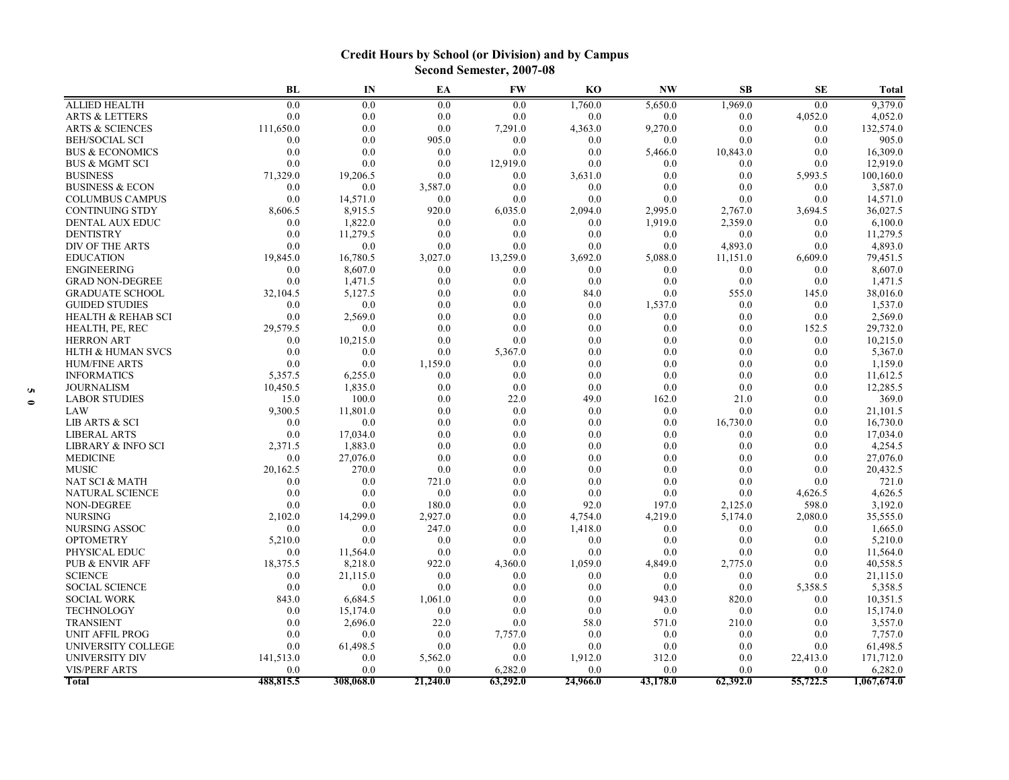# **Credit Hours by School (or Division) and by Campus Second Semester, 2007-08**

|                               | BL        | IN        | EA       | <b>FW</b> | <b>KO</b> | <b>NW</b> | <b>SB</b> | <b>SE</b> | <b>Total</b> |
|-------------------------------|-----------|-----------|----------|-----------|-----------|-----------|-----------|-----------|--------------|
| <b>ALLIED HEALTH</b>          | 0.0       | 0.0       | 0.0      | 0.0       | 1,760.0   | 5,650.0   | 1,969.0   | 0.0       | 9,379.0      |
| <b>ARTS &amp; LETTERS</b>     | 0.0       | 0.0       | 0.0      | 0.0       | 0.0       | 0.0       | 0.0       | 4,052.0   | 4,052.0      |
| <b>ARTS &amp; SCIENCES</b>    | 111,650.0 | 0.0       | 0.0      | 7,291.0   | 4,363.0   | 9,270.0   | 0.0       | 0.0       | 132,574.0    |
| <b>BEH/SOCIAL SCI</b>         | 0.0       | 0.0       | 905.0    | 0.0       | 0.0       | 0.0       | 0.0       | 0.0       | 905.0        |
| <b>BUS &amp; ECONOMICS</b>    | 0.0       | 0.0       | 0.0      | 0.0       | 0.0       | 5,466.0   | 10,843.0  | 0.0       | 16,309.0     |
| <b>BUS &amp; MGMT SCI</b>     | 0.0       | 0.0       | 0.0      | 12,919.0  | 0.0       | 0.0       | 0.0       | 0.0       | 12,919.0     |
| <b>BUSINESS</b>               | 71,329.0  | 19,206.5  | 0.0      | 0.0       | 3,631.0   | 0.0       | 0.0       | 5,993.5   | 100,160.0    |
| <b>BUSINESS &amp; ECON</b>    | 0.0       | 0.0       | 3,587.0  | 0.0       | 0.0       | 0.0       | 0.0       | 0.0       | 3,587.0      |
| <b>COLUMBUS CAMPUS</b>        | 0.0       | 14,571.0  | 0.0      | 0.0       | 0.0       | 0.0       | 0.0       | 0.0       | 14,571.0     |
| <b>CONTINUING STDY</b>        | 8,606.5   | 8,915.5   | 920.0    | 6,035.0   | 2,094.0   | 2,995.0   | 2,767.0   | 3,694.5   | 36,027.5     |
| <b>DENTAL AUX EDUC</b>        | 0.0       | 1,822.0   | 0.0      | 0.0       | 0.0       | 1,919.0   | 2,359.0   | 0.0       | 6,100.0      |
| <b>DENTISTRY</b>              | 0.0       | 11,279.5  | 0.0      | 0.0       | 0.0       | 0.0       | 0.0       | 0.0       | 11,279.5     |
| DIV OF THE ARTS               | 0.0       | 0.0       | 0.0      | 0.0       | 0.0       | 0.0       | 4,893.0   | 0.0       | 4,893.0      |
| <b>EDUCATION</b>              | 19,845.0  | 16,780.5  | 3,027.0  | 13,259.0  | 3,692.0   | 5,088.0   | 11,151.0  | 6,609.0   | 79,451.5     |
| <b>ENGINEERING</b>            | 0.0       | 8,607.0   | 0.0      | 0.0       | 0.0       | 0.0       | 0.0       | 0.0       | 8,607.0      |
| <b>GRAD NON-DEGREE</b>        | 0.0       | 1,471.5   | 0.0      | 0.0       | 0.0       | 0.0       | 0.0       | 0.0       | 1,471.5      |
| <b>GRADUATE SCHOOL</b>        | 32,104.5  | 5,127.5   | 0.0      | 0.0       | 84.0      | 0.0       | 555.0     | 145.0     | 38,016.0     |
| <b>GUIDED STUDIES</b>         | 0.0       | 0.0       | 0.0      | 0.0       | 0.0       | 1,537.0   | 0.0       | 0.0       | 1,537.0      |
| <b>HEALTH &amp; REHAB SCI</b> | 0.0       | 2,569.0   | 0.0      | 0.0       | 0.0       | 0.0       | 0.0       | 0.0       | 2,569.0      |
| HEALTH, PE, REC               | 29,579.5  | 0.0       | 0.0      | 0.0       | 0.0       | 0.0       | 0.0       | 152.5     | 29,732.0     |
| <b>HERRON ART</b>             | 0.0       | 10,215.0  | 0.0      | 0.0       | 0.0       | 0.0       | 0.0       | 0.0       | 10,215.0     |
| <b>HLTH &amp; HUMAN SVCS</b>  | 0.0       | 0.0       | 0.0      | 5,367.0   | 0.0       | 0.0       | 0.0       | 0.0       | 5,367.0      |
| <b>HUM/FINE ARTS</b>          | 0.0       | 0.0       | 1,159.0  | 0.0       | 0.0       | 0.0       | 0.0       | 0.0       | 1,159.0      |
| <b>INFORMATICS</b>            | 5,357.5   | 6,255.0   | 0.0      | 0.0       | 0.0       | 0.0       | 0.0       | 0.0       | 11,612.5     |
| <b>JOURNALISM</b>             | 10,450.5  | 1,835.0   | 0.0      | 0.0       | 0.0       | 0.0       | 0.0       | 0.0       | 12,285.5     |
| <b>LABOR STUDIES</b>          | 15.0      | 100.0     | 0.0      | 22.0      | 49.0      | 162.0     | 21.0      | 0.0       | 369.0        |
| LAW                           | 9,300.5   | 11,801.0  | 0.0      | 0.0       | 0.0       | 0.0       | 0.0       | 0.0       | 21.101.5     |
| LIB ARTS & SCI                | 0.0       | 0.0       | 0.0      | 0.0       | 0.0       | 0.0       | 16,730.0  | 0.0       | 16,730.0     |
| <b>LIBERAL ARTS</b>           | 0.0       | 17,034.0  | 0.0      | 0.0       | 0.0       | 0.0       | 0.0       | 0.0       | 17,034.0     |
| LIBRARY & INFO SCI            | 2,371.5   | 1,883.0   | 0.0      | 0.0       | 0.0       | 0.0       | 0.0       | 0.0       | 4,254.5      |
| <b>MEDICINE</b>               | 0.0       | 27,076.0  | 0.0      | 0.0       | 0.0       | 0.0       | 0.0       | 0.0       | 27,076.0     |
| <b>MUSIC</b>                  | 20,162.5  | 270.0     | 0.0      | 0.0       | 0.0       | 0.0       | 0.0       | 0.0       | 20,432.5     |
| NAT SCI & MATH                | 0.0       | 0.0       | 721.0    | 0.0       | 0.0       | 0.0       | 0.0       | 0.0       | 721.0        |
| <b>NATURAL SCIENCE</b>        | 0.0       | 0.0       | 0.0      | 0.0       | 0.0       | 0.0       | 0.0       | 4,626.5   | 4,626.5      |
| NON-DEGREE                    | 0.0       | 0.0       | 180.0    | 0.0       | 92.0      | 197.0     | 2,125.0   | 598.0     | 3,192.0      |
| <b>NURSING</b>                | 2,102.0   | 14,299.0  | 2,927.0  | 0.0       | 4,754.0   | 4,219.0   | 5,174.0   | 2,080.0   | 35,555.0     |
| <b>NURSING ASSOC</b>          | 0.0       | 0.0       | 247.0    | 0.0       | 1,418.0   | 0.0       | 0.0       | 0.0       | 1,665.0      |
| <b>OPTOMETRY</b>              | 5,210.0   | 0.0       | 0.0      | 0.0       | 0.0       | 0.0       | 0.0       | 0.0       | 5,210.0      |
| PHYSICAL EDUC                 | 0.0       | 11,564.0  | 0.0      | 0.0       | 0.0       | 0.0       | 0.0       | 0.0       | 11,564.0     |
| <b>PUB &amp; ENVIR AFF</b>    | 18,375.5  | 8,218.0   | 922.0    | 4,360.0   | 1,059.0   | 4,849.0   | 2,775.0   | 0.0       | 40,558.5     |
| <b>SCIENCE</b>                | 0.0       | 21,115.0  | 0.0      | 0.0       | 0.0       | 0.0       | 0.0       | 0.0       | 21,115.0     |
| <b>SOCIAL SCIENCE</b>         | 0.0       | 0.0       | 0.0      | 0.0       | 0.0       | 0.0       | 0.0       | 5,358.5   | 5,358.5      |
| <b>SOCIAL WORK</b>            | 843.0     | 6,684.5   | 1,061.0  | 0.0       | 0.0       | 943.0     | 820.0     | 0.0       | 10,351.5     |
| <b>TECHNOLOGY</b>             | 0.0       | 15,174.0  | 0.0      | 0.0       | 0.0       | 0.0       | 0.0       | 0.0       | 15,174.0     |
| <b>TRANSIENT</b>              | 0.0       | 2,696.0   | 22.0     | 0.0       | 58.0      | 571.0     | 210.0     | 0.0       | 3,557.0      |
| <b>UNIT AFFIL PROG</b>        | 0.0       | 0.0       | 0.0      | 7,757.0   | 0.0       | 0.0       | 0.0       | 0.0       | 7,757.0      |
| <b>UNIVERSITY COLLEGE</b>     | 0.0       | 61,498.5  | 0.0      | 0.0       | 0.0       | 0.0       | 0.0       | 0.0       | 61,498.5     |
| UNIVERSITY DIV                | 141,513.0 | 0.0       | 5,562.0  | 0.0       | 1,912.0   | 312.0     | 0.0       | 22,413.0  | 171,712.0    |
| <b>VIS/PERF ARTS</b>          | 0.0       | 0.0       | 0.0      | 6,282.0   | 0.0       | 0.0       | 0.0       | 0.0       | 6,282.0      |
| <b>Total</b>                  | 488,815.5 | 308,068.0 | 21,240.0 | 63,292.0  | 24,966.0  | 43,178.0  | 62,392.0  | 55,722.5  | 1,067,674.0  |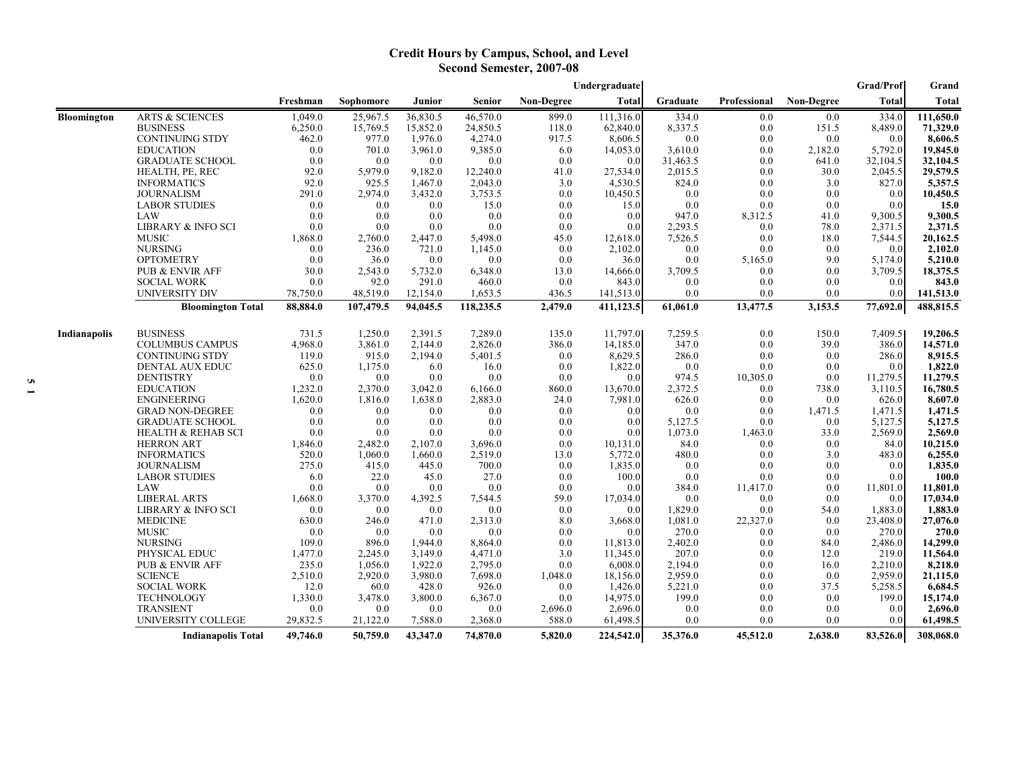## **Credit Hours by Campus, School, and Level Second Semester, 2007-08**

|                    |                               |          |           |          |           |                   | Undergraduate |          |              |                   | Grad/Prof    | Grand        |
|--------------------|-------------------------------|----------|-----------|----------|-----------|-------------------|---------------|----------|--------------|-------------------|--------------|--------------|
|                    |                               | Freshman | Sophomore | Junior   | Senior    | <b>Non-Degree</b> | <b>Total</b>  | Graduate | Professional | <b>Non-Degree</b> | <b>Total</b> | <b>Total</b> |
| <b>Bloomington</b> | <b>ARTS &amp; SCIENCES</b>    | 1,049.0  | 25,967.5  | 36,830.5 | 46,570.0  | 899.0             | 111,316.0     | 334.0    | 0.0          | 0.0               | 334.0        | 111,650.0    |
|                    | <b>BUSINESS</b>               | 6,250.0  | 15,769.5  | 15,852.0 | 24,850.5  | 118.0             | 62,840.0      | 8,337.5  | 0.0          | 151.5             | 8,489.0      | 71,329.0     |
|                    | <b>CONTINUING STDY</b>        | 462.0    | 977.0     | 1,976.0  | 4,274.0   | 917.5             | 8,606.5       | 0.0      | 0.0          | 0.0               | 0.0          | 8,606.5      |
|                    | <b>EDUCATION</b>              | 0.0      | 701.0     | 3,961.0  | 9,385.0   | 6.0               | 14,053.0      | 3,610.0  | 0.0          | 2,182.0           | 5,792.0      | 19,845.0     |
|                    | <b>GRADUATE SCHOOL</b>        | 0.0      | 0.0       | 0.0      | 0.0       | 0.0               | 0.0           | 31,463.5 | 0.0          | 641.0             | 32,104.5     | 32,104.5     |
|                    | HEALTH, PE, REC               | 92.0     | 5,979.0   | 9,182.0  | 12,240.0  | 41.0              | 27,534.0      | 2,015.5  | 0.0          | 30.0              | 2,045.5      | 29,579.5     |
|                    | <b>INFORMATICS</b>            | 92.0     | 925.5     | 1,467.0  | 2,043.0   | 3.0               | 4,530.5       | 824.0    | 0.0          | 3.0               | 827.0        | 5,357.5      |
|                    | <b>JOURNALISM</b>             | 291.0    | 2,974.0   | 3,432.0  | 3,753.5   | 0.0               | 10,450.5      | 0.0      | 0.0          | 0.0               | 0.0          | 10,450.5     |
|                    | <b>LABOR STUDIES</b>          | 0.0      | 0.0       | 0.0      | 15.0      | 0.0               | 15.0          | 0.0      | 0.0          | 0.0               | 0.0          | 15.0         |
|                    | LAW                           | 0.0      | 0.0       | 0.0      | 0.0       | 0.0               | 0.0           | 947.0    | 8,312.5      | 41.0              | 9,300.5      | 9,300.5      |
|                    | <b>LIBRARY &amp; INFO SCI</b> | 0.0      | 0.0       | 0.0      | 0.0       | 0.0               | 0.0           | 2,293.5  | 0.0          | 78.0              | 2,371.5      | 2,371.5      |
|                    | <b>MUSIC</b>                  | 1,868.0  | 2,760.0   | 2,447.0  | 5,498.0   | 45.0              | 12,618.0      | 7,526.5  | 0.0          | 18.0              | 7,544.5      | 20,162.5     |
|                    | <b>NURSING</b>                | 0.0      | 236.0     | 721.0    | 1,145.0   | 0.0               | 2,102.0       | 0.0      | 0.0          | 0.0               | 0.0          | 2,102.0      |
|                    | <b>OPTOMETRY</b>              | 0.0      | 36.0      | 0.0      | 0.0       | 0.0               | 36.0          | 0.0      | 5,165.0      | 9.0               | 5,174.0      | 5,210.0      |
|                    | PUB & ENVIR AFF               | 30.0     | 2,543.0   | 5,732.0  | 6,348.0   | 13.0              | 14,666.0      | 3,709.5  | 0.0          | 0.0               | 3,709.5      | 18,375.5     |
|                    | <b>SOCIAL WORK</b>            | 0.0      | 92.0      | 291.0    | 460.0     | 0.0               | 843.0         | 0.0      | 0.0          | 0.0               | 0.0          | 843.0        |
|                    | <b>UNIVERSITY DIV</b>         | 78,750.0 | 48,519.0  | 12,154.0 | 1,653.5   | 436.5             | 141,513.0     | 0.0      | 0.0          | 0.0               | 0.0          | 141,513.0    |
|                    | <b>Bloomington Total</b>      | 88,884.0 | 107,479.5 | 94,045.5 | 118,235.5 | 2,479.0           | 411,123.5     | 61,061.0 | 13,477.5     | 3,153.5           | 77,692.0     | 488,815.5    |
| Indianapolis       | <b>BUSINESS</b>               | 731.5    | 1,250.0   | 2,391.5  | 7,289.0   | 135.0             | 11,797.0      | 7,259.5  | 0.0          | 150.0             | 7,409.5      | 19,206.5     |
|                    | <b>COLUMBUS CAMPUS</b>        | 4,968.0  | 3,861.0   | 2,144.0  | 2,826.0   | 386.0             | 14,185.0      | 347.0    | 0.0          | 39.0              | 386.0        | 14,571.0     |
|                    | <b>CONTINUING STDY</b>        | 119.0    | 915.0     | 2,194.0  | 5,401.5   | 0.0               | 8,629.5       | 286.0    | 0.0          | 0.0               | 286.0        | 8,915.5      |
|                    | DENTAL AUX EDUC               | 625.0    | 1,175.0   | 6.0      | 16.0      | 0.0               | 1,822.0       | 0.0      | 0.0          | 0.0               | 0.0          | 1,822.0      |
|                    | <b>DENTISTRY</b>              | 0.0      | 0.0       | 0.0      | 0.0       | 0.0               | 0.0           | 974.5    | 10,305.0     | 0.0               | 11,279.5     | 11,279.5     |
|                    | <b>EDUCATION</b>              | 1,232.0  | 2,370.0   | 3,042.0  | 6,166.0   | 860.0             | 13,670.0      | 2,372.5  | 0.0          | 738.0             | 3,110.5      | 16,780.5     |
|                    | <b>ENGINEERING</b>            | 1,620.0  | 1,816.0   | 1,638.0  | 2,883.0   | 24.0              | 7,981.0       | 626.0    | 0.0          | 0.0               | 626.0        | 8,607.0      |
|                    | <b>GRAD NON-DEGREE</b>        | 0.0      | 0.0       | 0.0      | 0.0       | 0.0               | 0.0           | 0.0      | 0.0          | 1,471.5           | 1.471.5      | 1.471.5      |
|                    | <b>GRADUATE SCHOOL</b>        | 0.0      | 0.0       | 0.0      | 0.0       | 0.0               | 0.0           | 5,127.5  | 0.0          | 0.0               | 5,127.5      | 5,127.5      |
|                    | <b>HEALTH &amp; REHAB SCI</b> | 0.0      | 0.0       | 0.0      | 0.0       | 0.0               | 0.0           | 1,073.0  | 1,463.0      | 33.0              | 2,569.0      | 2,569.0      |
|                    | <b>HERRON ART</b>             | 1,846.0  | 2,482.0   | 2,107.0  | 3,696.0   | 0.0               | 10,131.0      | 84.0     | 0.0          | 0.0               | 84.0         | 10,215.0     |
|                    | <b>INFORMATICS</b>            | 520.0    | 1,060.0   | 1,660.0  | 2,519.0   | 13.0              | 5,772.0       | 480.0    | 0.0          | 3.0               | 483.0        | 6,255.0      |
|                    | <b>JOURNALISM</b>             | 275.0    | 415.0     | 445.0    | 700.0     | 0.0               | 1,835.0       | 0.0      | 0.0          | 0.0               | 0.0          | 1,835.0      |
|                    | <b>LABOR STUDIES</b>          | 6.0      | 22.0      | 45.0     | 27.0      | 0.0               | 100.0         | 0.0      | 0.0          | 0.0               | 0.0          | 100.0        |
|                    | LAW                           | 0.0      | 0.0       | 0.0      | 0.0       | 0.0               | 0.0           | 384.0    | 11,417.0     | 0.0               | 11,801.0     | 11,801.0     |
|                    | <b>LIBERAL ARTS</b>           | 1,668.0  | 3,370.0   | 4,392.5  | 7,544.5   | 59.0              | 17,034.0      | 0.0      | 0.0          | 0.0               | 0.0          | 17,034.0     |
|                    | <b>LIBRARY &amp; INFO SCI</b> | 0.0      | 0.0       | 0.0      | 0.0       | 0.0               | 0.0           | 1,829.0  | 0.0          | 54.0              | 1,883.0      | 1,883.0      |
|                    | <b>MEDICINE</b>               | 630.0    | 246.0     | 471.0    | 2,313.0   | 8.0               | 3,668.0       | 1,081.0  | 22,327.0     | 0.0               | 23,408.0     | 27,076.0     |
|                    | <b>MUSIC</b>                  | 0.0      | 0.0       | 0.0      | 0.0       | 0.0               | 0.0           | 270.0    | 0.0          | 0.0               | 270.0        | 270.0        |
|                    | <b>NURSING</b>                | 109.0    | 896.0     | 1,944.0  | 8,864.0   | 0.0               | 11,813.0      | 2,402.0  | 0.0          | 84.0              | 2,486.0      | 14,299.0     |
|                    | PHYSICAL EDUC                 | 1,477.0  | 2,245.0   | 3,149.0  | 4,471.0   | 3.0               | 11,345.0      | 207.0    | 0.0          | 12.0              | 219.0        | 11,564.0     |
|                    | <b>PUB &amp; ENVIR AFF</b>    | 235.0    | 1,056.0   | 1,922.0  | 2,795.0   | 0.0               | 6,008.0       | 2,194.0  | 0.0          | 16.0              | 2,210.0      | 8,218.0      |
|                    | <b>SCIENCE</b>                | 2,510.0  | 2,920.0   | 3,980.0  | 7,698.0   | 1,048.0           | 18,156.0      | 2,959.0  | 0.0          | 0.0               | 2,959.0      | 21,115.0     |
|                    | <b>SOCIAL WORK</b>            | 12.0     | 60.0      | 428.0    | 926.0     | 0.0               | 1,426.0       | 5,221.0  | 0.0          | 37.5              | 5,258.5      | 6,684.5      |
|                    | <b>TECHNOLOGY</b>             | 1,330.0  | 3,478.0   | 3,800.0  | 6,367.0   | 0.0               | 14,975.0      | 199.0    | 0.0          | 0.0               | 199.0        | 15,174.0     |
|                    | <b>TRANSIENT</b>              | 0.0      | 0.0       | 0.0      | 0.0       | 2,696.0           | 2,696.0       | 0.0      | 0.0          | 0.0               | 0.0          | 2,696.0      |
|                    | UNIVERSITY COLLEGE            | 29,832.5 | 21,122.0  | 7,588.0  | 2,368.0   | 588.0             | 61,498.5      | 0.0      | 0.0          | 0.0               | 0.0          | 61,498.5     |
|                    | <b>Indianapolis Total</b>     | 49,746.0 | 50,759.0  | 43,347.0 | 74,870.0  | 5,820.0           | 224,542.0     | 35,376.0 | 45,512.0     | 2,638.0           | 83,526.0     | 308,068.0    |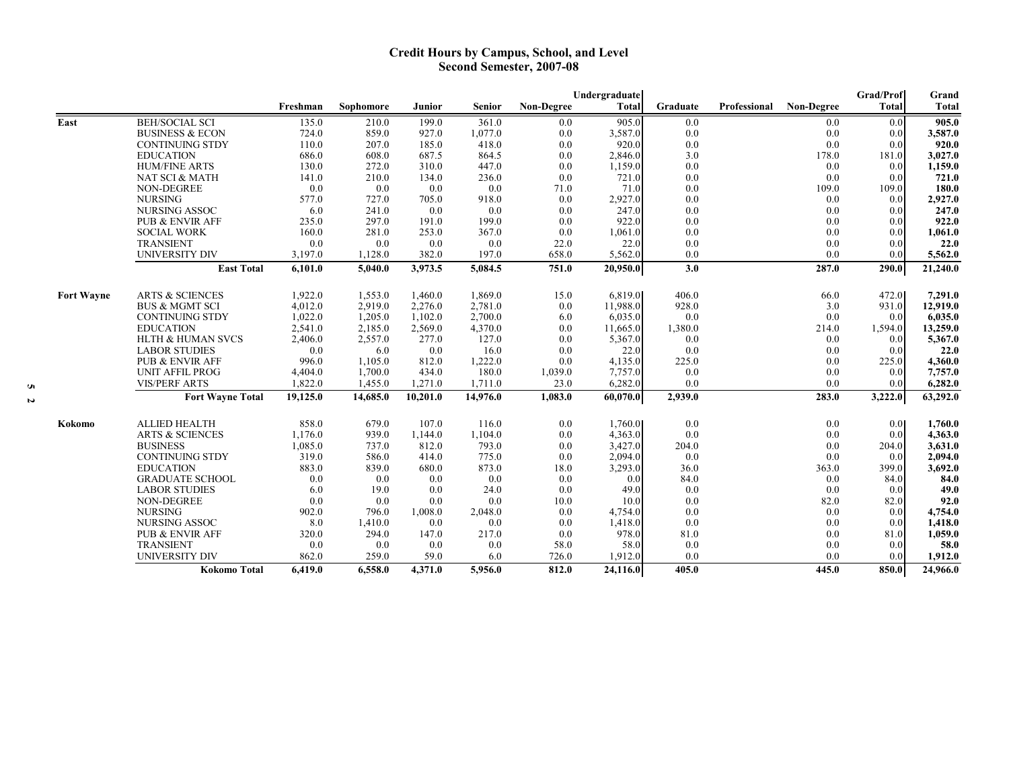### **Credit Hours by Campus, School, and Level Second Semester, 2007-08**

|                   |                              | Undergraduate |           |          |               |                   |              |          |              | Grad/Prof         | Grand            |              |
|-------------------|------------------------------|---------------|-----------|----------|---------------|-------------------|--------------|----------|--------------|-------------------|------------------|--------------|
|                   |                              | Freshman      | Sophomore | Junior   | <b>Senior</b> | <b>Non-Degree</b> | <b>Total</b> | Graduate | Professional | <b>Non-Degree</b> | <b>Total</b>     | <b>Total</b> |
| East              | <b>BEH/SOCIAL SCI</b>        | 135.0         | 210.0     | 199.0    | 361.0         | 0.0               | 905.0        | 0.0      |              | 0.0               | 0.0              | 905.0        |
|                   | <b>BUSINESS &amp; ECON</b>   | 724.0         | 859.0     | 927.0    | 1,077.0       | 0.0               | 3,587.0      | 0.0      |              | 0.0               | 0.0              | 3,587.0      |
|                   | <b>CONTINUING STDY</b>       | 110.0         | 207.0     | 185.0    | 418.0         | 0.0               | 920.0        | 0.0      |              | 0.0               | 0.0              | 920.0        |
|                   | <b>EDUCATION</b>             | 686.0         | 608.0     | 687.5    | 864.5         | 0.0               | 2,846.0      | 3.0      |              | 178.0             | 181.0            | 3,027.0      |
|                   | <b>HUM/FINE ARTS</b>         | 130.0         | 272.0     | 310.0    | 447.0         | 0.0               | 1,159.0      | 0.0      |              | 0.0               | 0.0              | 1,159.0      |
|                   | NAT SCI & MATH               | 141.0         | 210.0     | 134.0    | 236.0         | 0.0               | 721.0        | 0.0      |              | 0.0               | 0.0              | 721.0        |
|                   | <b>NON-DEGREE</b>            | 0.0           | 0.0       | 0.0      | 0.0           | 71.0              | 71.0         | 0.0      |              | 109.0             | 109.0            | 180.0        |
|                   | <b>NURSING</b>               | 577.0         | 727.0     | 705.0    | 918.0         | 0.0               | 2,927.0      | 0.0      |              | 0.0               | 0.0              | 2,927.0      |
|                   | <b>NURSING ASSOC</b>         | 6.0           | 241.0     | 0.0      | 0.0           | 0.0               | 247.0        | 0.0      |              | 0.0               | 0.0              | 247.0        |
|                   | <b>PUB &amp; ENVIR AFF</b>   | 235.0         | 297.0     | 191.0    | 199.0         | 0.0               | 922.0        | 0.0      |              | 0.0               | 0.0              | 922.0        |
|                   | <b>SOCIAL WORK</b>           | 160.0         | 281.0     | 253.0    | 367.0         | 0.0               | 1,061.0      | 0.0      |              | 0.0               | 0.0              | 1,061.0      |
|                   | <b>TRANSIENT</b>             | 0.0           | 0.0       | 0.0      | 0.0           | 22.0              | 22.0         | 0.0      |              | 0.0               | 0.0              | 22.0         |
|                   | UNIVERSITY DIV               | 3,197.0       | 1,128.0   | 382.0    | 197.0         | 658.0             | 5,562.0      | 0.0      |              | 0.0               | 0.0              | 5,562.0      |
|                   | <b>East Total</b>            | 6,101.0       | 5,040.0   | 3,973.5  | 5,084.5       | 751.0             | 20,950.0     | 3.0      |              | 287.0             | 290.0            | 21,240.0     |
|                   |                              |               |           |          |               |                   |              |          |              |                   |                  |              |
| <b>Fort Wayne</b> | <b>ARTS &amp; SCIENCES</b>   | 1,922.0       | 1,553.0   | 1.460.0  | 1,869.0       | 15.0              | 6,819.0      | 406.0    |              | 66.0              | 472.0            | 7,291.0      |
|                   | <b>BUS &amp; MGMT SCI</b>    | 4,012.0       | 2,919.0   | 2,276.0  | 2,781.0       | 0.0               | 11,988.0     | 928.0    |              | 3.0               | 931.0            | 12,919.0     |
|                   | <b>CONTINUING STDY</b>       | 1,022.0       | 1,205.0   | 1,102.0  | 2,700.0       | 6.0               | 6,035.0      | 0.0      |              | 0.0               | 0.0              | 6,035.0      |
|                   | <b>EDUCATION</b>             | 2,541.0       | 2,185.0   | 2,569.0  | 4,370.0       | 0.0               | 11,665.0     | 1,380.0  |              | 214.0             | 1,594.0          | 13,259.0     |
|                   | <b>HLTH &amp; HUMAN SVCS</b> | 2,406.0       | 2,557.0   | 277.0    | 127.0         | 0.0               | 5,367.0      | 0.0      |              | 0.0               | 0.0              | 5,367.0      |
|                   | <b>LABOR STUDIES</b>         | 0.0           | 6.0       | 0.0      | 16.0          | 0.0               | 22.0         | 0.0      |              | 0.0               | 0.0              | 22.0         |
|                   | <b>PUB &amp; ENVIR AFF</b>   | 996.0         | 1,105.0   | 812.0    | 1,222.0       | 0.0               | 4,135.0      | 225.0    |              | 0.0               | 225.0            | 4,360.0      |
|                   | <b>UNIT AFFIL PROG</b>       | 4,404.0       | 1,700.0   | 434.0    | 180.0         | 1,039.0           | 7,757.0      | 0.0      |              | 0.0               | 0.0              | 7,757.0      |
|                   | <b>VIS/PERF ARTS</b>         | 1,822.0       | 1,455.0   | 1,271.0  | 1,711.0       | 23.0              | 6,282.0      | 0.0      |              | 0.0               | 0.0              | 6,282.0      |
|                   | <b>Fort Wayne Total</b>      | 19,125.0      | 14,685.0  | 10,201.0 | 14,976.0      | 1,083.0           | 60,070.0     | 2,939.0  |              | 283.0             | 3,222.0          | 63,292.0     |
| Kokomo            | <b>ALLIED HEALTH</b>         | 858.0         | 679.0     | 107.0    | 116.0         | 0.0               | 1,760.0      | 0.0      |              | 0.0               | 0.0 <sub>l</sub> | 1,760.0      |
|                   | <b>ARTS &amp; SCIENCES</b>   | 1,176.0       | 939.0     | 1,144.0  | 1,104.0       | 0.0               | 4,363.0      | 0.0      |              | 0.0               | 0.0              | 4,363.0      |
|                   | <b>BUSINESS</b>              | 1,085.0       | 737.0     | 812.0    | 793.0         | 0.0               | 3,427.0      | 204.0    |              | 0.0               | 204.0            | 3,631.0      |
|                   | <b>CONTINUING STDY</b>       | 319.0         | 586.0     | 414.0    | 775.0         | 0.0               | 2,094.0      | 0.0      |              | 0.0               | 0.0              | 2,094.0      |
|                   | <b>EDUCATION</b>             | 883.0         | 839.0     | 680.0    | 873.0         | 18.0              | 3,293.0      | 36.0     |              | 363.0             | 399.0            | 3,692.0      |
|                   | <b>GRADUATE SCHOOL</b>       | 0.0           | 0.0       | 0.0      | 0.0           | 0.0               | 0.0          | 84.0     |              | 0.0               | 84.0             | 84.0         |
|                   | <b>LABOR STUDIES</b>         | 6.0           | 19.0      | 0.0      | 24.0          | 0.0               | 49.0         | 0.0      |              | 0.0               | 0.0              | 49.0         |
|                   | <b>NON-DEGREE</b>            | 0.0           | 0.0       | 0.0      | 0.0           | 10.0              | 10.0         | 0.0      |              | 82.0              | 82.0             | 92.0         |
|                   | <b>NURSING</b>               | 902.0         | 796.0     | 1,008.0  | 2,048.0       | 0.0               | 4,754.0      | 0.0      |              | 0.0               | 0.0              | 4,754.0      |
|                   | <b>NURSING ASSOC</b>         | 8.0           | 1,410.0   | 0.0      | 0.0           | 0.0               | 1,418.0      | 0.0      |              | 0.0               | 0.0              | 1,418.0      |
|                   | <b>PUB &amp; ENVIR AFF</b>   | 320.0         | 294.0     | 147.0    | 217.0         | 0.0               | 978.0        | 81.0     |              | 0.0               | 81.0             | 1,059.0      |
|                   | <b>TRANSIENT</b>             | 0.0           | 0.0       | 0.0      | 0.0           | 58.0              | 58.0         | 0.0      |              | 0.0               | 0.0              | 58.0         |
|                   | <b>UNIVERSITY DIV</b>        | 862.0         | 259.0     | 59.0     | 6.0           | 726.0             | 1,912.0      | 0.0      |              | 0.0               | 0.0              | 1,912.0      |
|                   | Kokomo Total                 | 6,419.0       | 6,558.0   | 4,371.0  | 5,956.0       | 812.0             | 24,116.0     | 405.0    |              | 445.0             | 850.0            | 24,966.0     |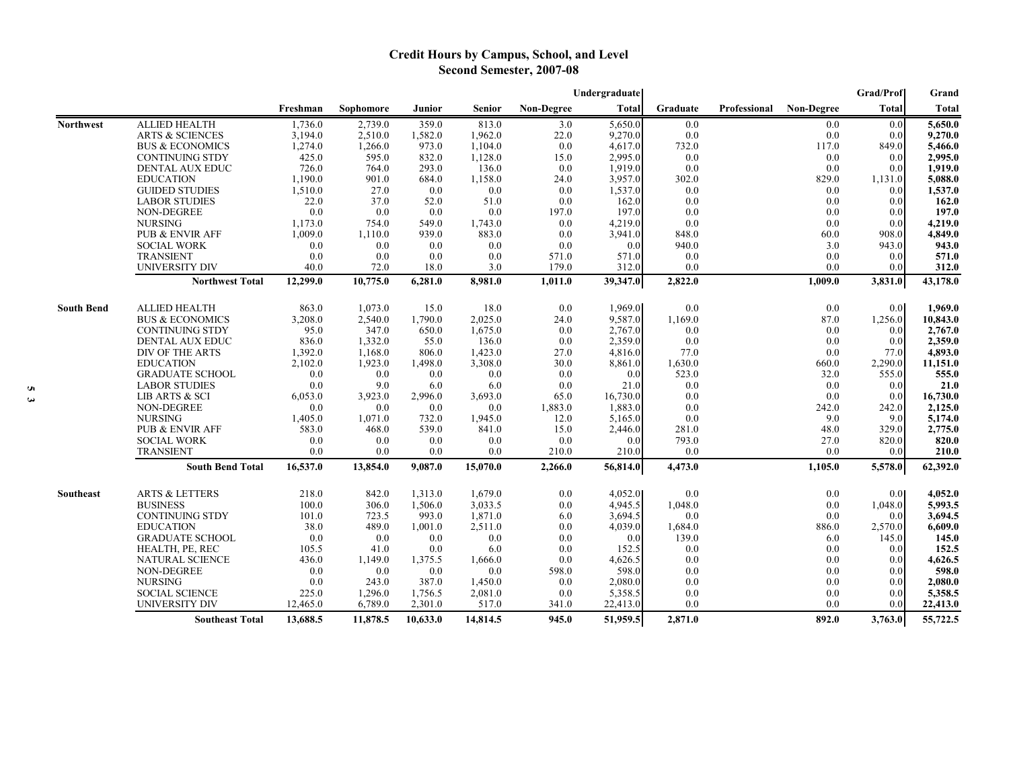# **Credit Hours by Campus, School, and Level Second Semester, 2007-08**

|                   |                            | Undergraduate |           |          |          |                   |              |          |              |                   | <b>Grad/Prof</b> | Grand    |
|-------------------|----------------------------|---------------|-----------|----------|----------|-------------------|--------------|----------|--------------|-------------------|------------------|----------|
|                   |                            | Freshman      | Sophomore | Junior   | Senior   | <b>Non-Degree</b> | <b>Total</b> | Graduate | Professional | <b>Non-Degree</b> | Total            | Total    |
| <b>Northwest</b>  | <b>ALLIED HEALTH</b>       | 1,736.0       | 2,739.0   | 359.0    | 813.0    | 3.0               | 5,650.0      | 0.0      |              | 0.0               | 0.0              | 5,650.0  |
|                   | <b>ARTS &amp; SCIENCES</b> | 3,194.0       | 2,510.0   | 1,582.0  | 1,962.0  | 22.0              | 9,270.0      | 0.0      |              | 0.0               | 0.0              | 9,270.0  |
|                   | <b>BUS &amp; ECONOMICS</b> | 1,274.0       | 1,266.0   | 973.0    | 1,104.0  | 0.0               | 4,617.0      | 732.0    |              | 117.0             | 849.0            | 5,466.0  |
|                   | <b>CONTINUING STDY</b>     | 425.0         | 595.0     | 832.0    | 1,128.0  | 15.0              | 2,995.0      | 0.0      |              | 0.0               | 0.0              | 2,995.0  |
|                   | <b>DENTAL AUX EDUC</b>     | 726.0         | 764.0     | 293.0    | 136.0    | 0.0               | 1,919.0      | 0.0      |              | 0.0               | 0.0              | 1,919.0  |
|                   | <b>EDUCATION</b>           | 1,190.0       | 901.0     | 684.0    | 1,158.0  | 24.0              | 3,957.0      | 302.0    |              | 829.0             | 1,131.0          | 5,088.0  |
|                   | <b>GUIDED STUDIES</b>      | 1,510.0       | 27.0      | 0.0      | 0.0      | 0.0               | 1,537.0      | 0.0      |              | 0.0               | 0.0              | 1,537.0  |
|                   | <b>LABOR STUDIES</b>       | 22.0          | 37.0      | 52.0     | 51.0     | 0.0               | 162.0        | 0.0      |              | 0.0               | 0.0              | 162.0    |
|                   | <b>NON-DEGREE</b>          | 0.0           | 0.0       | 0.0      | 0.0      | 197.0             | 197.0        | 0.0      |              | 0.0               | 0.0              | 197.0    |
|                   | <b>NURSING</b>             | 1,173.0       | 754.0     | 549.0    | 1,743.0  | 0.0               | 4,219.0      | 0.0      |              | 0.0               | 0.0              | 4,219.0  |
|                   | PUB & ENVIR AFF            | 1,009.0       | 1,110.0   | 939.0    | 883.0    | 0.0               | 3,941.0      | 848.0    |              | 60.0              | 908.0            | 4,849.0  |
|                   | <b>SOCIAL WORK</b>         | 0.0           | 0.0       | 0.0      | 0.0      | 0.0               | 0.0          | 940.0    |              | 3.0               | 943.0            | 943.0    |
|                   | <b>TRANSIENT</b>           | 0.0           | 0.0       | 0.0      | 0.0      | 571.0             | 571.0        | 0.0      |              | 0.0               | 0.0              | 571.0    |
|                   | <b>UNIVERSITY DIV</b>      | 40.0          | 72.0      | 18.0     | 3.0      | 179.0             | 312.0        | 0.0      |              | 0.0               | 0.0              | 312.0    |
|                   | <b>Northwest Total</b>     | 12,299.0      | 10,775.0  | 6,281.0  | 8,981.0  | 1,011.0           | 39,347.0     | 2,822.0  |              | 1,009.0           | 3,831.0          | 43,178.0 |
| <b>South Bend</b> | <b>ALLIED HEALTH</b>       | 863.0         | 1,073.0   | 15.0     | 18.0     | 0.0               | 1.969.0      | 0.0      |              | 0.0               | 0.0              | 1.969.0  |
|                   | <b>BUS &amp; ECONOMICS</b> | 3.208.0       | 2,540.0   | 1.790.0  | 2,025.0  | 24.0              | 9.587.0      | 1,169.0  |              | 87.0              | 1,256.0          | 10,843.0 |
|                   | <b>CONTINUING STDY</b>     | 95.0          | 347.0     | 650.0    | 1,675.0  | 0.0               | 2.767.0      | 0.0      |              | 0.0               | 0.0              | 2.767.0  |
|                   | DENTAL AUX EDUC            | 836.0         | 1,332.0   | 55.0     | 136.0    | 0.0               | 2,359.0      | 0.0      |              | 0.0               | 0.0              | 2,359.0  |
|                   | DIV OF THE ARTS            | 1,392.0       | 1,168.0   | 806.0    | 1,423.0  | 27.0              | 4,816.0      | 77.0     |              | 0.0               | 77.0             | 4,893.0  |
|                   | <b>EDUCATION</b>           | 2,102.0       | 1,923.0   | 1,498.0  | 3,308.0  | 30.0              | 8,861.0      | 1,630.0  |              | 660.0             | 2,290.0          | 11,151.0 |
|                   | <b>GRADUATE SCHOOL</b>     | 0.0           | 0.0       | 0.0      | 0.0      | 0.0               | 0.0          | 523.0    |              | 32.0              | 555.0            | 555.0    |
|                   | <b>LABOR STUDIES</b>       | 0.0           | 9.0       | 6.0      | 6.0      | 0.0               | 21.0         | 0.0      |              | 0.0               | 0.0              | 21.0     |
|                   | LIB ARTS & SCI             | 6,053.0       | 3,923.0   | 2,996.0  | 3,693.0  | 65.0              | 16,730.0     | 0.0      |              | 0.0               | 0.0              | 16,730.0 |
|                   | NON-DEGREE                 | 0.0           | 0.0       | 0.0      | 0.0      | 1,883.0           | 1,883.0      | 0.0      |              | 242.0             | 242.0            | 2,125.0  |
|                   | <b>NURSING</b>             | 1,405.0       | 1,071.0   | 732.0    | 1,945.0  | 12.0              | 5,165.0      | 0.0      |              | 9.0               | 9.0              | 5,174.0  |
|                   | <b>PUB &amp; ENVIR AFF</b> | 583.0         | 468.0     | 539.0    | 841.0    | 15.0              | 2,446.0      | 281.0    |              | 48.0              | 329.0            | 2,775.0  |
|                   | <b>SOCIAL WORK</b>         | 0.0           | 0.0       | 0.0      | 0.0      | 0.0               | 0.0          | 793.0    |              | 27.0              | 820.0            | 820.0    |
|                   | <b>TRANSIENT</b>           | 0.0           | 0.0       | 0.0      | 0.0      | 210.0             | 210.0        | 0.0      |              | 0.0               | 0.0              | 210.0    |
|                   | <b>South Bend Total</b>    | 16,537.0      | 13,854.0  | 9,087.0  | 15,070.0 | 2,266.0           | 56,814.0     | 4,473.0  |              | 1,105.0           | 5,578.0          | 62,392.0 |
| Southeast         | <b>ARTS &amp; LETTERS</b>  | 218.0         | 842.0     | 1,313.0  | 1,679.0  | 0.0               | 4,052.0      | 0.0      |              | 0.0               | 0.01             | 4,052.0  |
|                   | <b>BUSINESS</b>            | 100.0         | 306.0     | 1.506.0  | 3.033.5  | 0.0               | 4.945.5      | 1,048.0  |              | 0.0               | 1,048.0          | 5,993.5  |
|                   | <b>CONTINUING STDY</b>     | 101.0         | 723.5     | 993.0    | 1,871.0  | 6.0               | 3,694.5      | 0.0      |              | 0.0               | 0.0              | 3.694.5  |
|                   | <b>EDUCATION</b>           | 38.0          | 489.0     | 1.001.0  | 2,511.0  | 0.0               | 4.039.0      | 1,684.0  |              | 886.0             | 2,570.0          | 6.609.0  |
|                   | <b>GRADUATE SCHOOL</b>     | 0.0           | 0.0       | 0.0      | 0.0      | 0.0               | 0.0          | 139.0    |              | 6.0               | 145.0            | 145.0    |
|                   | HEALTH, PE, REC            | 105.5         | 41.0      | 0.0      | 6.0      | 0.0               | 152.5        | 0.0      |              | 0.0               | 0.0              | 152.5    |
|                   | NATURAL SCIENCE            | 436.0         | 1,149.0   | 1,375.5  | 1,666.0  | 0.0               | 4,626.5      | 0.0      |              | 0.0               | 0.0              | 4,626.5  |
|                   | NON-DEGREE                 | 0.0           | 0.0       | 0.0      | 0.0      | 598.0             | 598.0        | 0.0      |              | 0.0               | 0.0              | 598.0    |
|                   | <b>NURSING</b>             | 0.0           | 243.0     | 387.0    | 1,450.0  | 0.0               | 2,080.0      | 0.0      |              | 0.0               | 0.0              | 2,080.0  |
|                   | <b>SOCIAL SCIENCE</b>      | 225.0         | 1,296.0   | 1,756.5  | 2,081.0  | 0.0               | 5,358.5      | 0.0      |              | 0.0               | 0.0              | 5,358.5  |
|                   | UNIVERSITY DIV             | 12,465.0      | 6,789.0   | 2,301.0  | 517.0    | 341.0             | 22,413.0     | 0.0      |              | 0.0               | 0.0              | 22,413.0 |
|                   | <b>Southeast Total</b>     | 13,688.5      | 11,878.5  | 10,633.0 | 14,814.5 | 945.0             | 51,959.5     | 2,871.0  |              | 892.0             | 3,763.0          | 55,722.5 |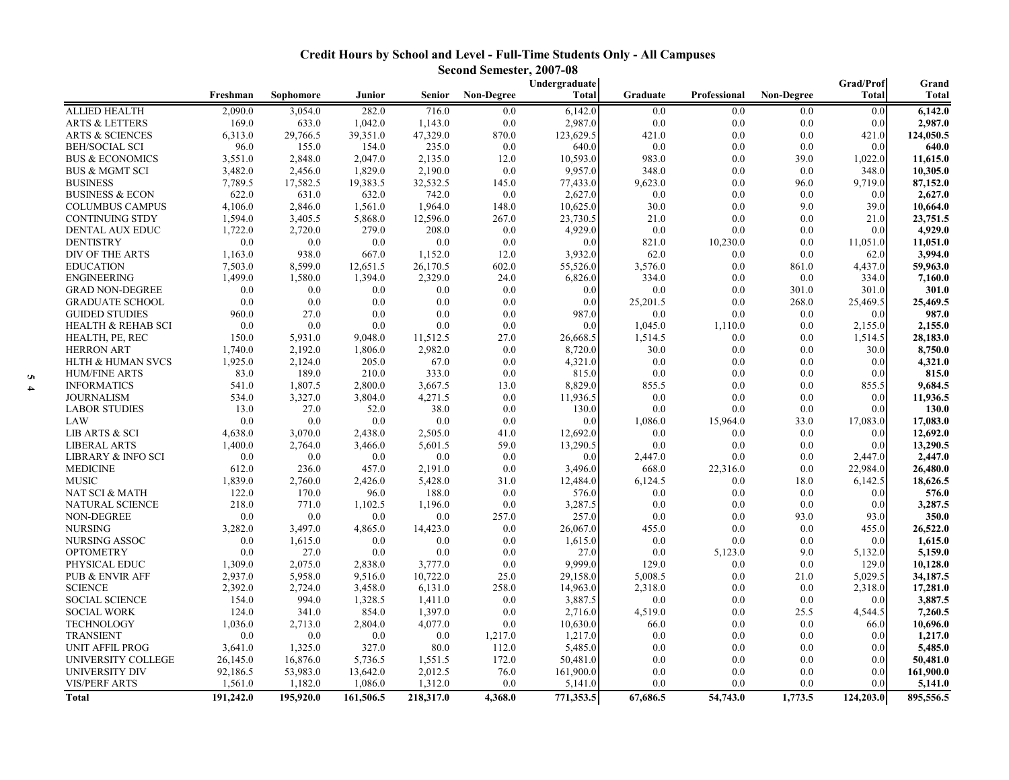## **Credit Hours by School and Level - Full-Time Students Only - All Campuses Second Semester, 2007-08**

|                               |           |           |           |               | эссона эспсэгл хоот | Undergraduate |          |              |                   | Grad/Prof        | Grand        |
|-------------------------------|-----------|-----------|-----------|---------------|---------------------|---------------|----------|--------------|-------------------|------------------|--------------|
|                               | Freshman  | Sophomore | Junior    | <b>Senior</b> | <b>Non-Degree</b>   | Total         | Graduate | Professional | <b>Non-Degree</b> | <b>Total</b>     | <b>Total</b> |
| <b>ALLIED HEALTH</b>          | 2,090.0   | 3,054.0   | 282.0     | 716.0         | 0.0                 | 6,142.0       | 0.0      | 0.0          | 0.0               | 0.0              | 6,142.0      |
| <b>ARTS &amp; LETTERS</b>     | 169.0     | 633.0     | 1,042.0   | 1,143.0       | 0.0                 | 2,987.0       | 0.0      | 0.0          | 0.0               | 0.0              | 2,987.0      |
| <b>ARTS &amp; SCIENCES</b>    | 6,313.0   | 29,766.5  | 39,351.0  | 47,329.0      | 870.0               | 123,629.5     | 421.0    | 0.0          | 0.0               | 421.0            | 124,050.5    |
| <b>BEH/SOCIAL SCI</b>         | 96.0      | 155.0     | 154.0     | 235.0         | 0.0                 | 640.0         | 0.0      | 0.0          | 0.0               | 0.0              | 640.0        |
| <b>BUS &amp; ECONOMICS</b>    | 3,551.0   | 2,848.0   | 2,047.0   | 2,135.0       | 12.0                | 10,593.0      | 983.0    | 0.0          | 39.0              | 1,022.0          | 11,615.0     |
| <b>BUS &amp; MGMT SCI</b>     | 3,482.0   | 2,456.0   | 1,829.0   | 2,190.0       | 0.0                 | 9,957.0       | 348.0    | 0.0          | 0.0               | 348.0            | 10,305.0     |
| <b>BUSINESS</b>               | 7,789.5   | 17,582.5  | 19,383.5  | 32,532.5      | 145.0               | 77,433.0      | 9,623.0  | 0.0          | 96.0              | 9,719.0          | 87,152.0     |
| <b>BUSINESS &amp; ECON</b>    | 622.0     | 631.0     | 632.0     | 742.0         | 0.0                 | 2,627.0       | 0.0      | 0.0          | 0.0               | 0.0              | 2,627.0      |
| <b>COLUMBUS CAMPUS</b>        | 4,106.0   | 2,846.0   | 1,561.0   | 1,964.0       | 148.0               | 10,625.0      | 30.0     | 0.0          | 9.0               | 39.0             | 10,664.0     |
| <b>CONTINUING STDY</b>        | 1,594.0   | 3,405.5   | 5,868.0   | 12,596.0      | 267.0               | 23,730.5      | 21.0     | 0.0          | 0.0               | 21.0             | 23,751.5     |
| DENTAL AUX EDUC               | 1,722.0   | 2,720.0   | 279.0     | 208.0         | 0.0                 | 4,929.0       | 0.0      | 0.0          | 0.0               | 0.0              | 4,929.0      |
| <b>DENTISTRY</b>              | 0.0       | 0.0       | 0.0       | 0.0           | 0.0                 | 0.0           | 821.0    | 10,230.0     | 0.0               | 11,051.0         | 11,051.0     |
| DIV OF THE ARTS               | 1,163.0   | 938.0     | 667.0     | 1,152.0       | 12.0                | 3,932.0       | 62.0     | 0.0          | 0.0               | 62.0             | 3,994.0      |
| <b>EDUCATION</b>              | 7,503.0   | 8,599.0   | 12,651.5  | 26,170.5      | 602.0               | 55,526.0      | 3,576.0  | 0.0          | 861.0             | 4,437.0          | 59,963.0     |
| <b>ENGINEERING</b>            | 1,499.0   | 1,580.0   | 1,394.0   | 2,329.0       | 24.0                | 6,826.0       | 334.0    | 0.0          | 0.0               | 334.0            | 7,160.0      |
| <b>GRAD NON-DEGREE</b>        | 0.0       | 0.0       | 0.0       | 0.0           | 0.0                 | 0.0           | 0.0      | 0.0          | 301.0             | 301.0            | 301.0        |
| <b>GRADUATE SCHOOL</b>        | 0.0       | 0.0       | 0.0       | 0.0           | 0.0                 | 0.0           | 25,201.5 | 0.0          | 268.0             | 25,469.5         | 25,469.5     |
| <b>GUIDED STUDIES</b>         | 960.0     | 27.0      | 0.0       | 0.0           | 0.0                 | 987.0         | 0.0      | 0.0          | 0.0               | 0.0              | 987.0        |
| <b>HEALTH &amp; REHAB SCI</b> | 0.0       | 0.0       | 0.0       | 0.0           | 0.0                 | 0.0           | 1,045.0  | 1,110.0      | 0.0               | 2,155.0          | 2,155.0      |
| HEALTH, PE, REC               | 150.0     | 5,931.0   | 9,048.0   | 11,512.5      | 27.0                | 26,668.5      | 1,514.5  | 0.0          | 0.0               | 1,514.5          | 28,183.0     |
| <b>HERRON ART</b>             | 1,740.0   | 2,192.0   | 1,806.0   | 2,982.0       | 0.0                 | 8,720.0       | 30.0     | 0.0          | 0.0               | 30.0             | 8,750.0      |
| <b>HLTH &amp; HUMAN SVCS</b>  | 1,925.0   | 2,124.0   | 205.0     | 67.0          | 0.0                 | 4,321.0       | 0.0      | 0.0          | 0.0               | 0.0              | 4,321.0      |
| <b>HUM/FINE ARTS</b>          | 83.0      | 189.0     | 210.0     | 333.0         | 0.0                 | 815.0         | 0.0      | 0.0          | 0.0               | 0.0              | 815.0        |
| <b>INFORMATICS</b>            | 541.0     | 1,807.5   | 2,800.0   | 3,667.5       | 13.0                | 8,829.0       | 855.5    | 0.0          | 0.0               | 855.5            | 9,684.5      |
| <b>JOURNALISM</b>             | 534.0     | 3,327.0   | 3,804.0   | 4,271.5       | 0.0                 | 11,936.5      | 0.0      | 0.0          | $0.0\,$           | 0.0 <sub>1</sub> | 11,936.5     |
| <b>LABOR STUDIES</b>          | 13.0      | 27.0      | 52.0      | 38.0          | 0.0                 | 130.0         | 0.0      | 0.0          | 0.0               | 0.0              | 130.0        |
| LAW                           | 0.0       | 0.0       | 0.0       | 0.0           | 0.0                 | 0.0           | 1,086.0  | 15,964.0     | 33.0              | 17,083.0         | 17,083.0     |
| LIB ARTS & SCI                | 4,638.0   | 3,070.0   | 2,438.0   | 2,505.0       | 41.0                | 12,692.0      | 0.0      | 0.0          | 0.0               | 0.0              | 12,692.0     |
| <b>LIBERAL ARTS</b>           | 1,400.0   | 2,764.0   | 3,466.0   | 5,601.5       | 59.0                | 13,290.5      | 0.0      | 0.0          | 0.0               | 0.0 <sub>1</sub> | 13,290.5     |
| <b>LIBRARY &amp; INFO SCI</b> | 0.0       | 0.0       | 0.0       | 0.0           | 0.0                 | 0.0           | 2,447.0  | 0.0          | 0.0               | 2,447.0          | 2,447.0      |
| <b>MEDICINE</b>               | 612.0     | 236.0     | 457.0     | 2,191.0       | 0.0                 | 3,496.0       | 668.0    | 22,316.0     | 0.0               | 22,984.0         | 26,480.0     |
| <b>MUSIC</b>                  | 1,839.0   | 2,760.0   | 2,426.0   | 5,428.0       | 31.0                | 12,484.0      | 6,124.5  | 0.0          | 18.0              | 6,142.5          | 18,626.5     |
| NAT SCI & MATH                | 122.0     | 170.0     | 96.0      | 188.0         | 0.0                 | 576.0         | 0.0      | 0.0          | 0.0               | 0.0              | 576.0        |
| NATURAL SCIENCE               | 218.0     | 771.0     | 1,102.5   | 1,196.0       | 0.0                 | 3,287.5       | 0.0      | 0.0          | 0.0               | 0.0              | 3,287.5      |
| NON-DEGREE                    | 0.0       | 0.0       | 0.0       | 0.0           | 257.0               | 257.0         | 0.0      | 0.0          | 93.0              | 93.0             | 350.0        |
| <b>NURSING</b>                | 3,282.0   | 3,497.0   | 4,865.0   | 14,423.0      | 0.0                 | 26,067.0      | 455.0    | 0.0          | 0.0               | 455.0            | 26,522.0     |
| NURSING ASSOC                 | 0.0       | 1,615.0   | 0.0       | 0.0           | 0.0                 | 1,615.0       | 0.0      | 0.0          | 0.0               | 0.0              | 1,615.0      |
| <b>OPTOMETRY</b>              | 0.0       | 27.0      | 0.0       | 0.0           | 0.0                 | 27.0          | 0.0      | 5,123.0      | 9.0               | 5,132.0          | 5,159.0      |
| PHYSICAL EDUC                 | 1,309.0   | 2,075.0   | 2,838.0   | 3,777.0       | 0.0                 | 9,999.0       | 129.0    | 0.0          | 0.0               | 129.0            | 10,128.0     |
| <b>PUB &amp; ENVIR AFF</b>    | 2,937.0   | 5,958.0   | 9,516.0   | 10,722.0      | 25.0                | 29,158.0      | 5,008.5  | 0.0          | 21.0              | 5,029.5          | 34,187.5     |
| <b>SCIENCE</b>                | 2,392.0   | 2,724.0   | 3,458.0   | 6,131.0       | 258.0               | 14,963.0      | 2,318.0  | 0.0          | 0.0               | 2,318.0          | 17,281.0     |
| <b>SOCIAL SCIENCE</b>         | 154.0     | 994.0     | 1,328.5   | 1,411.0       | 0.0                 | 3,887.5       | 0.0      | 0.0          | 0.0               | 0.0 <sub>1</sub> | 3,887.5      |
| <b>SOCIAL WORK</b>            | 124.0     | 341.0     | 854.0     | 1,397.0       | 0.0                 | 2,716.0       | 4,519.0  | 0.0          | 25.5              | 4,544.5          | 7,260.5      |
| <b>TECHNOLOGY</b>             | 1,036.0   | 2,713.0   | 2,804.0   | 4,077.0       | 0.0                 | 10,630.0      | 66.0     | 0.0          | 0.0               | 66.0             | 10,696.0     |
| <b>TRANSIENT</b>              | 0.0       | 0.0       | 0.0       | 0.0           | 1,217.0             | 1,217.0       | 0.0      | 0.0          | 0.0               | 0.0              | 1,217.0      |
| <b>UNIT AFFIL PROG</b>        | 3,641.0   | 1,325.0   | 327.0     | 80.0          | 112.0               | 5,485.0       | 0.0      | 0.0          | 0.0               | 0.0              | 5,485.0      |
| UNIVERSITY COLLEGE            | 26,145.0  | 16,876.0  | 5,736.5   | 1,551.5       | 172.0               | 50,481.0      | 0.0      | 0.0          | 0.0               | 0.0              | 50,481.0     |
| UNIVERSITY DIV                | 92,186.5  | 53,983.0  | 13,642.0  | 2,012.5       | 76.0                | 161,900.0     | 0.0      | 0.0          | 0.0               | 0.0 <sub>1</sub> | 161,900.0    |
| <b>VIS/PERF ARTS</b>          | 1,561.0   | 1,182.0   | 1,086.0   | 1,312.0       | 0.0                 | 5,141.0       | 0.0      | 0.0          | 0.0               | 0.0              | 5,141.0      |
| <b>Total</b>                  | 191,242.0 | 195,920.0 | 161,506.5 | 218,317.0     | 4,368.0             | 771,353.5     | 67,686.5 | 54,743.0     | 1,773.5           | 124,203.0        | 895,556.5    |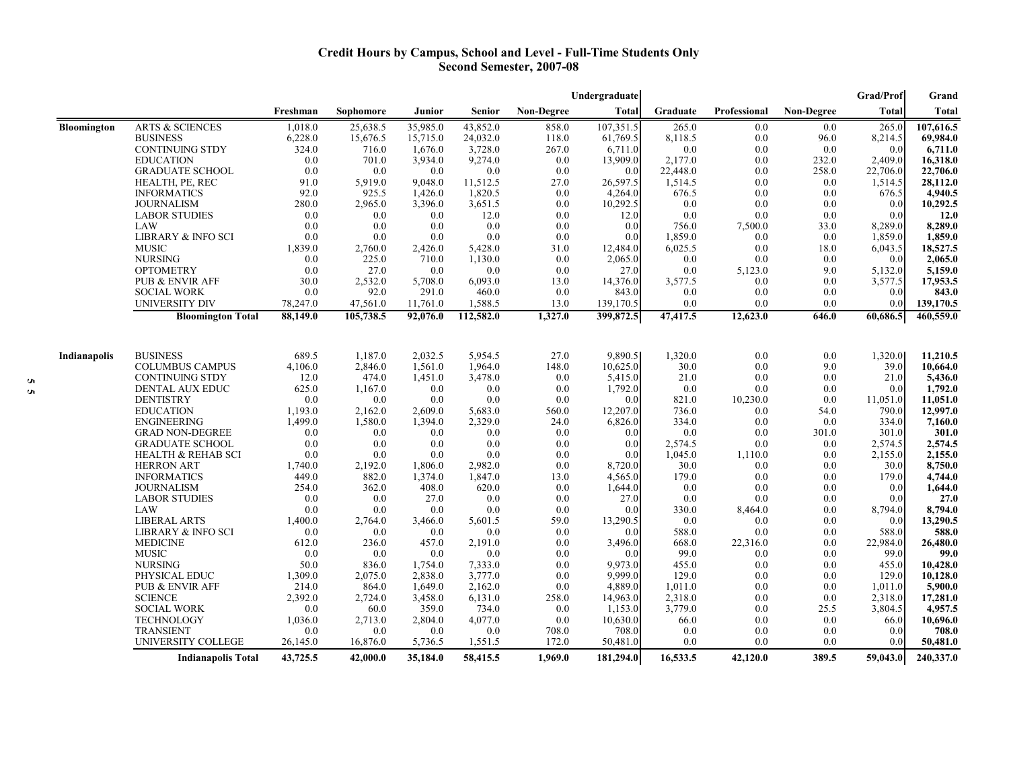### **Credit Hours by Campus, School and Level - Full-Time Students Only Second Semester, 2007-08**

|                    |                               |             |           |          |           |            | Undergraduate  |               |              |                   | Grad/Prof     | Grand        |
|--------------------|-------------------------------|-------------|-----------|----------|-----------|------------|----------------|---------------|--------------|-------------------|---------------|--------------|
|                    |                               | Freshman    | Sophomore | Junior   | Senior    | Non-Degree | <b>Total</b>   | Graduate      | Professional | <b>Non-Degree</b> | Total         | <b>Total</b> |
| <b>Bloomington</b> | <b>ARTS &amp; SCIENCES</b>    | 1,018.0     | 25,638.5  | 35,985.0 | 43,852.0  | 858.0      | 107,351.5      | 265.0         | 0.0          | 0.0               | 265.0         | 107,616.5    |
|                    | <b>BUSINESS</b>               | 6,228.0     | 15,676.5  | 15,715.0 | 24,032.0  | 118.0      | 61,769.5       | 8,118.5       | 0.0          | 96.0              | 8,214.5       | 69,984.0     |
|                    | <b>CONTINUING STDY</b>        | 324.0       | 716.0     | 1,676.0  | 3,728.0   | 267.0      | 6,711.0        | 0.0           | 0.0          | 0.0               | 0.0           | 6,711.0      |
|                    | <b>EDUCATION</b>              | 0.0         | 701.0     | 3,934.0  | 9,274.0   | 0.0        | 13,909.0       | 2,177.0       | 0.0          | 232.0             | 2,409.0       | 16,318.0     |
|                    | <b>GRADUATE SCHOOL</b>        | 0.0         | 0.0       | 0.0      | 0.0       | 0.0        | 0.0            | 22,448.0      | 0.0          | 258.0             | 22,706.0      | 22,706.0     |
|                    | HEALTH, PE, REC               | 91.0        | 5,919.0   | 9,048.0  | 11,512.5  | 27.0       | 26,597.5       | 1,514.5       | 0.0          | 0.0               | 1,514.5       | 28,112.0     |
|                    | <b>INFORMATICS</b>            | 92.0        | 925.5     | 1,426.0  | 1,820.5   | 0.0        | 4,264.0        | 676.5         | 0.0          | 0.0               | 676.5         | 4,940.5      |
|                    | <b>JOURNALISM</b>             | 280.0       | 2,965.0   | 3,396.0  | 3,651.5   | 0.0        | 10,292.5       | 0.0           | 0.0          | 0.0               | 0.0           | 10,292.5     |
|                    | <b>LABOR STUDIES</b>          | 0.0         | 0.0       | 0.0      | 12.0      | 0.0        | 12.0           | 0.0           | 0.0          | 0.0               | 0.0           | 12.0         |
|                    | LAW                           | 0.0         | 0.0       | 0.0      | 0.0       | 0.0        | 0.0            | 756.0         | 7,500.0      | 33.0              | 8,289.0       | 8,289.0      |
|                    | <b>LIBRARY &amp; INFO SCI</b> | 0.0         | 0.0       | 0.0      | 0.0       | 0.0        | 0.0            | 1,859.0       | 0.0          | 0.0               | 1,859.0       | 1,859.0      |
|                    | <b>MUSIC</b>                  | 1,839.0     | 2,760.0   | 2,426.0  | 5,428.0   | 31.0       | 12,484.0       | 6,025.5       | 0.0          | 18.0              | 6,043.5       | 18,527.5     |
|                    | <b>NURSING</b>                | 0.0         | 225.0     | 710.0    | 1,130.0   | 0.0        | 2,065.0        | 0.0           | 0.0          | 0.0               | 0.0           | 2,065.0      |
|                    | <b>OPTOMETRY</b>              | 0.0         | 27.0      | 0.0      | 0.0       | 0.0        | 27.0           | 0.0           | 5,123.0      | 9.0               | 5,132.0       | 5,159.0      |
|                    | PUB & ENVIR AFF               | 30.0        | 2,532.0   | 5,708.0  | 6,093.0   | 13.0       | 14,376.0       | 3,577.5       | 0.0          | 0.0               | 3,577.5       | 17,953.5     |
|                    | <b>SOCIAL WORK</b>            | 0.0         | 92.0      | 291.0    | 460.0     | 0.0        | 843.0          | 0.0           | 0.0          | 0.0               | 0.0           | 843.0        |
|                    | UNIVERSITY DIV                | 78,247.0    | 47,561.0  | 11,761.0 | 1,588.5   | 13.0       | 139,170.5      | 0.0           | 0.0          | 0.0               | 0.0           | 139,170.5    |
|                    | <b>Bloomington Total</b>      | 88,149.0    | 105,738.5 | 92,076.0 | 112,582.0 | 1,327.0    | 399,872.5      | 47,417.5      | 12,623.0     | 646.0             | 60,686.5      | 460,559.0    |
|                    |                               |             |           |          |           |            |                |               |              |                   |               |              |
| Indianapolis       | <b>BUSINESS</b>               | 689.5       | 1,187.0   | 2,032.5  | 5.954.5   | 27.0       | 9,890.5        | 1,320.0       | 0.0          | 0.0               | 1,320.0       | 11,210.5     |
|                    | <b>COLUMBUS CAMPUS</b>        | 4,106.0     | 2,846.0   | 1,561.0  | 1,964.0   | 148.0      | 10,625.0       | 30.0          | 0.0          | 9.0               | 39.0          | 10,664.0     |
|                    | <b>CONTINUING STDY</b>        | 12.0        | 474.0     | 1,451.0  | 3,478.0   | 0.0        | 5,415.0        | 21.0          | 0.0          | 0.0               | 21.0          | 5,436.0      |
|                    | DENTAL AUX EDUC               | 625.0       | 1,167.0   | 0.0      | 0.0       | 0.0        | 1,792.0        | 0.0           | 0.0          | 0.0               | 0.0           | 1,792.0      |
|                    | <b>DENTISTRY</b>              | 0.0         | 0.0       | 0.0      | 0.0       | 0.0        | 0.0            | 821.0         | 10,230.0     | 0.0               | 11,051.0      | 11,051.0     |
|                    | <b>EDUCATION</b>              | 1,193.0     | 2,162.0   | 2,609.0  | 5,683.0   | 560.0      | 12,207.0       | 736.0         | 0.0          | 54.0              | 790.0         | 12,997.0     |
|                    | <b>ENGINEERING</b>            | 1,499.0     | 1,580.0   | 1,394.0  | 2,329.0   | 24.0       | 6,826.0        | 334.0         | 0.0          | 0.0               | 334.0         | 7,160.0      |
|                    | <b>GRAD NON-DEGREE</b>        | 0.0         | 0.0       | 0.0      | 0.0       | 0.0        | 0.0            | 0.0           | 0.0          | 301.0             | 301.0         | 301.0        |
|                    | <b>GRADUATE SCHOOL</b>        | 0.0         | 0.0       | 0.0      | 0.0       | 0.0        | 0.0            | 2,574.5       | 0.0          | 0.0               | 2,574.5       | 2,574.5      |
|                    | <b>HEALTH &amp; REHAB SCI</b> | 0.0         | 0.0       | 0.0      | 0.0       | 0.0        | 0.0            | 1,045.0       | 1,110.0      | 0.0               | 2,155.0       | 2,155.0      |
|                    | <b>HERRON ART</b>             | 1,740.0     | 2,192.0   | 1,806.0  | 2,982.0   | 0.0        | 8,720.0        | 30.0          | 0.0          | 0.0               | 30.0          | 8,750.0      |
|                    | <b>INFORMATICS</b>            | 449.0       | 882.0     | 1,374.0  | 1,847.0   | 13.0       | 4,565.0        | 179.0         | 0.0          | 0.0               | 179.0         | 4,744.0      |
|                    | <b>JOURNALISM</b>             | 254.0       | 362.0     | 408.0    | 620.0     | 0.0        | 1,644.0        | 0.0           | 0.0          | 0.0               | 0.0           | 1,644.0      |
|                    | <b>LABOR STUDIES</b>          | 0.0         | 0.0       | 27.0     | 0.0       | 0.0        | 27.0           | 0.0           | 0.0          | 0.0               | 0.0           | 27.0         |
|                    | LAW                           | 0.0         | 0.0       | 0.0      | 0.0       | 0.0        | 0.0            | 330.0         | 8,464.0      | 0.0               | 8,794.0       | 8,794.0      |
|                    | <b>LIBERAL ARTS</b>           | 1,400.0     | 2,764.0   | 3,466.0  | 5,601.5   | 59.0       | 13,290.5       | 0.0           | 0.0          | 0.0               | 0.0           | 13,290.5     |
|                    | <b>LIBRARY &amp; INFO SCI</b> | 0.0         | 0.0       | 0.0      | 0.0       | 0.0        | 0.0            | 588.0         | 0.0          | 0.0               | 588.0         | 588.0        |
|                    | <b>MEDICINE</b>               | 612.0       | 236.0     | 457.0    | 2,191.0   | 0.0        |                | 668.0         | 22,316.0     | 0.0               | 22,984.0      |              |
|                    | <b>MUSIC</b>                  |             |           |          |           |            | 3,496.0        |               |              |                   |               | 26,480.0     |
|                    |                               | 0.0<br>50.0 | 0.0       | 0.0      | 0.0       | 0.0        | 0.0<br>9,973.0 | 99.0<br>455.0 | 0.0          | 0.0               | 99.0<br>455.0 | 99.0         |
|                    | <b>NURSING</b>                |             | 836.0     | 1,754.0  | 7,333.0   | 0.0        |                |               | 0.0          | 0.0               |               | 10,428.0     |
|                    | PHYSICAL EDUC                 | 1,309.0     | 2,075.0   | 2,838.0  | 3,777.0   | 0.0        | 9.999.0        | 129.0         | 0.0          | 0.0               | 129.0         | 10,128.0     |
|                    | PUB & ENVIR AFF               | 214.0       | 864.0     | 1,649.0  | 2,162.0   | 0.0        | 4,889.0        | 1,011.0       | 0.0          | 0.0               | 1,011.0       | 5,900.0      |
|                    | <b>SCIENCE</b>                | 2,392.0     | 2,724.0   | 3,458.0  | 6,131.0   | 258.0      | 14,963.0       | 2,318.0       | 0.0          | 0.0               | 2,318.0       | 17,281.0     |
|                    | <b>SOCIAL WORK</b>            | 0.0         | 60.0      | 359.0    | 734.0     | 0.0        | 1,153.0        | 3,779.0       | 0.0          | 25.5              | 3,804.5       | 4,957.5      |
|                    | TECHNOLOGY                    | 1,036.0     | 2,713.0   | 2,804.0  | 4,077.0   | 0.0        | 10,630.0       | 66.0          | 0.0          | 0.0               | 66.0          | 10,696.0     |
|                    | <b>TRANSIENT</b>              | 0.0         | 0.0       | 0.0      | 0.0       | 708.0      | 708.0          | 0.0           | 0.0          | 0.0               | 0.0           | 708.0        |
|                    | UNIVERSITY COLLEGE            | 26,145.0    | 16,876.0  | 5,736.5  | 1,551.5   | 172.0      | 50,481.0       | 0.0           | 0.0          | 0.0               | 0.0           | 50,481.0     |
|                    | <b>Indianapolis Total</b>     | 43,725.5    | 42,000.0  | 35,184.0 | 58,415.5  | 1,969.0    | 181.294.0      | 16,533.5      | 42,120.0     | 389.5             | 59,043.0      | 240,337.0    |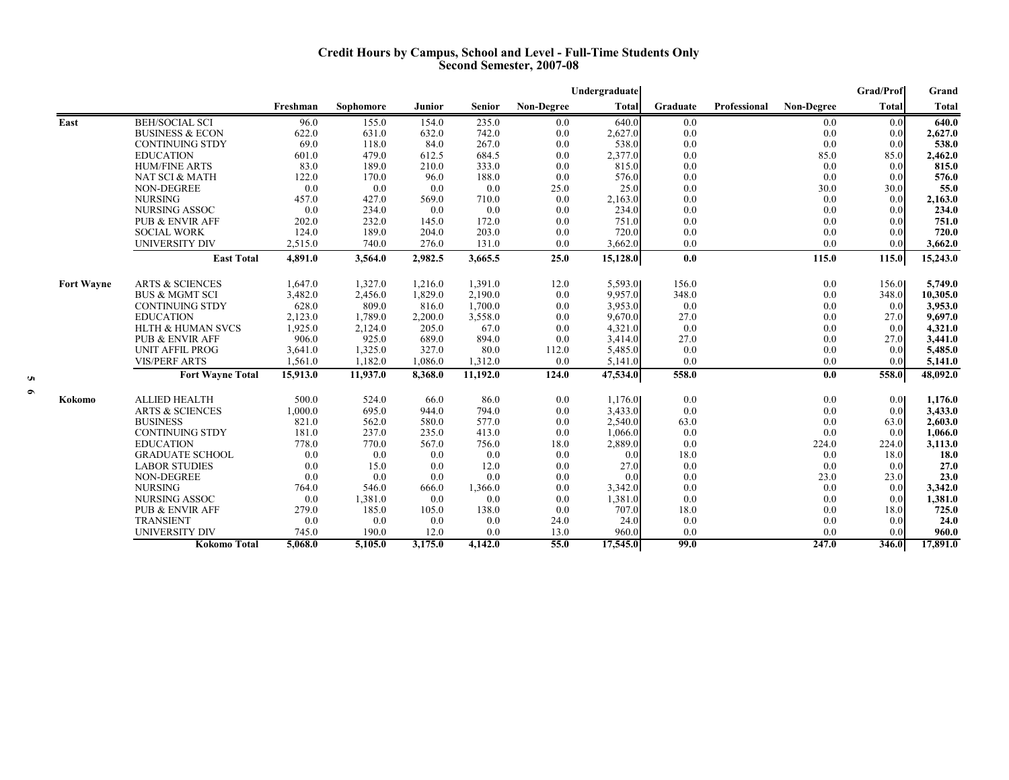### **Credit Hours by Campus, School and Level - Full-Time Students Only Second Semester, 2007-08**

|                   |                              |                  |                |         |               |                   | Undergraduate      |            |              |                   | <b>Grad/Prof</b>        | Grand              |
|-------------------|------------------------------|------------------|----------------|---------|---------------|-------------------|--------------------|------------|--------------|-------------------|-------------------------|--------------------|
|                   |                              | Freshman         | Sophomore      | Junior  | <b>Senior</b> | <b>Non-Degree</b> | Total              | Graduate   | Professional | <b>Non-Degree</b> | <b>Total</b>            | Total              |
| East              | <b>BEH/SOCIAL SCI</b>        | 96.0             | 155.0          | 154.0   | 235.0         | 0.0               | 640.0              | 0.0        |              | 0.0               | 0.0                     | 640.0              |
|                   | <b>BUSINESS &amp; ECON</b>   | 622.0            | 631.0          | 632.0   | 742.0         | 0.0               | 2,627.0            | 0.0        |              | 0.0               | 0.0                     | 2,627.0            |
|                   | <b>CONTINUING STDY</b>       | 69.0             | 118.0          | 84.0    | 267.0         | 0.0               | 538.0              | 0.0        |              | 0.0               | 0.0                     | 538.0              |
|                   | <b>EDUCATION</b>             | 601.0            | 479.0          | 612.5   | 684.5         | 0.0               | 2,377.0            | 0.0        |              | 85.0              | 85.0                    | 2,462.0            |
|                   | <b>HUM/FINE ARTS</b>         | 83.0             | 189.0          | 210.0   | 333.0         | 0.0               | 815.0              | 0.0        |              | 0.0               | 0.0                     | 815.0              |
|                   | NAT SCI & MATH               | 122.0            | 170.0          | 96.0    | 188.0         | 0.0               | 576.0              | 0.0        |              | 0.0               | 0.0                     | 576.0              |
|                   | NON-DEGREE                   | 0.0              | 0.0            | 0.0     | 0.0           | 25.0              | 25.0               | 0.0        |              | 30.0              | 30.0                    | 55.0               |
|                   | <b>NURSING</b>               | 457.0            | 427.0          | 569.0   | 710.0         | 0.0               | 2,163.0            | 0.0        |              | 0.0               | 0.0                     | 2,163.0            |
|                   | NURSING ASSOC                | 0.0              | 234.0          | 0.0     | 0.0           | 0.0               | 234.0              | 0.0        |              | 0.0               | 0.0                     | 234.0              |
|                   | <b>PUB &amp; ENVIR AFF</b>   | 202.0            | 232.0          | 145.0   | 172.0         | 0.0               | 751.0              | 0.0        |              | 0.0               | 0.0                     | 751.0              |
|                   | <b>SOCIAL WORK</b>           | 124.0            | 189.0          | 204.0   | 203.0         | 0.0               | 720.0              | 0.0        |              | 0.0               | 0.0                     | 720.0              |
|                   | UNIVERSITY DIV               | 2,515.0          | 740.0          | 276.0   | 131.0         | 0.0               | 3,662.0            | 0.0        |              | 0.0               | 0.0                     | 3,662.0            |
|                   | <b>East Total</b>            | 4,891.0          | 3,564.0        | 2,982.5 | 3,665.5       | 25.0              | 15,128.0           | 0.0        |              | 115.0             | 115.0                   | 15,243.0           |
| <b>Fort Wayne</b> | <b>ARTS &amp; SCIENCES</b>   | 1,647.0          | 1,327.0        | 1,216.0 | 1,391.0       | 12.0              | 5,593.0            | 156.0      |              | 0.0               | 156.0                   | 5,749.0            |
|                   | <b>BUS &amp; MGMT SCI</b>    | 3,482.0          | 2,456.0        | 1,829.0 | 2,190.0       | 0.0               | 9,957.0            | 348.0      |              | 0.0               | 348.0                   | 10,305.0           |
|                   | <b>CONTINUING STDY</b>       | 628.0            | 809.0          | 816.0   | 1,700.0       | 0.0               | 3,953.0            | 0.0        |              | 0.0               | 0.0                     | 3,953.0            |
|                   | <b>EDUCATION</b>             | 2,123.0          | 1,789.0        | 2,200.0 | 3,558.0       | 0.0               | 9,670.0            | 27.0       |              | 0.0               | 27.0                    | 9,697.0            |
|                   | <b>HLTH &amp; HUMAN SVCS</b> | 1,925.0          | 2,124.0        | 205.0   | 67.0          | 0.0               | 4,321.0            | 0.0        |              | 0.0               | 0.0                     | 4,321.0            |
|                   | <b>PUB &amp; ENVIR AFF</b>   | 906.0            | 925.0          | 689.0   | 894.0         | 0.0               | 3,414.0            | 27.0       |              | 0.0               | 27.0                    | 3,441.0            |
|                   | <b>UNIT AFFIL PROG</b>       | 3,641.0          | 1,325.0        | 327.0   | 80.0          | 112.0             | 5,485.0            | 0.0        |              | 0.0               | 0.0                     | 5,485.0            |
|                   | <b>VIS/PERF ARTS</b>         | 1,561.0          | 1,182.0        | 1,086.0 | 1,312.0       | 0.0               | 5,141.0            | 0.0        |              | 0.0               | 0.0                     | 5,141.0            |
|                   | <b>Fort Wayne Total</b>      | 15,913.0         | 11.937.0       | 8,368.0 | 11.192.0      | 124.0             | 47,534.0           | 558.0      |              | 0.0               | 558.0                   | 48,092.0           |
|                   | <b>ALLIED HEALTH</b>         |                  |                | 66.0    |               |                   |                    |            |              |                   |                         |                    |
| Kokomo            | <b>ARTS &amp; SCIENCES</b>   | 500.0<br>1,000.0 | 524.0<br>695.0 | 944.0   | 86.0<br>794.0 | 0.0<br>0.0        | 1,176.0<br>3,433.0 | 0.0<br>0.0 |              | 0.0<br>0.0        | 0.0 <sub>l</sub><br>0.0 | 1,176.0<br>3,433.0 |
|                   | <b>BUSINESS</b>              | 821.0            | 562.0          | 580.0   | 577.0         | 0.0               | 2,540.0            | 63.0       |              | 0.0               | 63.0                    | 2,603.0            |
|                   | <b>CONTINUING STDY</b>       | 181.0            | 237.0          | 235.0   | 413.0         | 0.0               | 1,066.0            | 0.0        |              | 0.0               | 0.0                     | 1.066.0            |
|                   | <b>EDUCATION</b>             | 778.0            | 770.0          | 567.0   | 756.0         | 18.0              | 2,889.0            | 0.0        |              | 224.0             | 224.0                   | 3,113.0            |
|                   | <b>GRADUATE SCHOOL</b>       | 0.0              | 0.0            | 0.0     | 0.0           | 0.0               | 0.0                | 18.0       |              | 0.0               | 18.0                    | 18.0               |
|                   | <b>LABOR STUDIES</b>         | 0.0              | 15.0           | 0.0     | 12.0          | 0.0               | 27.0               | 0.0        |              | 0.0               | 0.0                     | 27.0               |
|                   | NON-DEGREE                   | 0.0              | 0.0            | 0.0     | 0.0           | 0.0               | 0.0                | 0.0        |              | 23.0              | 23.0                    | 23.0               |
|                   | <b>NURSING</b>               | 764.0            | 546.0          | 666.0   | 1,366.0       | 0.0               | 3,342.0            | 0.0        |              | 0.0               | 0.0                     | 3,342.0            |
|                   | NURSING ASSOC                | 0.0              | 1,381.0        | 0.0     | 0.0           | 0.0               | 1,381.0            | 0.0        |              | 0.0               | 0.0                     | 1,381.0            |
|                   | <b>PUB &amp; ENVIR AFF</b>   | 279.0            | 185.0          | 105.0   | 138.0         | 0.0               | 707.0              | 18.0       |              | 0.0               | 18.0                    | 725.0              |
|                   | <b>TRANSIENT</b>             | 0.0              | 0.0            | 0.0     | 0.0           | 24.0              | 24.0               | 0.0        |              | 0.0               | 0.0                     | 24.0               |
|                   | <b>UNIVERSITY DIV</b>        | 745.0            | 190.0          | 12.0    | 0.0           | 13.0              | 960.0              | 0.0        |              | 0.0               | 0.0                     | 960.0              |
|                   | <b>Kokomo Total</b>          | 5,068.0          | 5,105.0        | 3,175.0 | 4,142.0       | 55.0              | 17,545.0           | 99.0       |              | 247.0             | 346.0                   | 17,891.0           |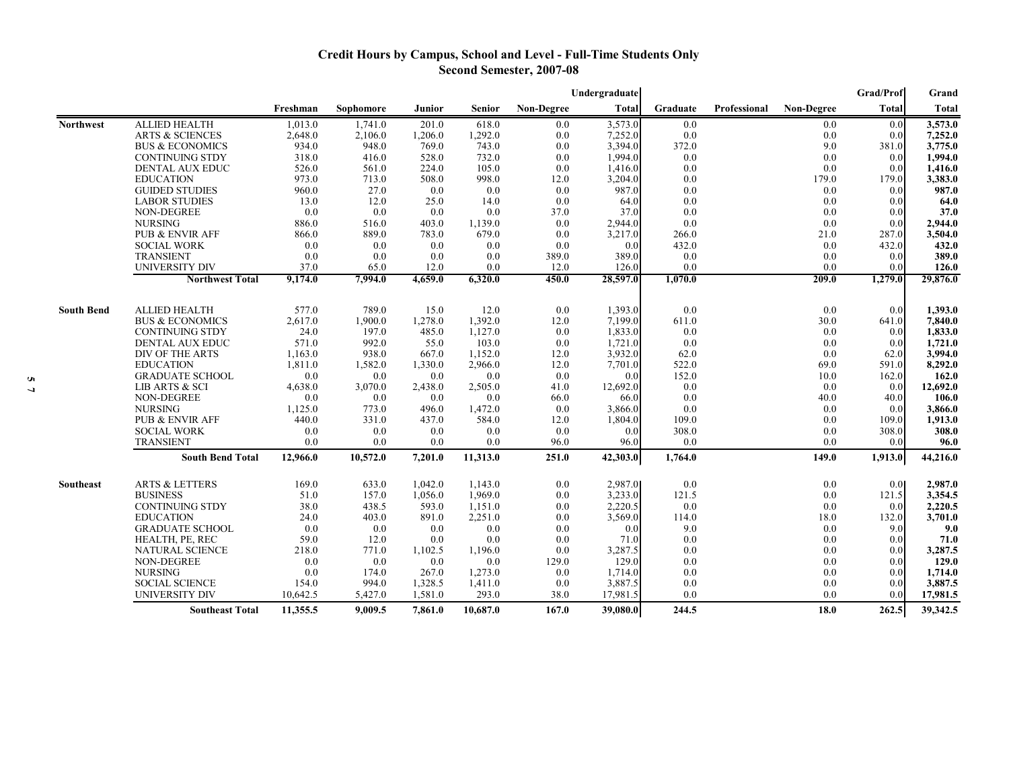# **Credit Hours by Campus, School and Level - Full-Time Students Only Second Semester, 2007-08**

|                   |                            |          |           |         |          |                   | Undergraduate |          |              |                   | Grad/Prof        | Grand        |
|-------------------|----------------------------|----------|-----------|---------|----------|-------------------|---------------|----------|--------------|-------------------|------------------|--------------|
|                   |                            | Freshman | Sophomore | Junior  | Senior   | <b>Non-Degree</b> | <b>Total</b>  | Graduate | Professional | <b>Non-Degree</b> | Total            | <b>Total</b> |
| <b>Northwest</b>  | <b>ALLIED HEALTH</b>       | 1.013.0  | 1.741.0   | 201.0   | 618.0    | 0.0               | 3,573.0       | 0.0      |              | 0.0               | 0.0              | 3,573.0      |
|                   | <b>ARTS &amp; SCIENCES</b> | 2,648.0  | 2,106.0   | 1,206.0 | 1,292.0  | 0.0               | 7,252.0       | 0.0      |              | 0.0               | 0.0              | 7,252.0      |
|                   | <b>BUS &amp; ECONOMICS</b> | 934.0    | 948.0     | 769.0   | 743.0    | 0.0               | 3,394.0       | 372.0    |              | 9.0               | 381.0            | 3,775.0      |
|                   | <b>CONTINUING STDY</b>     | 318.0    | 416.0     | 528.0   | 732.0    | 0.0               | 1,994.0       | 0.0      |              | 0.0               | 0.0              | 1,994.0      |
|                   | <b>DENTAL AUX EDUC</b>     | 526.0    | 561.0     | 224.0   | 105.0    | 0.0               | 1,416.0       | 0.0      |              | 0.0               | 0.0              | 1,416.0      |
|                   | <b>EDUCATION</b>           | 973.0    | 713.0     | 508.0   | 998.0    | 12.0              | 3,204.0       | 0.0      |              | 179.0             | 179.0            | 3,383.0      |
|                   | <b>GUIDED STUDIES</b>      | 960.0    | 27.0      | 0.0     | 0.0      | 0.0               | 987.0         | 0.0      |              | 0.0               | 0.0              | 987.0        |
|                   | <b>LABOR STUDIES</b>       | 13.0     | 12.0      | 25.0    | 14.0     | 0.0               | 64.0          | 0.0      |              | 0.0               | 0.0              | 64.0         |
|                   | <b>NON-DEGREE</b>          | 0.0      | 0.0       | 0.0     | 0.0      | 37.0              | 37.0          | 0.0      |              | 0.0               | 0.0              | 37.0         |
|                   | <b>NURSING</b>             | 886.0    | 516.0     | 403.0   | 1,139.0  | 0.0               | 2,944.0       | 0.0      |              | 0.0               | 0.0              | 2,944.0      |
|                   | PUB & ENVIR AFF            | 866.0    | 889.0     | 783.0   | 679.0    | 0.0               | 3,217.0       | 266.0    |              | 21.0              | 287.0            | 3,504.0      |
|                   | <b>SOCIAL WORK</b>         | 0.0      | 0.0       | 0.0     | 0.0      | 0.0               | 0.0           | 432.0    |              | 0.0               | 432.0            | 432.0        |
|                   | <b>TRANSIENT</b>           | 0.0      | 0.0       | 0.0     | 0.0      | 389.0             | 389.0         | 0.0      |              | 0.0               | 0.0              | 389.0        |
|                   | UNIVERSITY DIV             | 37.0     | 65.0      | 12.0    | 0.0      | 12.0              | 126.0         | 0.0      |              | 0.0               | 0.0              | 126.0        |
|                   | <b>Northwest Total</b>     | 9,174.0  | 7,994.0   | 4,659.0 | 6,320.0  | 450.0             | 28,597.0      | 1,070.0  |              | 209.0             | 1,279.0          | 29,876.0     |
|                   |                            |          |           |         |          |                   |               |          |              |                   |                  |              |
| <b>South Bend</b> | <b>ALLIED HEALTH</b>       | 577.0    | 789.0     | 15.0    | 12.0     | 0.0               | 1,393.0       | 0.0      |              | 0.0               | 0.0              | 1,393.0      |
|                   | <b>BUS &amp; ECONOMICS</b> | 2,617.0  | 1,900.0   | 1,278.0 | 1,392.0  | 12.0              | 7,199.0       | 611.0    |              | 30.0              | 641.0            | 7,840.0      |
|                   | <b>CONTINUING STDY</b>     | 24.0     | 197.0     | 485.0   | 1,127.0  | 0.0               | 1,833.0       | 0.0      |              | 0.0               | 0.0              | 1,833.0      |
|                   | DENTAL AUX EDUC            | 571.0    | 992.0     | 55.0    | 103.0    | 0.0               | 1,721.0       | 0.0      |              | 0.0               | 0.0              | 1,721.0      |
|                   | DIV OF THE ARTS            | 1,163.0  | 938.0     | 667.0   | 1,152.0  | 12.0              | 3,932.0       | 62.0     |              | 0.0               | 62.0             | 3,994.0      |
|                   | <b>EDUCATION</b>           | 1,811.0  | 1,582.0   | 1,330.0 | 2,966.0  | 12.0              | 7,701.0       | 522.0    |              | 69.0              | 591.0            | 8,292.0      |
|                   | <b>GRADUATE SCHOOL</b>     | 0.0      | 0.0       | 0.0     | 0.0      | 0.0               | 0.0           | 152.0    |              | 10.0              | 162.0            | 162.0        |
|                   | LIB ARTS & SCI             | 4,638.0  | 3,070.0   | 2,438.0 | 2,505.0  | 41.0              | 12,692.0      | 0.0      |              | 0.0               | 0.0              | 12,692.0     |
|                   | NON-DEGREE                 | 0.0      | 0.0       | 0.0     | 0.0      | 66.0              | 66.0          | 0.0      |              | 40.0              | 40.0             | 106.0        |
|                   | <b>NURSING</b>             | 1,125.0  | 773.0     | 496.0   | 1,472.0  | 0.0               | 3,866.0       | 0.0      |              | 0.0               | 0.0              | 3,866.0      |
|                   | PUB & ENVIR AFF            | 440.0    | 331.0     | 437.0   | 584.0    | 12.0              | 1,804.0       | 109.0    |              | 0.0               | 109.0            | 1,913.0      |
|                   | <b>SOCIAL WORK</b>         | 0.0      | 0.0       | 0.0     | 0.0      | 0.0               | 0.0           | 308.0    |              | 0.0               | 308.0            | 308.0        |
|                   | <b>TRANSIENT</b>           | 0.0      | 0.0       | 0.0     | 0.0      | 96.0              | 96.0          | 0.0      |              | 0.0               | 0.0              | 96.0         |
|                   | <b>South Bend Total</b>    | 12,966.0 | 10,572.0  | 7,201.0 | 11,313.0 | 251.0             | 42,303.0      | 1,764.0  |              | 149.0             | 1,913.0          | 44,216.0     |
| Southeast         | <b>ARTS &amp; LETTERS</b>  | 169.0    | 633.0     | 1,042.0 | 1,143.0  | 0.0               | 2,987.0       | 0.0      |              | 0.0               | 0.0 <sub>l</sub> | 2,987.0      |
|                   | <b>BUSINESS</b>            | 51.0     | 157.0     | 1,056.0 | 1,969.0  | 0.0               | 3,233.0       | 121.5    |              | 0.0               | 121.5            | 3,354.5      |
|                   | <b>CONTINUING STDY</b>     | 38.0     | 438.5     | 593.0   | 1,151.0  | 0.0               | 2,220.5       | 0.0      |              | 0.0               | 0.0              | 2,220.5      |
|                   | <b>EDUCATION</b>           | 24.0     | 403.0     | 891.0   | 2,251.0  | 0.0               | 3,569.0       | 114.0    |              | 18.0              | 132.0            | 3,701.0      |
|                   | <b>GRADUATE SCHOOL</b>     | 0.0      | 0.0       | 0.0     | 0.0      | 0.0               | 0.0           | 9.0      |              | 0.0               | 9.0              | 9.0          |
|                   | HEALTH, PE, REC            | 59.0     | 12.0      | 0.0     | 0.0      | 0.0               | 71.0          | 0.0      |              | 0.0               | 0.0              | 71.0         |
|                   | <b>NATURAL SCIENCE</b>     | 218.0    | 771.0     | 1,102.5 | 1,196.0  | 0.0               | 3,287.5       | 0.0      |              | 0.0               | 0.0              | 3,287.5      |
|                   | NON-DEGREE                 | 0.0      | 0.0       | 0.0     | 0.0      | 129.0             | 129.0         | 0.0      |              | 0.0               | 0.0              | 129.0        |
|                   | <b>NURSING</b>             | 0.0      | 174.0     | 267.0   | 1,273.0  | 0.0               | 1,714.0       | 0.0      |              | 0.0               | 0.0              | 1,714.0      |
|                   | <b>SOCIAL SCIENCE</b>      | 154.0    | 994.0     | 1,328.5 | 1,411.0  | 0.0               | 3,887.5       | 0.0      |              | 0.0               | 0.0              | 3,887.5      |
|                   | UNIVERSITY DIV             | 10,642.5 | 5,427.0   | 1,581.0 | 293.0    | 38.0              | 17,981.5      | 0.0      |              | 0.0               | 0.0              | 17,981.5     |
|                   | <b>Southeast Total</b>     | 11,355.5 | 9,009.5   | 7,861.0 | 10,687.0 | 167.0             | 39,080.0      | 244.5    |              | 18.0              | 262.5            | 39,342.5     |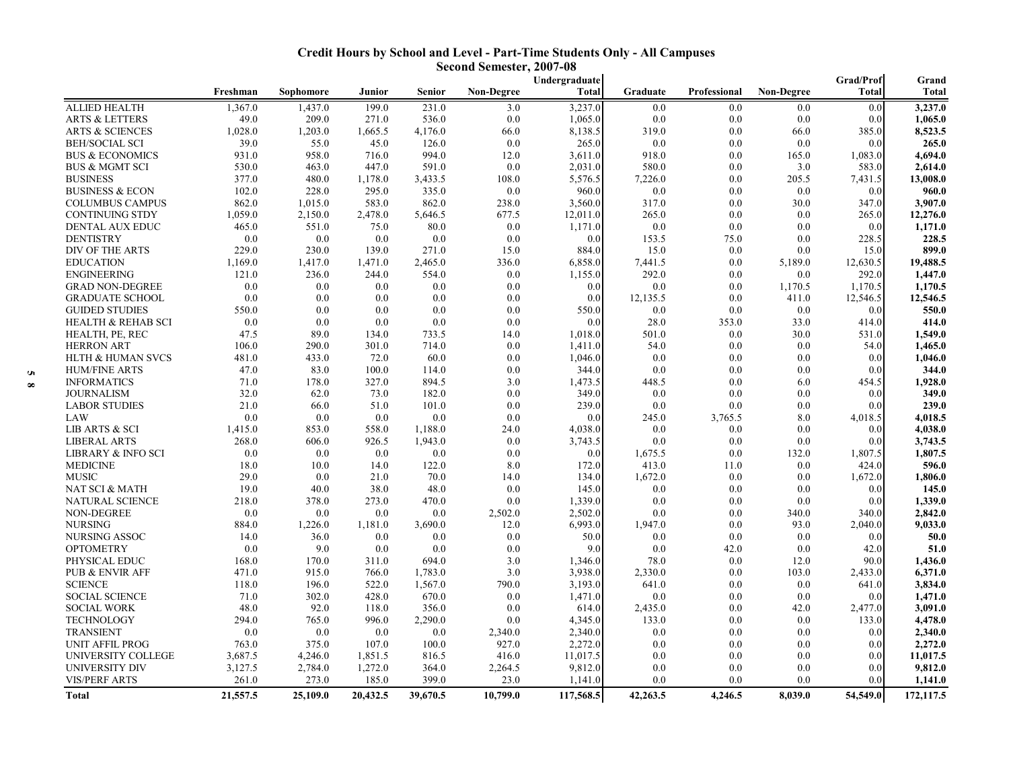| <b>Credit Hours by School and Level - Part-Time Students Only - All Campuses</b> |
|----------------------------------------------------------------------------------|
| Second Semester, 2007-08                                                         |

|                               |          |           |          |               |                   | Undergraduate |          |              |                   | <b>Grad/Prof</b> | Grand        |
|-------------------------------|----------|-----------|----------|---------------|-------------------|---------------|----------|--------------|-------------------|------------------|--------------|
|                               | Freshman | Sophomore | Junior   | <b>Senior</b> | <b>Non-Degree</b> | Total         | Graduate | Professional | <b>Non-Degree</b> | Total            | <b>Total</b> |
| <b>ALLIED HEALTH</b>          | 1,367.0  | 1,437.0   | 199.0    | 231.0         | 3.0               | 3,237.0       | 0.0      | 0.0          | 0.0               | 0.0              | 3,237.0      |
| <b>ARTS &amp; LETTERS</b>     | 49.0     | 209.0     | 271.0    | 536.0         | 0.0               | 1,065.0       | 0.0      | 0.0          | 0.0               | 0.0              | 1,065.0      |
| <b>ARTS &amp; SCIENCES</b>    | 1,028.0  | 1,203.0   | 1,665.5  | 4,176.0       | 66.0              | 8,138.5       | 319.0    | 0.0          | 66.0              | 385.0            | 8,523.5      |
| <b>BEH/SOCIAL SCI</b>         | 39.0     | 55.0      | 45.0     | 126.0         | 0.0               | 265.0         | 0.0      | 0.0          | 0.0               | 0.0              | 265.0        |
| <b>BUS &amp; ECONOMICS</b>    | 931.0    | 958.0     | 716.0    | 994.0         | 12.0              | 3,611.0       | 918.0    | 0.0          | 165.0             | 1,083.0          | 4,694.0      |
| <b>BUS &amp; MGMT SCI</b>     | 530.0    | 463.0     | 447.0    | 591.0         | 0.0               | 2,031.0       | 580.0    | 0.0          | 3.0               | 583.0            | 2,614.0      |
| <b>BUSINESS</b>               | 377.0    | 480.0     | 1,178.0  | 3,433.5       | 108.0             | 5,576.5       | 7,226.0  | 0.0          | 205.5             | 7,431.5          | 13,008.0     |
| <b>BUSINESS &amp; ECON</b>    | 102.0    | 228.0     | 295.0    | 335.0         | 0.0               | 960.0         | 0.0      | 0.0          | 0.0               | 0.0              | 960.0        |
| <b>COLUMBUS CAMPUS</b>        | 862.0    | 1,015.0   | 583.0    | 862.0         | 238.0             | 3,560.0       | 317.0    | 0.0          | 30.0              | 347.0            | 3,907.0      |
| <b>CONTINUING STDY</b>        | 1,059.0  | 2,150.0   | 2,478.0  | 5,646.5       | 677.5             | 12,011.0      | 265.0    | 0.0          | 0.0               | 265.0            | 12,276.0     |
| DENTAL AUX EDUC               | 465.0    | 551.0     | 75.0     | 80.0          | 0.0               | 1,171.0       | 0.0      | 0.0          | 0.0               | 0.0              | 1,171.0      |
| <b>DENTISTRY</b>              | 0.0      | 0.0       | 0.0      | 0.0           | 0.0               | 0.0           | 153.5    | 75.0         | 0.0               | 228.5            | 228.5        |
| DIV OF THE ARTS               | 229.0    | 230.0     | 139.0    | 271.0         | 15.0              | 884.0         | 15.0     | 0.0          | 0.0               | 15.0             | 899.0        |
| <b>EDUCATION</b>              | 1,169.0  | 1,417.0   | 1,471.0  | 2,465.0       | 336.0             | 6,858.0       | 7,441.5  | 0.0          | 5,189.0           | 12,630.5         | 19,488.5     |
| <b>ENGINEERING</b>            | 121.0    | 236.0     | 244.0    | 554.0         | 0.0               | 1,155.0       | 292.0    | 0.0          | 0.0               | 292.0            | 1,447.0      |
| <b>GRAD NON-DEGREE</b>        | 0.0      | 0.0       | 0.0      | 0.0           | 0.0               | 0.0           | 0.0      | 0.0          | 1,170.5           | 1,170.5          | 1,170.5      |
| <b>GRADUATE SCHOOL</b>        | 0.0      | 0.0       | $0.0\,$  | 0.0           | 0.0               | 0.0           | 12,135.5 | 0.0          | 411.0             | 12,546.5         | 12,546.5     |
| <b>GUIDED STUDIES</b>         | 550.0    | 0.0       | 0.0      | 0.0           | 0.0               | 550.0         | 0.0      | 0.0          | 0.0               | 0.0              | 550.0        |
| <b>HEALTH &amp; REHAB SCI</b> | 0.0      | 0.0       | 0.0      | 0.0           | 0.0               | 0.0           | 28.0     | 353.0        | 33.0              | 414.0            | 414.0        |
| HEALTH, PE, REC               | 47.5     | 89.0      | 134.0    | 733.5         | 14.0              | 1,018.0       | 501.0    | 0.0          | 30.0              | 531.0            | 1,549.0      |
| <b>HERRON ART</b>             | 106.0    | 290.0     | 301.0    | 714.0         | 0.0               | 1,411.0       | 54.0     | 0.0          | 0.0               | 54.0             | 1,465.0      |
| <b>HLTH &amp; HUMAN SVCS</b>  | 481.0    | 433.0     | 72.0     | 60.0          | 0.0               | 1,046.0       | 0.0      | 0.0          | 0.0               | 0.0              | 1,046.0      |
| <b>HUM/FINE ARTS</b>          | 47.0     | 83.0      | 100.0    | 114.0         | 0.0               | 344.0         | 0.0      | 0.0          | 0.0               | 0.0              | 344.0        |
| <b>INFORMATICS</b>            | 71.0     | 178.0     | 327.0    | 894.5         | 3.0               | 1,473.5       | 448.5    | 0.0          | 6.0               | 454.5            | 1,928.0      |
| <b>JOURNALISM</b>             | 32.0     | 62.0      | 73.0     | 182.0         | 0.0               | 349.0         | 0.0      | 0.0          | 0.0               | 0.0              | 349.0        |
| <b>LABOR STUDIES</b>          | 21.0     | 66.0      | 51.0     | 101.0         | 0.0               | 239.0         | 0.0      | 0.0          | 0.0               | 0.0              | 239.0        |
| LAW                           | 0.0      | 0.0       | 0.0      | 0.0           | 0.0               | 0.0           | 245.0    | 3,765.5      | 8.0               | 4,018.5          | 4,018.5      |
| LIB ARTS & SCI                | 1,415.0  | 853.0     | 558.0    | 1,188.0       | 24.0              | 4,038.0       | 0.0      | 0.0          | 0.0               | 0.0              | 4,038.0      |
| <b>LIBERAL ARTS</b>           | 268.0    | 606.0     | 926.5    | 1,943.0       | 0.0               | 3,743.5       | 0.0      | 0.0          | 0.0               | 0.0              | 3,743.5      |
| LIBRARY & INFO SCI            | 0.0      | 0.0       | $0.0\,$  | 0.0           | 0.0               | 0.0           | 1,675.5  | 0.0          | 132.0             | 1,807.5          | 1,807.5      |
| <b>MEDICINE</b>               | 18.0     | 10.0      | 14.0     | 122.0         | 8.0               | 172.0         | 413.0    | 11.0         | 0.0               | 424.0            | 596.0        |
| <b>MUSIC</b>                  | 29.0     | 0.0       | 21.0     | 70.0          | 14.0              | 134.0         | 1,672.0  | 0.0          | 0.0               | 1,672.0          | 1,806.0      |
| NAT SCI & MATH                | 19.0     | 40.0      | 38.0     | 48.0          | 0.0               | 145.0         | 0.0      | 0.0          | 0.0               | 0.0              | 145.0        |
| NATURAL SCIENCE               | 218.0    | 378.0     | 273.0    | 470.0         | 0.0               | 1,339.0       | 0.0      | 0.0          | 0.0               | 0.0              | 1,339.0      |
| NON-DEGREE                    | 0.0      | 0.0       | 0.0      | 0.0           | 2,502.0           | 2,502.0       | 0.0      | 0.0          | 340.0             | 340.0            | 2,842.0      |
| <b>NURSING</b>                | 884.0    | 1,226.0   | 1,181.0  | 3,690.0       | 12.0              | 6,993.0       | 1,947.0  | 0.0          | 93.0              | 2,040.0          | 9,033.0      |
| NURSING ASSOC                 | 14.0     | 36.0      | $0.0\,$  | 0.0           | 0.0               | 50.0          | 0.0      | 0.0          | 0.0               | 0.0              | 50.0         |
| <b>OPTOMETRY</b>              | 0.0      | 9.0       | 0.0      | 0.0           | 0.0               | 9.0           | 0.0      | 42.0         | 0.0               | 42.0             | 51.0         |
| PHYSICAL EDUC                 | 168.0    | 170.0     | 311.0    | 694.0         | 3.0               | 1,346.0       | 78.0     | 0.0          | 12.0              | 90.0             | 1,436.0      |
| PUB & ENVIR AFF               | 471.0    | 915.0     | 766.0    | 1,783.0       | 3.0               | 3,938.0       | 2,330.0  | 0.0          | 103.0             | 2,433.0          | 6,371.0      |
| <b>SCIENCE</b>                | 118.0    | 196.0     | 522.0    | 1,567.0       | 790.0             | 3,193.0       | 641.0    | 0.0          | 0.0               | 641.0            | 3,834.0      |
| <b>SOCIAL SCIENCE</b>         | 71.0     | 302.0     | 428.0    | 670.0         | 0.0               | 1,471.0       | 0.0      | 0.0          | 0.0               | 0.0              | 1,471.0      |
| <b>SOCIAL WORK</b>            | 48.0     | 92.0      | 118.0    | 356.0         | 0.0               | 614.0         | 2,435.0  | 0.0          | 42.0              | 2,477.0          | 3,091.0      |
| <b>TECHNOLOGY</b>             | 294.0    | 765.0     | 996.0    | 2,290.0       | 0.0               | 4,345.0       | 133.0    | 0.0          | 0.0               | 133.0            | 4,478.0      |
| <b>TRANSIENT</b>              | 0.0      | 0.0       | 0.0      | 0.0           | 2,340.0           | 2,340.0       | 0.0      | 0.0          | 0.0               | 0.0              | 2,340.0      |
| <b>UNIT AFFIL PROG</b>        | 763.0    | 375.0     | 107.0    | 100.0         | 927.0             | 2,272.0       | 0.0      | 0.0          | 0.0               | 0.0              | 2,272.0      |
| UNIVERSITY COLLEGE            | 3,687.5  | 4,246.0   | 1,851.5  | 816.5         | 416.0             | 11,017.5      | 0.0      | 0.0          | 0.0               | 0.0              | 11,017.5     |
| UNIVERSITY DIV                | 3,127.5  | 2,784.0   | 1,272.0  | 364.0         | 2,264.5           | 9,812.0       | 0.0      | 0.0          | 0.0               | 0.0              | 9,812.0      |
| <b>VIS/PERF ARTS</b>          | 261.0    | 273.0     | 185.0    | 399.0         | 23.0              | 1,141.0       | 0.0      | 0.0          | 0.0               | 0.0              | 1,141.0      |
| Total                         | 21,557.5 | 25,109.0  | 20,432.5 | 39,670.5      | 10,799.0          | 117,568.5     | 42,263.5 | 4,246.5      | 8,039.0           | 54,549.0         | 172,117.5    |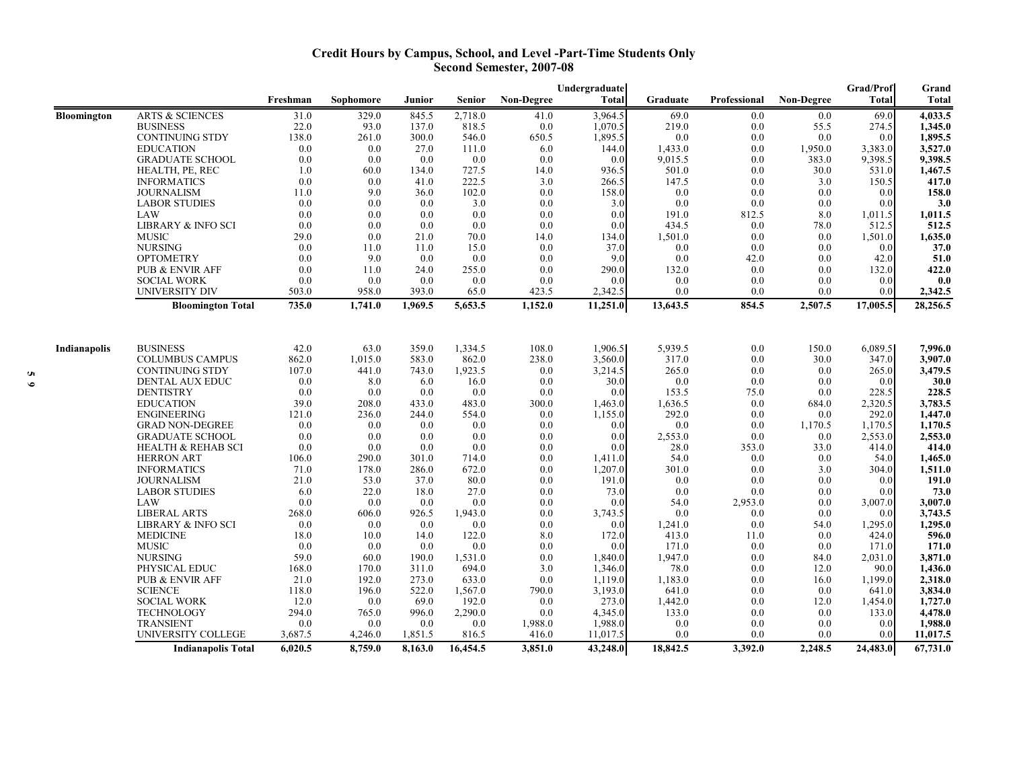## **Credit Hours by Campus, School, and Level -Part-Time Students Only Second Semester, 2007-08**

|                    |                                                    | Undergraduate |                      |                    |                   |                   |                      | Grad/Prof       |              |                   |                 | Grand                |
|--------------------|----------------------------------------------------|---------------|----------------------|--------------------|-------------------|-------------------|----------------------|-----------------|--------------|-------------------|-----------------|----------------------|
|                    |                                                    | Freshman      | Sophomore            | Junior             | Senior            | <b>Non-Degree</b> | <b>Total</b>         | Graduate        | Professional | <b>Non-Degree</b> | <b>Total</b>    | Total                |
| <b>Bloomington</b> | <b>ARTS &amp; SCIENCES</b>                         | 31.0          | 329.0                | 845.5              | 2,718.0           | 41.0              | 3,964.5              | 69.0            | 0.0          | 0.0               | 69.0            | 4,033.5              |
|                    | <b>BUSINESS</b>                                    | 22.0          | 93.0                 | 137.0              | 818.5             | 0.0               | 1,070.5              | 219.0           | 0.0          | 55.5              | 274.5           | 1,345.0              |
|                    | <b>CONTINUING STDY</b>                             | 138.0         | 261.0                | 300.0              | 546.0             | 650.5             | 1,895.5              | 0.0             | 0.0          | 0.0               | 0.0             | 1,895.5              |
|                    | <b>EDUCATION</b>                                   | 0.0           | 0.0                  | 27.0               | 111.0             | 6.0               | 144.0                | 1,433.0         | 0.0          | 1,950.0           | 3,383.0         | 3,527.0              |
|                    | <b>GRADUATE SCHOOL</b>                             | 0.0           | 0.0                  | 0.0                | 0.0               | 0.0               | 0.0                  | 9,015.5         | 0.0          | 383.0             | 9,398.5         | 9,398.5              |
|                    | HEALTH, PE, REC                                    | 1.0           | 60.0                 | 134.0              | 727.5             | 14.0              | 936.5                | 501.0           | 0.0          | 30.0              | 531.0           | 1,467.5              |
|                    | <b>INFORMATICS</b>                                 | 0.0           | 0.0                  | 41.0               | 222.5             | 3.0               | 266.5                | 147.5           | 0.0          | 3.0               | 150.5           | 417.0                |
|                    | <b>JOURNALISM</b>                                  | 11.0          | 9.0                  | 36.0               | 102.0             | 0.0               | 158.0                | 0.0             | 0.0          | 0.0               | 0.0             | 158.0                |
|                    | <b>LABOR STUDIES</b><br>LAW                        | 0.0<br>0.0    | 0.0<br>0.0           | $0.0\,$<br>0.0     | 3.0<br>0.0        | 0.0<br>0.0        | 3.0<br>0.0           | 0.0<br>191.0    | 0.0<br>812.5 | 0.0<br>8.0        | 0.0<br>1,011.5  | 3.0<br>1,011.5       |
|                    | LIBRARY & INFO SCI                                 | 0.0           | 0.0                  | 0.0                | 0.0               | 0.0               | 0.0                  | 434.5           | 0.0          | 78.0              | 512.5           | 512.5                |
|                    | <b>MUSIC</b>                                       | 29.0          | 0.0                  | 21.0               | 70.0              | 14.0              | 134.0                | 1,501.0         | 0.0          | 0.0               | 1,501.0         | 1,635.0              |
|                    | <b>NURSING</b>                                     | 0.0           | 11.0                 | 11.0               | 15.0              | 0.0               | 37.0                 | 0.0             | 0.0          | 0.0               | 0.0             | 37.0                 |
|                    | <b>OPTOMETRY</b>                                   | 0.0           | 9.0                  | 0.0                | 0.0               | 0.0               | 9.0                  | 0.0             | 42.0         | 0.0               | 42.0            | 51.0                 |
|                    | <b>PUB &amp; ENVIR AFF</b>                         | 0.0           | 11.0                 | 24.0               | 255.0             | 0.0               | 290.0                | 132.0           | 0.0          | 0.0               | 132.0           | 422.0                |
|                    | <b>SOCIAL WORK</b>                                 | 0.0           | 0.0                  | 0.0                | 0.0               | 0.0               | 0.0                  | 0.0             | 0.0          | 0.0               | 0.0             | 0.0                  |
|                    | <b>UNIVERSITY DIV</b>                              | 503.0         | 958.0                | 393.0              | 65.0              | 423.5             | 2,342.5              | 0.0             | 0.0          | 0.0               | 0.0             | 2,342.5              |
|                    | <b>Bloomington Total</b>                           | 735.0         | $\overline{1,}741.0$ | 1,969.5            | 5,653.5           | 1,152.0           | 11,251.0             | 13,643.5        | 854.5        | 2,507.5           | 17,005.5        | 28,256.5             |
|                    |                                                    |               |                      |                    |                   |                   |                      |                 |              |                   |                 |                      |
| Indianapolis       | <b>BUSINESS</b>                                    | 42.0          | 63.0                 | 359.0              | 1,334.5           | 108.0             | 1,906.5              | 5,939.5         | 0.0          | 150.0             | 6,089.5         | 7,996.0              |
|                    | <b>COLUMBUS CAMPUS</b>                             | 862.0         | 1,015.0              | 583.0              | 862.0             | 238.0             | 3,560.0              | 317.0           | 0.0          | 30.0              | 347.0           | 3,907.0              |
|                    | <b>CONTINUING STDY</b>                             | 107.0         | 441.0                | 743.0              | 1,923.5           | 0.0               | 3,214.5              | 265.0           | 0.0          | 0.0               | 265.0           | 3,479.5              |
|                    | DENTAL AUX EDUC                                    | 0.0           | 8.0                  | 6.0                | 16.0              | 0.0               | 30.0                 | 0.0             | 0.0          | 0.0               | 0.0             | 30.0                 |
|                    | <b>DENTISTRY</b>                                   | 0.0           | 0.0                  | 0.0                | 0.0               | 0.0               | 0.0                  | 153.5           | 75.0         | 0.0               | 228.5           | 228.5                |
|                    | <b>EDUCATION</b>                                   | 39.0          | 208.0                | 433.0              | 483.0             | 300.0             | 1,463.0              | 1,636.5         | 0.0          | 684.0             | 2,320.5         | 3,783.5              |
|                    | <b>ENGINEERING</b>                                 | 121.0         | 236.0                | 244.0              | 554.0             | 0.0               | 1,155.0              | 292.0           | 0.0          | 0.0               | 292.0           | 1,447.0              |
|                    | <b>GRAD NON-DEGREE</b>                             | 0.0           | 0.0                  | 0.0                | 0.0               | 0.0               | 0.0                  | 0.0             | 0.0          | 1,170.5           | 1,170.5         | 1,170.5              |
|                    | <b>GRADUATE SCHOOL</b>                             | 0.0           | 0.0                  | 0.0                | 0.0               | 0.0               | 0.0<br>0.0           | 2,553.0         | 0.0          | 0.0               | 2,553.0         | 2,553.0              |
|                    | <b>HEALTH &amp; REHAB SCI</b><br><b>HERRON ART</b> | 0.0<br>106.0  | 0.0<br>290.0         | 0.0<br>301.0       | 0.0<br>714.0      | 0.0<br>0.0        |                      | 28.0<br>54.0    | 353.0<br>0.0 | 33.0<br>0.0       | 414.0<br>54.0   | 414.0                |
|                    | <b>INFORMATICS</b>                                 | 71.0          | 178.0                | 286.0              | 672.0             | 0.0               | 1,411.0<br>1,207.0   | 301.0           | 0.0          | 3.0               | 304.0           | 1,465.0<br>1,511.0   |
|                    | <b>JOURNALISM</b>                                  | 21.0          | 53.0                 | 37.0               | 80.0              | 0.0               | 191.0                | 0.0             | 0.0          | 0.0               | 0.0             | 191.0                |
|                    | <b>LABOR STUDIES</b>                               | 6.0           | 22.0                 | 18.0               | 27.0              | 0.0               | 73.0                 | 0.0             | 0.0          | 0.0               | 0.0             | 73.0                 |
|                    | LAW                                                | 0.0           | 0.0                  | 0.0                | 0.0               | 0.0               | 0.0                  | 54.0            | 2,953.0      | 0.0               | 3,007.0         | 3,007.0              |
|                    | <b>LIBERAL ARTS</b>                                | 268.0         | 606.0                | 926.5              | 1,943.0           | 0.0               | 3,743.5              | 0.0             | 0.0          | 0.0               | 0.0             | 3,743.5              |
|                    | LIBRARY & INFO SCI                                 | 0.0           | 0.0                  | 0.0                | 0.0               | 0.0               | 0.0                  | 1,241.0         | 0.0          | 54.0              | 1,295.0         | 1,295.0              |
|                    | <b>MEDICINE</b>                                    | 18.0          | 10.0                 | 14.0               | 122.0             | 8.0               | 172.0                | 413.0           | 11.0         | 0.0               | 424.0           | 596.0                |
|                    | <b>MUSIC</b>                                       | 0.0           | 0.0                  | 0.0                | 0.0               | 0.0               | 0.0                  | 171.0           | 0.0          | 0.0               | 171.0           | 171.0                |
|                    | <b>NURSING</b>                                     | 59.0          | 60.0                 | 190.0              | 1,531.0           | 0.0               | 1,840.0              | 1,947.0         | 0.0          | 84.0              | 2,031.0         | 3,871.0              |
|                    | PHYSICAL EDUC                                      | 168.0         | 170.0                | 311.0              | 694.0             | 3.0               | 1,346.0              | 78.0            | 0.0          | 12.0              | 90.0            | 1,436.0              |
|                    | <b>PUB &amp; ENVIR AFF</b>                         | 21.0          | 192.0                | 273.0              | 633.0             | 0.0               | 1,119.0              | 1,183.0         | 0.0          | 16.0              | 1,199.0         | 2,318.0              |
|                    | <b>SCIENCE</b>                                     | 118.0         | 196.0                | 522.0              | 1,567.0           | 790.0             | 3,193.0              | 641.0           | 0.0          | 0.0               | 641.0           | 3,834.0              |
|                    | <b>SOCIAL WORK</b>                                 | 12.0          | 0.0                  | 69.0               | 192.0             | 0.0               | 273.0                | 1,442.0         | 0.0          | 12.0              | 1,454.0         | 1,727.0              |
|                    | TECHNOLOGY                                         | 294.0         | 765.0                | 996.0              | 2,290.0           | 0.0               | 4,345.0              | 133.0           | 0.0          | 0.0               | 133.0           | 4,478.0              |
|                    | <b>TRANSIENT</b>                                   | $0.0\,$       | 0.0                  | $0.0\,$            | 0.0               | 1,988.0           | 1,988.0              | 0.0             | 0.0<br>0.0   | 0.0               | 0.0             | 1,988.0              |
|                    | UNIVERSITY COLLEGE                                 | 3,687.5       | 4,246.0<br>8,759.0   | 1,851.5<br>8,163.0 | 816.5<br>16,454.5 | 416.0<br>3,851.0  | 11,017.5<br>43,248.0 | 0.0<br>18,842.5 | 3,392.0      | 0.0<br>2,248.5    | 0.0<br>24,483.0 | 11,017.5<br>67,731.0 |
|                    | <b>Indianapolis Total</b>                          | 6,020.5       |                      |                    |                   |                   |                      |                 |              |                   |                 |                      |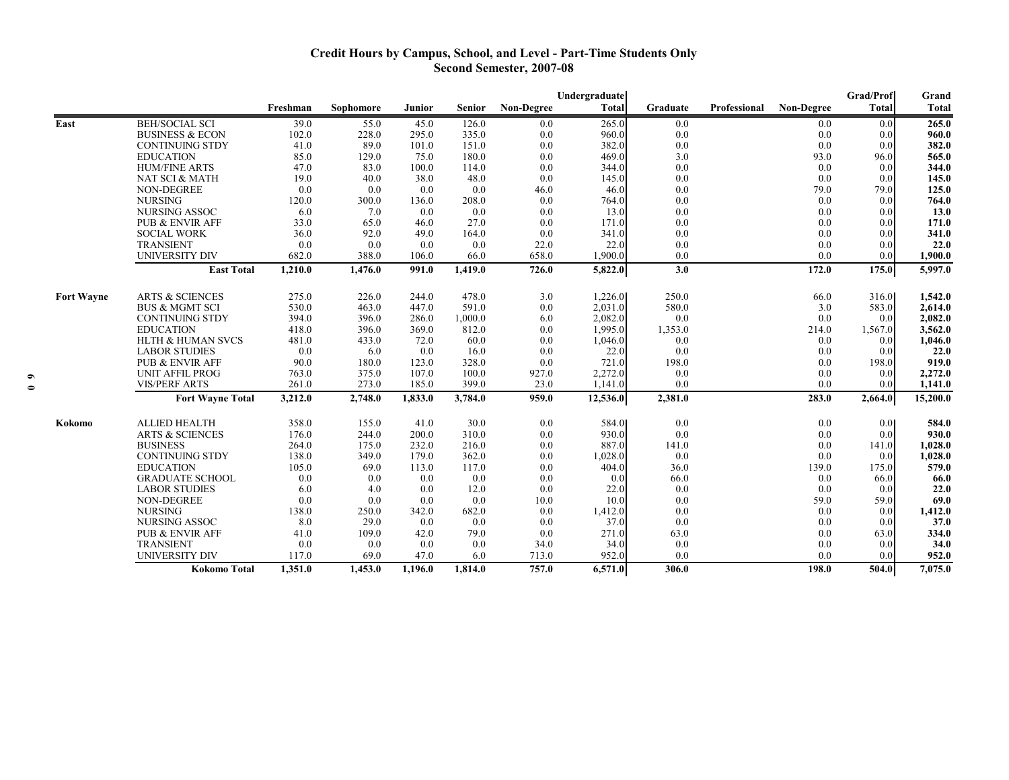# **Credit Hours by Campus, School, and Level - Part-Time Students Only Second Semester, 2007-08**

|                   |                              |          |           |         |         |                   | Undergraduate |          |              |            | Grad/Prof    | Grand        |
|-------------------|------------------------------|----------|-----------|---------|---------|-------------------|---------------|----------|--------------|------------|--------------|--------------|
|                   |                              | Freshman | Sophomore | Junior  | Senior  | <b>Non-Degree</b> | Total         | Graduate | Professional | Non-Degree | <b>Total</b> | <b>Total</b> |
| East              | <b>BEH/SOCIAL SCI</b>        | 39.0     | 55.0      | 45.0    | 126.0   | 0.0               | 265.0         | 0.0      |              | 0.0        | 0.0          | 265.0        |
|                   | <b>BUSINESS &amp; ECON</b>   | 102.0    | 228.0     | 295.0   | 335.0   | 0.0               | 960.0         | 0.0      |              | 0.0        | 0.0          | 960.0        |
|                   | <b>CONTINUING STDY</b>       | 41.0     | 89.0      | 101.0   | 151.0   | 0.0               | 382.0         | 0.0      |              | 0.0        | 0.0          | 382.0        |
|                   | <b>EDUCATION</b>             | 85.0     | 129.0     | 75.0    | 180.0   | 0.0               | 469.0         | 3.0      |              | 93.0       | 96.0         | 565.0        |
|                   | <b>HUM/FINE ARTS</b>         | 47.0     | 83.0      | 100.0   | 114.0   | 0.0               | 344.0         | 0.0      |              | 0.0        | 0.0          | 344.0        |
|                   | NAT SCI & MATH               | 19.0     | 40.0      | 38.0    | 48.0    | 0.0               | 145.0         | 0.0      |              | 0.0        | 0.0          | 145.0        |
|                   | <b>NON-DEGREE</b>            | 0.0      | 0.0       | 0.0     | 0.0     | 46.0              | 46.0          | 0.0      |              | 79.0       | 79.0         | 125.0        |
|                   | <b>NURSING</b>               | 120.0    | 300.0     | 136.0   | 208.0   | 0.0               | 764.0         | 0.0      |              | 0.0        | 0.0          | 764.0        |
|                   | NURSING ASSOC                | 6.0      | 7.0       | 0.0     | 0.0     | 0.0               | 13.0          | 0.0      |              | 0.0        | 0.0          | 13.0         |
|                   | <b>PUB &amp; ENVIR AFF</b>   | 33.0     | 65.0      | 46.0    | 27.0    | 0.0               | 171.0         | 0.0      |              | 0.0        | 0.0          | 171.0        |
|                   | <b>SOCIAL WORK</b>           | 36.0     | 92.0      | 49.0    | 164.0   | 0.0               | 341.0         | 0.0      |              | 0.0        | 0.0          | 341.0        |
|                   | <b>TRANSIENT</b>             | 0.0      | 0.0       | 0.0     | 0.0     | 22.0              | 22.0          | 0.0      |              | 0.0        | 0.0          | 22.0         |
|                   | <b>UNIVERSITY DIV</b>        | 682.0    | 388.0     | 106.0   | 66.0    | 658.0             | 1,900.0       | 0.0      |              | 0.0        | 0.0          | 1,900.0      |
|                   | <b>East Total</b>            | 1,210.0  | 1,476.0   | 991.0   | 1,419.0 | 726.0             | 5,822.0       | 3.0      |              | 172.0      | 175.0        | 5,997.0      |
| <b>Fort Wayne</b> | <b>ARTS &amp; SCIENCES</b>   | 275.0    | 226.0     | 244.0   | 478.0   | 3.0               | 1,226.0       | 250.0    |              | 66.0       | 316.0        | 1,542.0      |
|                   | <b>BUS &amp; MGMT SCI</b>    | 530.0    | 463.0     | 447.0   | 591.0   | 0.0               | 2,031.0       | 580.0    |              | 3.0        | 583.0        | 2,614.0      |
|                   | <b>CONTINUING STDY</b>       | 394.0    | 396.0     | 286.0   | 1,000.0 | 6.0               | 2,082.0       | 0.0      |              | 0.0        | 0.0          | 2,082.0      |
|                   | <b>EDUCATION</b>             | 418.0    | 396.0     | 369.0   | 812.0   | 0.0               | 1,995.0       | 1,353.0  |              | 214.0      | 1,567.0      | 3,562.0      |
|                   | <b>HLTH &amp; HUMAN SVCS</b> | 481.0    | 433.0     | 72.0    | 60.0    | 0.0               | 1,046.0       | 0.0      |              | 0.0        | 0.0          | 1,046.0      |
|                   | <b>LABOR STUDIES</b>         | 0.0      | 6.0       | 0.0     | 16.0    | 0.0               | 22.0          | 0.0      |              | 0.0        | 0.0          | 22.0         |
|                   | <b>PUB &amp; ENVIR AFF</b>   | 90.0     | 180.0     | 123.0   | 328.0   | 0.0               | 721.0         | 198.0    |              | 0.0        | 198.0        | 919.0        |
|                   | <b>UNIT AFFIL PROG</b>       | 763.0    | 375.0     | 107.0   | 100.0   | 927.0             | 2,272.0       | 0.0      |              | 0.0        | 0.0          | 2,272.0      |
|                   | <b>VIS/PERF ARTS</b>         | 261.0    | 273.0     | 185.0   | 399.0   | 23.0              | 1,141.0       | 0.0      |              | 0.0        | 0.0          | 1,141.0      |
|                   | <b>Fort Wayne Total</b>      |          | 2,748.0   | 1,833.0 | 3,784.0 | 959.0             |               |          |              | 283.0      | 2,664.0      |              |
|                   |                              | 3,212.0  |           |         |         |                   | 12,536.0      | 2,381.0  |              |            |              | 15,200.0     |
| Kokomo            | <b>ALLIED HEALTH</b>         | 358.0    | 155.0     | 41.0    | 30.0    | 0.0               | 584.0         | 0.0      |              | 0.0        | 0.0          | 584.0        |
|                   | <b>ARTS &amp; SCIENCES</b>   | 176.0    | 244.0     | 200.0   | 310.0   | 0.0               | 930.0         | 0.0      |              | 0.0        | 0.0          | 930.0        |
|                   | <b>BUSINESS</b>              | 264.0    | 175.0     | 232.0   | 216.0   | 0.0               | 887.0         | 141.0    |              | 0.0        | 141.0        | 1,028.0      |
|                   | <b>CONTINUING STDY</b>       | 138.0    | 349.0     | 179.0   | 362.0   | 0.0               | 1,028.0       | 0.0      |              | 0.0        | 0.0          | 1,028.0      |
|                   | <b>EDUCATION</b>             | 105.0    | 69.0      | 113.0   | 117.0   | 0.0               | 404.0         | 36.0     |              | 139.0      | 175.0        | 579.0        |
|                   | <b>GRADUATE SCHOOL</b>       | 0.0      | 0.0       | 0.0     | 0.0     | 0.0               | 0.0           | 66.0     |              | 0.0        | 66.0         | 66.0         |
|                   | <b>LABOR STUDIES</b>         | 6.0      | 4.0       | 0.0     | 12.0    | 0.0               | 22.0          | 0.0      |              | 0.0        | 0.0          | 22.0         |
|                   | <b>NON-DEGREE</b>            | 0.0      | 0.0       | 0.0     | 0.0     | 10.0              | 10.0          | 0.0      |              | 59.0       | 59.0         | 69.0         |
|                   | <b>NURSING</b>               | 138.0    | 250.0     | 342.0   | 682.0   | 0.0               | 1,412.0       | 0.0      |              | 0.0        | 0.0          | 1,412.0      |
|                   | NURSING ASSOC                | 8.0      | 29.0      | 0.0     | 0.0     | 0.0               | 37.0          | 0.0      |              | 0.0        | 0.0          | 37.0         |
|                   | PUB & ENVIR AFF              | 41.0     | 109.0     | 42.0    | 79.0    | 0.0               | 271.0         | 63.0     |              | 0.0        | 63.0         | 334.0        |
|                   | <b>TRANSIENT</b>             | 0.0      | 0.0       | 0.0     | 0.0     | 34.0              | 34.0          | 0.0      |              | 0.0        | 0.0          | 34.0         |
|                   | <b>UNIVERSITY DIV</b>        | 117.0    | 69.0      | 47.0    | 6.0     | 713.0             | 952.0         | 0.0      |              | (0.0)      | 0.0          | 952.0        |
|                   | Kokomo Total                 | 1,351.0  | 1,453.0   | 1,196.0 | 1,814.0 | 757.0             | 6,571.0       | 306.0    |              | 198.0      | 504.0        | 7,075.0      |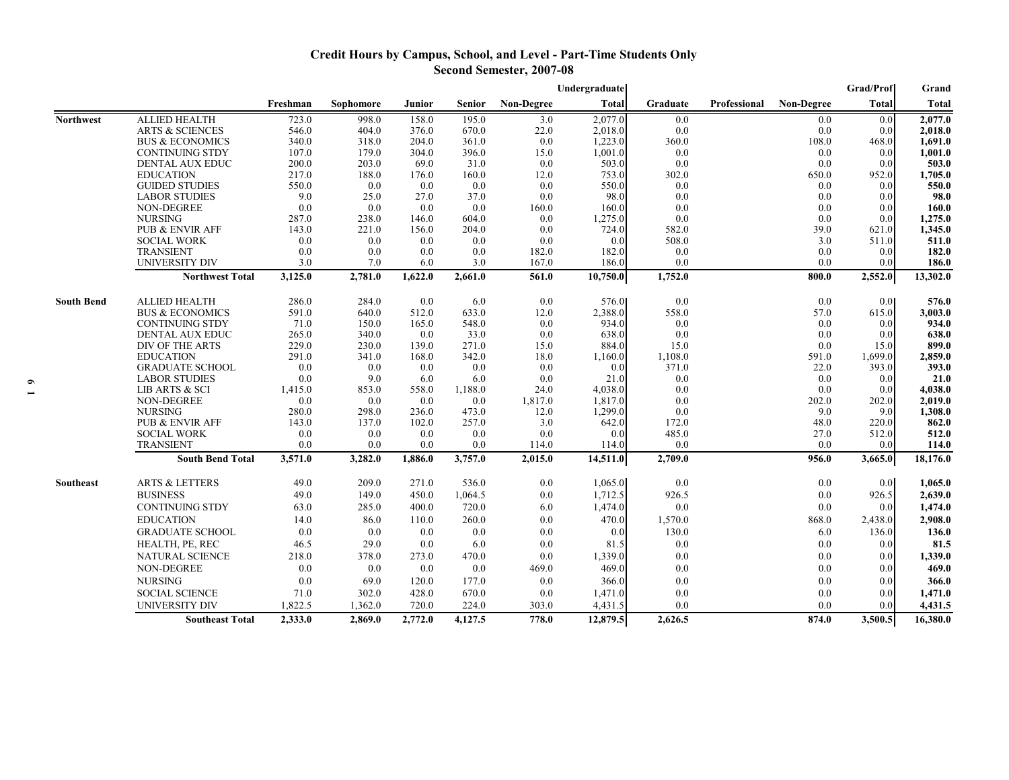# **Credit Hours by Campus, School, and Level - Part-Time Students Only Second Semester, 2007-08**

|                   |                            |          |           |         |         |                   | Undergraduate |          |              |            | Grad/Prof        | Grand        |
|-------------------|----------------------------|----------|-----------|---------|---------|-------------------|---------------|----------|--------------|------------|------------------|--------------|
|                   |                            | Freshman | Sophomore | Junior  | Senior  | <b>Non-Degree</b> | <b>Total</b>  | Graduate | Professional | Non-Degree | <b>Total</b>     | <b>Total</b> |
| <b>Northwest</b>  | <b>ALLIED HEALTH</b>       | 723.0    | 998.0     | 158.0   | 195.0   | 3.0               | 2,077.0       | 0.0      |              | 0.0        | 0.0              | 2,077.0      |
|                   | <b>ARTS &amp; SCIENCES</b> | 546.0    | 404.0     | 376.0   | 670.0   | 22.0              | 2,018.0       | 0.0      |              | 0.0        | 0.0              | 2,018.0      |
|                   | <b>BUS &amp; ECONOMICS</b> | 340.0    | 318.0     | 204.0   | 361.0   | 0.0               | 1,223.0       | 360.0    |              | 108.0      | 468.0            | 1,691.0      |
|                   | <b>CONTINUING STDY</b>     | 107.0    | 179.0     | 304.0   | 396.0   | 15.0              | 1,001.0       | 0.0      |              | 0.0        | 0.0              | 1,001.0      |
|                   | DENTAL AUX EDUC            | 200.0    | 203.0     | 69.0    | 31.0    | 0.0               | 503.0         | 0.0      |              | 0.0        | 0.0              | 503.0        |
|                   | <b>EDUCATION</b>           | 217.0    | 188.0     | 176.0   | 160.0   | 12.0              | 753.0         | 302.0    |              | 650.0      | 952.0            | 1,705.0      |
|                   | <b>GUIDED STUDIES</b>      | 550.0    | 0.0       | 0.0     | 0.0     | 0.0               | 550.0         | 0.0      |              | 0.0        | 0.0              | 550.0        |
|                   | <b>LABOR STUDIES</b>       | 9.0      | 25.0      | 27.0    | 37.0    | 0.0               | 98.0          | 0.0      |              | 0.0        | 0.0              | 98.0         |
|                   | NON-DEGREE                 | 0.0      | 0.0       | 0.0     | 0.0     | 160.0             | 160.0         | 0.0      |              | 0.0        | 0.0              | 160.0        |
|                   | <b>NURSING</b>             | 287.0    | 238.0     | 146.0   | 604.0   | 0.0               | 1,275.0       | 0.0      |              | 0.0        | 0.0              | 1,275.0      |
|                   | PUB & ENVIR AFF            | 143.0    | 221.0     | 156.0   | 204.0   | 0.0               | 724.0         | 582.0    |              | 39.0       | 621.0            | 1,345.0      |
|                   | <b>SOCIAL WORK</b>         | 0.0      | 0.0       | 0.0     | 0.0     | 0.0               | 0.0           | 508.0    |              | 3.0        | 511.0            | 511.0        |
|                   | <b>TRANSIENT</b>           | 0.0      | 0.0       | 0.0     | 0.0     | 182.0             | 182.0         | 0.0      |              | 0.0        | 0.0              | 182.0        |
|                   | <b>UNIVERSITY DIV</b>      | 3.0      | 7.0       | 6.0     | 3.0     | 167.0             | 186.0         | 0.0      |              | 0.0        | 0.0              | 186.0        |
|                   | <b>Northwest Total</b>     | 3,125.0  | 2,781.0   | 1,622.0 | 2,661.0 | 561.0             | 10,750.0      | 1,752.0  |              | 800.0      | 2,552.0          | 13,302.0     |
| <b>South Bend</b> | <b>ALLIED HEALTH</b>       | 286.0    | 284.0     | 0.0     | 6.0     | $0.0\,$           | 576.0         | 0.0      |              | 0.0        | 0.0 <sub>l</sub> | 576.0        |
|                   | <b>BUS &amp; ECONOMICS</b> | 591.0    | 640.0     | 512.0   | 633.0   | 12.0              | 2,388.0       | 558.0    |              | 57.0       | 615.0            | 3,003.0      |
|                   | <b>CONTINUING STDY</b>     | 71.0     | 150.0     | 165.0   | 548.0   | 0.0               | 934.0         | 0.0      |              | 0.0        | 0.0              | 934.0        |
|                   | <b>DENTAL AUX EDUC</b>     | 265.0    | 340.0     | 0.0     | 33.0    | 0.0               | 638.0         | 0.0      |              | 0.0        | 0.0              | 638.0        |
|                   | DIV OF THE ARTS            | 229.0    | 230.0     | 139.0   | 271.0   | 15.0              | 884.0         | 15.0     |              | 0.0        | 15.0             | 899.0        |
|                   | <b>EDUCATION</b>           | 291.0    | 341.0     | 168.0   | 342.0   | 18.0              | 1,160.0       | 1,108.0  |              | 591.0      | 1,699.0          | 2,859.0      |
|                   | <b>GRADUATE SCHOOL</b>     | 0.0      | 0.0       | 0.0     | 0.0     | 0.0               | 0.0           | 371.0    |              | 22.0       | 393.0            | 393.0        |
|                   | <b>LABOR STUDIES</b>       | 0.0      | 9.0       | 6.0     | 6.0     | 0.0               | 21.0          | 0.0      |              | 0.0        | 0.0              | 21.0         |
|                   | LIB ARTS & SCI             | 1,415.0  | 853.0     | 558.0   | 1,188.0 | 24.0              | 4,038.0       | 0.0      |              | 0.0        | 0.0              | 4,038.0      |
|                   | NON-DEGREE                 | 0.0      | 0.0       | 0.0     | 0.0     | 1,817.0           | 1,817.0       | 0.0      |              | 202.0      | 202.0            | 2,019.0      |
|                   | <b>NURSING</b>             | 280.0    | 298.0     | 236.0   | 473.0   | 12.0              | 1,299.0       | 0.0      |              | 9.0        | 9.0              | 1,308.0      |
|                   | <b>PUB &amp; ENVIR AFF</b> | 143.0    | 137.0     | 102.0   | 257.0   | 3.0               | 642.0         | 172.0    |              | 48.0       | 220.0            | 862.0        |
|                   | <b>SOCIAL WORK</b>         | 0.0      | 0.0       | 0.0     | 0.0     | 0.0               | 0.0           | 485.0    |              | 27.0       | 512.0            | 512.0        |
|                   | <b>TRANSIENT</b>           | 0.0      | 0.0       | 0.0     | 0.0     | 114.0             | 114.0         | 0.0      |              | 0.0        | 0.0              | 114.0        |
|                   | <b>South Bend Total</b>    | 3,571.0  | 3,282.0   | 1,886.0 | 3,757.0 | 2,015.0           | 14,511.0      | 2,709.0  |              | 956.0      | 3,665.0          | 18,176.0     |
| Southeast         | <b>ARTS &amp; LETTERS</b>  | 49.0     | 209.0     | 271.0   | 536.0   | 0.0               | 1,065.0       | 0.0      |              | 0.0        | 0.0              | 1,065.0      |
|                   | <b>BUSINESS</b>            | 49.0     | 149.0     | 450.0   | 1,064.5 | 0.0               | 1,712.5       | 926.5    |              | 0.0        | 926.5            | 2,639.0      |
|                   | <b>CONTINUING STDY</b>     | 63.0     | 285.0     | 400.0   | 720.0   | 6.0               | 1,474.0       | 0.0      |              | 0.0        | 0.0              | 1,474.0      |
|                   | <b>EDUCATION</b>           | 14.0     | 86.0      | 110.0   | 260.0   | 0.0               | 470.0         | 1,570.0  |              | 868.0      | 2,438.0          | 2,908.0      |
|                   | <b>GRADUATE SCHOOL</b>     | 0.0      | 0.0       | 0.0     | 0.0     | 0.0               | 0.0           | 130.0    |              | 6.0        | 136.0            | 136.0        |
|                   | HEALTH, PE, REC            | 46.5     | 29.0      | 0.0     | 6.0     | 0.0               | 81.5          | 0.0      |              | 0.0        | 0.0              | 81.5         |
|                   | <b>NATURAL SCIENCE</b>     | 218.0    | 378.0     | 273.0   | 470.0   | 0.0               | 1,339.0       | 0.0      |              | 0.0        | 0.0              | 1,339.0      |
|                   | NON-DEGREE                 | 0.0      | 0.0       | 0.0     | 0.0     | 469.0             | 469.0         | 0.0      |              | 0.0        | 0.0              | 469.0        |
|                   | <b>NURSING</b>             | 0.0      | 69.0      | 120.0   | 177.0   | 0.0               | 366.0         | 0.0      |              | 0.0        | 0.0              | 366.0        |
|                   | <b>SOCIAL SCIENCE</b>      | 71.0     | 302.0     | 428.0   | 670.0   | 0.0               | 1,471.0       | 0.0      |              | 0.0        | 0.0              | 1,471.0      |
|                   | <b>UNIVERSITY DIV</b>      | 1,822.5  | 1,362.0   | 720.0   | 224.0   | 303.0             | 4,431.5       | 0.0      |              | 0.0        | 0.0              | 4,431.5      |
|                   | <b>Southeast Total</b>     | 2,333.0  | 2,869.0   | 2,772.0 | 4,127.5 | 778.0             | 12,879.5      | 2,626.5  |              | 874.0      | 3,500.5          | 16,380.0     |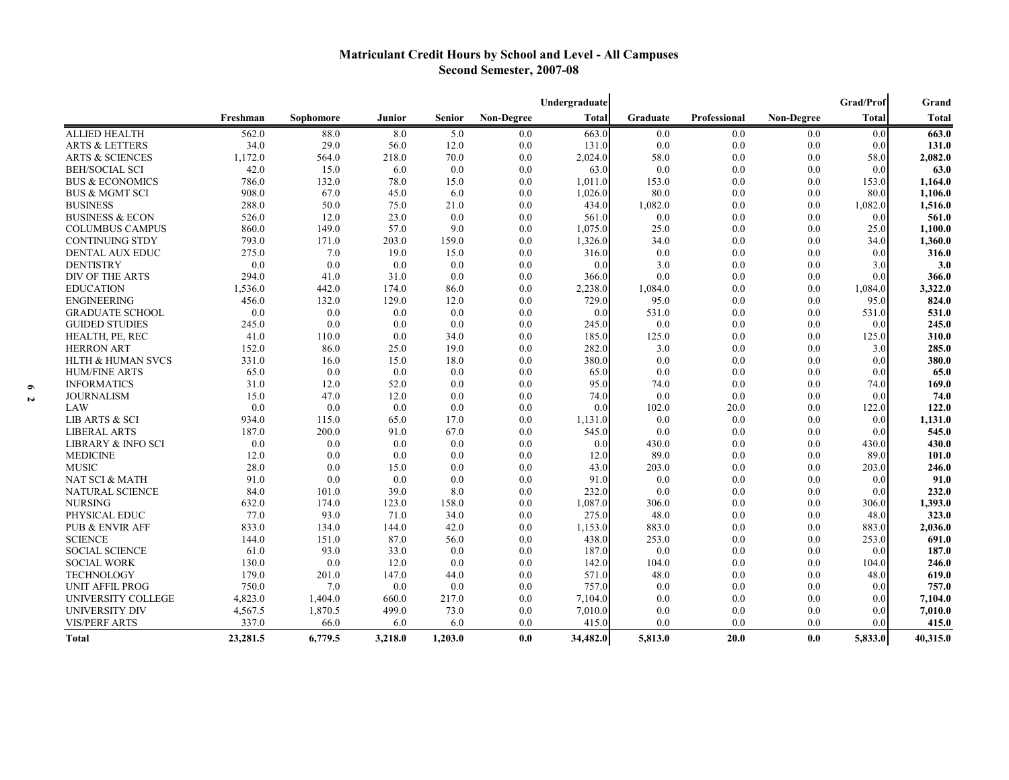# **Matriculant Credit Hours by School and Level - All Campuses Second Semester, 2007-08**

|                              |          |           |         |         |            | Undergraduate |          |                     |                   | <b>Grad/Prof</b> | Grand    |
|------------------------------|----------|-----------|---------|---------|------------|---------------|----------|---------------------|-------------------|------------------|----------|
|                              | Freshman | Sophomore | Junior  | Senior  | Non-Degree | <b>Total</b>  | Graduate | <b>Professional</b> | <b>Non-Degree</b> | <b>Total</b>     | Total    |
| <b>ALLIED HEALTH</b>         | 562.0    | 88.0      | 8.0     | 5.0     | 0.0        | 663.0         | 0.0      | 0.0                 | 0.0               | 0.0              | 663.0    |
| <b>ARTS &amp; LETTERS</b>    | 34.0     | 29.0      | 56.0    | 12.0    | 0.0        | 131.0         | 0.0      | 0.0                 | 0.0               | 0.0              | 131.0    |
| <b>ARTS &amp; SCIENCES</b>   | 1,172.0  | 564.0     | 218.0   | 70.0    | 0.0        | 2,024.0       | 58.0     | 0.0                 | 0.0               | 58.0             | 2,082.0  |
| <b>BEH/SOCIAL SCI</b>        | 42.0     | 15.0      | 6.0     | 0.0     | 0.0        | 63.0          | 0.0      | 0.0                 | 0.0               | 0.0              | 63.0     |
| <b>BUS &amp; ECONOMICS</b>   | 786.0    | 132.0     | 78.0    | 15.0    | 0.0        | 1,011.0       | 153.0    | 0.0                 | 0.0               | 153.0            | 1,164.0  |
| <b>BUS &amp; MGMT SCI</b>    | 908.0    | 67.0      | 45.0    | 6.0     | 0.0        | 1,026.0       | 80.0     | 0.0                 | 0.0               | 80.0             | 1,106.0  |
| <b>BUSINESS</b>              | 288.0    | 50.0      | 75.0    | 21.0    | 0.0        | 434.0         | 1,082.0  | 0.0                 | 0.0               | 1,082.0          | 1,516.0  |
| <b>BUSINESS &amp; ECON</b>   | 526.0    | 12.0      | 23.0    | 0.0     | 0.0        | 561.0         | 0.0      | 0.0                 | 0.0               | 0.0              | 561.0    |
| <b>COLUMBUS CAMPUS</b>       | 860.0    | 149.0     | 57.0    | 9.0     | 0.0        | 1,075.0       | 25.0     | 0.0                 | 0.0               | 25.0             | 1,100.0  |
| <b>CONTINUING STDY</b>       | 793.0    | 171.0     | 203.0   | 159.0   | 0.0        | 1,326.0       | 34.0     | 0.0                 | 0.0               | 34.0             | 1,360.0  |
| <b>DENTAL AUX EDUC</b>       | 275.0    | 7.0       | 19.0    | 15.0    | 0.0        | 316.0         | 0.0      | 0.0                 | 0.0               | 0.0              | 316.0    |
| <b>DENTISTRY</b>             | 0.0      | 0.0       | 0.0     | 0.0     | 0.0        | 0.0           | 3.0      | 0.0                 | 0.0               | 3.0              | 3.0      |
| DIV OF THE ARTS              | 294.0    | 41.0      | 31.0    | 0.0     | 0.0        | 366.0         | 0.0      | 0.0                 | 0.0               | 0.0              | 366.0    |
| <b>EDUCATION</b>             | 1,536.0  | 442.0     | 174.0   | 86.0    | 0.0        | 2,238.0       | 1,084.0  | 0.0                 | 0.0               | 1,084.0          | 3,322.0  |
| <b>ENGINEERING</b>           | 456.0    | 132.0     | 129.0   | 12.0    | 0.0        | 729.0         | 95.0     | 0.0                 | 0.0               | 95.0             | 824.0    |
| <b>GRADUATE SCHOOL</b>       | 0.0      | 0.0       | 0.0     | 0.0     | 0.0        | 0.0           | 531.0    | 0.0                 | 0.0               | 531.0            | 531.0    |
| <b>GUIDED STUDIES</b>        | 245.0    | 0.0       | 0.0     | 0.0     | 0.0        | 245.0         | 0.0      | 0.0                 | 0.0               | 0.0              | 245.0    |
| HEALTH, PE, REC              | 41.0     | 110.0     | 0.0     | 34.0    | 0.0        | 185.0         | 125.0    | 0.0                 | 0.0               | 125.0            | 310.0    |
| <b>HERRON ART</b>            | 152.0    | 86.0      | 25.0    | 19.0    | 0.0        | 282.0         | 3.0      | 0.0                 | 0.0               | 3.0              | 285.0    |
| <b>HLTH &amp; HUMAN SVCS</b> | 331.0    | 16.0      | 15.0    | 18.0    | 0.0        | 380.0         | 0.0      | 0.0                 | 0.0               | 0.0              | 380.0    |
| <b>HUM/FINE ARTS</b>         | 65.0     | 0.0       | 0.0     | 0.0     | 0.0        | 65.0          | 0.0      | 0.0                 | 0.0               | 0.0              | 65.0     |
| <b>INFORMATICS</b>           | 31.0     | 12.0      | 52.0    | 0.0     | 0.0        | 95.0          | 74.0     | 0.0                 | 0.0               | 74.0             | 169.0    |
| <b>JOURNALISM</b>            | 15.0     | 47.0      | 12.0    | 0.0     | 0.0        | 74.0          | 0.0      | 0.0                 | 0.0               | 0.0              | 74.0     |
| LAW                          | 0.0      | 0.0       | 0.0     | 0.0     | 0.0        | 0.0           | 102.0    | 20.0                | 0.0               | 122.0            | 122.0    |
| <b>LIB ARTS &amp; SCI</b>    | 934.0    | 115.0     | 65.0    | 17.0    | 0.0        | 1,131.0       | 0.0      | 0.0                 | 0.0               | 0.0              | 1,131.0  |
| <b>LIBERAL ARTS</b>          | 187.0    | 200.0     | 91.0    | 67.0    | 0.0        | 545.0         | 0.0      | 0.0                 | 0.0               | 0.0              | 545.0    |
| LIBRARY & INFO SCI           | 0.0      | 0.0       | 0.0     | 0.0     | 0.0        | 0.0           | 430.0    | 0.0                 | 0.0               | 430.0            | 430.0    |
| <b>MEDICINE</b>              | 12.0     | 0.0       | 0.0     | 0.0     | 0.0        | 12.0          | 89.0     | 0.0                 | 0.0               | 89.0             | 101.0    |
| <b>MUSIC</b>                 | 28.0     | 0.0       | 15.0    | 0.0     | 0.0        | 43.0          | 203.0    | 0.0                 | 0.0               | 203.0            | 246.0    |
| NAT SCI & MATH               | 91.0     | 0.0       | 0.0     | 0.0     | 0.0        | 91.0          | 0.0      | 0.0                 | 0.0               | 0.0              | 91.0     |
| NATURAL SCIENCE              | 84.0     | 101.0     | 39.0    | 8.0     | 0.0        | 232.0         | 0.0      | 0.0                 | 0.0               | 0.0              | 232.0    |
| <b>NURSING</b>               | 632.0    | 174.0     | 123.0   | 158.0   | 0.0        | 1,087.0       | 306.0    | 0.0                 | 0.0               | 306.0            | 1,393.0  |
| PHYSICAL EDUC                | 77.0     | 93.0      | 71.0    | 34.0    | 0.0        | 275.0         | 48.0     | 0.0                 | 0.0               | 48.0             | 323.0    |
| PUB & ENVIR AFF              | 833.0    | 134.0     | 144.0   | 42.0    | 0.0        | 1,153.0       | 883.0    | 0.0                 | 0.0               | 883.0            | 2,036.0  |
| <b>SCIENCE</b>               | 144.0    | 151.0     | 87.0    | 56.0    | 0.0        | 438.0         | 253.0    | 0.0                 | 0.0               | 253.0            | 691.0    |
| <b>SOCIAL SCIENCE</b>        | 61.0     | 93.0      | 33.0    | 0.0     | 0.0        | 187.0         | 0.0      | 0.0                 | 0.0               | 0.0              | 187.0    |
| <b>SOCIAL WORK</b>           | 130.0    | 0.0       | 12.0    | 0.0     | 0.0        | 142.0         | 104.0    | 0.0                 | 0.0               | 104.0            | 246.0    |
| <b>TECHNOLOGY</b>            | 179.0    | 201.0     | 147.0   | 44.0    | 0.0        | 571.0         | 48.0     | 0.0                 | 0.0               | 48.0             | 619.0    |
| <b>UNIT AFFIL PROG</b>       | 750.0    | 7.0       | 0.0     | 0.0     | 0.0        | 757.0         | 0.0      | 0.0                 | 0.0               | 0.0              | 757.0    |
| UNIVERSITY COLLEGE           | 4,823.0  | 1,404.0   | 660.0   | 217.0   | 0.0        | 7,104.0       | 0.0      | 0.0                 | 0.0               | 0.0              | 7,104.0  |
| UNIVERSITY DIV               | 4,567.5  | 1,870.5   | 499.0   | 73.0    | 0.0        | 7,010.0       | 0.0      | 0.0                 | 0.0               | 0.0              | 7,010.0  |
| <b>VIS/PERF ARTS</b>         | 337.0    | 66.0      | 6.0     | 6.0     | 0.0        | 415.0         | 0.0      | 0.0                 | 0.0               | 0.0              | 415.0    |
| <b>Total</b>                 | 23,281.5 | 6,779.5   | 3,218.0 | 1,203.0 | 0.0        | 34,482.0      | 5,813.0  | 20.0                | 0.0               | 5,833.0          | 40,315.0 |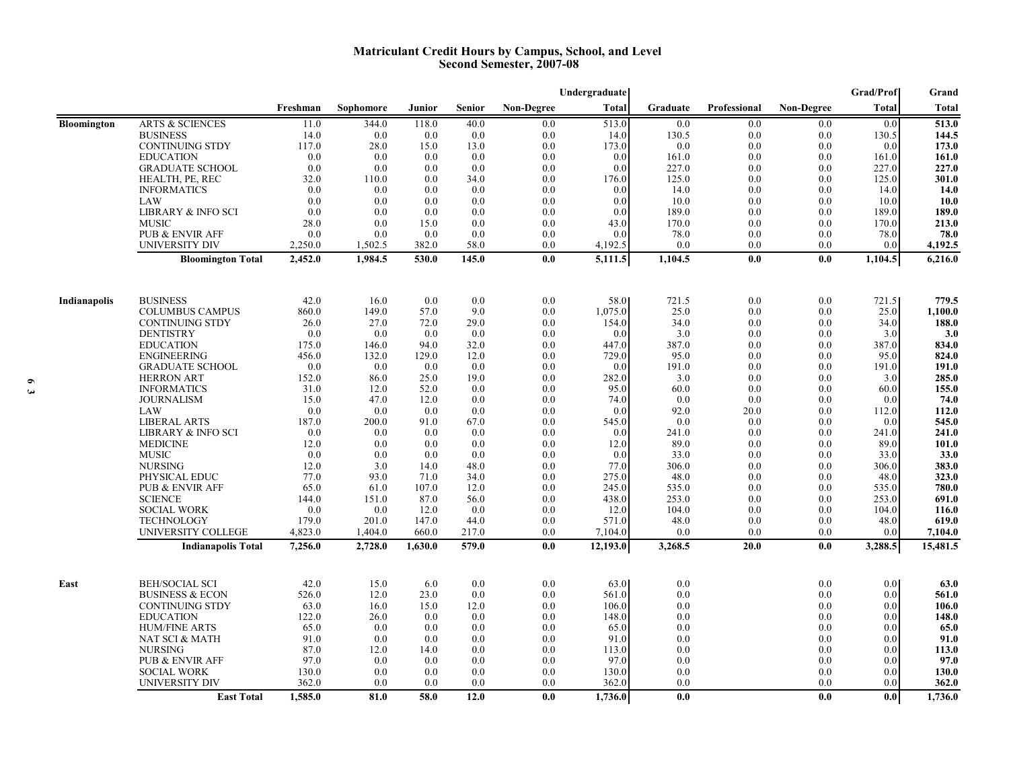#### **Matriculant Credit Hours by Campus, School, and Level Second Semester, 2007-08**

|                    |                                                      |               |               |             |               |                   | Undergraduate   |                |              |                   | <b>Grad/Prof</b> | Grand            |
|--------------------|------------------------------------------------------|---------------|---------------|-------------|---------------|-------------------|-----------------|----------------|--------------|-------------------|------------------|------------------|
|                    |                                                      | Freshman      | Sophomore     | Junior      | <b>Senior</b> | <b>Non-Degree</b> | <b>Total</b>    | Graduate       | Professional | <b>Non-Degree</b> | <b>Total</b>     | Total            |
| <b>Bloomington</b> | <b>ARTS &amp; SCIENCES</b>                           | 11.0          | 344.0         | 118.0       | 40.0          | 0.0               | 513.0           | 0.0            | 0.0          | 0.0               | 0.0              | 513.0            |
|                    | <b>BUSINESS</b>                                      | 14.0          | 0.0           | 0.0         | 0.0           | 0.0               | 14.0            | 130.5          | 0.0          | 0.0               | 130.5            | 144.5            |
|                    | <b>CONTINUING STDY</b>                               | 117.0         | 28.0          | 15.0        | 13.0          | 0.0               | 173.0           | 0.0            | 0.0          | 0.0               | 0.0              | 173.0            |
|                    | <b>EDUCATION</b>                                     | 0.0           | 0.0           | 0.0         | 0.0           | 0.0               | 0.0             | 161.0          | 0.0          | 0.0               | 161.0            | 161.0            |
|                    | <b>GRADUATE SCHOOL</b>                               | 0.0<br>32.0   | 0.0<br>110.0  | 0.0<br>0.0  | 0.0<br>34.0   | 0.0<br>0.0        | 0.0<br>176.0    | 227.0<br>125.0 | 0.0<br>0.0   | 0.0<br>0.0        | 227.0<br>125.0   | 227.0<br>301.0   |
|                    | HEALTH, PE, REC<br><b>INFORMATICS</b>                | 0.0           | 0.0           | 0.0         | 0.0           | 0.0               | 0.0             | 14.0           | 0.0          | 0.0               | 14.0             | 14.0             |
|                    | LAW                                                  | 0.0           | 0.0           | 0.0         | 0.0           | 0.0               | 0.0             | 10.0           | 0.0          | 0.0               | 10.0             | <b>10.0</b>      |
|                    | LIBRARY & INFO SCI                                   | 0.0           | 0.0           | 0.0         | 0.0           | 0.0               | 0.0             | 189.0          | 0.0          | 0.0               | 189.0            | 189.0            |
|                    | <b>MUSIC</b>                                         | 28.0          | 0.0           | 15.0        | 0.0           | 0.0               | 43.0            | 170.0          | 0.0          | 0.0               | 170.0            | 213.0            |
|                    | <b>PUB &amp; ENVIR AFF</b>                           | 0.0           | 0.0           | 0.0         | 0.0           | 0.0               | 0.0             | 78.0           | $0.0\,$      | 0.0               | 78.0             | 78.0             |
|                    | <b>UNIVERSITY DIV</b>                                | 2,250.0       | 1,502.5       | 382.0       | 58.0          | 0.0               | 4,192.5         | 0.0            | 0.0          | 0.0               | 0.0              | 4,192.5          |
|                    | <b>Bloomington Total</b>                             | 2,452.0       | 1,984.5       | 530.0       | 145.0         | 0.0               | 5,111.5         | 1,104.5        | 0.0          | 0.0               | 1,104.5          | 6,216.0          |
|                    |                                                      |               |               |             |               |                   |                 |                |              |                   |                  |                  |
| Indianapolis       | <b>BUSINESS</b><br><b>COLUMBUS CAMPUS</b>            | 42.0<br>860.0 | 16.0<br>149.0 | 0.0<br>57.0 | 0.0<br>9.0    | 0.0<br>0.0        | 58.0<br>1,075.0 | 721.5<br>25.0  | 0.0<br>0.0   | 0.0<br>0.0        | 721.5<br>25.0    | 779.5<br>1.100.0 |
|                    | <b>CONTINUING STDY</b>                               | 26.0          | 27.0          | 72.0        | 29.0          | 0.0               | 154.0           | 34.0           | 0.0          | 0.0               | 34.0             | 188.0            |
|                    | <b>DENTISTRY</b>                                     | 0.0           | 0.0           | 0.0         | 0.0           | 0.0               | 0.0             | 3.0            | 0.0          | 0.0               | 3.0              | 3.0              |
|                    | <b>EDUCATION</b>                                     | 175.0         | 146.0         | 94.0        | 32.0          | 0.0               | 447.0           | 387.0          | 0.0          | 0.0               | 387.0            | 834.0            |
|                    | <b>ENGINEERING</b>                                   | 456.0         | 132.0         | 129.0       | 12.0          | 0.0               | 729.0           | 95.0           | 0.0          | 0.0               | 95.0             | 824.0            |
|                    | <b>GRADUATE SCHOOL</b>                               | 0.0           | 0.0           | 0.0         | 0.0           | 0.0               | 0.0             | 191.0          | 0.0          | 0.0               | 191.0            | 191.0            |
|                    | <b>HERRON ART</b>                                    | 152.0         | 86.0          | 25.0        | 19.0          | 0.0               | 282.0           | 3.0            | 0.0          | 0.0               | 3.0              | 285.0            |
|                    | <b>INFORMATICS</b>                                   | 31.0          | 12.0          | 52.0        | 0.0           | 0.0               | 95.0            | 60.0           | 0.0          | 0.0               | 60.0             | 155.0            |
|                    | <b>JOURNALISM</b>                                    | 15.0          | 47.0          | 12.0        | 0.0           | 0.0               | 74.0            | 0.0            | 0.0          | 0.0               | 0.0              | 74.0             |
|                    | LAW                                                  | 0.0           | 0.0           | 0.0         | 0.0           | 0.0               | 0.0             | 92.0           | 20.0         | 0.0               | 112.0            | 112.0            |
|                    | <b>LIBERAL ARTS</b><br><b>LIBRARY &amp; INFO SCI</b> | 187.0<br>0.0  | 200.0<br>0.0  | 91.0<br>0.0 | 67.0<br>0.0   | 0.0<br>0.0        | 545.0           | 0.0<br>241.0   | 0.0<br>0.0   | 0.0<br>0.0        | 0.0<br>241.0     | 545.0<br>241.0   |
|                    | <b>MEDICINE</b>                                      | 12.0          | 0.0           | 0.0         | 0.0           | 0.0               | 0.0<br>12.0     | 89.0           | 0.0          | 0.0               | 89.0             | 101.0            |
|                    | <b>MUSIC</b>                                         | 0.0           | 0.0           | 0.0         | 0.0           | 0.0               | 0.0             | 33.0           | 0.0          | 0.0               | 33.0             | 33.0             |
|                    | <b>NURSING</b>                                       | 12.0          | 3.0           | 14.0        | 48.0          | 0.0               | 77.0            | 306.0          | 0.0          | 0.0               | 306.0            | 383.0            |
|                    | PHYSICAL EDUC                                        | 77.0          | 93.0          | 71.0        | 34.0          | 0.0               | 275.0           | 48.0           | 0.0          | 0.0               | 48.0             | 323.0            |
|                    | <b>PUB &amp; ENVIR AFF</b>                           | 65.0          | 61.0          | 107.0       | 12.0          | 0.0               | 245.0           | 535.0          | 0.0          | 0.0               | 535.0            | 780.0            |
|                    | <b>SCIENCE</b>                                       | 144.0         | 151.0         | 87.0        | 56.0          | 0.0               | 438.0           | 253.0          | 0.0          | 0.0               | 253.0            | 691.0            |
|                    | <b>SOCIAL WORK</b>                                   | 0.0           | 0.0           | 12.0        | 0.0           | 0.0               | 12.0            | 104.0          | 0.0          | 0.0               | 104.0            | 116.0            |
|                    | TECHNOLOGY                                           | 179.0         | 201.0         | 147.0       | 44.0          | 0.0               | 571.0           | 48.0           | 0.0          | 0.0               | 48.0             | 619.0            |
|                    | UNIVERSITY COLLEGE                                   | 4,823.0       | 1,404.0       | 660.0       | 217.0         | 0.0               | 7,104.0         | 0.0            | 0.0          | 0.0               | 0.0              | 7,104.0          |
|                    | <b>Indianapolis Total</b>                            | 7,256.0       | 2,728.0       | 1,630.0     | 579.0         | 0.0               | 12,193.0        | 3,268.5        | 20.0         | 0.0               | 3,288.5          | 15,481.5         |
| East               | <b>BEH/SOCIAL SCI</b>                                | 42.0          | 15.0          | 6.0         | 0.0           | 0.0               | 63.0            | 0.0            |              | 0.0               | 0.0              | 63.0             |
|                    | <b>BUSINESS &amp; ECON</b>                           | 526.0         | 12.0          | 23.0        | 0.0           | 0.0               | 561.0           | 0.0            |              | 0.0               | 0.0              | 561.0            |
|                    | <b>CONTINUING STDY</b>                               | 63.0          | 16.0          | 15.0        | 12.0          | 0.0               | 106.0           | 0.0            |              | 0.0               | 0.0              | 106.0            |
|                    | <b>EDUCATION</b>                                     | 122.0         | 26.0          | 0.0         | 0.0           | 0.0               | 148.0           | 0.0            |              | 0.0               | 0.0              | 148.0            |
|                    | <b>HUM/FINE ARTS</b>                                 | 65.0          | 0.0           | 0.0         | 0.0           | 0.0               | 65.0            | 0.0            |              | 0.0               | 0.0              | 65.0             |
|                    | NAT SCI & MATH                                       | 91.0          | 0.0           | 0.0         | 0.0           | 0.0               | 91.0            | 0.0            |              | 0.0               | 0.0              | 91.0             |
|                    | <b>NURSING</b>                                       | 87.0<br>97.0  | 12.0          | 14.0<br>0.0 | 0.0<br>0.0    | 0.0<br>0.0        | 113.0<br>97.0   | 0.0            |              | 0.0<br>0.0        | 0.0<br>0.0       | 113.0<br>97.0    |
|                    | <b>PUB &amp; ENVIR AFF</b><br><b>SOCIAL WORK</b>     | 130.0         | 0.0<br>0.0    | 0.0         | 0.0           | 0.0               | 130.0           | 0.0<br>0.0     |              | 0.0               | 0.0              | 130.0            |
|                    | UNIVERSITY DIV                                       | 362.0         | 0.0           | 0.0         | 0.0           | 0.0               | 362.0           | 0.0            |              | 0.0               | 0.0              | 362.0            |
|                    | <b>East Total</b>                                    | 1,585.0       | 81.0          | 58.0        | 12.0          | 0.0               | 1,736.0         | 0.0            |              | 0.0               | 0.0              | 1,736.0          |
|                    |                                                      |               |               |             |               |                   |                 |                |              |                   |                  |                  |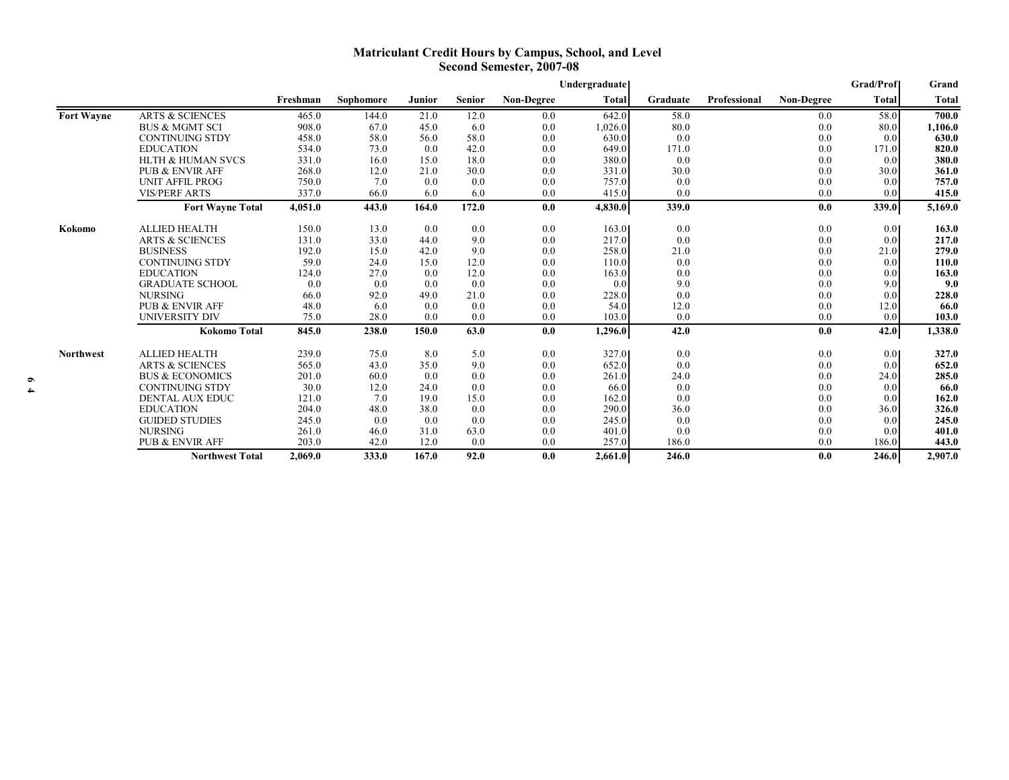### **Matriculant Credit Hours by Campus, School, and Level Second Semester, 2007-08**

|                   |                              |          |           |        |               |            | Undergraduate |          |              |                   | <b>Grad/Prof</b> | Grand        |
|-------------------|------------------------------|----------|-----------|--------|---------------|------------|---------------|----------|--------------|-------------------|------------------|--------------|
|                   |                              | Freshman | Sophomore | Junior | <b>Senior</b> | Non-Degree | <b>Total</b>  | Graduate | Professional | <b>Non-Degree</b> | Total            | <b>Total</b> |
| <b>Fort Wayne</b> | <b>ARTS &amp; SCIENCES</b>   | 465.0    | 144.0     | 21.0   | 12.0          | 0.0        | 642.0         | 58.0     |              | 0.0               | 58.0             | 700.0        |
|                   | <b>BUS &amp; MGMT SCI</b>    | 908.0    | 67.0      | 45.0   | 6.0           | 0.0        | 1,026.0       | 80.0     |              | 0.0               | 80.0             | 1,106.0      |
|                   | <b>CONTINUING STDY</b>       | 458.0    | 58.0      | 56.0   | 58.0          | 0.0        | 630.0         | 0.0      |              | 0.0               | 0.0              | 630.0        |
|                   | <b>EDUCATION</b>             | 534.0    | 73.0      | 0.0    | 42.0          | 0.0        | 649.0         | 171.0    |              | 0.0               | 171.0            | 820.0        |
|                   | <b>HLTH &amp; HUMAN SVCS</b> | 331.0    | 16.0      | 15.0   | 18.0          | 0.0        | 380.0         | 0.0      |              | 0.0               | 0.0              | 380.0        |
|                   | <b>PUB &amp; ENVIR AFF</b>   | 268.0    | 12.0      | 21.0   | 30.0          | 0.0        | 331.0         | 30.0     |              | 0.0               | 30.0             | 361.0        |
|                   | <b>UNIT AFFIL PROG</b>       | 750.0    | 7.0       | 0.0    | 0.0           | 0.0        | 757.0         | 0.0      |              | 0.0               | 0.0              | 757.0        |
|                   | <b>VIS/PERF ARTS</b>         | 337.0    | 66.0      | 6.0    | 6.0           | 0.0        | 415.0         | 0.0      |              | 0.0               | 0.01             | 415.0        |
|                   | <b>Fort Wayne Total</b>      | 4,051.0  | 443.0     | 164.0  | 172.0         | 0.0        | 4,830.0       | 339.0    |              | 0.0               | 339.0            | 5,169.0      |
| Kokomo            | <b>ALLIED HEALTH</b>         | 150.0    | 13.0      | 0.0    | 0.0           | 0.0        | 163.0         | 0.0      |              | 0.0               | 0.01             | 163.0        |
|                   | <b>ARTS &amp; SCIENCES</b>   | 131.0    | 33.0      | 44.0   | 9.0           | 0.0        | 217.0         | 0.0      |              | 0.0               | 0.0              | 217.0        |
|                   | <b>BUSINESS</b>              | 192.0    | 15.0      | 42.0   | 9.0           | 0.0        | 258.0         | 21.0     |              | 0.0               | 21.0             | 279.0        |
|                   | <b>CONTINUING STDY</b>       | 59.0     | 24.0      | 15.0   | 12.0          | 0.0        | 110.0         | 0.0      |              | 0.0               | 0.0              | 110.0        |
|                   | <b>EDUCATION</b>             | 124.0    | 27.0      | 0.0    | 12.0          | 0.0        | 163.0         | 0.0      |              | 0.0               | 0.0              | 163.0        |
|                   | <b>GRADUATE SCHOOL</b>       | 0.0      | 0.0       | 0.0    | 0.0           | 0.0        | 0.0           | 9.0      |              | 0.0               | 9.0              | 9.0          |
|                   | <b>NURSING</b>               | 66.0     | 92.0      | 49.0   | 21.0          | 0.0        | 228.0         | 0.0      |              | 0.0               | 0.0              | 228.0        |
|                   | <b>PUB &amp; ENVIR AFF</b>   | 48.0     | 6.0       | 0.0    | 0.0           | 0.0        | 54.0          | 12.0     |              | 0.0               | 12.0             | 66.0         |
|                   | <b>UNIVERSITY DIV</b>        | 75.0     | 28.0      | 0.0    | 0.0           | 0.0        | 103.0         | 0.0      |              | 0.0               | 0.0              | 103.0        |
|                   | <b>Kokomo Total</b>          | 845.0    | 238.0     | 150.0  | 63.0          | 0.0        | 1,296.0       | 42.0     |              | 0.0               | 42.0             | 1,338.0      |
| <b>Northwest</b>  | <b>ALLIED HEALTH</b>         | 239.0    | 75.0      | 8.0    | 5.0           | 0.0        | 327.0         | 0.0      |              | 0.0               | 0.01             | 327.0        |
|                   | <b>ARTS &amp; SCIENCES</b>   | 565.0    | 43.0      | 35.0   | 9.0           | 0.0        | 652.0         | 0.0      |              | 0.0               | 0.0              | 652.0        |
|                   | <b>BUS &amp; ECONOMICS</b>   | 201.0    | 60.0      | 0.0    | 0.0           | 0.0        | 261.0         | 24.0     |              | 0.0               | 24.0             | 285.0        |
|                   | <b>CONTINUING STDY</b>       | 30.0     | 12.0      | 24.0   | 0.0           | 0.0        | 66.0          | 0.0      |              | 0.0               | 0.0 <sub>l</sub> | 66.0         |
|                   | <b>DENTAL AUX EDUC</b>       | 121.0    | 7.0       | 19.0   | 15.0          | 0.0        | 162.0         | 0.0      |              | 0.0               | 0.0              | 162.0        |
|                   | <b>EDUCATION</b>             | 204.0    | 48.0      | 38.0   | 0.0           | 0.0        | 290.0         | 36.0     |              | 0.0               | 36.0             | 326.0        |
|                   | <b>GUIDED STUDIES</b>        | 245.0    | 0.0       | 0.0    | 0.0           | 0.0        | 245.0         | 0.0      |              | 0.0               | 0.0              | 245.0        |
|                   | <b>NURSING</b>               | 261.0    | 46.0      | 31.0   | 63.0          | 0.0        | 401.0         | 0.0      |              | 0.0               | 0.0              | 401.0        |
|                   | <b>PUB &amp; ENVIR AFF</b>   | 203.0    | 42.0      | 12.0   | 0.0           | 0.0        | 257.0         | 186.0    |              | 0.0               | 186.0            | 443.0        |
|                   | <b>Northwest Total</b>       | 2,069.0  | 333.0     | 167.0  | 92.0          | 0.0        | 2,661.0       | 246.0    |              | 0.0               | 246.0            | 2,907.0      |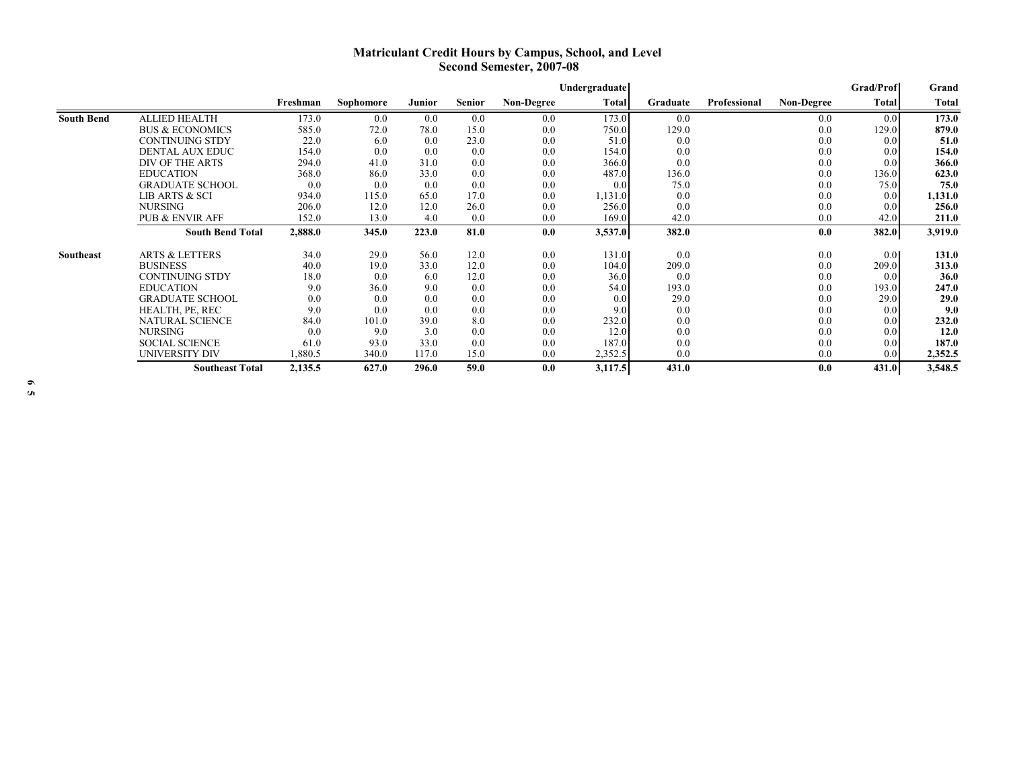## **Matriculant Credit Hours by Campus, School, and Level Second Semester, 2007-08**

|                   |                            |          |           |        |               |                   | Undergraduate |          |              |                   | <b>Grad/Prof</b> | Grand   |
|-------------------|----------------------------|----------|-----------|--------|---------------|-------------------|---------------|----------|--------------|-------------------|------------------|---------|
|                   |                            | Freshman | Sophomore | Junior | <b>Senior</b> | <b>Non-Degree</b> | Total         | Graduate | Professional | <b>Non-Degree</b> | <b>Total</b>     | Total   |
| <b>South Bend</b> | <b>ALLIED HEALTH</b>       | 173.0    | 0.0       | 0.0    | 0.0           | 0.0               | 173.0         | 0.0      |              | 0.0               | 0.0              | 173.0   |
|                   | <b>BUS &amp; ECONOMICS</b> | 585.0    | 72.0      | 78.0   | 15.0          | 0.0               | 750.0         | 129.0    |              | 0.0               | 129.0            | 879.0   |
|                   | <b>CONTINUING STDY</b>     | 22.0     | 6.0       | 0.0    | 23.0          | 0.0               | 51.0          | 0.0      |              | 0.0               | 0.0 <sub>l</sub> | 51.0    |
|                   | <b>DENTAL AUX EDUC</b>     | 154.0    | 0.0       | 0.0    | 0.0           | 0.0               | 154.0         | 0.0      |              | 0.0               | 0.0              | 154.0   |
|                   | DIV OF THE ARTS            | 294.0    | 41.0      | 31.0   | 0.0           | 0.0               | 366.0         | 0.0      |              | 0.0               | 0.0              | 366.0   |
|                   | <b>EDUCATION</b>           | 368.0    | 86.0      | 33.0   | 0.0           | 0.0               | 487.0         | 136.0    |              | 0.0               | 136.0            | 623.0   |
|                   | <b>GRADUATE SCHOOL</b>     | 0.0      | 0.0       | 0.0    | 0.0           | 0.0               | 0.0           | 75.0     |              | 0.0               | 75.0             | 75.0    |
|                   | LIB ARTS & SCI             | 934.0    | 115.0     | 65.0   | 17.0          | 0.0               | 1,131.0       | 0.0      |              | 0.0               | 0.0              | 1,131.0 |
|                   | <b>NURSING</b>             | 206.0    | 12.0      | 12.0   | 26.0          | 0.0               | 256.0         | 0.0      |              | 0.0               | 0.0              | 256.0   |
|                   | <b>PUB &amp; ENVIR AFF</b> | 152.0    | 13.0      | 4.0    | 0.0           | 0.0               | 169.0         | 42.0     |              | 0.0               | 42.0             | 211.0   |
|                   | <b>South Bend Total</b>    | 2,888.0  | 345.0     | 223.0  | 81.0          | 0.0               | 3,537.0       | 382.0    |              | 0.0               | 382.0            | 3,919.0 |
| Southeast         | <b>ARTS &amp; LETTERS</b>  | 34.0     | 29.0      | 56.0   | 12.0          | 0.0               | 131.0         | 0.0      |              | 0.0               | 0.0              | 131.0   |
|                   | <b>BUSINESS</b>            | 40.0     | 19.0      | 33.0   | 12.0          | 0.0               | 104.0         | 209.0    |              | 0.0               | 209.0            | 313.0   |
|                   | <b>CONTINUING STDY</b>     | 18.0     | 0.0       | 6.0    | 12.0          | 0.0               | 36.0          | 0.0      |              | 0.0               | 0.0              | 36.0    |
|                   | <b>EDUCATION</b>           | 9.0      | 36.0      | 9.0    | 0.0           | 0.0               | 54.0          | 193.0    |              | 0.0               | 193.0            | 247.0   |
|                   | <b>GRADUATE SCHOOL</b>     | 0.0      | 0.0       | 0.0    | 0.0           | 0.0               | 0.0           | 29.0     |              | 0.0               | 29.0             | 29.0    |
|                   | HEALTH, PE, REC            | 9.0      | 0.0       | 0.0    | 0.0           | 0.0               | 9.0           | 0.0      |              | 0.0               | 0.0              | 9.0     |
|                   | <b>NATURAL SCIENCE</b>     | 84.0     | 101.0     | 39.0   | 8.0           | 0.0               | 232.0         | 0.0      |              | 0.0               | 0.0              | 232.0   |
|                   | <b>NURSING</b>             | 0.0      | 9.0       | 3.0    | 0.0           | 0.0               | 12.0          | 0.0      |              | 0.0               | 0.0              | 12.0    |
|                   | <b>SOCIAL SCIENCE</b>      | 61.0     | 93.0      | 33.0   | 0.0           | 0.0               | 187.0         | 0.0      |              | 0.0               | 0.0              | 187.0   |
|                   | UNIVERSITY DIV             | 1,880.5  | 340.0     | 117.0  | 15.0          | 0.0               | 2,352.5       | 0.0      |              | 0.0               | 0.0              | 2,352.5 |
|                   | <b>Southeast Total</b>     | 2,135.5  | 627.0     | 296.0  | 59.0          | 0.0               | 3,117.5       | 431.0    |              | 0.0               | 431.0            | 3,548.5 |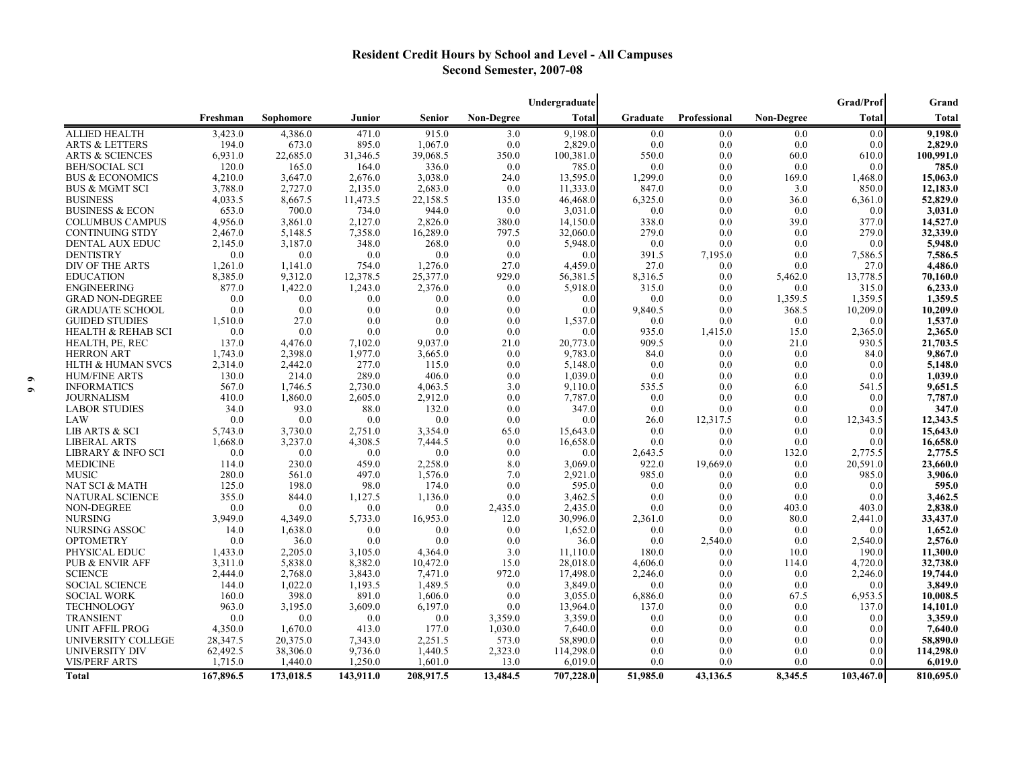# **Resident Credit Hours by School and Level - All Campuses Second Semester, 2007-08**

|                                         |                |                 |                    |                    |                   | Undergraduate      |              |              |                   | <b>Grad/Prof</b> | Grand              |
|-----------------------------------------|----------------|-----------------|--------------------|--------------------|-------------------|--------------------|--------------|--------------|-------------------|------------------|--------------------|
|                                         | Freshman       | Sophomore       | Junior             | <b>Senior</b>      | <b>Non-Degree</b> | Total              | Graduate     | Professional | <b>Non-Degree</b> | <b>Total</b>     | Total              |
| <b>ALLIED HEALTH</b>                    | 3,423.0        | 4,386.0         | 471.0              | 915.0              | 3.0               | 9,198.0            | 0.0          | 0.0          | 0.0               | 0.0              | 9,198.0            |
| <b>ARTS &amp; LETTERS</b>               | 194.0          | 673.0           | 895.0              | 1,067.0            | 0.0               | 2,829.0            | 0.0          | 0.0          | 0.0               | 0.0              | 2,829.0            |
| <b>ARTS &amp; SCIENCES</b>              | 6.931.0        | 22,685.0        | 31,346.5           | 39,068.5           | 350.0             | 100,381.0          | 550.0        | 0.0          | 60.0              | 610.0            | 100,991.0          |
| <b>BEH/SOCIAL SCI</b>                   | 120.0          | 165.0           | 164.0              | 336.0              | 0.0               | 785.0              | 0.0          | 0.0          | 0.0               | 0.0              | 785.0              |
| <b>BUS &amp; ECONOMICS</b>              | 4,210.0        | 3,647.0         | 2,676.0            | 3,038.0            | 24.0              | 13,595.0           | 1,299.0      | 0.0          | 169.0             | 1,468.0          | 15,063.0           |
| <b>BUS &amp; MGMT SCI</b>               | 3.788.0        | 2,727.0         | 2,135.0            | 2,683.0            | 0.0               | 11,333.0           | 847.0        | 0.0          | 3.0               | 850.0            | 12,183.0           |
| <b>BUSINESS</b>                         | 4,033.5        | 8,667.5         | 11,473.5           | 22,158.5           | 135.0             | 46,468.0           | 6,325.0      | 0.0          | 36.0              | 6,361.0          | 52,829.0           |
| <b>BUSINESS &amp; ECON</b>              | 653.0          | 700.0           | 734.0              | 944.0              | 0.0               | 3,031.0            | 0.0          | 0.0          | 0.0               | 0.0              | 3,031.0            |
| <b>COLUMBUS CAMPUS</b>                  | 4.956.0        | 3,861.0         | 2,127.0            | 2,826.0            | 380.0             | 14,150.0           | 338.0        | 0.0          | 39.0              | 377.0            | 14,527.0           |
| <b>CONTINUING STDY</b>                  | 2.467.0        | 5,148.5         | 7,358.0            | 16,289.0           | 797.5             | 32,060.0           | 279.0        | 0.0          | 0.0               | 279.0            | 32,339.0           |
| <b>DENTAL AUX EDUC</b>                  | 2,145.0        | 3,187.0         | 348.0              | 268.0              | 0.0               | 5,948.0            | 0.0          | 0.0          | 0.0               | 0.0              | 5,948.0            |
| <b>DENTISTRY</b>                        | 0.0            | 0.0             | 0.0                | 0.0                | 0.0               | 0.0                | 391.5        | 7,195.0      | 0.0               | 7,586.5          | 7,586.5            |
| DIV OF THE ARTS                         | 1,261.0        | 1,141.0         | 754.0              | 1,276.0            | 27.0              | 4,459.0            | 27.0         | 0.0          | 0.0               | 27.0             | 4,486.0            |
| <b>EDUCATION</b>                        | 8,385.0        | 9,312.0         | 12,378.5           | 25,377.0           | 929.0             | 56,381.5           | 8,316.5      | 0.0          | 5,462.0           | 13,778.5         | 70,160.0           |
| <b>ENGINEERING</b>                      | 877.0          | 1,422.0         | 1,243.0            | 2.376.0            | 0.0               | 5,918.0            | 315.0        | 0.0          | 0.0               | 315.0            | 6,233.0            |
| <b>GRAD NON-DEGREE</b>                  | 0.0            | 0.0             | 0.0                | 0.0                | 0.0               | 0.0                | 0.0          | 0.0          | 1,359.5           | 1,359.5          | 1,359.5            |
| <b>GRADUATE SCHOOL</b>                  | 0.0            | 0.0             | 0.0                | 0.0                | 0.0               | 0.0                | 9,840.5      | 0.0          | 368.5             | 10,209.0         | 10,209.0           |
| <b>GUIDED STUDIES</b>                   | 1,510.0        | 27.0            | 0.0                | 0.0                | 0.0               | 1,537.0            | 0.0          | 0.0          | 0.0               | 0.0              | 1,537.0            |
| <b>HEALTH &amp; REHAB SCI</b>           | 0.0            | 0.0             | 0.0                | 0.0                | 0.0               | (0.0)              | 935.0        | 1,415.0      | 15.0              | 2,365.0          | 2,365.0            |
| HEALTH, PE, REC                         | 137.0          | 4,476.0         | 7,102.0            | 9.037.0            | 21.0              | 20,773.0           | 909.5        | 0.0          | 21.0              | 930.5            | 21,703.5           |
| <b>HERRON ART</b>                       | 1,743.0        | 2,398.0         | 1,977.0            | 3,665.0            | 0.0               | 9,783.0            | 84.0         | 0.0          | 0.0               | 84.0             | 9,867.0            |
| <b>HLTH &amp; HUMAN SVCS</b>            | 2,314.0        | 2,442.0         | 277.0              | 115.0<br>406.0     | 0.0               | 5,148.0            | 0.0          | 0.0          | 0.0               | 0.0              | 5,148.0            |
| <b>HUM/FINE ARTS</b>                    | 130.0          | 214.0           | 289.0              |                    | 0.0               | 1,039.0            | 0.0          | 0.0<br>0.0   | 0.0               | 0.0              | 1,039.0<br>9,651.5 |
| <b>INFORMATICS</b><br><b>JOURNALISM</b> | 567.0<br>410.0 | 1,746.5         | 2,730.0<br>2,605.0 | 4,063.5<br>2,912.0 | 3.0<br>0.0        | 9,110.0<br>7,787.0 | 535.5<br>0.0 | 0.0          | 6.0<br>0.0        | 541.5<br>0.0     | 7,787.0            |
| <b>LABOR STUDIES</b>                    | 34.0           | 1,860.0<br>93.0 | 88.0               | 132.0              | 0.0               | 347.0              | 0.0          | 0.0          | 0.0               | 0.0              | 347.0              |
| LAW                                     | 0.0            | 0.0             | 0.0                | 0.0                | 0.0               | 0.0                | 26.0         | 12,317.5     | 0.0               | 12,343.5         | 12,343.5           |
| LIB ARTS & SCI                          | 5,743.0        | 3,730.0         | 2,751.0            | 3,354.0            | 65.0              | 15,643.0           | 0.0          | 0.0          | 0.0               | 0.0              | 15,643.0           |
| <b>LIBERAL ARTS</b>                     | 1,668.0        | 3,237.0         | 4,308.5            | 7,444.5            | 0.0               | 16,658.0           | 0.0          | 0.0          | 0.0               | 0.0              | 16,658.0           |
| LIBRARY & INFO SCI                      | 0.0            | 0.0             | 0.0                | 0.0                | 0.0               | 0.0                | 2,643.5      | 0.0          | 132.0             | 2,775.5          | 2,775.5            |
| <b>MEDICINE</b>                         | 114.0          | 230.0           | 459.0              | 2,258.0            | 8.0               | 3.069.0            | 922.0        | 19.669.0     | 0.0               | 20,591.0         | 23,660.0           |
| <b>MUSIC</b>                            | 280.0          | 561.0           | 497.0              | 1,576.0            | 7.0               | 2,921.0            | 985.0        | 0.0          | 0.0               | 985.0            | 3,906.0            |
| NAT SCI & MATH                          | 125.0          | 198.0           | 98.0               | 174.0              | 0.0               | 595.0              | 0.0          | 0.0          | 0.0               | 0.0              | 595.0              |
| NATURAL SCIENCE                         | 355.0          | 844.0           | 1,127.5            | 1,136.0            | 0.0               | 3,462.5            | 0.0          | 0.0          | 0.0               | 0.0              | 3,462.5            |
| NON-DEGREE                              | 0.0            | 0.0             | 0.0                | 0.0                | 2,435.0           | 2,435.0            | 0.0          | 0.0          | 403.0             | 403.0            | 2,838.0            |
| <b>NURSING</b>                          | 3,949.0        | 4,349.0         | 5,733.0            | 16,953.0           | 12.0              | 30,996.0           | 2,361.0      | 0.0          | 80.0              | 2,441.0          | 33,437.0           |
| NURSING ASSOC                           | 14.0           | 1,638.0         | 0.0                | 0.0                | 0.0               | 1,652.0            | 0.0          | 0.0          | 0.0               | 0.0              | 1,652.0            |
| <b>OPTOMETRY</b>                        | 0.0            | 36.0            | 0.0                | 0.0                | 0.0               | 36.0               | 0.0          | 2,540.0      | 0.0               | 2,540.0          | 2,576.0            |
| PHYSICAL EDUC                           | 1,433.0        | 2,205.0         | 3,105.0            | 4,364.0            | 3.0               | 11,110.0           | 180.0        | 0.0          | 10.0              | 190.0            | 11,300.0           |
| <b>PUB &amp; ENVIR AFF</b>              | 3,311.0        | 5,838.0         | 8,382.0            | 10,472.0           | 15.0              | 28,018.0           | 4,606.0      | 0.0          | 114.0             | 4,720.0          | 32,738.0           |
| <b>SCIENCE</b>                          | 2,444.0        | 2,768.0         | 3,843.0            | 7,471.0            | 972.0             | 17,498.0           | 2,246.0      | 0.0          | 0.0               | 2,246.0          | 19,744.0           |
| <b>SOCIAL SCIENCE</b>                   | 144.0          | 1,022.0         | 1,193.5            | 1,489.5            | 0.0               | 3,849.0            | 0.0          | 0.0          | 0.0               | 0.0              | 3,849.0            |
| <b>SOCIAL WORK</b>                      | 160.0          | 398.0           | 891.0              | 1,606.0            | 0.0               | 3,055.0            | 6,886.0      | 0.0          | 67.5              | 6,953.5          | 10,008.5           |
| TECHNOLOGY                              | 963.0          | 3,195.0         | 3,609.0            | 6,197.0            | 0.0               | 13,964.0           | 137.0        | 0.0          | 0.0               | 137.0            | 14,101.0           |
| <b>TRANSIENT</b>                        | 0.0            | 0.0             | 0.0                | 0.0                | 3,359.0           | 3,359.0            | 0.0          | 0.0          | 0.0               | 0.0              | 3,359.0            |
| UNIT AFFIL PROG                         | 4,350.0        | 1,670.0         | 413.0              | 177.0              | 1,030.0           | 7,640.0            | 0.0          | 0.0          | 0.0               | (0.0)            | 7,640.0            |
| UNIVERSITY COLLEGE                      | 28,347.5       | 20,375.0        | 7,343.0            | 2,251.5            | 573.0             | 58,890.0           | 0.0          | 0.0          | 0.0               | 0.0              | 58,890.0           |
| UNIVERSITY DIV                          | 62,492.5       | 38,306.0        | 9,736.0            | 1,440.5            | 2,323.0           | 114,298.0          | 0.0          | 0.0          | 0.0               | 0.0              | 114,298.0          |
| <b>VIS/PERF ARTS</b>                    | 1,715.0        | 1,440.0         | 1,250.0            | 1,601.0            | 13.0              | 6,019.0            | 0.0          | 0.0          | 0.0               | 0.0              | 6,019.0            |
| <b>Total</b>                            | 167,896.5      | 173,018.5       | 143,911.0          | 208,917.5          | 13,484.5          | 707,228.0          | 51,985.0     | 43,136.5     | 8,345.5           | 103,467.0        | 810,695.0          |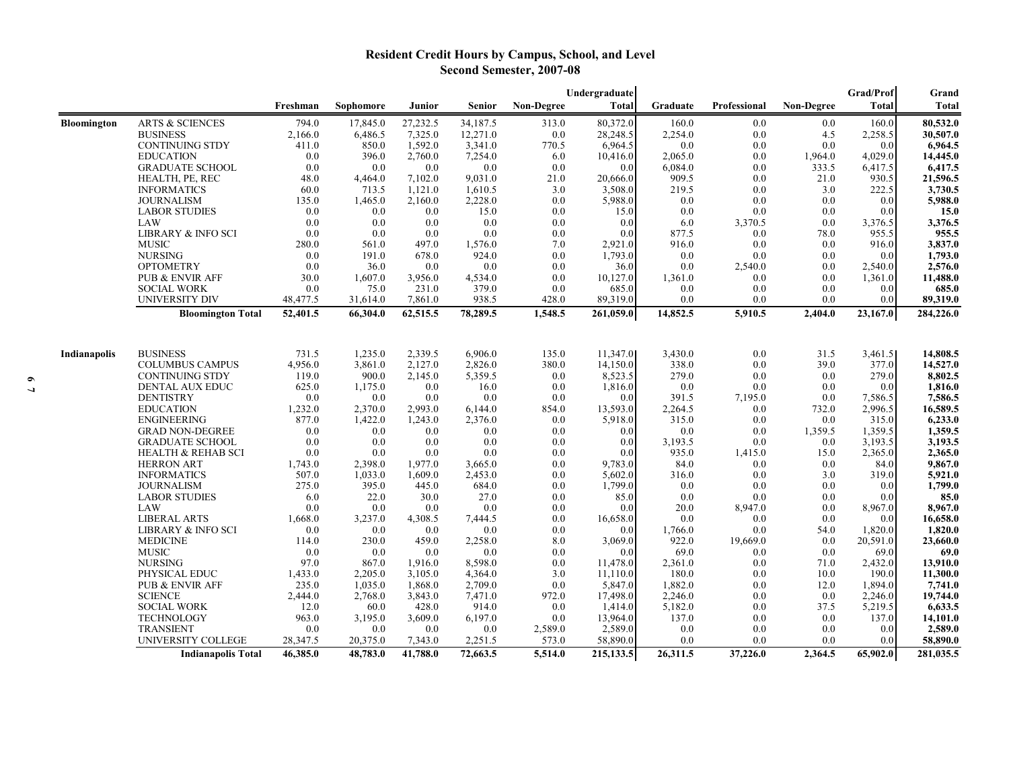# **Resident Credit Hours by Campus, School, and Level Second Semester, 2007-08**

|                    |                            |          |           |          |               |                   | Undergraduate |          |              |                   | Grad/Prof    | Grand     |
|--------------------|----------------------------|----------|-----------|----------|---------------|-------------------|---------------|----------|--------------|-------------------|--------------|-----------|
|                    |                            | Freshman | Sophomore | Junior   | <b>Senior</b> | <b>Non-Degree</b> | Total         | Graduate | Professional | <b>Non-Degree</b> | <b>Total</b> | Total     |
| <b>Bloomington</b> | <b>ARTS &amp; SCIENCES</b> | 794.0    | 17,845.0  | 27,232.5 | 34,187.5      | 313.0             | 80,372.0      | 160.0    | 0.0          | 0.0               | 160.0        | 80,532.0  |
|                    | <b>BUSINESS</b>            | 2,166.0  | 6,486.5   | 7,325.0  | 12,271.0      | $0.0\,$           | 28,248.5      | 2,254.0  | 0.0          | 4.5               | 2,258.5      | 30,507.0  |
|                    | <b>CONTINUING STDY</b>     | 411.0    | 850.0     | 1,592.0  | 3,341.0       | 770.5             | 6,964.5       | 0.0      | 0.0          | 0.0               | 0.0          | 6,964.5   |
|                    | <b>EDUCATION</b>           | 0.0      | 396.0     | 2,760.0  | 7,254.0       | 6.0               | 10,416.0      | 2,065.0  | 0.0          | 1,964.0           | 4,029.0      | 14,445.0  |
|                    | <b>GRADUATE SCHOOL</b>     | 0.0      | 0.0       | 0.0      | 0.0           | 0.0               | 0.0           | 6,084.0  | 0.0          | 333.5             | 6,417.5      | 6,417.5   |
|                    | HEALTH, PE, REC            | 48.0     | 4,464.0   | 7,102.0  | 9,031.0       | 21.0              | 20,666.0      | 909.5    | 0.0          | 21.0              | 930.5        | 21,596.5  |
|                    | <b>INFORMATICS</b>         | 60.0     | 713.5     | 1,121.0  | 1,610.5       | 3.0               | 3,508.0       | 219.5    | 0.0          | 3.0               | 222.5        | 3,730.5   |
|                    | <b>JOURNALISM</b>          | 135.0    | 1,465.0   | 2,160.0  | 2,228.0       | 0.0               | 5,988.0       | 0.0      | 0.0          | 0.0               | 0.0          | 5,988.0   |
|                    | <b>LABOR STUDIES</b>       | 0.0      | 0.0       | 0.0      | 15.0          | 0.0               | 15.0          | 0.0      | 0.0          | 0.0               | 0.0          | 15.0      |
|                    | LAW                        | 0.0      | 0.0       | 0.0      | 0.0           | 0.0               | 0.0           | 6.0      | 3,370.5      | 0.0               | 3,376.5      | 3,376.5   |
|                    | LIBRARY & INFO SCI         | 0.0      | 0.0       | 0.0      | 0.0           | 0.0               | 0.0           | 877.5    | 0.0          | 78.0              | 955.5        | 955.5     |
|                    | <b>MUSIC</b>               | 280.0    | 561.0     | 497.0    | 1,576.0       | 7.0               | 2,921.0       | 916.0    | 0.0          | 0.0               | 916.0        | 3,837.0   |
|                    | <b>NURSING</b>             | 0.0      | 191.0     | 678.0    | 924.0         | 0.0               | 1,793.0       | 0.0      | 0.0          | 0.0               | 0.0          | 1,793.0   |
|                    | <b>OPTOMETRY</b>           | 0.0      | 36.0      | 0.0      | 0.0           | 0.0               | 36.0          | 0.0      | 2,540.0      | 0.0               | 2,540.0      | 2,576.0   |
|                    | PUB & ENVIR AFF            | 30.0     | 1,607.0   | 3,956.0  | 4,534.0       | 0.0               | 10,127.0      | 1,361.0  | 0.0          | 0.0               | 1,361.0      | 11,488.0  |
|                    | <b>SOCIAL WORK</b>         | 0.0      | 75.0      | 231.0    | 379.0         | 0.0               | 685.0         | 0.0      | 0.0          | 0.0               | 0.0          | 685.0     |
|                    | <b>UNIVERSITY DIV</b>      | 48,477.5 | 31,614.0  | 7,861.0  | 938.5         | 428.0             | 89,319.0      | 0.0      | 0.0          | 0.0               | 0.0          | 89,319.0  |
|                    | <b>Bloomington Total</b>   | 52,401.5 | 66,304.0  | 62,515.5 | 78,289.5      | 1,548.5           | 261,059.0     | 14,852.5 | 5,910.5      | 2,404.0           | 23,167.0     | 284,226.0 |
|                    |                            |          |           |          |               |                   |               |          |              |                   |              |           |
| Indianapolis       | <b>BUSINESS</b>            | 731.5    | 1,235.0   | 2,339.5  | 6,906.0       | 135.0             | 11,347.0      | 3,430.0  | 0.0          | 31.5              | 3,461.5      | 14,808.5  |
|                    | <b>COLUMBUS CAMPUS</b>     | 4,956.0  | 3,861.0   | 2,127.0  | 2,826.0       | 380.0             | 14,150.0      | 338.0    | 0.0          | 39.0              | 377.0        | 14,527.0  |
|                    | <b>CONTINUING STDY</b>     | 119.0    | 900.0     | 2,145.0  | 5,359.5       | 0.0               | 8,523.5       | 279.0    | 0.0          | 0.0               | 279.0        | 8,802.5   |
|                    | DENTAL AUX EDUC            | 625.0    | 1,175.0   | 0.0      | 16.0          | 0.0               | 1,816.0       | 0.0      | 0.0          | 0.0               | 0.0          | 1,816.0   |
|                    | <b>DENTISTRY</b>           | 0.0      | 0.0       | 0.0      | 0.0           | 0.0               | 0.0           | 391.5    | 7,195.0      | 0.0               | 7,586.5      | 7,586.5   |
|                    | <b>EDUCATION</b>           | 1,232.0  | 2.370.0   | 2.993.0  | 6,144.0       | 854.0             | 13,593.0      | 2,264.5  | 0.0          | 732.0             | 2,996.5      | 16,589.5  |
|                    | <b>ENGINEERING</b>         | 877.0    | 1,422.0   | 1,243.0  | 2,376.0       | $0.0\,$           | 5,918.0       | 315.0    | 0.0          | 0.0               | 315.0        | 6,233.0   |
|                    | <b>GRAD NON-DEGREE</b>     | 0.0      | 0.0       | 0.0      | 0.0           | 0.0               | 0.0           | 0.0      | 0.0          | 1,359.5           | 1,359.5      | 1,359.5   |
|                    | <b>GRADUATE SCHOOL</b>     | 0.0      | 0.0       | 0.0      | 0.0           | 0.0               | 0.0           | 3,193.5  | 0.0          | 0.0               | 3,193.5      | 3,193.5   |
|                    | HEALTH & REHAB SCI         | 0.0      | 0.0       | 0.0      | 0.0           | 0.0               | 0.0           | 935.0    | 1,415.0      | 15.0              | 2,365.0      | 2,365.0   |
|                    | <b>HERRON ART</b>          | 1,743.0  | 2,398.0   | 1.977.0  | 3,665.0       | 0.0               | 9.783.0       | 84.0     | 0.0          | 0.0               | 84.0         | 9,867.0   |
|                    | <b>INFORMATICS</b>         | 507.0    | 1,033.0   | 1,609.0  | 2,453.0       | 0.0               | 5,602.0       | 316.0    | 0.0          | 3.0               | 319.0        | 5,921.0   |
|                    | <b>JOURNALISM</b>          | 275.0    | 395.0     | 445.0    | 684.0         | 0.0               | 1,799.0       | 0.0      | 0.0          | 0.0               | 0.0          | 1,799.0   |
|                    | <b>LABOR STUDIES</b>       | 6.0      | 22.0      | 30.0     | 27.0          | 0.0               | 85.0          | 0.0      | 0.0          | 0.0               | 0.0          | 85.0      |
|                    | LAW                        | 0.0      | 0.0       | 0.0      | 0.0           | 0.0               | 0.0           | 20.0     | 8,947.0      | 0.0               | 8,967.0      | 8,967.0   |
|                    | <b>LIBERAL ARTS</b>        | 1,668.0  | 3,237.0   | 4,308.5  | 7,444.5       | 0.0               | 16,658.0      | 0.0      | 0.0          | 0.0               | 0.0          | 16,658.0  |
|                    | LIBRARY & INFO SCI         | 0.0      | 0.0       | 0.0      | 0.0           | 0.0               | 0.0           | 1,766.0  | 0.0          | 54.0              | 1,820.0      | 1,820.0   |
|                    | <b>MEDICINE</b>            | 114.0    | 230.0     | 459.0    | 2,258.0       | 8.0               | 3,069.0       | 922.0    | 19,669.0     | 0.0               | 20,591.0     | 23,660.0  |
|                    | <b>MUSIC</b>               | 0.0      | 0.0       | 0.0      | 0.0           | 0.0               | 0.0           | 69.0     | 0.0          | 0.0               | 69.0         | 69.0      |
|                    | <b>NURSING</b>             | 97.0     | 867.0     | 1,916.0  | 8,598.0       | 0.0               | 11,478.0      | 2,361.0  | 0.0          | 71.0              | 2,432.0      | 13,910.0  |
|                    | PHYSICAL EDUC              | 1,433.0  | 2,205.0   | 3,105.0  | 4,364.0       | 3.0               | 11,110.0      | 180.0    | 0.0          | 10.0              | 190.0        | 11,300.0  |
|                    | PUB & ENVIR AFF            | 235.0    | 1,035.0   | 1,868.0  | 2,709.0       | 0.0               | 5,847.0       | 1,882.0  | 0.0          | 12.0              | 1,894.0      | 7,741.0   |
|                    | <b>SCIENCE</b>             | 2,444.0  | 2,768.0   | 3,843.0  | 7,471.0       | 972.0             | 17,498.0      | 2,246.0  | 0.0          | 0.0               | 2,246.0      | 19,744.0  |
|                    | <b>SOCIAL WORK</b>         | 12.0     | 60.0      | 428.0    | 914.0         | 0.0               | 1,414.0       | 5,182.0  | 0.0          | 37.5              | 5,219.5      | 6,633.5   |
|                    | <b>TECHNOLOGY</b>          | 963.0    | 3,195.0   | 3,609.0  | 6,197.0       | 0.0               | 13,964.0      | 137.0    | 0.0          | 0.0               | 137.0        | 14,101.0  |
|                    | <b>TRANSIENT</b>           | 0.0      | 0.0       | 0.0      | 0.0           | 2,589.0           | 2,589.0       | 0.0      | 0.0          | 0.0               | 0.0          | 2,589.0   |
|                    | UNIVERSITY COLLEGE         | 28,347.5 | 20,375.0  | 7,343.0  | 2,251.5       | 573.0             | 58,890.0      | 0.0      | 0.0          | 0.0               | 0.0          | 58,890.0  |
|                    | <b>Indianapolis Total</b>  | 46,385.0 | 48,783.0  | 41,788.0 | 72,663.5      | 5,514.0           | 215,133.5     | 26,311.5 | 37,226.0     | 2,364.5           | 65,902.0     | 281,035.5 |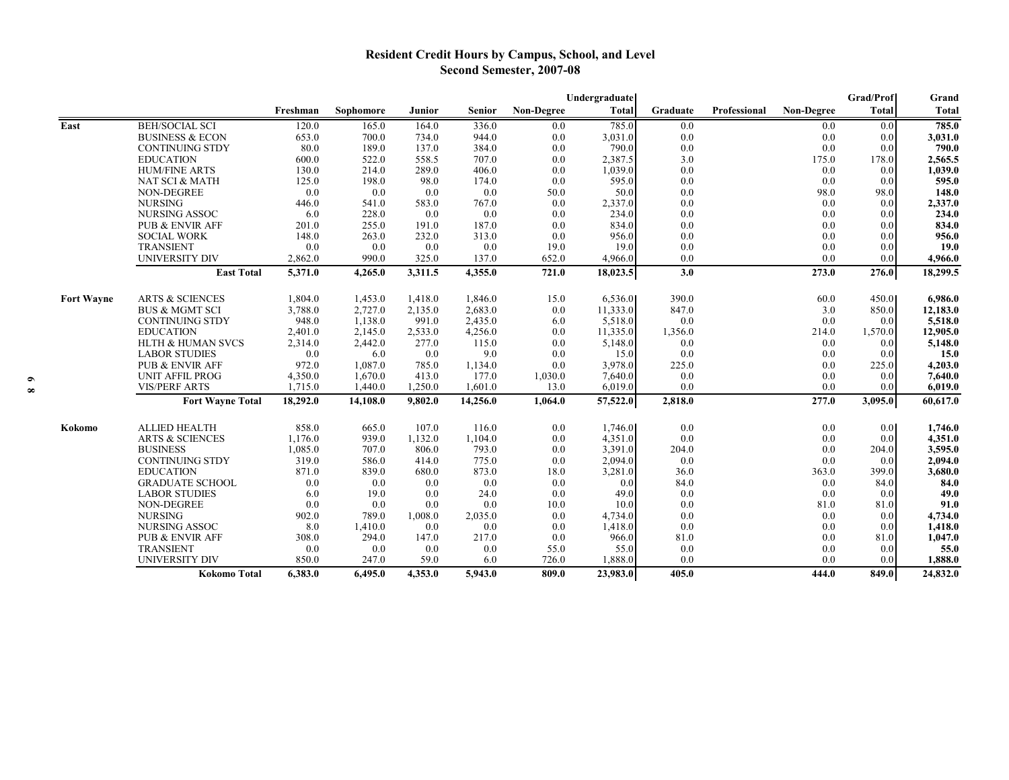# **Resident Credit Hours by Campus, School, and Level Second Semester, 2007-08**

|                   |                              |                    |                    |                  |                  |                   | Undergraduate      |            |              |                   | <b>Grad/Prof</b> | Grand              |
|-------------------|------------------------------|--------------------|--------------------|------------------|------------------|-------------------|--------------------|------------|--------------|-------------------|------------------|--------------------|
|                   |                              | Freshman           | <b>Sophomore</b>   | Junior           | <b>Senior</b>    | <b>Non-Degree</b> | <b>Total</b>       | Graduate   | Professional | <b>Non-Degree</b> | <b>Total</b>     | Total              |
| East              | <b>BEH/SOCIAL SCI</b>        | 120.0              | 165.0              | 164.0            | 336.0            | 0.0               | 785.0              | 0.0        |              | 0.0               | 0.0              | 785.0              |
|                   | <b>BUSINESS &amp; ECON</b>   | 653.0              | 700.0              | 734.0            | 944.0            | 0.0               | 3,031.0            | 0.0        |              | 0.0               | 0.0              | 3,031.0            |
|                   | <b>CONTINUING STDY</b>       | 80.0               | 189.0              | 137.0            | 384.0            | 0.0               | 790.0              | 0.0        |              | 0.0               | 0.0              | 790.0              |
|                   | <b>EDUCATION</b>             | 600.0              | 522.0              | 558.5            | 707.0            | 0.0               | 2,387.5            | 3.0        |              | 175.0             | 178.0            | 2,565.5            |
|                   | <b>HUM/FINE ARTS</b>         | 130.0              | 214.0              | 289.0            | 406.0            | 0.0               | 1,039.0            | 0.0        |              | 0.0               | 0.0              | 1,039.0            |
|                   | NAT SCI & MATH               | 125.0              | 198.0              | 98.0             | 174.0            | 0.0               | 595.0              | 0.0        |              | 0.0               | 0.0              | 595.0              |
|                   | NON-DEGREE                   | 0.0                | 0.0                | 0.0              | 0.0              | 50.0              | 50.0               | 0.0        |              | 98.0              | 98.0             | 148.0              |
|                   | <b>NURSING</b>               | 446.0              | 541.0              | 583.0            | 767.0            | 0.0               | 2,337.0            | 0.0        |              | 0.0               | 0.0              | 2,337.0            |
|                   | NURSING ASSOC                | 6.0                | 228.0              | 0.0              | 0.0              | 0.0               | 234.0              | 0.0        |              | 0.0               | 0.0              | 234.0              |
|                   | <b>PUB &amp; ENVIR AFF</b>   | 201.0              | 255.0              | 191.0            | 187.0            | 0.0               | 834.0              | 0.0        |              | 0.0               | 0.0              | 834.0              |
|                   | <b>SOCIAL WORK</b>           | 148.0              | 263.0              | 232.0            | 313.0            | 0.0               | 956.0              | 0.0        |              | 0.0               | 0.0              | 956.0              |
|                   | <b>TRANSIENT</b>             | 0.0                | 0.0                | 0.0              | 0.0              | 19.0              | 19.0               | 0.0        |              | 0.0               | 0.0              | 19.0               |
|                   | <b>UNIVERSITY DIV</b>        | 2,862.0            | 990.0              | 325.0            | 137.0            | 652.0             | 4,966.0            | 0.0        |              | 0.0               | 0.0              | 4,966.0            |
|                   | <b>East Total</b>            | 5,371.0            | 4,265.0            | 3,311.5          | 4,355.0          | 721.0             | 18,023.5           | 3.0        |              | 273.0             | 276.0            | 18,299.5           |
| <b>Fort Wayne</b> | <b>ARTS &amp; SCIENCES</b>   | 1,804.0            | 1,453.0            | 1,418.0          | 1,846.0          | 15.0              | 6,536.0            | 390.0      |              | 60.0              | 450.0            | 6,986.0            |
|                   | <b>BUS &amp; MGMT SCI</b>    | 3,788.0            | 2,727.0            | 2,135.0          | 2,683.0          | 0.0               | 11,333.0           | 847.0      |              | 3.0               | 850.0            | 12,183.0           |
|                   | <b>CONTINUING STDY</b>       | 948.0              | 1,138.0            | 991.0            | 2,435.0          | 6.0               | 5,518.0            | 0.0        |              | 0.0               | 0.0              | 5,518.0            |
|                   | <b>EDUCATION</b>             | 2,401.0            |                    |                  |                  | 0.0               | 11,335.0           |            |              |                   |                  |                    |
|                   | <b>HLTH &amp; HUMAN SVCS</b> |                    | 2,145.0            | 2,533.0          | 4,256.0          |                   |                    | 1,356.0    |              | 214.0             | 1,570.0          | 12,905.0           |
|                   |                              | 2,314.0            | 2,442.0            | 277.0            | 115.0            | 0.0               | 5,148.0            | 0.0<br>0.0 |              | 0.0<br>0.0        | 0.0              | 5,148.0            |
|                   | <b>LABOR STUDIES</b>         | 0.0                | 6.0                | 0.0<br>785.0     | 9.0              | 0.0<br>0.0        | 15.0               |            |              |                   | 0.0              | 15.0               |
|                   | <b>PUB &amp; ENVIR AFF</b>   | 972.0              | 1,087.0            |                  | 1,134.0          |                   | 3,978.0            | 225.0      |              | 0.0               | 225.0            | 4,203.0            |
|                   | <b>UNIT AFFIL PROG</b>       | 4,350.0<br>1.715.0 | 1,670.0<br>1,440.0 | 413.0<br>1,250.0 | 177.0<br>1,601.0 | 1,030.0<br>13.0   | 7,640.0<br>6.019.0 | 0.0<br>0.0 |              | 0.0<br>0.0        | 0.0<br>0.0       | 7,640.0<br>6.019.0 |
|                   | <b>VIS/PERF ARTS</b>         |                    |                    |                  |                  |                   |                    |            |              |                   |                  |                    |
|                   | <b>Fort Wayne Total</b>      | 18,292.0           | 14,108.0           | 9,802.0          | 14,256.0         | 1,064.0           | 57,522.0           | 2,818.0    |              | 277.0             | 3,095.0          | 60,617.0           |
| Kokomo            | <b>ALLIED HEALTH</b>         | 858.0              | 665.0              | 107.0            | 116.0            | 0.0               | 1,746.0            | 0.0        |              | 0.0               | 0.0 <sub>l</sub> | 1,746.0            |
|                   | <b>ARTS &amp; SCIENCES</b>   | 1,176.0            | 939.0              | 1,132.0          | 1,104.0          | 0.0               | 4,351.0            | 0.0        |              | 0.0               | 0.0              | 4,351.0            |
|                   | <b>BUSINESS</b>              | 1,085.0            | 707.0              | 806.0            | 793.0            | 0.0               | 3,391.0            | 204.0      |              | 0.0               | 204.0            | 3,595.0            |
|                   | <b>CONTINUING STDY</b>       | 319.0              | 586.0              | 414.0            | 775.0            | 0.0               | 2,094.0            | 0.0        |              | 0.0               | 0.0              | 2,094.0            |
|                   | <b>EDUCATION</b>             | 871.0              | 839.0              | 680.0            | 873.0            | 18.0              | 3,281.0            | 36.0       |              | 363.0             | 399.0            | 3,680.0            |
|                   | <b>GRADUATE SCHOOL</b>       | 0.0                | 0.0                | 0.0              | 0.0              | 0.0               | 0.0                | 84.0       |              | 0.0               | 84.0             | 84.0               |
|                   | <b>LABOR STUDIES</b>         | 6.0                | 19.0               | 0.0              | 24.0             | 0.0               | 49.0               | 0.0        |              | 0.0               | 0.0              | 49.0               |
|                   | NON-DEGREE                   | 0.0                | 0.0                | 0.0              | 0.0              | 10.0              | 10.0               | 0.0        |              | 81.0              | 81.0             | 91.0               |
|                   | <b>NURSING</b>               | 902.0              | 789.0              | 1,008.0          | 2,035.0          | 0.0               | 4,734.0            | 0.0        |              | 0.0               | 0.0              | 4,734.0            |
|                   | <b>NURSING ASSOC</b>         | 8.0                | 1,410.0            | 0.0              | 0.0              | 0.0               | 1,418.0            | 0.0        |              | 0.0               | 0.0              | 1,418.0            |
|                   | <b>PUB &amp; ENVIR AFF</b>   | 308.0              | 294.0              | 147.0            | 217.0            | 0.0               | 966.0              | 81.0       |              | 0.0               | 81.0             | 1,047.0            |
|                   | <b>TRANSIENT</b>             | 0.0                | 0.0                | 0.0              | 0.0              | 55.0              | 55.0               | 0.0        |              | 0.0               | 0.0              | 55.0               |
|                   | UNIVERSITY DIV               | 850.0              | 247.0              | 59.0             | 6.0              | 726.0             | 1,888.0            | 0.0        |              | 0.0               | 0.0              | 1,888.0            |
|                   | <b>Kokomo Total</b>          | 6,383.0            | 6,495.0            | 4,353.0          | 5,943.0          | 809.0             | 23,983.0           | 405.0      |              | 444.0             | 849.0            | 24,832.0           |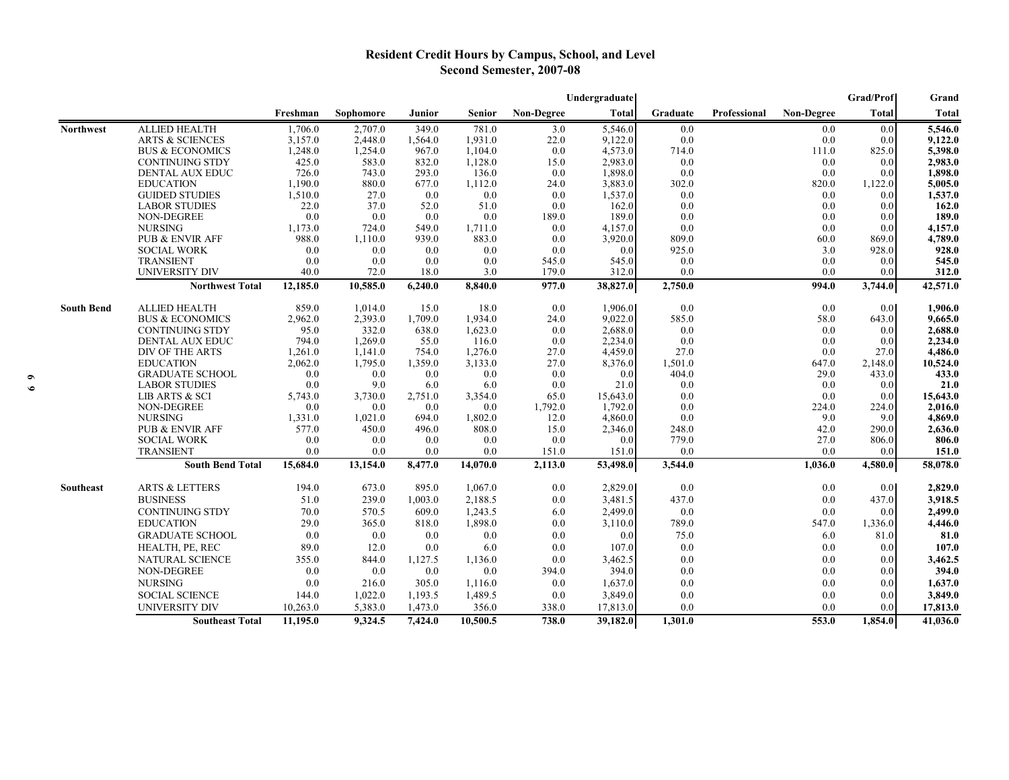## **Resident Credit Hours by Campus, School, and Level Second Semester, 2007-08**

|                   |                                                 |                  |                  |                 |                  |                | Undergraduate      |                |              |                   | Grad/Prof        | Grand              |
|-------------------|-------------------------------------------------|------------------|------------------|-----------------|------------------|----------------|--------------------|----------------|--------------|-------------------|------------------|--------------------|
|                   |                                                 | Freshman         | Sophomore        | Junior          | <b>Senior</b>    | Non-Degree     | <b>Total</b>       | Graduate       | Professional | <b>Non-Degree</b> | <b>Total</b>     | <b>Total</b>       |
| <b>Northwest</b>  | <b>ALLIED HEALTH</b>                            | 1,706.0          | 2,707.0          | 349.0           | 781.0            | 3.0            | 5,546.0            | 0.0            |              | 0.0               | 0.0              | 5,546.0            |
|                   | <b>ARTS &amp; SCIENCES</b>                      | 3,157.0          | 2,448.0          | 1,564.0         | 1,931.0          | 22.0           | 9,122.0            | 0.0            |              | 0.0               | 0.0              | 9,122.0            |
|                   | <b>BUS &amp; ECONOMICS</b>                      | 1,248.0          | 1,254.0          | 967.0           | 1,104.0          | 0.0            | 4,573.0            | 714.0          |              | 111.0             | 825.0            | 5,398.0            |
|                   | <b>CONTINUING STDY</b>                          | 425.0            | 583.0            | 832.0           | 1,128.0          | 15.0           | 2,983.0            | 0.0            |              | 0.0               | 0.0              | 2,983.0            |
|                   | DENTAL AUX EDUC                                 | 726.0            | 743.0            | 293.0           | 136.0            | 0.0            | 1,898.0            | 0.0            |              | 0.0               | 0.0              | 1,898.0            |
|                   | <b>EDUCATION</b>                                | 1,190.0          | 880.0            | 677.0           | 1,112.0          | 24.0           | 3,883.0            | 302.0          |              | 820.0             | 1,122.0          | 5,005.0            |
|                   | <b>GUIDED STUDIES</b>                           | 1,510.0          | 27.0             | 0.0             | 0.0              | 0.0            | 1,537.0            | 0.0            |              | 0.0               | 0.0              | 1,537.0            |
|                   | <b>LABOR STUDIES</b>                            | 22.0             | 37.0             | 52.0            | 51.0             | 0.0            | 162.0              | 0.0            |              | 0.0               | 0.0 <sub>l</sub> | 162.0              |
|                   | NON-DEGREE                                      | 0.0              | 0.0              | 0.0             | 0.0              | 189.0          | 189.0              | 0.0            |              | 0.0               | 0.0              | 189.0              |
|                   | <b>NURSING</b>                                  | 1,173.0          | 724.0            | 549.0           | 1,711.0          | 0.0            | 4,157.0            | 0.0            |              | 0.0               | 0.0              | 4,157.0            |
|                   | <b>PUB &amp; ENVIR AFF</b>                      | 988.0            | 1,110.0          | 939.0           | 883.0            | 0.0            | 3,920.0            | 809.0          |              | 60.0              | 869.0            | 4,789.0            |
|                   | <b>SOCIAL WORK</b>                              | 0.0              | 0.0              | 0.0             | 0.0              | 0.0            | 0.0                | 925.0          |              | 3.0               | 928.0            | 928.0              |
|                   | <b>TRANSIENT</b>                                | 0.0              | 0.0              | 0.0             | 0.0              | 545.0<br>179.0 | 545.0              | 0.0            |              | 0.0               | 0.0              | 545.0              |
|                   | <b>UNIVERSITY DIV</b><br><b>Northwest Total</b> | 40.0<br>12,185.0 | 72.0<br>10,585.0 | 18.0<br>6,240.0 | 3.0<br>8,840.0   | 977.0          | 312.0<br>38,827.0  | 0.0<br>2,750.0 |              | 0.0<br>994.0      | 0.0<br>3,744.0   | 312.0<br>42,571.0  |
|                   |                                                 |                  |                  |                 |                  |                |                    |                |              |                   |                  |                    |
| <b>South Bend</b> | <b>ALLIED HEALTH</b>                            | 859.0            | 1,014.0          | 15.0            | 18.0             | 0.0            | 1,906.0            | 0.0            |              | 0.0               | 0.0              | 1,906.0            |
|                   | <b>BUS &amp; ECONOMICS</b>                      | 2,962.0          | 2,393.0          | 1,709.0         | 1,934.0          | 24.0           | 9,022.0            | 585.0          |              | 58.0              | 643.0            | 9,665.0            |
|                   | <b>CONTINUING STDY</b>                          | 95.0             | 332.0            | 638.0           | 1,623.0          | 0.0            | 2,688.0            | 0.0            |              | 0.0               | 0.0              | 2,688.0            |
|                   | DENTAL AUX EDUC                                 | 794.0            | 1,269.0          | 55.0            | 116.0            | 0.0            | 2,234.0            | 0.0            |              | 0.0               | 0.0              | 2,234.0            |
|                   | DIV OF THE ARTS                                 | 1,261.0          | 1,141.0          | 754.0           | 1,276.0          | 27.0           | 4,459.0            | 27.0           |              | 0.0               | 27.0             | 4,486.0            |
|                   | <b>EDUCATION</b>                                | 2,062.0          | 1,795.0          | 1,359.0         | 3,133.0          | 27.0           | 8,376.0            | 1,501.0        |              | 647.0             | 2,148.0          | 10,524.0           |
|                   | <b>GRADUATE SCHOOL</b>                          | 0.0              | 0.0              | 0.0             | 0.0              | 0.0            | 0.0                | 404.0          |              | 29.0              | 433.0            | 433.0              |
|                   | <b>LABOR STUDIES</b>                            | 0.0              | 9.0              | 6.0             | 6.0              | 0.0            | 21.0               | 0.0            |              | 0.0               | 0.0              | 21.0               |
|                   | LIB ARTS & SCI                                  | 5,743.0          | 3,730.0          | 2,751.0         | 3,354.0          | 65.0           | 15,643.0           | 0.0            |              | 0.0               | 0.0              | 15,643.0           |
|                   | NON-DEGREE                                      | 0.0              | 0.0              | 0.0             | 0.0              | 1,792.0        | 1.792.0            | 0.0            |              | 224.0             | 224.0            | 2,016.0            |
|                   | <b>NURSING</b><br><b>PUB &amp; ENVIR AFF</b>    | 1,331.0<br>577.0 | 1,021.0<br>450.0 | 694.0           | 1,802.0<br>808.0 | 12.0<br>15.0   | 4,860.0<br>2,346.0 | 0.0<br>248.0   |              | 9.0<br>42.0       | 9.0              | 4,869.0<br>2,636.0 |
|                   | <b>SOCIAL WORK</b>                              | 0.0              | 0.0              | 496.0<br>0.0    | 0.0              | 0.0            | 0.0                | 779.0          |              | 27.0              | 290.0<br>806.0   | 806.0              |
|                   | <b>TRANSIENT</b>                                | 0.0              | 0.0              | 0.0             | 0.0              | 151.0          | 151.0              | 0.0            |              | 0.0               | 0.0              | 151.0              |
|                   | <b>South Bend Total</b>                         | 15,684.0         | 13,154.0         | 8,477.0         | 14,070.0         | 2,113.0        | 53,498.0           | 3,544.0        |              | 1,036.0           | 4,580.0          | 58,078.0           |
|                   |                                                 |                  |                  |                 |                  |                |                    |                |              |                   |                  |                    |
| Southeast         | <b>ARTS &amp; LETTERS</b>                       | 194.0            | 673.0            | 895.0           | 1,067.0          | 0.0            | 2,829.0            | 0.0            |              | 0.0               | 0.01             | 2,829.0            |
|                   | <b>BUSINESS</b>                                 | 51.0             | 239.0            | 1,003.0         | 2,188.5          | 0.0            | 3,481.5            | 437.0          |              | 0.0               | 437.0            | 3,918.5            |
|                   | <b>CONTINUING STDY</b>                          | 70.0             | 570.5            | 609.0           | 1,243.5          | 6.0            | 2,499.0            | 0.0            |              | 0.0               | 0.0              | 2,499.0            |
|                   | <b>EDUCATION</b>                                | 29.0             | 365.0            | 818.0           | 1,898.0          | 0.0            | 3,110.0            | 789.0          |              | 547.0             | 1,336.0          | 4,446.0            |
|                   | <b>GRADUATE SCHOOL</b>                          | 0.0              | 0.0              | 0.0             | 0.0              | 0.0            | 0.0                | 75.0           |              | 6.0               | 81.0             | 81.0               |
|                   | HEALTH, PE, REC                                 | 89.0             | 12.0             | 0.0             | 6.0              | 0.0            | 107.0              | 0.0            |              | 0.0               | 0.0              | 107.0              |
|                   | NATURAL SCIENCE                                 | 355.0            | 844.0            | 1,127.5         | 1,136.0          | 0.0            | 3,462.5            | 0.0            |              | 0.0               | 0.0              | 3,462.5            |
|                   | NON-DEGREE                                      | 0.0              | 0.0              | 0.0             | 0.0              | 394.0          | 394.0              | 0.0            |              | 0.0               | 0.0              | 394.0              |
|                   | <b>NURSING</b>                                  | 0.0              | 216.0            | 305.0           | 1,116.0          | 0.0            | 1,637.0            | 0.0            |              | 0.0               | 0.0              | 1,637.0            |
|                   | <b>SOCIAL SCIENCE</b>                           | 144.0            | 1,022.0          | 1,193.5         | 1,489.5          | 0.0            | 3,849.0            | 0.0            |              | 0.0               | 0.0              | 3,849.0            |
|                   | <b>UNIVERSITY DIV</b>                           | 10,263.0         | 5,383.0          | 1,473.0         | 356.0            | 338.0          | 17,813.0           | 0.0            |              | 0.0               | 0.0              | 17,813.0           |
|                   | <b>Southeast Total</b>                          | 11,195.0         | 9,324.5          | 7,424.0         | 10,500.5         | 738.0          | 39,182.0           | 1.301.0        |              | 553.0             | 1,854.0          | 41,036.0           |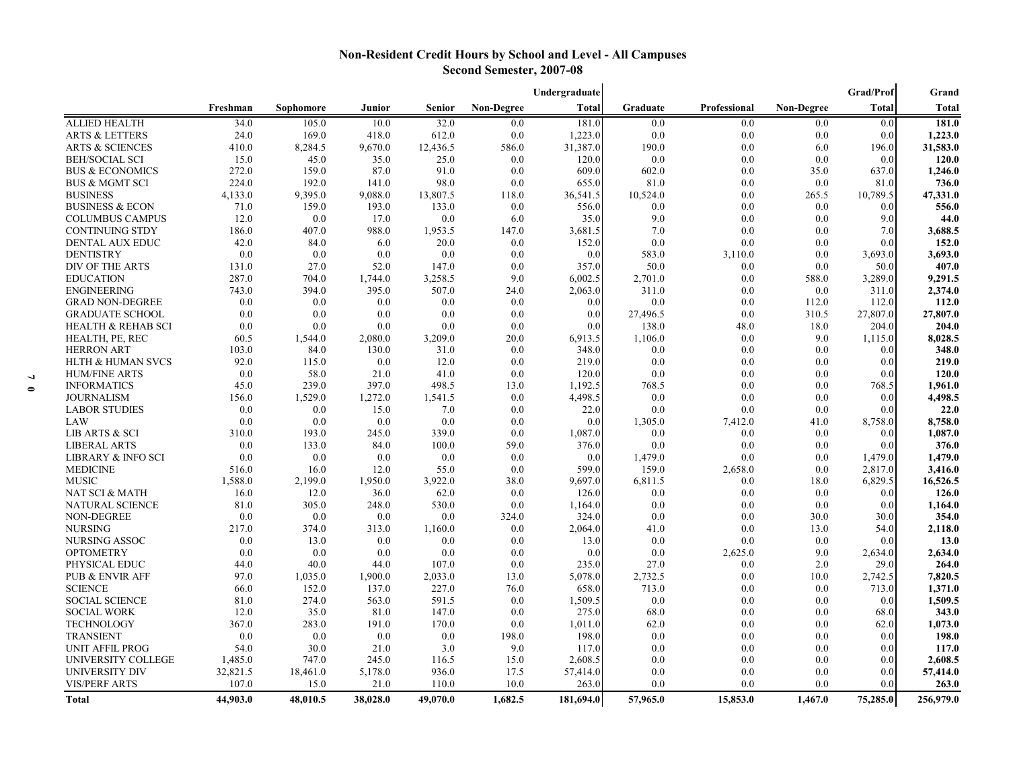# **Non-Resident Credit Hours by School and Level - All Campuses Second Semester, 2007-08**

|                               |          |           |          |          |            | Undergraduate |          |              |                   | Grad/Prof | Grand        |
|-------------------------------|----------|-----------|----------|----------|------------|---------------|----------|--------------|-------------------|-----------|--------------|
|                               | Freshman | Sophomore | Junior   | Senior   | Non-Degree | <b>Total</b>  | Graduate | Professional | <b>Non-Degree</b> | Total     | <b>Total</b> |
| <b>ALLIED HEALTH</b>          | 34.0     | 105.0     | 10.0     | 32.0     | 0.0        | 181.0         | 0.0      | 0.0          | 0.0               | 0.0       | 181.0        |
| <b>ARTS &amp; LETTERS</b>     | 24.0     | 169.0     | 418.0    | 612.0    | 0.0        | 1,223.0       | 0.0      | 0.0          | 0.0               | 0.0       | 1,223.0      |
| <b>ARTS &amp; SCIENCES</b>    | 410.0    | 8,284.5   | 9,670.0  | 12,436.5 | 586.0      | 31,387.0      | 190.0    | 0.0          | 6.0               | 196.0     | 31,583.0     |
| <b>BEH/SOCIAL SCI</b>         | 15.0     | 45.0      | 35.0     | 25.0     | 0.0        | 120.0         | 0.0      | 0.0          | 0.0               | 0.0       | 120.0        |
| <b>BUS &amp; ECONOMICS</b>    | 272.0    | 159.0     | 87.0     | 91.0     | 0.0        | 609.0         | 602.0    | 0.0          | 35.0              | 637.0     | 1,246.0      |
| <b>BUS &amp; MGMT SCI</b>     | 224.0    | 192.0     | 141.0    | 98.0     | 0.0        | 655.0         | 81.0     | 0.0          | 0.0               | 81.0      | 736.0        |
| <b>BUSINESS</b>               | 4,133.0  | 9,395.0   | 9,088.0  | 13,807.5 | 118.0      | 36,541.5      | 10,524.0 | 0.0          | 265.5             | 10,789.5  | 47,331.0     |
| <b>BUSINESS &amp; ECON</b>    | 71.0     | 159.0     | 193.0    | 133.0    | 0.0        | 556.0         | 0.0      | 0.0          | 0.0               | 0.0       | 556.0        |
| <b>COLUMBUS CAMPUS</b>        | 12.0     | 0.0       | 17.0     | 0.0      | 6.0        | 35.0          | 9.0      | 0.0          | 0.0               | 9.0       | 44.0         |
| <b>CONTINUING STDY</b>        | 186.0    | 407.0     | 988.0    | 1,953.5  | 147.0      | 3,681.5       | 7.0      | 0.0          | 0.0               | 7.0       | 3,688.5      |
| <b>DENTAL AUX EDUC</b>        | 42.0     | 84.0      | 6.0      | 20.0     | 0.0        | 152.0         | 0.0      | 0.0          | 0.0               | 0.0       | 152.0        |
| <b>DENTISTRY</b>              | 0.0      | 0.0       | 0.0      | 0.0      | 0.0        | 0.0           | 583.0    | 3,110.0      | 0.0               | 3,693.0   | 3,693.0      |
| DIV OF THE ARTS               | 131.0    | 27.0      | 52.0     | 147.0    | 0.0        | 357.0         | 50.0     | 0.0          | 0.0               | 50.0      | 407.0        |
| <b>EDUCATION</b>              | 287.0    | 704.0     | 1,744.0  | 3,258.5  | 9.0        | 6,002.5       | 2,701.0  | 0.0          | 588.0             | 3,289.0   | 9,291.5      |
| <b>ENGINEERING</b>            | 743.0    | 394.0     | 395.0    | 507.0    | 24.0       | 2,063.0       | 311.0    | 0.0          | 0.0               | 311.0     | 2,374.0      |
| <b>GRAD NON-DEGREE</b>        | 0.0      | 0.0       | 0.0      | 0.0      | 0.0        | 0.0           | 0.0      | 0.0          | 112.0             | 112.0     | 112.0        |
| <b>GRADUATE SCHOOL</b>        | 0.0      | 0.0       | 0.0      | 0.0      | 0.0        | 0.0           | 27,496.5 | 0.0          | 310.5             | 27,807.0  | 27,807.0     |
| <b>HEALTH &amp; REHAB SCI</b> | 0.0      | 0.0       | 0.0      | 0.0      | 0.0        | 0.0           | 138.0    | 48.0         | 18.0              | 204.0     | 204.0        |
| HEALTH, PE, REC               | 60.5     | 1,544.0   | 2,080.0  | 3,209.0  | 20.0       | 6.913.5       | 1,106.0  | 0.0          | 9.0               | 1,115.0   | 8,028.5      |
| <b>HERRON ART</b>             | 103.0    | 84.0      | 130.0    | 31.0     | 0.0        | 348.0         | 0.0      | 0.0          | 0.0               | 0.0       | 348.0        |
| <b>HLTH &amp; HUMAN SVCS</b>  | 92.0     | 115.0     | 0.0      | 12.0     | 0.0        | 219.0         | 0.0      | 0.0          | 0.0               | 0.0       | 219.0        |
| <b>HUM/FINE ARTS</b>          | 0.0      | 58.0      | 21.0     | 41.0     | 0.0        | 120.0         | 0.0      | 0.0          | 0.0               | 0.0       | 120.0        |
| <b>INFORMATICS</b>            | 45.0     | 239.0     | 397.0    | 498.5    | 13.0       | 1,192.5       | 768.5    | 0.0          | 0.0               | 768.5     | 1,961.0      |
| <b>JOURNALISM</b>             | 156.0    | 1,529.0   | 1,272.0  | 1,541.5  | 0.0        | 4,498.5       | 0.0      | 0.0          | 0.0               | 0.0       | 4,498.5      |
| <b>LABOR STUDIES</b>          | 0.0      | 0.0       | 15.0     | 7.0      | 0.0        | 22.0          | 0.0      | 0.0          | 0.0               | 0.0       | 22.0         |
| LAW                           | 0.0      | 0.0       | 0.0      | 0.0      | 0.0        | 0.0           | 1,305.0  | 7,412.0      | 41.0              | 8,758.0   | 8,758.0      |
| <b>LIB ARTS &amp; SCI</b>     | 310.0    | 193.0     | 245.0    | 339.0    | 0.0        | 1,087.0       | 0.0      | 0.0          | 0.0               | 0.0       | 1,087.0      |
| <b>LIBERAL ARTS</b>           | 0.0      | 133.0     | 84.0     | 100.0    | 59.0       | 376.0         | 0.0      | 0.0          | 0.0               | 0.0       | 376.0        |
| <b>LIBRARY &amp; INFO SCI</b> | 0.0      | 0.0       | 0.0      | 0.0      | 0.0        | 0.0           | 1,479.0  | 0.0          | 0.0               | 1,479.0   | 1,479.0      |
| <b>MEDICINE</b>               | 516.0    | 16.0      | 12.0     | 55.0     | 0.0        | 599.0         | 159.0    | 2,658.0      | 0.0               | 2,817.0   | 3,416.0      |
| <b>MUSIC</b>                  | 1,588.0  | 2,199.0   | 1,950.0  | 3,922.0  | 38.0       | 9,697.0       | 6,811.5  | 0.0          | 18.0              | 6,829.5   | 16,526.5     |
| NAT SCI & MATH                | 16.0     | 12.0      | 36.0     | 62.0     | 0.0        | 126.0         | 0.0      | 0.0          | 0.0               | 0.0       | 126.0        |
| <b>NATURAL SCIENCE</b>        | 81.0     | 305.0     | 248.0    | 530.0    | 0.0        | 1,164.0       | 0.0      | 0.0          | 0.0               | 0.0       | 1,164.0      |
| <b>NON-DEGREE</b>             | 0.0      | 0.0       | 0.0      | 0.0      | 324.0      | 324.0         | 0.0      | 0.0          | 30.0              | 30.0      | 354.0        |
| <b>NURSING</b>                | 217.0    | 374.0     | 313.0    | 1,160.0  | 0.0        | 2,064.0       | 41.0     | 0.0          | 13.0              | 54.0      | 2,118.0      |
| <b>NURSING ASSOC</b>          | 0.0      | 13.0      | 0.0      | 0.0      | 0.0        | 13.0          | 0.0      | 0.0          | 0.0               | 0.0       | 13.0         |
| <b>OPTOMETRY</b>              | 0.0      | 0.0       | 0.0      | 0.0      | 0.0        | 0.0           | 0.0      | 2,625.0      | 9.0               | 2,634.0   | 2,634.0      |
| PHYSICAL EDUC                 | 44.0     | 40.0      | 44.0     | 107.0    | 0.0        | 235.0         | 27.0     | 0.0          | 2.0               | 29.0      | 264.0        |
| <b>PUB &amp; ENVIR AFF</b>    | 97.0     | 1,035.0   | 1,900.0  | 2,033.0  | 13.0       | 5,078.0       | 2,732.5  | 0.0          | 10.0              | 2,742.5   | 7,820.5      |
| <b>SCIENCE</b>                | 66.0     | 152.0     | 137.0    | 227.0    | 76.0       | 658.0         | 713.0    | 0.0          | 0.0               | 713.0     | 1,371.0      |
| <b>SOCIAL SCIENCE</b>         | 81.0     | 274.0     | 563.0    | 591.5    | 0.0        | 1,509.5       | 0.0      | 0.0          | 0.0               | 0.0       | 1,509.5      |
| <b>SOCIAL WORK</b>            | 12.0     | 35.0      | 81.0     | 147.0    | 0.0        | 275.0         | 68.0     | 0.0          | 0.0               | 68.0      | 343.0        |
| <b>TECHNOLOGY</b>             | 367.0    | 283.0     | 191.0    | 170.0    | 0.0        | 1,011.0       | 62.0     | 0.0          | 0.0               | 62.0      | 1,073.0      |
| <b>TRANSIENT</b>              | 0.0      | 0.0       | 0.0      | 0.0      | 198.0      | 198.0         | 0.0      | 0.0          | 0.0               | 0.0       | 198.0        |
| <b>UNIT AFFIL PROG</b>        | 54.0     | 30.0      | 21.0     | 3.0      | 9.0        | 117.0         | 0.0      | 0.0          | 0.0               | 0.0       | 117.0        |
| <b>UNIVERSITY COLLEGE</b>     | 1,485.0  | 747.0     | 245.0    | 116.5    | 15.0       | 2,608.5       | 0.0      | 0.0          | 0.0               | 0.0       | 2,608.5      |
| <b>UNIVERSITY DIV</b>         | 32,821.5 | 18,461.0  | 5,178.0  | 936.0    | 17.5       | 57,414.0      | 0.0      | 0.0          | 0.0               | 0.0       | 57,414.0     |
| <b>VIS/PERF ARTS</b>          | 107.0    | 15.0      | 21.0     | 110.0    | 10.0       | 263.0         | 0.0      | 0.0          | 0.0               | 0.0       | 263.0        |
| <b>Total</b>                  | 44,903.0 | 48.010.5  | 38,028.0 | 49,070.0 | 1,682.5    | 181,694.0     | 57,965.0 | 15,853.0     | 1.467.0           | 75,285.0  | 256,979.0    |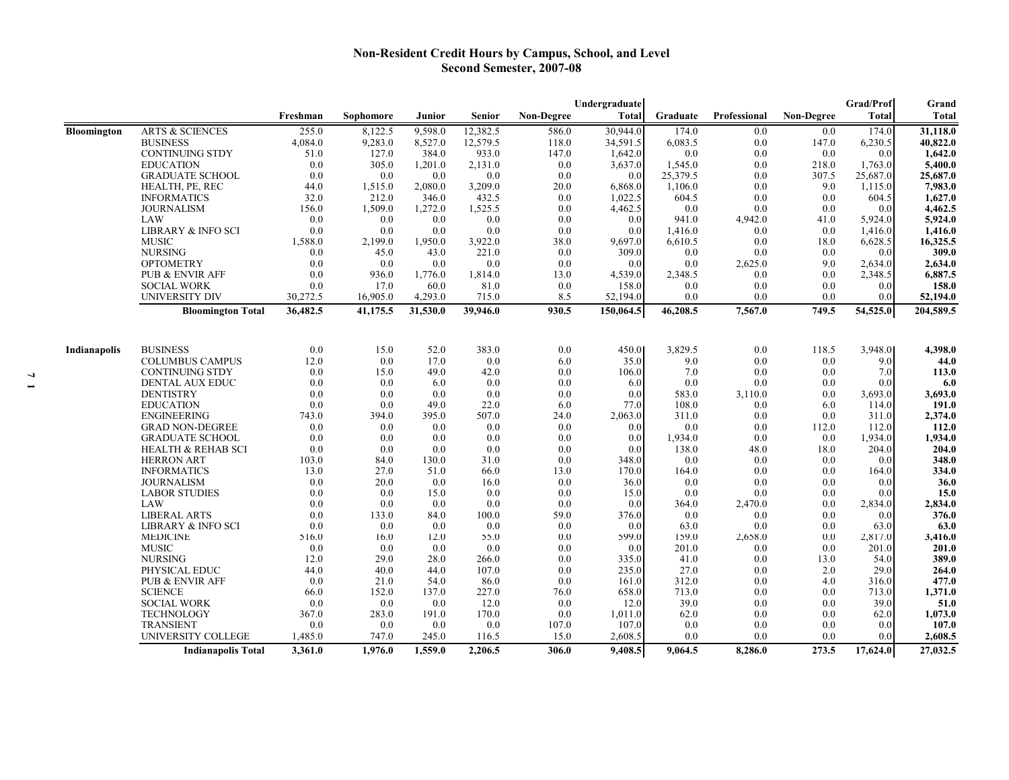#### **Non-Resident Credit Hours by Campus, School, and Level Second Semester, 2007-08**

|                    |                               |          |           |          |          | Undergraduate     | <b>Grad/Prof</b> | Grand    |              |                   |              |           |
|--------------------|-------------------------------|----------|-----------|----------|----------|-------------------|------------------|----------|--------------|-------------------|--------------|-----------|
|                    |                               | Freshman | Sophomore | Junior   | Senior   | <b>Non-Degree</b> | <b>Total</b>     | Graduate | Professional | <b>Non-Degree</b> | <b>Total</b> | Total     |
| <b>Bloomington</b> | <b>ARTS &amp; SCIENCES</b>    | 255.0    | 8,122.5   | 9,598.0  | 12,382.5 | 586.0             | 30,944.0         | 174.0    | 0.0          | 0.0               | 174.0        | 31,118.0  |
|                    | <b>BUSINESS</b>               | 4,084.0  | 9,283.0   | 8,527.0  | 12,579.5 | 118.0             | 34,591.5         | 6,083.5  | 0.0          | 147.0             | 6,230.5      | 40,822.0  |
|                    | <b>CONTINUING STDY</b>        | 51.0     | 127.0     | 384.0    | 933.0    | 147.0             | 1,642.0          | 0.0      | 0.0          | 0.0               | 0.0          | 1,642.0   |
|                    | <b>EDUCATION</b>              | 0.0      | 305.0     | 1,201.0  | 2,131.0  | 0.0               | 3,637.0          | 1,545.0  | 0.0          | 218.0             | 1,763.0      | 5,400.0   |
|                    | <b>GRADUATE SCHOOL</b>        | 0.0      | 0.0       | 0.0      | 0.0      | 0.0               | 0.0              | 25,379.5 | 0.0          | 307.5             | 25,687.0     | 25,687.0  |
|                    | HEALTH, PE, REC               | 44.0     | 1,515.0   | 2,080.0  | 3,209.0  | 20.0              | 6,868.0          | 1,106.0  | 0.0          | 9.0               | 1,115.0      | 7,983.0   |
|                    | <b>INFORMATICS</b>            | 32.0     | 212.0     | 346.0    | 432.5    | 0.0               | 1,022.5          | 604.5    | 0.0          | 0.0               | 604.5        | 1,627.0   |
|                    | <b>JOURNALISM</b>             | 156.0    | 1,509.0   | 1,272.0  | 1,525.5  | 0.0               | 4,462.5          | 0.0      | 0.0          | 0.0               | 0.0          | 4,462.5   |
|                    | LAW                           | 0.0      | 0.0       | 0.0      | 0.0      | 0.0               | 0.0              | 941.0    | 4,942.0      | 41.0              | 5,924.0      | 5,924.0   |
|                    | LIBRARY & INFO SCI            | 0.0      | 0.0       | 0.0      | 0.0      | 0.0               | 0.0              | 1,416.0  | 0.0          | 0.0               | 1,416.0      | 1,416.0   |
|                    | <b>MUSIC</b>                  | 1,588.0  | 2,199.0   | 1,950.0  | 3,922.0  | 38.0              | 9,697.0          | 6,610.5  | 0.0          | 18.0              | 6,628.5      | 16,325.5  |
|                    | <b>NURSING</b>                | 0.0      | 45.0      | 43.0     | 221.0    | 0.0               | 309.0            | 0.0      | 0.0          | 0.0               | 0.0          | 309.0     |
|                    | <b>OPTOMETRY</b>              | 0.0      | 0.0       | 0.0      | 0.0      | 0.0               | 0.0              | 0.0      | 2,625.0      | 9.0               | 2,634.0      | 2,634.0   |
|                    | <b>PUB &amp; ENVIR AFF</b>    | 0.0      | 936.0     | 1,776.0  | 1,814.0  | 13.0              | 4,539.0          | 2,348.5  | 0.0          | 0.0               | 2,348.5      | 6,887.5   |
|                    | <b>SOCIAL WORK</b>            | 0.0      | 17.0      | 60.0     | 81.0     | 0.0               | 158.0            | 0.0      | 0.0          | 0.0               | 0.0          | 158.0     |
|                    | <b>UNIVERSITY DIV</b>         | 30,272.5 | 16,905.0  | 4,293.0  | 715.0    | 8.5               | 52,194.0         | 0.0      | 0.0          | 0.0               | 0.0          | 52,194.0  |
|                    | <b>Bloomington Total</b>      | 36,482.5 | 41,175.5  | 31,530.0 | 39,946.0 | 930.5             | 150,064.5        | 46,208.5 | 7,567.0      | 749.5             | 54,525.0     | 204,589.5 |
|                    |                               |          |           |          |          |                   |                  |          |              |                   |              |           |
| Indianapolis       | <b>BUSINESS</b>               | 0.0      | 15.0      | 52.0     | 383.0    | 0.0               | 450.0            | 3,829.5  | 0.0          | 118.5             | 3,948.0      | 4,398.0   |
|                    | <b>COLUMBUS CAMPUS</b>        | 12.0     | 0.0       | 17.0     | 0.0      | 6.0               | 35.0             | 9.0      | 0.0          | 0.0               | 9.0          | 44.0      |
|                    | <b>CONTINUING STDY</b>        | 0.0      | 15.0      | 49.0     | 42.0     | 0.0               | 106.0            | 7.0      | 0.0          | 0.0               | 7.0          | 113.0     |
|                    | <b>DENTAL AUX EDUC</b>        | 0.0      | 0.0       | 6.0      | 0.0      | 0.0               | 6.0              | 0.0      | 0.0          | 0.0               | 0.0          | 6.0       |
|                    | <b>DENTISTRY</b>              | 0.0      | 0.0       | 0.0      | 0.0      | 0.0               | 0.0              | 583.0    | 3,110.0      | 0.0               | 3,693.0      | 3,693.0   |
|                    | <b>EDUCATION</b>              | 0.0      | 0.0       | 49.0     | 22.0     | 6.0               | 77.0             | 108.0    | 0.0          | 6.0               | 114.0        | 191.0     |
|                    | <b>ENGINEERING</b>            | 743.0    | 394.0     | 395.0    | 507.0    | 24.0              | 2,063.0          | 311.0    | 0.0          | 0.0               | 311.0        | 2,374.0   |
|                    | <b>GRAD NON-DEGREE</b>        | 0.0      | 0.0       | 0.0      | 0.0      | 0.0               | 0.0              | 0.0      | 0.0          | 112.0             | 112.0        | 112.0     |
|                    | <b>GRADUATE SCHOOL</b>        | 0.0      | 0.0       | 0.0      | 0.0      | 0.0               | 0.0              | 1,934.0  | 0.0          | 0.0               | 1,934.0      | 1,934.0   |
|                    | <b>HEALTH &amp; REHAB SCI</b> | 0.0      | 0.0       | 0.0      | 0.0      | 0.0               | 0.0              | 138.0    | 48.0         | 18.0              | 204.0        | 204.0     |
|                    | <b>HERRON ART</b>             | 103.0    | 84.0      | 130.0    | 31.0     | 0.0               | 348.0            | 0.0      | 0.0          | 0.0               | 0.0          | 348.0     |
|                    | <b>INFORMATICS</b>            | 13.0     | 27.0      | 51.0     | 66.0     | 13.0              | 170.0            | 164.0    | 0.0          | 0.0               | 164.0        | 334.0     |
|                    | <b>JOURNALISM</b>             | 0.0      | 20.0      | 0.0      | 16.0     | 0.0               | 36.0             | 0.0      | 0.0          | 0.0               | 0.0          | 36.0      |
|                    | <b>LABOR STUDIES</b>          | 0.0      | 0.0       | 15.0     | 0.0      | 0.0               | 15.0             | 0.0      | 0.0          | 0.0               | 0.0          | 15.0      |
|                    | LAW                           | 0.0      | 0.0       | 0.0      | 0.0      | 0.0               | 0.0              | 364.0    | 2,470.0      | 0.0               | 2,834.0      | 2,834.0   |
|                    | <b>LIBERAL ARTS</b>           | 0.0      | 133.0     | 84.0     | 100.0    | 59.0              | 376.0            | 0.0      | 0.0          | 0.0               | 0.0          | 376.0     |
|                    | <b>LIBRARY &amp; INFO SCI</b> | 0.0      | 0.0       | 0.0      | 0.0      | 0.0               | 0.0              | 63.0     | 0.0          | 0.0               | 63.0         | 63.0      |
|                    | <b>MEDICINE</b>               | 516.0    | 16.0      | 12.0     | 55.0     | 0.0               | 599.0            | 159.0    | 2,658.0      | 0.0               | 2,817.0      | 3,416.0   |
|                    | <b>MUSIC</b>                  | 0.0      | 0.0       | 0.0      | 0.0      | 0.0               | 0.0              | 201.0    | 0.0          | 0.0               | 201.0        | 201.0     |
|                    | <b>NURSING</b>                | 12.0     | 29.0      | 28.0     | 266.0    | 0.0               | 335.0            | 41.0     | 0.0          | 13.0              | 54.0         | 389.0     |
|                    | PHYSICAL EDUC                 | 44.0     | 40.0      | 44.0     | 107.0    | 0.0               | 235.0            | 27.0     | 0.0          | 2.0               | 29.0         | 264.0     |
|                    | PUB & ENVIR AFF               | 0.0      | 21.0      | 54.0     | 86.0     | 0.0               | 161.0            | 312.0    | 0.0          | 4.0               | 316.0        | 477.0     |
|                    | <b>SCIENCE</b>                | 66.0     | 152.0     | 137.0    | 227.0    | 76.0              | 658.0            | 713.0    | 0.0          | 0.0               | 713.0        | 1,371.0   |
|                    | <b>SOCIAL WORK</b>            | 0.0      | 0.0       | 0.0      | 12.0     | 0.0               | 12.0             | 39.0     | 0.0          | 0.0               | 39.0         | 51.0      |
|                    | <b>TECHNOLOGY</b>             | 367.0    | 283.0     | 191.0    | 170.0    | 0.0               | 1,011.0          | 62.0     | 0.0          | 0.0               | 62.0         | 1,073.0   |
|                    | <b>TRANSIENT</b>              | 0.0      | 0.0       | 0.0      | 0.0      | 107.0             | 107.0            | 0.0      | 0.0          | 0.0               | 0.0          | 107.0     |
|                    | UNIVERSITY COLLEGE            | 1,485.0  | 747.0     | 245.0    | 116.5    | 15.0              | 2,608.5          | 0.0      | 0.0          | 0.0               | 0.0          | 2,608.5   |
|                    | <b>Indianapolis Total</b>     | 3,361.0  | 1,976.0   | 1,559.0  | 2,206.5  | 306.0             | 9,408.5          | 9,064.5  | 8,286.0      | 273.5             | 17,624.0     | 27,032.5  |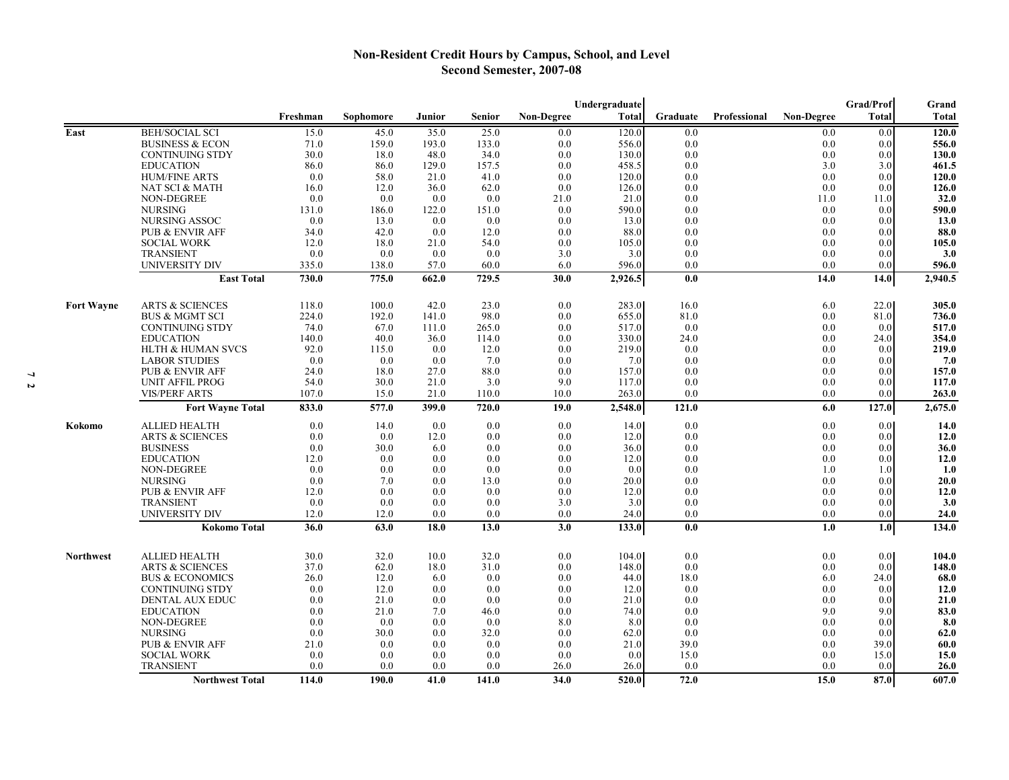# **Non-Resident Credit Hours by Campus, School, and Level Second Semester, 2007-08**

|                   |                                                  |             |            |            |               |                   | Undergraduate |              |                     |                   | Grad/Prof        | Grand        |
|-------------------|--------------------------------------------------|-------------|------------|------------|---------------|-------------------|---------------|--------------|---------------------|-------------------|------------------|--------------|
|                   |                                                  | Freshman    | Sophomore  | Junior     | <b>Senior</b> | <b>Non-Degree</b> | <b>Total</b>  | Graduate     | <b>Professional</b> | <b>Non-Degree</b> | <b>Total</b>     | <b>Total</b> |
| East              | <b>BEH/SOCIAL SCI</b>                            | 15.0        | 45.0       | 35.0       | 25.0          | 0.0               | 120.0         | 0.0          |                     | 0.0               | 0.0              | 120.0        |
|                   | <b>BUSINESS &amp; ECON</b>                       | 71.0        | 159.0      | 193.0      | 133.0         | 0.0               | 556.0         | 0.0          |                     | 0.0               | 0.0              | 556.0        |
|                   | <b>CONTINUING STDY</b>                           | 30.0        | 18.0       | 48.0       | 34.0          | 0.0               | 130.0         | 0.0          |                     | 0.0               | 0.0              | 130.0        |
|                   | <b>EDUCATION</b>                                 | 86.0        | 86.0       | 129.0      | 157.5         | 0.0               | 458.5         | 0.0          |                     | 3.0               | 3.0              | 461.5        |
|                   | <b>HUM/FINE ARTS</b>                             | 0.0         | 58.0       | 21.0       | 41.0          | 0.0               | 120.0         | 0.0          |                     | 0.0               | 0.0              | 120.0        |
|                   | NAT SCI & MATH                                   | 16.0        | 12.0       | 36.0       | 62.0          | 0.0               | 126.0         | 0.0          |                     | 0.0               | 0.0              | 126.0        |
|                   | <b>NON-DEGREE</b>                                | 0.0         | 0.0        | 0.0        | 0.0           | 21.0              | 21.0          | 0.0          |                     | 11.0              | 11.0             | 32.0         |
|                   | <b>NURSING</b>                                   | 131.0       | 186.0      | 122.0      | 151.0         | 0.0               | 590.0         | 0.0          |                     | 0.0               | 0.0              | 590.0        |
|                   | <b>NURSING ASSOC</b>                             | 0.0         | 13.0       | 0.0        | 0.0           | 0.0               | 13.0          | 0.0          |                     | 0.0               | 0.0              | 13.0         |
|                   | PUB & ENVIR AFF                                  | 34.0        | 42.0       | 0.0        | 12.0          | 0.0               | 88.0          | 0.0          |                     | 0.0               | 0.0              | 88.0         |
|                   | <b>SOCIAL WORK</b>                               | 12.0        | 18.0       | 21.0       | 54.0          | 0.0               | 105.0         | 0.0          |                     | 0.0               | 0.0              | 105.0        |
|                   | TRANSIENT                                        | 0.0         | 0.0        | 0.0        | 0.0           | 3.0               | 3.0           | 0.0          |                     | 0.0               | 0.0 <sub>l</sub> | 3.0          |
|                   | <b>UNIVERSITY DIV</b>                            | 335.0       | 138.0      | 57.0       | 60.0          | 6.0               | 596.0         | 0.0          |                     | 0.0               | 0.0              | 596.0        |
|                   | <b>East Total</b>                                | 730.0       | 775.0      | 662.0      | 729.5         | 30.0              | 2,926.5       | 0.0          |                     | 14.0              | 14.0             | 2,940.5      |
| <b>Fort Wayne</b> | <b>ARTS &amp; SCIENCES</b>                       | 118.0       | 100.0      | 42.0       | 23.0          | 0.0               | 283.0         | 16.0         |                     | 6.0               | 22.0             | 305.0        |
|                   | <b>BUS &amp; MGMT SCI</b>                        | 224.0       | 192.0      | 141.0      | 98.0          | 0.0               | 655.0         | 81.0         |                     | 0.0               | 81.0             | 736.0        |
|                   | <b>CONTINUING STDY</b>                           | 74.0        | 67.0       | 111.0      | 265.0         | 0.0               | 517.0         | 0.0          |                     | 0.0               | 0.0              | 517.0        |
|                   | <b>EDUCATION</b>                                 | 140.0       | 40.0       | 36.0       | 114.0         | 0.0               | 330.0         | 24.0         |                     | 0.0               | 24.0             | 354.0        |
|                   | HLTH & HUMAN SVCS                                | 92.0        | 115.0      | 0.0        | 12.0          | 0.0               | 219.0         | 0.0          |                     | 0.0               | 0.0              | 219.0        |
|                   | <b>LABOR STUDIES</b>                             | 0.0         | 0.0        | 0.0        | 7.0           | 0.0               | 7.0           | 0.0          |                     | 0.0               | 0.0              | 7.0          |
|                   | PUB & ENVIR AFF                                  | 24.0        | 18.0       | 27.0       | 88.0          | 0.0               | 157.0         | 0.0          |                     | 0.0               | 0.0              | 157.0        |
|                   | <b>UNIT AFFIL PROG</b>                           | 54.0        | 30.0       | 21.0       | 3.0           | 9.0               | 117.0         | 0.0          |                     | 0.0               | 0.0              | 117.0        |
|                   | <b>VIS/PERF ARTS</b>                             | 107.0       | 15.0       | 21.0       | 110.0         | 10.0              | 263.0         | 0.0          |                     | 0.0               | 0.0              | 263.0        |
|                   | <b>Fort Wayne Total</b>                          | 833.0       | 577.0      | 399.0      | 720.0         | 19.0              | 2,548.0       | 121.0        |                     | 6.0               | 127.0            | 2,675.0      |
| Kokomo            | <b>ALLIED HEALTH</b>                             | 0.0         | 14.0       | 0.0        | 0.0           | 0.0               | 14.0          | 0.0          |                     | 0.0               | 0.0 <sub>l</sub> | 14.0         |
|                   | <b>ARTS &amp; SCIENCES</b>                       | 0.0         | 0.0        | 12.0       | 0.0           | 0.0               | 12.0          | 0.0          |                     | 0.0               | 0.0 <sub>l</sub> | 12.0         |
|                   | <b>BUSINESS</b>                                  | 0.0         | 30.0       | 6.0        | 0.0           | 0.0               | 36.0          | 0.0          |                     | 0.0               | 0.0              | 36.0         |
|                   | <b>EDUCATION</b>                                 | 12.0        | 0.0        | 0.0        | 0.0           | 0.0               | 12.0          | 0.0          |                     | 0.0               | 0.0              | 12.0         |
|                   | <b>NON-DEGREE</b>                                | 0.0         | 0.0        | 0.0        | 0.0           | 0.0               | 0.0           | 0.0          |                     | 1.0               | 1.0              | 1.0          |
|                   | <b>NURSING</b><br>PUB & ENVIR AFF                | 0.0<br>12.0 | 7.0<br>0.0 | 0.0<br>0.0 | 13.0<br>0.0   | 0.0<br>0.0        | 20.0<br>12.0  | 0.0<br>0.0   |                     | 0.0<br>0.0        | 0.0<br>0.0       | 20.0<br>12.0 |
|                   | <b>TRANSIENT</b>                                 | 0.0         | 0.0        | 0.0        | 0.0           | 3.0               | 3.0           | 0.0          |                     | 0.0               | 0.0              | 3.0          |
|                   | UNIVERSITY DIV                                   | 12.0        | 12.0       | 0.0        | 0.0           | 0.0               | 24.0          | 0.0          |                     | 0.0               | 0.0              | 24.0         |
|                   | <b>Kokomo Total</b>                              | 36.0        | 63.0       | 18.0       | 13.0          | 3.0               | 133.0         | 0.0          |                     | 1.0               | 1.0              | 134.0        |
|                   |                                                  |             |            |            |               |                   |               |              |                     |                   |                  |              |
| <b>Northwest</b>  | <b>ALLIED HEALTH</b>                             | 30.0        | 32.0       | 10.0       | 32.0          | 0.0               | 104.0         | 0.0          |                     | 0.0               | 0.0 <sub>l</sub> | 104.0        |
|                   | <b>ARTS &amp; SCIENCES</b>                       | 37.0        | 62.0       | 18.0       | 31.0          | 0.0               | 148.0         | 0.0          |                     | 0.0               | 0.0              | 148.0        |
|                   | <b>BUS &amp; ECONOMICS</b>                       | 26.0        | 12.0       | 6.0        | 0.0           | 0.0               | 44.0          | 18.0         |                     | 6.0               | 24.0             | 68.0         |
|                   | <b>CONTINUING STDY</b>                           | 0.0         | 12.0       | 0.0        | 0.0           | 0.0               | 12.0          | 0.0          |                     | 0.0               | 0.0              | 12.0         |
|                   | DENTAL AUX EDUC                                  | 0.0         | 21.0       | 0.0        | 0.0           | 0.0               | 21.0          | 0.0          |                     | 0.0               | 0.0              | 21.0         |
|                   | <b>EDUCATION</b>                                 | 0.0         | 21.0       | 7.0        | 46.0          | 0.0               | 74.0          | 0.0          |                     | 9.0               | 9.0              | 83.0         |
|                   | NON-DEGREE                                       | 0.0         | 0.0        | 0.0        | 0.0           | 8.0               | 8.0           | 0.0          |                     | 0.0               | 0.0              | 8.0          |
|                   | <b>NURSING</b>                                   | 0.0         | 30.0       | 0.0        | 32.0          | 0.0               | 62.0          | 0.0          |                     | 0.0               | 0.0              | 62.0         |
|                   | <b>PUB &amp; ENVIR AFF</b><br><b>SOCIAL WORK</b> | 21.0<br>0.0 | 0.0<br>0.0 | 0.0<br>0.0 | 0.0<br>0.0    | 0.0<br>0.0        | 21.0<br>0.0   | 39.0<br>15.0 |                     | 0.0<br>0.0        | 39.0<br>15.0     | 60.0<br>15.0 |
|                   | <b>TRANSIENT</b>                                 | 0.0         | 0.0        | 0.0        | 0.0           | 26.0              | 26.0          | 0.0          |                     | 0.0               | 0.0              | 26.0         |
|                   | <b>Northwest Total</b>                           | 114.0       | 190.0      | 41.0       | 141.0         | 34.0              | 520.0         | 72.0         |                     | 15.0              | 87.0             | 607.0        |
|                   |                                                  |             |            |            |               |                   |               |              |                     |                   |                  |              |